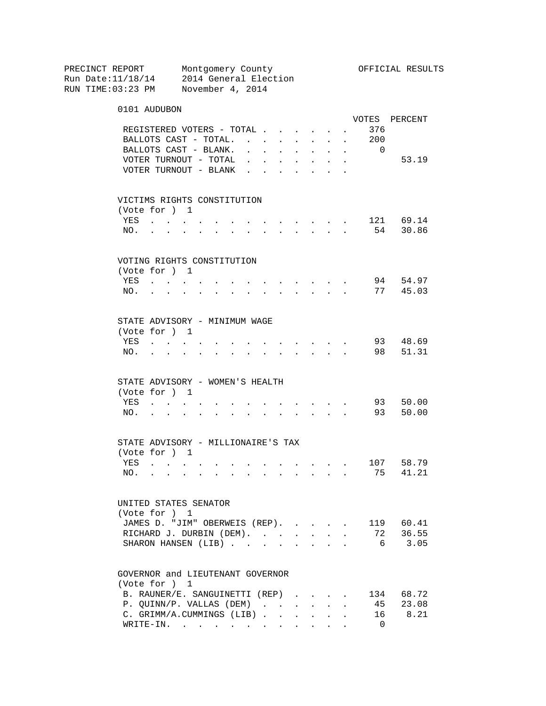PRECINCT REPORT Montgomery County Montgomery Montgomery Montgomery County Run Date:11/18/14 2014 General Election RUN TIME:03:23 PM November 4, 2014 0101 AUDUBON VOTES PERCENT REGISTERED VOTERS - TOTAL . . . . . . 376 BALLOTS CAST - TOTAL. . . . . . . . 200 BALLOTS CAST - BLANK. . . . . . . . 0 VOTER TURNOUT - TOTAL . . . . . . . 53.19 VOTER TURNOUT - BLANK  $\cdot \cdot \cdot \cdot \cdot \cdot$  VICTIMS RIGHTS CONSTITUTION (Vote for ) 1 YES . . . . . . . . . . . . . 121 69.14 NO. . . . . . . . . . . . . . 54 30.86 VOTING RIGHTS CONSTITUTION (Vote for ) 1 YES . . . . . . . . . . . . . 94 54.97 NO. . . . . . . . . . . . . . 77 45.03 STATE ADVISORY - MINIMUM WAGE (Vote for ) 1 YES . . . . . . . . . . . . . 93 48.69 NO. . . . . . . . . . . . . . 98 51.31 STATE ADVISORY - WOMEN'S HEALTH (Vote for ) 1 YES . . . . . . . . . . . . . 93 50.00 NO. . . . . . . . . . . . . . 93 50.00 STATE ADVISORY - MILLIONAIRE'S TAX (Vote for ) 1 YES . . . . . . . . . . . . . 107 58.79 NO. . . . . . . . . . . . . . 75 41.21 UNITED STATES SENATOR (Vote for ) 1 JAMES D. "JIM" OBERWEIS (REP). . . . . 119 60.41<br>RICHARD J. DURBIN (DEM). . . . . . . 72 36.55<br>SHARON HANCEN (TTD) RICHARD J. DURBIN (DEM). . . . . . . SHARON HANSEN (LIB) . . . . . . . . 6 3.05 GOVERNOR and LIEUTENANT GOVERNOR (Vote for ) 1 B. RAUNER/E. SANGUINETTI (REP) . . . . 134 68.72<br>P. QUINN/P. VALLAS (DEM) . . . . . . 45 23.08 P. QUINN/P. VALLAS (DEM) . . . . . . C. GRIMM/A.CUMMINGS (LIB) . . . . . . 16 8.21 WRITE-IN. . . . . . . . . . . . 0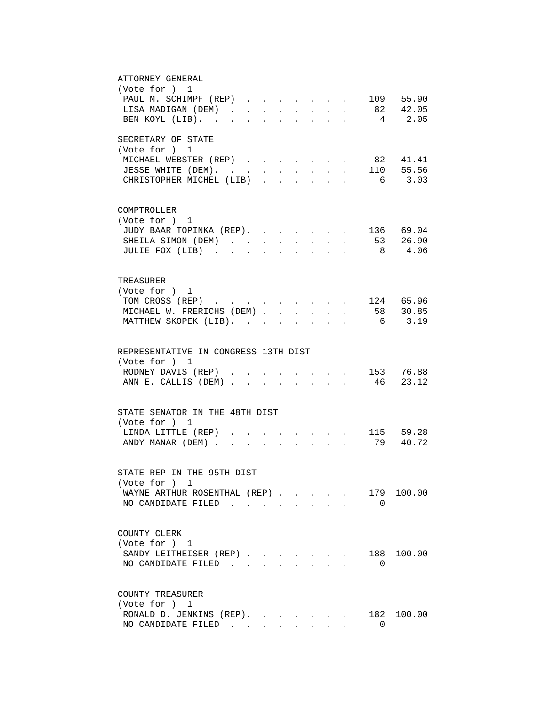| ATTORNEY GENERAL                                                                           |
|--------------------------------------------------------------------------------------------|
| (Vote for ) 1                                                                              |
| PAUL M. SCHIMPF (REP) 109 55.90                                                            |
| 82 42.05<br>LISA MADIGAN (DEM)                                                             |
| BEN KOYL (LIB).<br>4 2.05<br>$\ddot{\phantom{a}}$                                          |
|                                                                                            |
| SECRETARY OF STATE                                                                         |
| (Vote for ) 1                                                                              |
| MICHAEL WEBSTER (REP)<br>82 41.41                                                          |
| 110 55.56<br>JESSE WHITE (DEM).                                                            |
| CHRISTOPHER MICHEL (LIB)<br>3.03<br>6<br>$\mathbf{L}$                                      |
|                                                                                            |
|                                                                                            |
| COMPTROLLER                                                                                |
| (Vote for ) 1                                                                              |
| JUDY BAAR TOPINKA (REP).<br>. 136 69.04                                                    |
| SHEILA SIMON (DEM)                                                                         |
| 53 26.90<br>$\ddot{\phantom{a}}$<br>$\ddot{\phantom{a}}$<br>$\ddot{\phantom{0}}$<br>8 4.06 |
| JULIE FOX (LIB)                                                                            |
|                                                                                            |
|                                                                                            |
| TREASURER                                                                                  |
| (Vote for ) 1                                                                              |
| TOM CROSS (REP) 124 65.96                                                                  |
| MICHAEL W. FRERICHS (DEM) 58 30.85                                                         |
| MATTHEW SKOPEK (LIB).<br>6 3.19                                                            |
|                                                                                            |
|                                                                                            |
| REPRESENTATIVE IN CONGRESS 13TH DIST                                                       |
| (Vote for ) 1                                                                              |
| RODNEY DAVIS (REP) 153 76.88                                                               |
| 46 23.12<br>ANN E. CALLIS (DEM)                                                            |
|                                                                                            |
|                                                                                            |
| STATE SENATOR IN THE 48TH DIST                                                             |
| (Vote for ) 1                                                                              |
| LINDA LITTLE (REP)<br>115 59.28                                                            |
| 79 40.72<br>ANDY MANAR (DEM).<br>$\mathbf{L}$                                              |
|                                                                                            |
|                                                                                            |
| STATE REP IN THE 95TH DIST                                                                 |
| (Vote for ) 1                                                                              |
| WAYNE ARTHUR ROSENTHAL (REP)<br>179<br>100.00                                              |
| NO CANDIDATE FILED<br>$\Omega$                                                             |
|                                                                                            |
|                                                                                            |
| COUNTY CLERK                                                                               |
| (Vote for ) 1                                                                              |
| 100.00                                                                                     |
| SANDY LEITHEISER (REP)<br>188                                                              |
| NO CANDIDATE FILED<br>0                                                                    |
|                                                                                            |
|                                                                                            |
| COUNTY TREASURER                                                                           |
| (Vote for ) 1                                                                              |
| RONALD D. JENKINS (REP).<br>182 100.00                                                     |
| NO CANDIDATE FILED<br>0                                                                    |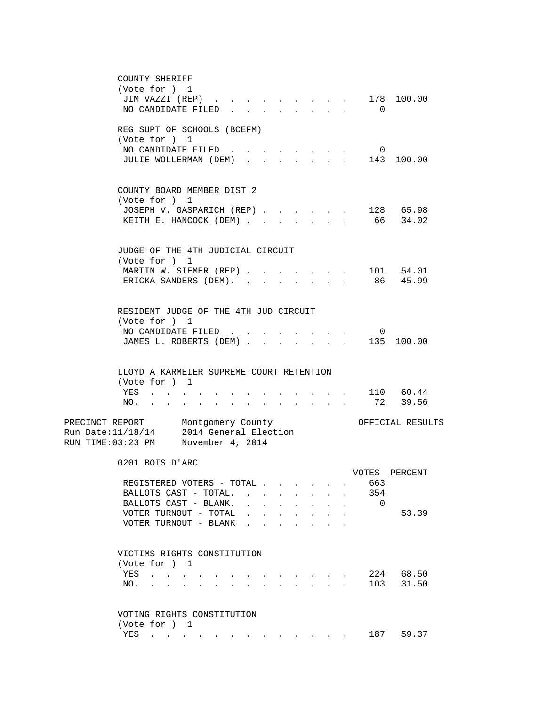| COUNTY SHERIFF                                                                                                                                                                                                                           |                                                                                                                                                                                                                                                 |                        |              |                |                  |
|------------------------------------------------------------------------------------------------------------------------------------------------------------------------------------------------------------------------------------------|-------------------------------------------------------------------------------------------------------------------------------------------------------------------------------------------------------------------------------------------------|------------------------|--------------|----------------|------------------|
| (Vote for ) 1                                                                                                                                                                                                                            |                                                                                                                                                                                                                                                 |                        |              |                |                  |
| JIM VAZZI (REP)                                                                                                                                                                                                                          |                                                                                                                                                                                                                                                 | and the company of the |              |                | 178 100.00       |
| NO CANDIDATE FILED                                                                                                                                                                                                                       |                                                                                                                                                                                                                                                 |                        |              | $\Omega$       |                  |
|                                                                                                                                                                                                                                          |                                                                                                                                                                                                                                                 |                        |              |                |                  |
| REG SUPT OF SCHOOLS (BCEFM)<br>(Vote for ) 1                                                                                                                                                                                             |                                                                                                                                                                                                                                                 |                        |              |                |                  |
| NO CANDIDATE FILED.                                                                                                                                                                                                                      |                                                                                                                                                                                                                                                 |                        |              | 0              |                  |
| JULIE WOLLERMAN (DEM)                                                                                                                                                                                                                    |                                                                                                                                                                                                                                                 |                        |              |                | 143 100.00       |
|                                                                                                                                                                                                                                          |                                                                                                                                                                                                                                                 |                        |              |                |                  |
|                                                                                                                                                                                                                                          |                                                                                                                                                                                                                                                 |                        |              |                |                  |
| COUNTY BOARD MEMBER DIST 2                                                                                                                                                                                                               |                                                                                                                                                                                                                                                 |                        |              |                |                  |
| (Vote for ) 1                                                                                                                                                                                                                            |                                                                                                                                                                                                                                                 |                        |              |                |                  |
| JOSEPH V. GASPARICH (REP)                                                                                                                                                                                                                |                                                                                                                                                                                                                                                 |                        |              |                | 128 65.98        |
| KEITH E. HANCOCK (DEM)                                                                                                                                                                                                                   |                                                                                                                                                                                                                                                 |                        |              |                | 66 34.02         |
|                                                                                                                                                                                                                                          |                                                                                                                                                                                                                                                 |                        |              |                |                  |
|                                                                                                                                                                                                                                          |                                                                                                                                                                                                                                                 |                        |              |                |                  |
| JUDGE OF THE 4TH JUDICIAL CIRCUIT<br>(Vote for ) 1                                                                                                                                                                                       |                                                                                                                                                                                                                                                 |                        |              |                |                  |
| MARTIN W. SIEMER (REP)                                                                                                                                                                                                                   |                                                                                                                                                                                                                                                 |                        | $\mathbf{r}$ |                | 101 54.01        |
| ERICKA SANDERS (DEM).                                                                                                                                                                                                                    |                                                                                                                                                                                                                                                 |                        |              |                | 86 45.99         |
|                                                                                                                                                                                                                                          |                                                                                                                                                                                                                                                 |                        |              |                |                  |
|                                                                                                                                                                                                                                          |                                                                                                                                                                                                                                                 |                        |              |                |                  |
| RESIDENT JUDGE OF THE 4TH JUD CIRCUIT                                                                                                                                                                                                    |                                                                                                                                                                                                                                                 |                        |              |                |                  |
| (Vote for ) 1                                                                                                                                                                                                                            |                                                                                                                                                                                                                                                 |                        |              |                |                  |
| NO CANDIDATE FILED.                                                                                                                                                                                                                      |                                                                                                                                                                                                                                                 |                        |              | $\overline{0}$ |                  |
| JAMES L. ROBERTS (DEM) .                                                                                                                                                                                                                 |                                                                                                                                                                                                                                                 |                        |              |                | 135 100.00       |
|                                                                                                                                                                                                                                          |                                                                                                                                                                                                                                                 |                        |              |                |                  |
|                                                                                                                                                                                                                                          |                                                                                                                                                                                                                                                 |                        |              |                |                  |
| LLOYD A KARMEIER SUPREME COURT RETENTION                                                                                                                                                                                                 |                                                                                                                                                                                                                                                 |                        |              |                |                  |
| (Vote for ) 1                                                                                                                                                                                                                            |                                                                                                                                                                                                                                                 |                        |              |                |                  |
| YES                                                                                                                                                                                                                                      |                                                                                                                                                                                                                                                 |                        |              |                | 110 60.44        |
| NO.<br>and a series of the series of the series of the series of the series of the series of the series of the series                                                                                                                    |                                                                                                                                                                                                                                                 |                        |              | 72             | 39.56            |
| PRECINCT REPORT Montgomery County                                                                                                                                                                                                        |                                                                                                                                                                                                                                                 |                        |              |                | OFFICIAL RESULTS |
| 2014 General Election<br>Run Date: 11/18/14                                                                                                                                                                                              |                                                                                                                                                                                                                                                 |                        |              |                |                  |
| RUN TIME:03:23 PM November 4, 2014                                                                                                                                                                                                       |                                                                                                                                                                                                                                                 |                        |              |                |                  |
|                                                                                                                                                                                                                                          |                                                                                                                                                                                                                                                 |                        |              |                |                  |
| 0201 BOIS D'ARC                                                                                                                                                                                                                          |                                                                                                                                                                                                                                                 |                        |              |                |                  |
|                                                                                                                                                                                                                                          |                                                                                                                                                                                                                                                 |                        |              | VOTES          | PERCENT          |
| REGISTERED VOTERS - TOTAL.                                                                                                                                                                                                               |                                                                                                                                                                                                                                                 |                        |              | 663            |                  |
| BALLOTS CAST - TOTAL.                                                                                                                                                                                                                    |                                                                                                                                                                                                                                                 |                        |              | 354            |                  |
| BALLOTS CAST - BLANK.                                                                                                                                                                                                                    |                                                                                                                                                                                                                                                 |                        |              | $\overline{0}$ |                  |
| VOTER TURNOUT - TOTAL                                                                                                                                                                                                                    |                                                                                                                                                                                                                                                 |                        |              |                | 53.39            |
| VOTER TURNOUT - BLANK                                                                                                                                                                                                                    |                                                                                                                                                                                                                                                 |                        |              |                |                  |
|                                                                                                                                                                                                                                          |                                                                                                                                                                                                                                                 |                        |              |                |                  |
| VICTIMS RIGHTS CONSTITUTION                                                                                                                                                                                                              |                                                                                                                                                                                                                                                 |                        |              |                |                  |
| (Vote for ) 1                                                                                                                                                                                                                            |                                                                                                                                                                                                                                                 |                        |              |                |                  |
| YES<br>$\mathcal{A}=\mathcal{A}=\mathcal{A}=\mathcal{A}$ .                                                                                                                                                                               |                                                                                                                                                                                                                                                 |                        |              |                | 224 68.50        |
| NO.<br>the contract of the contract of the<br><b>Contract Contract Contract</b>                                                                                                                                                          |                                                                                                                                                                                                                                                 |                        |              | 103            | 31.50            |
|                                                                                                                                                                                                                                          |                                                                                                                                                                                                                                                 |                        |              |                |                  |
|                                                                                                                                                                                                                                          |                                                                                                                                                                                                                                                 |                        |              |                |                  |
| VOTING RIGHTS CONSTITUTION                                                                                                                                                                                                               |                                                                                                                                                                                                                                                 |                        |              |                |                  |
| (Vote for ) 1                                                                                                                                                                                                                            |                                                                                                                                                                                                                                                 |                        |              |                |                  |
| YES<br>$\mathbf{r}$ . The set of the set of the set of the set of the set of the set of the set of the set of the set of the set of the set of the set of the set of the set of the set of the set of the set of the set of the set of t | $\mathbf{r} = \mathbf{r} \cdot \mathbf{r}$ , and the set of the set of the set of the set of the set of the set of the set of the set of the set of the set of the set of the set of the set of the set of the set of the set of the set of the |                        |              | 187 —          | 59.37            |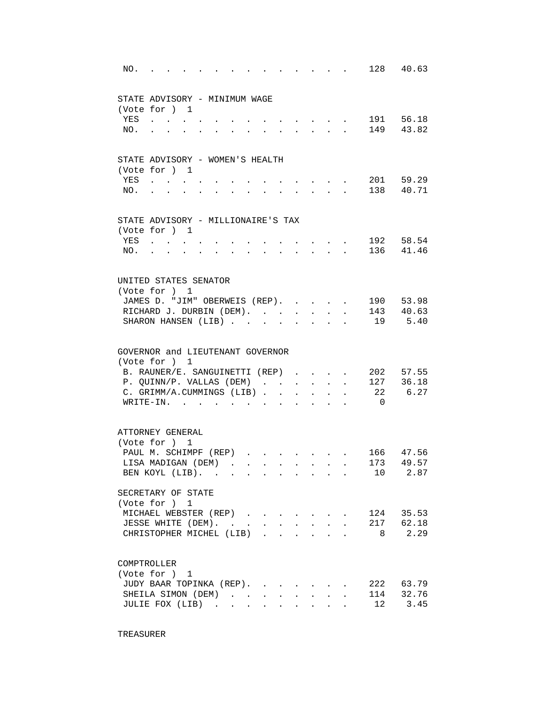| NO. |                                           | $\sim$ $\sim$ $\sim$ $\sim$ |  |                      |                           |                                                                               |                      | the contract of the contract of the |                | 128 40.63 |
|-----|-------------------------------------------|-----------------------------|--|----------------------|---------------------------|-------------------------------------------------------------------------------|----------------------|-------------------------------------|----------------|-----------|
|     | STATE ADVISORY - MINIMUM WAGE             |                             |  |                      |                           |                                                                               |                      |                                     |                |           |
|     | (Vote for ) 1                             |                             |  |                      |                           |                                                                               |                      |                                     |                |           |
| YES | $\sim$ $\sim$ $\sim$ $\sim$ $\sim$        |                             |  |                      |                           | $\sim$ $\sim$ $\sim$ $\sim$ $\sim$                                            |                      |                                     |                | 191 56.18 |
| NO. | and the state of the state of             |                             |  | $\ddot{\phantom{0}}$ |                           | $\mathbf{r} = \mathbf{r} + \mathbf{r} + \mathbf{r} + \mathbf{r} + \mathbf{r}$ |                      |                                     |                | 149 43.82 |
|     | STATE ADVISORY - WOMEN'S HEALTH           |                             |  |                      |                           |                                                                               |                      |                                     |                |           |
|     | (Vote for ) 1                             |                             |  |                      |                           |                                                                               |                      |                                     |                |           |
| YES |                                           |                             |  |                      |                           |                                                                               |                      |                                     |                | 201 59.29 |
| NO. |                                           |                             |  |                      |                           |                                                                               |                      |                                     |                | 138 40.71 |
|     | STATE ADVISORY - MILLIONAIRE'S TAX        |                             |  |                      |                           |                                                                               |                      |                                     |                |           |
|     | (Vote for ) 1                             |                             |  |                      |                           |                                                                               |                      |                                     |                |           |
| YES | $\sim$ $\sim$ $\sim$ $\sim$ $\sim$ $\sim$ |                             |  |                      |                           |                                                                               |                      |                                     |                | 192 58.54 |
| NO. | <b>All Cards</b>                          |                             |  |                      |                           | $\mathbf{z} = \mathbf{z} + \mathbf{z}$ .                                      |                      |                                     |                | 136 41.46 |
|     | UNITED STATES SENATOR                     |                             |  |                      |                           |                                                                               |                      |                                     |                |           |
|     | (Vote for ) 1                             |                             |  |                      |                           |                                                                               |                      |                                     |                |           |
|     | JAMES D. "JIM" OBERWEIS (REP).            |                             |  |                      |                           |                                                                               |                      | $\sim$                              |                | 190 53.98 |
|     | RICHARD J. DURBIN (DEM).                  |                             |  |                      |                           |                                                                               |                      |                                     |                | 143 40.63 |
|     | SHARON HANSEN (LIB)                       |                             |  |                      |                           |                                                                               |                      |                                     |                | 19 5.40   |
|     | GOVERNOR and LIEUTENANT GOVERNOR          |                             |  |                      |                           |                                                                               |                      |                                     |                |           |
|     | (Vote for ) 1                             |                             |  |                      |                           |                                                                               |                      |                                     |                |           |
|     | B. RAUNER/E. SANGUINETTI (REP)            |                             |  |                      |                           |                                                                               |                      |                                     |                | 202 57.55 |
|     | P. QUINN/P. VALLAS (DEM)                  |                             |  |                      |                           | $\mathbf{r} = \mathbf{r} + \mathbf{r}$                                        |                      | $\overline{a}$                      |                | 127 36.18 |
|     | C. GRIMM/A.CUMMINGS (LIB)                 |                             |  |                      |                           |                                                                               |                      |                                     |                | 22 6.27   |
|     | WRITE-IN.                                 |                             |  |                      |                           | $\mathbf{A}$ and $\mathbf{A}$                                                 | $\ddot{\phantom{a}}$ |                                     | $\overline{0}$ |           |
|     | ATTORNEY GENERAL                          |                             |  |                      |                           |                                                                               |                      |                                     |                |           |
|     | (Vote for ) 1                             |                             |  |                      |                           |                                                                               |                      |                                     |                |           |
|     | PAUL M. SCHIMPF (REP)                     |                             |  |                      | $\mathbf{r} = \mathbf{r}$ |                                                                               |                      |                                     |                | 166 47.56 |
|     | LISA MADIGAN (DEM).                       |                             |  |                      |                           |                                                                               |                      |                                     |                | 173 49.57 |
|     | BEN KOYL (LIB).                           |                             |  |                      |                           |                                                                               |                      |                                     | 10             | 2.87      |
|     | SECRETARY OF STATE                        |                             |  |                      |                           |                                                                               |                      |                                     |                |           |
|     | (Vote for ) 1                             |                             |  |                      |                           |                                                                               |                      |                                     |                |           |
|     | MICHAEL WEBSTER (REP)                     |                             |  |                      |                           |                                                                               |                      |                                     |                | 124 35.53 |
|     | JESSE WHITE (DEM).                        |                             |  |                      |                           |                                                                               |                      |                                     |                | 217 62.18 |
|     | CHRISTOPHER MICHEL (LIB).                 |                             |  |                      |                           |                                                                               |                      |                                     | 8 <sup>8</sup> | 2.29      |
|     | COMPTROLLER                               |                             |  |                      |                           |                                                                               |                      |                                     |                |           |
|     | (Vote for ) 1                             |                             |  |                      |                           |                                                                               |                      |                                     |                |           |
|     | JUDY BAAR TOPINKA (REP).                  |                             |  |                      |                           |                                                                               |                      |                                     |                | 222 63.79 |
|     | SHEILA SIMON (DEM)                        |                             |  |                      |                           |                                                                               |                      |                                     | 114            | 32.76     |
|     | JULIE FOX (LIB)                           |                             |  |                      |                           |                                                                               |                      |                                     | 12             | 3.45      |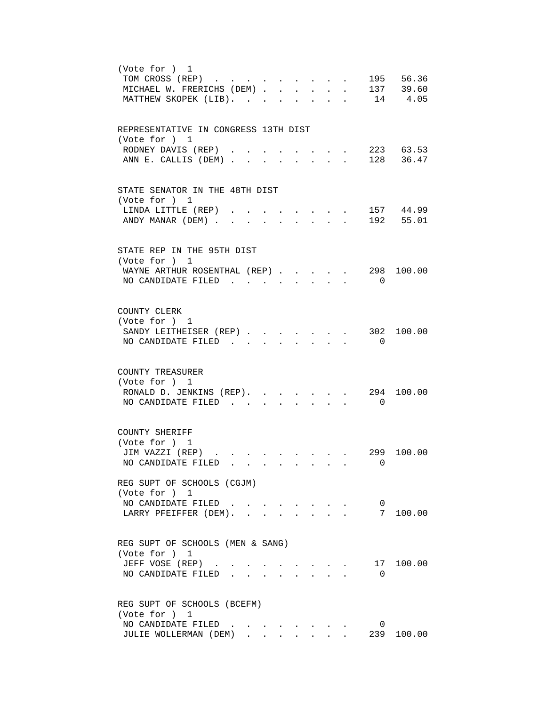| (Vote for ) 1<br>195 56.36<br>TOM CROSS (REP)<br>$\ddot{\phantom{a}}$<br>MICHAEL W. FRERICHS (DEM) 137 39.60<br>MATTHEW SKOPEK (LIB).<br>14 4.05                                                                                                        |
|---------------------------------------------------------------------------------------------------------------------------------------------------------------------------------------------------------------------------------------------------------|
| REPRESENTATIVE IN CONGRESS 13TH DIST<br>(Vote for ) 1<br>223 63.53<br>RODNEY DAVIS (REP).<br>128 36.47<br>ANN E. CALLIS (DEM).<br>$\sim$<br>$\mathbf{r}$<br>$\mathbf{L}$                                                                                |
| STATE SENATOR IN THE 48TH DIST<br>(Vote for ) 1<br>157 44.99<br>LINDA LITTLE (REP)<br>ANDY MANAR (DEM).<br>192 55.01<br>$\sim$                                                                                                                          |
| STATE REP IN THE 95TH DIST<br>(Vote for ) 1<br>298 100.00<br>WAYNE ARTHUR ROSENTHAL (REP)<br>NO CANDIDATE FILED<br>$\Omega$<br>$\bullet$ .<br><br><br><br><br><br><br><br><br><br><br><br><br>                                                          |
| COUNTY CLERK<br>(Vote for ) 1<br>SANDY LEITHEISER (REP)<br>302<br>100.00<br>$\mathbf{r}$ , $\mathbf{r}$ , $\mathbf{r}$<br>$\sim$<br>NO CANDIDATE FILED.<br>$\overline{0}$<br>$\mathbf{L}$<br>$\mathcal{L}^{\text{max}}$<br>$\mathbf{L}$<br>$\mathbf{L}$ |
| COUNTY TREASURER<br>(Vote for ) 1<br>294 100.00<br>RONALD D. JENKINS (REP).<br>$\mathbf{r} = \mathbf{r}$<br>NO CANDIDATE FILED<br>$\overline{0}$                                                                                                        |
| COUNTY SHERIFF<br>(Vote for ) 1<br>JIM VAZZI (REP)<br>299<br>100.00<br>NO CANDIDATE FILED<br>0                                                                                                                                                          |
| REG SUPT OF SCHOOLS (CGJM)<br>(Vote for ) 1<br>NO CANDIDATE FILED<br>$\overline{0}$<br>7 100.00<br>LARRY PFEIFFER (DEM).                                                                                                                                |
| REG SUPT OF SCHOOLS (MEN & SANG)<br>(Vote for ) 1<br>JEFF VOSE (REP)<br>17 100.00<br>NO CANDIDATE FILED<br>$\Omega$                                                                                                                                     |
| REG SUPT OF SCHOOLS (BCEFM)<br>(Vote for ) 1<br>NO CANDIDATE FILED<br>0<br>239<br>JULIE WOLLERMAN (DEM)<br>100.00                                                                                                                                       |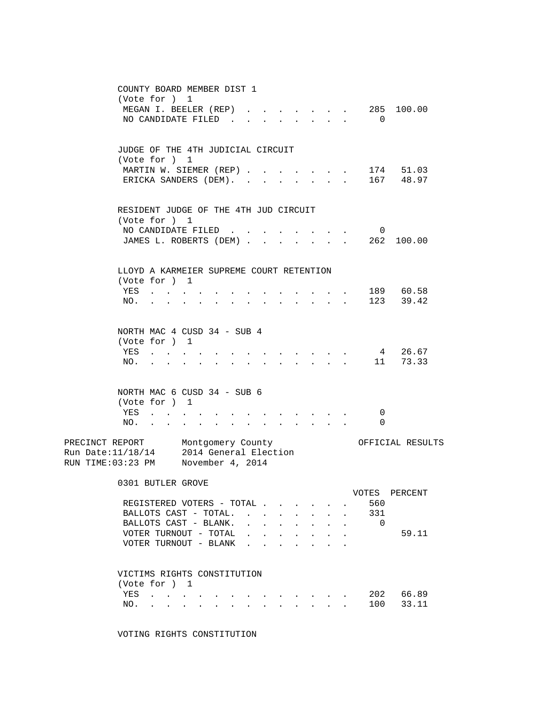| COUNTY BOARD MEMBER DIST 1                                                   |                                                                                                                                                                                                                                   |                                      |                                                                               |              |                                                         |                                    |                   |
|------------------------------------------------------------------------------|-----------------------------------------------------------------------------------------------------------------------------------------------------------------------------------------------------------------------------------|--------------------------------------|-------------------------------------------------------------------------------|--------------|---------------------------------------------------------|------------------------------------|-------------------|
| (Vote for ) 1                                                                | MEGAN I. BEELER (REP).                                                                                                                                                                                                            |                                      | $\mathbf{r} = \mathbf{r}$ and $\mathbf{r} = \mathbf{r}$                       |              | $\mathbf{r} = \mathbf{r} \mathbf{r}$ . The $\mathbf{r}$ |                                    | 285 100.00        |
| NO CANDIDATE FILED                                                           |                                                                                                                                                                                                                                   |                                      |                                                                               | $\mathbf{L}$ |                                                         | $\overline{0}$                     |                   |
|                                                                              |                                                                                                                                                                                                                                   |                                      |                                                                               |              |                                                         |                                    |                   |
|                                                                              |                                                                                                                                                                                                                                   |                                      |                                                                               |              |                                                         |                                    |                   |
| JUDGE OF THE 4TH JUDICIAL CIRCUIT<br>(Vote for ) 1                           |                                                                                                                                                                                                                                   |                                      |                                                                               |              |                                                         |                                    |                   |
|                                                                              | MARTIN W. SIEMER (REP)                                                                                                                                                                                                            |                                      |                                                                               |              |                                                         |                                    |                   |
|                                                                              | ERICKA SANDERS (DEM). .                                                                                                                                                                                                           |                                      |                                                                               |              |                                                         |                                    |                   |
|                                                                              |                                                                                                                                                                                                                                   |                                      |                                                                               |              |                                                         |                                    |                   |
| RESIDENT JUDGE OF THE 4TH JUD CIRCUIT                                        |                                                                                                                                                                                                                                   |                                      |                                                                               |              |                                                         |                                    |                   |
| (Vote for ) 1                                                                |                                                                                                                                                                                                                                   |                                      |                                                                               |              |                                                         |                                    |                   |
|                                                                              | NO CANDIDATE FILED                                                                                                                                                                                                                |                                      |                                                                               |              | $\mathbf{z} = \mathbf{z} + \mathbf{z} + \mathbf{z}$ .   | $\mathbf{0}$                       |                   |
|                                                                              | JAMES L. ROBERTS (DEM)                                                                                                                                                                                                            |                                      |                                                                               |              | $\cdot$ $\cdot$ $\cdot$                                 |                                    | 262 100.00        |
|                                                                              |                                                                                                                                                                                                                                   |                                      |                                                                               |              |                                                         |                                    |                   |
| LLOYD A KARMEIER SUPREME COURT RETENTION                                     |                                                                                                                                                                                                                                   |                                      |                                                                               |              |                                                         |                                    |                   |
| (Vote for ) 1                                                                |                                                                                                                                                                                                                                   |                                      |                                                                               |              |                                                         |                                    |                   |
| YES                                                                          |                                                                                                                                                                                                                                   |                                      |                                                                               |              |                                                         | $\cdot$ , , 189 60.58              |                   |
| NO.                                                                          |                                                                                                                                                                                                                                   |                                      | $\mathbf{r} = \mathbf{r} + \mathbf{r} + \mathbf{r} + \mathbf{r} + \mathbf{r}$ |              |                                                         |                                    | 123 39.42         |
|                                                                              |                                                                                                                                                                                                                                   |                                      |                                                                               |              |                                                         |                                    |                   |
| NORTH MAC 4 CUSD 34 - SUB 4                                                  |                                                                                                                                                                                                                                   |                                      |                                                                               |              |                                                         |                                    |                   |
| (Vote for ) 1                                                                |                                                                                                                                                                                                                                   |                                      |                                                                               |              |                                                         |                                    |                   |
| YES                                                                          |                                                                                                                                                                                                                                   |                                      |                                                                               |              |                                                         | $4\overline{ }$                    | 26.67<br>11 73.33 |
| NO.                                                                          |                                                                                                                                                                                                                                   |                                      |                                                                               |              |                                                         |                                    |                   |
|                                                                              |                                                                                                                                                                                                                                   |                                      |                                                                               |              |                                                         |                                    |                   |
| NORTH MAC 6 CUSD 34 - SUB 6                                                  |                                                                                                                                                                                                                                   |                                      |                                                                               |              |                                                         |                                    |                   |
| (Vote for ) 1<br>YES                                                         |                                                                                                                                                                                                                                   |                                      |                                                                               |              |                                                         | 0                                  |                   |
| $\mathcal{A}=\mathcal{A}=\mathcal{A}=\mathcal{A}=\mathcal{A}$ .<br>NO.       | the contract of the contract of the contract of the contract of the contract of the contract of the contract of the contract of the contract of the contract of the contract of the contract of the contract of the contract o    |                                      |                                                                               |              |                                                         | $\Omega$                           |                   |
|                                                                              |                                                                                                                                                                                                                                   |                                      |                                                                               |              |                                                         |                                    |                   |
| PRECINCT REPORT Montgomery County<br>Run Date:11/18/14 2014 General Election |                                                                                                                                                                                                                                   |                                      |                                                                               |              |                                                         |                                    | OFFICIAL RESULTS  |
| RUN TIME:03:23 PM November 4, 2014                                           |                                                                                                                                                                                                                                   |                                      |                                                                               |              |                                                         |                                    |                   |
|                                                                              |                                                                                                                                                                                                                                   |                                      |                                                                               |              |                                                         |                                    |                   |
| 0301 BUTLER GROVE                                                            |                                                                                                                                                                                                                                   |                                      |                                                                               |              |                                                         |                                    |                   |
|                                                                              |                                                                                                                                                                                                                                   |                                      |                                                                               |              |                                                         |                                    | VOTES PERCENT     |
|                                                                              | REGISTERED VOTERS - TOTAL<br>BALLOTS CAST - TOTAL.                                                                                                                                                                                |                                      |                                                                               |              | $\ddot{\phantom{0}}$                                    | 560<br>331<br>$\ddot{\phantom{a}}$ |                   |
|                                                                              | BALLOTS CAST - BLANK.                                                                                                                                                                                                             |                                      |                                                                               |              |                                                         | $\mathbf{0}$                       |                   |
|                                                                              | VOTER TURNOUT - TOTAL                                                                                                                                                                                                             | $\sim$<br>$\sim$                     |                                                                               |              |                                                         |                                    | 59.11             |
|                                                                              | VOTER TURNOUT - BLANK                                                                                                                                                                                                             | $\mathbf{r}$<br>$\ddot{\phantom{a}}$ |                                                                               |              |                                                         |                                    |                   |
|                                                                              |                                                                                                                                                                                                                                   |                                      |                                                                               |              |                                                         |                                    |                   |
| VICTIMS RIGHTS CONSTITUTION                                                  |                                                                                                                                                                                                                                   |                                      |                                                                               |              |                                                         |                                    |                   |
| (Vote for ) 1                                                                |                                                                                                                                                                                                                                   |                                      |                                                                               |              |                                                         |                                    |                   |
| YES                                                                          | $\mathcal{A}(\mathcal{A})$ , and $\mathcal{A}(\mathcal{A})$ , and $\mathcal{A}(\mathcal{A})$                                                                                                                                      |                                      |                                                                               |              |                                                         |                                    | 202 66.89         |
| NO.                                                                          | $\mathbf{r}$ . The contribution of the contribution of the contribution of the contribution of the contribution of the contribution of the contribution of the contribution of the contribution of the contribution of the contri |                                      |                                                                               |              |                                                         | 100                                | 33.11             |
|                                                                              |                                                                                                                                                                                                                                   |                                      |                                                                               |              |                                                         |                                    |                   |

VOTING RIGHTS CONSTITUTION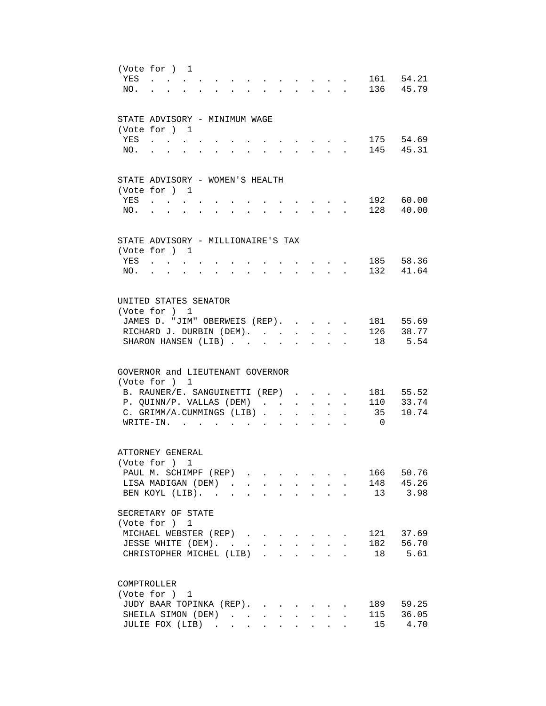| YES<br>NO. | (Vote for ) 1<br>$\mathbf{A}$<br>$\mathbf{r} = \mathbf{r}$<br>$\mathbf{L}$<br>$\sim$<br>$\sim$                                                                                                                                                                                                                                                                                                                                                                                                                                                                                | 161 54.21<br>136 45.79                         |
|------------|-------------------------------------------------------------------------------------------------------------------------------------------------------------------------------------------------------------------------------------------------------------------------------------------------------------------------------------------------------------------------------------------------------------------------------------------------------------------------------------------------------------------------------------------------------------------------------|------------------------------------------------|
| YES<br>NO. | STATE ADVISORY - MINIMUM WAGE<br>(Vote for ) 1                                                                                                                                                                                                                                                                                                                                                                                                                                                                                                                                | 175 54.69<br>145 45.31                         |
| YES<br>NO. | STATE ADVISORY - WOMEN'S HEALTH<br>(Vote for ) 1<br>$\mathbf{z} = \mathbf{z} + \mathbf{z} + \mathbf{z} + \mathbf{z}$<br>$\mathbf{r} = \mathbf{r} + \mathbf{r} + \mathbf{r} + \mathbf{r}$<br>and a strong control of the strong strong<br>$\sim$ 100 $\sim$<br>$\bullet$ .<br><br><br><br><br><br><br><br><br><br><br><br>                                                                                                                                                                                                                                                     | 192 60.00<br>128 40.00                         |
| YES<br>NO. | STATE ADVISORY - MILLIONAIRE'S TAX<br>(Vote for ) 1<br><b>Contract Contract Contract</b><br>$\sim$<br>$\mathbf{L}$<br>$\sim$<br>$\sim$<br>$\sim$<br>$\sim$                                                                                                                                                                                                                                                                                                                                                                                                                    | 185 58.36<br>132 41.64                         |
|            | UNITED STATES SENATOR<br>(Vote for ) 1<br>JAMES D. "JIM" OBERWEIS (REP).<br>$\sim$<br>RICHARD J. DURBIN (DEM).<br>$\mathbf{r}$<br>$\ddot{\phantom{0}}$<br>SHARON HANSEN (LIB)<br>18                                                                                                                                                                                                                                                                                                                                                                                           | 181 55.69<br>126 38.77<br>5.54                 |
|            | GOVERNOR and LIEUTENANT GOVERNOR<br>(Vote for ) 1<br>B. RAUNER/E. SANGUINETTI (REP)<br>P. QUINN/P. VALLAS (DEM)<br>$\ddot{\phantom{a}}$<br>C. GRIMM/A.CUMMINGS (LIB).<br>35<br>$\sim$<br>$\sim$<br>$\sim$<br>$\overline{0}$<br>$W$ RITE-IN                                                                                                                                                                                                                                                                                                                                    | 181 55.52<br>110 33.74<br>10.74                |
|            | ATTORNEY GENERAL<br>(Vote for ) 1<br>PAUL M. SCHIMPF (REP)<br>LISA MADIGAN (DEM)<br>BEN KOYL (LIB).<br>SECRETARY OF STATE<br>(Vote for ) 1<br>MICHAEL WEBSTER (REP)                                                                                                                                                                                                                                                                                                                                                                                                           | 166 50.76<br>148 45.26<br>13 3.98<br>121 37.69 |
|            | JESSE WHITE (DEM).<br>$\ddot{\phantom{a}}$<br>CHRISTOPHER MICHEL (LIB)<br>$\mathcal{L}(\mathcal{L}^{\mathcal{L}}(\mathcal{L}^{\mathcal{L}}(\mathcal{L}^{\mathcal{L}}(\mathcal{L}^{\mathcal{L}}(\mathcal{L}^{\mathcal{L}}(\mathcal{L}^{\mathcal{L}}(\mathcal{L}^{\mathcal{L}}(\mathcal{L}^{\mathcal{L}}(\mathcal{L}^{\mathcal{L}}(\mathcal{L}^{\mathcal{L}}(\mathcal{L}^{\mathcal{L}}(\mathcal{L}^{\mathcal{L}}(\mathcal{L}^{\mathcal{L}}(\mathcal{L}^{\mathcal{L}}(\mathcal{L}^{\mathcal{L}}(\mathcal{L}^{\mathcal{L}}(\mathcal{L}$<br>$\sim$<br>COMPTROLLER<br>(Vote for ) 1 | 182 56.70<br>18 5.61                           |
|            | JUDY BAAR TOPINKA (REP).<br>189<br>115<br>SHEILA SIMON (DEM).<br>$\ddot{\phantom{0}}$<br>$\sim$<br>$\sim$ $\sim$<br>$\ddot{\phantom{0}}$<br>$\mathbf{L}$<br>JULIE FOX (LIB)<br>15<br>$\mathbf{L} = \mathbf{L} \mathbf{L}$<br>$\sim$<br>$\mathbf{r}$<br>$\mathbf{L}$                                                                                                                                                                                                                                                                                                           | 59.25<br>36.05<br>4.70                         |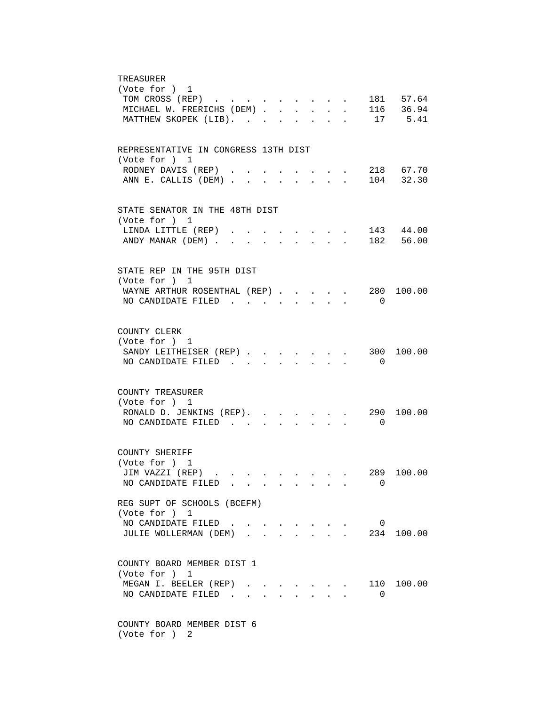| TREASURER<br>(Vote for ) 1<br>181 57.64<br>TOM CROSS (REP)<br>116 36.94<br>MICHAEL W. FRERICHS (DEM)<br>$\mathbf{L}$<br>$\mathbf{L}$<br>$\mathbf{L}$<br>17 5.41<br>MATTHEW SKOPEK (LIB).<br>$\mathbf{L}$<br>$\mathbb{R}^{n \times n}$<br>$\mathbf{r}$<br>$\mathbf{r}$ |
|-----------------------------------------------------------------------------------------------------------------------------------------------------------------------------------------------------------------------------------------------------------------------|
| REPRESENTATIVE IN CONGRESS 13TH DIST<br>(Vote for ) 1<br>RODNEY DAVIS (REP).<br>218 67.70<br>$\sim$<br>104 32.30<br>ANN E. CALLIS (DEM)                                                                                                                               |
| STATE SENATOR IN THE 48TH DIST<br>(Vote for ) 1<br>143 44.00<br>LINDA LITTLE (REP)<br>the contract of the contract of the contract of<br>ANDY MANAR (DEM)<br>182 56.00<br>and a strong control of the strong strong                                                   |
| STATE REP IN THE 95TH DIST<br>(Vote for ) 1<br>280 100.00<br>WAYNE ARTHUR ROSENTHAL (REP)<br>NO CANDIDATE FILED<br>$\Omega$<br>$\mathbf{L}$<br>$\mathcal{L}^{\text{max}}$<br>$\sim$                                                                                   |
| COUNTY CLERK<br>(Vote for ) 1<br>300 100.00<br>SANDY LEITHEISER (REP)<br>NO CANDIDATE FILED.<br>0                                                                                                                                                                     |
| COUNTY TREASURER<br>(Vote for ) 1<br>RONALD D. JENKINS (REP). 290<br>100.00<br>NO CANDIDATE FILED<br>$\overline{0}$<br>$\mathbf{L} = \mathbf{L}$<br>$\mathbf{r}$<br>$\mathbf{L}$                                                                                      |
| COUNTY SHERIFF<br>(Vote for ) 1<br>289 100.00<br>JIM VAZZI (REP) .<br>NO CANDIDATE FILED<br>$\Omega$                                                                                                                                                                  |
| REG SUPT OF SCHOOLS (BCEFM)<br>(Vote for ) 1<br>NO CANDIDATE FILED.<br>0<br>$\mathbf{A}$ and $\mathbf{A}$ and $\mathbf{A}$<br>JULIE WOLLERMAN (DEM)<br>234<br>100.00                                                                                                  |
| COUNTY BOARD MEMBER DIST 1<br>(Vote for ) 1<br>MEGAN I. BEELER (REP)<br>110 100.00<br>NO CANDIDATE FILED<br>0                                                                                                                                                         |
| COUNTY BOARD MEMBER DIST 6                                                                                                                                                                                                                                            |

(Vote for ) 2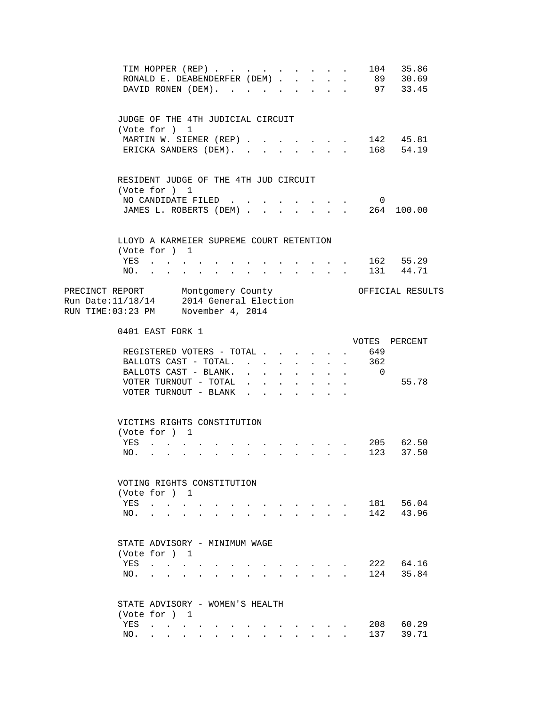|                                                                                                                    | TIM HOPPER (REP)<br>RONALD E. DEABENDERFER (DEM)<br>DAVID RONEN (DEM).                                                                                                                                                                                                                                                                                                                                                                                                                                                                             |                                                                                 |                                                                                   | $\mathbf{r}$ , $\mathbf{r}$ , $\mathbf{r}$ , $\mathbf{r}$                       |                                                        | $\sim$ $-$<br>$\ddot{\phantom{a}}$         | $\sim$                                                                 |                                              | 104                          | 35.86<br>89 30.69<br>97 33.45            |  |
|--------------------------------------------------------------------------------------------------------------------|----------------------------------------------------------------------------------------------------------------------------------------------------------------------------------------------------------------------------------------------------------------------------------------------------------------------------------------------------------------------------------------------------------------------------------------------------------------------------------------------------------------------------------------------------|---------------------------------------------------------------------------------|-----------------------------------------------------------------------------------|---------------------------------------------------------------------------------|--------------------------------------------------------|--------------------------------------------|------------------------------------------------------------------------|----------------------------------------------|------------------------------|------------------------------------------|--|
|                                                                                                                    | JUDGE OF THE 4TH JUDICIAL CIRCUIT<br>(Vote for ) 1<br>MARTIN W. SIEMER (REP) 142 45.81<br>ERICKA SANDERS (DEM). 168 54.19                                                                                                                                                                                                                                                                                                                                                                                                                          |                                                                                 |                                                                                   |                                                                                 |                                                        |                                            |                                                                        |                                              |                              |                                          |  |
|                                                                                                                    | RESIDENT JUDGE OF THE 4TH JUD CIRCUIT<br>(Vote for ) 1<br>NO CANDIDATE FILED                                                                                                                                                                                                                                                                                                                                                                                                                                                                       |                                                                                 |                                                                                   |                                                                                 |                                                        | $\sim$ $\sim$ $\sim$ $\sim$ $\sim$         |                                                                        |                                              | $\overline{\mathbf{0}}$      |                                          |  |
| NO.                                                                                                                | JAMES L. ROBERTS (DEM) 264 100.00<br>LLOYD A KARMEIER SUPREME COURT RETENTION<br>(Vote for ) 1<br>YES                                                                                                                                                                                                                                                                                                                                                                                                                                              | $\sim 100$ km s $^{-1}$                                                         |                                                                                   | $\mathbf{r}$ , and $\mathbf{r}$ , and $\mathbf{r}$                              |                                                        |                                            |                                                                        |                                              |                              | . 162 55.29<br>$\frac{1}{131}$ 44.71     |  |
| PRECINCT REPORT Montgomery County<br>Run Date:11/18/14 2014 General Election<br>RUN TIME:03:23 PM November 4, 2014 |                                                                                                                                                                                                                                                                                                                                                                                                                                                                                                                                                    |                                                                                 |                                                                                   |                                                                                 |                                                        |                                            |                                                                        |                                              |                              | OFFICIAL RESULTS                         |  |
|                                                                                                                    | 0401 EAST FORK 1<br>REGISTERED VOTERS - TOTAL .<br>BALLOTS CAST - TOTAL.<br>BALLOTS CAST - BLANK.<br>VOTER TURNOUT - TOTAL<br>VOTER TURNOUT - BLANK                                                                                                                                                                                                                                                                                                                                                                                                |                                                                                 | $\mathbf{L}$<br>$\mathbf{r} = \mathbf{r}$<br>$\mathbf{L} = \mathbf{L} \mathbf{L}$ | $\sim$<br>$\ddot{\phantom{0}}$<br>$\mathbf{L}$                                  | $\sim$<br>$\ddot{\phantom{0}}$<br>$\ddot{\phantom{a}}$ | $\ddot{\phantom{0}}$<br>$\mathbf{L}$       | $\sim$<br>$\ddot{\phantom{0}}$<br>$\mathbf{L}$<br>$\ddot{\phantom{a}}$ | $\ddot{\phantom{a}}$<br>$\ddot{\phantom{a}}$ | 649<br>362<br>$\overline{0}$ | VOTES PERCENT<br>55.78                   |  |
|                                                                                                                    | VICTIMS RIGHTS CONSTITUTION<br>(Vote for ) 1<br>YES<br>NO.<br>VOTING RIGHTS CONSTITUTION                                                                                                                                                                                                                                                                                                                                                                                                                                                           | the contract of the contract of the contract of the contract of the contract of |                                                                                   |                                                                                 |                                                        | $\mathbf{r} = \mathbf{r} \cdot \mathbf{r}$ |                                                                        |                                              |                              | . 205 62.50<br>$\cdot$ $\cdot$ 123 37.50 |  |
| YES<br>NO.                                                                                                         | (Vote for ) 1<br>$\mathcal{A}=\mathcal{A}=\mathcal{A}=\mathcal{A}=\mathcal{A}=\mathcal{A}=\mathcal{A}=\mathcal{A}$<br>$\mathbf{r} = \mathbf{r} + \mathbf{r} + \mathbf{r} + \mathbf{r} + \mathbf{r} + \mathbf{r} + \mathbf{r} + \mathbf{r} + \mathbf{r} + \mathbf{r} + \mathbf{r} + \mathbf{r} + \mathbf{r} + \mathbf{r} + \mathbf{r} + \mathbf{r} + \mathbf{r} + \mathbf{r} + \mathbf{r} + \mathbf{r} + \mathbf{r} + \mathbf{r} + \mathbf{r} + \mathbf{r} + \mathbf{r} + \mathbf{r} + \mathbf{r} + \mathbf{r} + \mathbf{r} + \mathbf{r} + \mathbf$ |                                                                                 |                                                                                   | $\mathbf{r}$ , and $\mathbf{r}$ , and $\mathbf{r}$ , and $\mathbf{r}$           |                                                        | and the state of the state of the state of |                                                                        |                                              | 142                          | 181 56.04<br>43.96                       |  |
| NO.                                                                                                                | STATE ADVISORY - MINIMUM WAGE<br>(Vote for ) 1<br>YES<br>$\mathbf{r} = \mathbf{r}$ , $\mathbf{r} = \mathbf{r}$                                                                                                                                                                                                                                                                                                                                                                                                                                     | $\mathbf{r}$                                                                    |                                                                                   | $\mathbf{r} = \mathbf{r} + \mathbf{r}$ , $\mathbf{r} = \mathbf{r} + \mathbf{r}$ |                                                        | and the contract of the contract of        |                                                                        |                                              | 124                          | 222 64.16<br>35.84                       |  |
| YES<br>NO.                                                                                                         | STATE ADVISORY - WOMEN'S HEALTH<br>(Vote for ) 1<br>the contract of the contract of<br>$\mathbf{r}$ $\mathbf{r}$<br>$\sim$                                                                                                                                                                                                                                                                                                                                                                                                                         | $\mathbf{r}$ , $\mathbf{r}$ , $\mathbf{r}$ , $\mathbf{r}$                       | $\mathbf{r}$                                                                      |                                                                                 | $\mathbf{L}$                                           | $\sim$                                     | $\sim$                                                                 |                                              | 208<br>137                   | 60.29<br>39.71                           |  |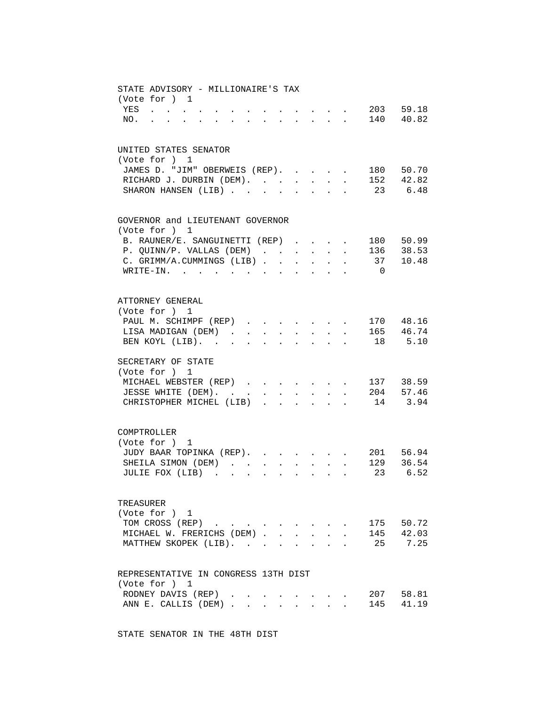| STATE ADVISORY - MILLIONAIRE'S TAX<br>(Vote for ) 1 |                               |                               |                      |                      |                           |                      |                                                                              | $\sim 203$ 59.18        |                        |
|-----------------------------------------------------|-------------------------------|-------------------------------|----------------------|----------------------|---------------------------|----------------------|------------------------------------------------------------------------------|-------------------------|------------------------|
| YES<br>NO.                                          |                               |                               |                      |                      |                           |                      |                                                                              | $\cdot$ , , , 140 40.82 |                        |
| UNITED STATES SENATOR<br>(Vote for ) 1              |                               |                               |                      |                      |                           |                      |                                                                              |                         |                        |
| JAMES D. "JIM" OBERWEIS (REP).                      |                               |                               |                      |                      |                           |                      | $\sim$                                                                       | 180 50.70               |                        |
| RICHARD J. DURBIN (DEM).<br>SHARON HANSEN (LIB)     |                               |                               |                      | $\ddot{\phantom{0}}$ |                           | $\ddot{\phantom{a}}$ |                                                                              |                         | 152 42.82<br>23 6.48   |
| GOVERNOR and LIEUTENANT GOVERNOR<br>(Vote for ) 1   |                               |                               |                      |                      |                           |                      |                                                                              |                         |                        |
| B. RAUNER/E. SANGUINETTI (REP)                      |                               |                               |                      |                      |                           |                      |                                                                              |                         | 180 50.99              |
| P. QUINN/P. VALLAS (DEM)                            |                               |                               |                      |                      | $\mathbf{L} = \mathbf{L}$ |                      |                                                                              | 136 38.53               |                        |
| C. GRIMM/A.CUMMINGS (LIB).                          |                               |                               | $\ddot{\phantom{a}}$ |                      |                           |                      |                                                                              | 37                      | 10.48                  |
| WRITE-IN.                                           | $\mathbf{r}$ and $\mathbf{r}$ | $\bullet$                     |                      |                      |                           |                      |                                                                              | $\Omega$                |                        |
| ATTORNEY GENERAL                                    |                               |                               |                      |                      |                           |                      |                                                                              |                         |                        |
| (Vote for ) 1                                       |                               |                               |                      |                      |                           |                      |                                                                              |                         |                        |
| PAUL M. SCHIMPF (REP)<br>LISA MADIGAN (DEM).        |                               |                               |                      |                      |                           |                      | $\mathbf{r} = \mathbf{r} \cdot \mathbf{r}$ , where $\mathbf{r} = \mathbf{r}$ | . 165 46.74             | 170 48.16              |
| BEN KOYL (LIB).                                     | $\ddot{\phantom{a}}$          | $\mathbf{L}$ and $\mathbf{L}$ | $\ddot{\phantom{a}}$ | $\ddot{\phantom{a}}$ | $\sim$ 100 $\pm$          |                      |                                                                              |                         | 18 5.10                |
| SECRETARY OF STATE<br>(Vote for ) 1                 |                               |                               |                      |                      |                           |                      |                                                                              |                         |                        |
| MICHAEL WEBSTER (REP) 137 38.59                     |                               |                               |                      |                      |                           |                      |                                                                              |                         |                        |
| JESSE WHITE (DEM). 204 57.46                        |                               |                               |                      |                      |                           |                      |                                                                              |                         |                        |
| CHRISTOPHER MICHEL (LIB) 14 3.94                    |                               |                               |                      |                      |                           |                      |                                                                              |                         |                        |
| COMPTROLLER                                         |                               |                               |                      |                      |                           |                      |                                                                              |                         |                        |
| (Vote for ) 1                                       |                               |                               |                      |                      |                           |                      |                                                                              |                         |                        |
| JUDY BAAR TOPINKA (REP).                            |                               |                               |                      |                      |                           |                      |                                                                              |                         | 201 56.94<br>129 36.54 |
| SHEILA SIMON (DEM).<br>JULIE FOX (LIB)              |                               |                               | $\ddot{\phantom{a}}$ | $\ddot{\phantom{a}}$ | $\sim$                    |                      |                                                                              |                         | 23 6.52                |
|                                                     |                               |                               |                      |                      |                           |                      |                                                                              |                         |                        |
| TREASURER<br>(Vote for ) 1                          |                               |                               |                      |                      |                           |                      |                                                                              |                         |                        |
| TOM CROSS (REP)                                     |                               |                               |                      |                      |                           |                      |                                                                              |                         | 175 50.72              |
| MICHAEL W. FRERICHS (DEM).                          |                               |                               |                      |                      |                           |                      |                                                                              | 145                     | 42.03                  |
| MATTHEW SKOPEK (LIB).                               |                               |                               |                      |                      |                           |                      |                                                                              | 25                      | 7.25                   |
| REPRESENTATIVE IN CONGRESS 13TH DIST                |                               |                               |                      |                      |                           |                      |                                                                              |                         |                        |
| (Vote for ) 1                                       |                               |                               |                      |                      |                           |                      |                                                                              |                         |                        |
| RODNEY DAVIS (REP)<br>ANN E. CALLIS (DEM)           |                               |                               |                      |                      |                           |                      |                                                                              |                         | 207 58.81<br>145 41.19 |
|                                                     |                               |                               | $\ddot{\phantom{a}}$ |                      | $\sim$                    |                      |                                                                              |                         |                        |

STATE SENATOR IN THE 48TH DIST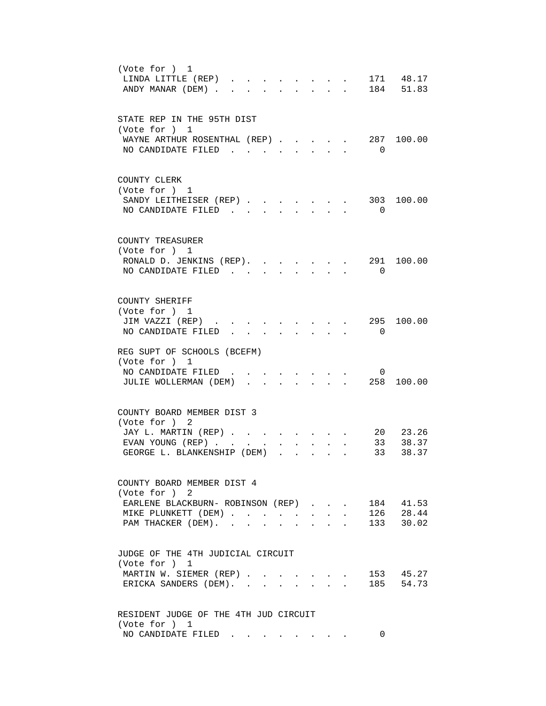| (Vote for ) 1<br>171 48.17<br>LINDA LITTLE (REP).<br>$\sim$<br>184 51.83<br>ANDY MANAR (DEM).<br>$\mathbb{R}^{n \times n}$<br>$\mathbf{r} = \mathbf{r}$<br>$\mathbf{L}$                                                                  |
|------------------------------------------------------------------------------------------------------------------------------------------------------------------------------------------------------------------------------------------|
| STATE REP IN THE 95TH DIST<br>(Vote for ) 1<br>287 100.00<br>WAYNE ARTHUR ROSENTHAL (REP).<br>NO CANDIDATE FILED.<br>$\overline{0}$                                                                                                      |
| COUNTY CLERK<br>(Vote for ) 1<br>SANDY LEITHEISER (REP)<br>303<br>100.00<br>NO CANDIDATE FILED<br>$\overline{0}$<br>$\mathbf{r}$ , $\mathbf{r}$ , $\mathbf{r}$                                                                           |
| COUNTY TREASURER<br>(Vote for ) 1<br>100.00<br>RONALD D. JENKINS (REP).<br>291<br>NO CANDIDATE FILED.<br>$\Omega$<br>$\mathbf{L}$<br>$\mathbf{r}$                                                                                        |
| COUNTY SHERIFF<br>(Vote for ) 1<br>295 100.00<br>JIM VAZZI (REP).<br>NO CANDIDATE FILED<br>$\overline{0}$                                                                                                                                |
| REG SUPT OF SCHOOLS (BCEFM)<br>(Vote for ) 1<br>NO CANDIDATE FILED.<br>0<br>JULIE WOLLERMAN (DEM)<br>258<br>100.00<br>$\Delta \sim 1000$ km s $^{-1}$<br>$\mathbf{r}$ , $\mathbf{r}$ , $\mathbf{r}$ , $\mathbf{r}$                       |
| COUNTY BOARD MEMBER DIST 3<br>(Vote for ) 2<br>20 23.26<br>JAY L. MARTIN (REP)<br>33 38.37<br>EVAN YOUNG (REP).<br>GEORGE L. BLANKENSHIP (DEM)<br>33<br>38.37<br>$\ddot{\phantom{0}}$<br>$\overline{a}$                                  |
| COUNTY BOARD MEMBER DIST 4<br>(Vote for ) 2<br>184 41.53<br>EARLENE BLACKBURN- ROBINSON (REP).<br>28.44<br>MIKE PLUNKETT (DEM)<br>126<br>$\ddot{\phantom{a}}$<br>$133$ $30.02$<br>PAM THACKER (DEM). .<br>$\sim$<br>$\ddot{\phantom{a}}$ |
| JUDGE OF THE 4TH JUDICIAL CIRCUIT<br>(Vote for ) 1<br>153 45.27<br>MARTIN W. SIEMER (REP)<br>185 54.73<br>ERICKA SANDERS (DEM).                                                                                                          |
| RESIDENT JUDGE OF THE 4TH JUD CIRCUIT<br>(Vote for ) 1<br>NO CANDIDATE FILED<br>0                                                                                                                                                        |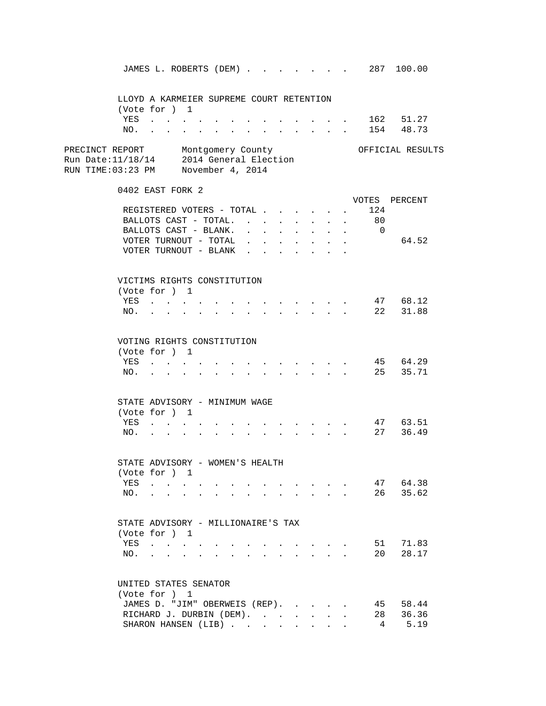JAMES L. ROBERTS (DEM) . . . . . . . 287 100.00 LLOYD A KARMEIER SUPREME COURT RETENTION (Vote for ) 1 YES . . . . . . . . . . . . . 162 51.27 NO. . . . . . . . . . . . . . 154 48.73 PRECINCT REPORT Montgomery County Montgomery Montgomery Montgomery County Run Date:11/18/14 2014 General Election RUN TIME:03:23 PM November 4, 2014 0402 EAST FORK 2 VOTES PERCENT REGISTERED VOTERS - TOTAL . . . . . . 124<br>BALLOTS CAST - TOTAL . . . . . . . . 80 BALLOTS CAST - TOTAL.  $\cdot \cdot \cdot \cdot \cdot \cdot$ BALLOTS CAST - BLANK. . . . . . . . . 0 VOTER TURNOUT - TOTAL . . . . . . . . 64.52 VOTER TURNOUT - BLANK . . . . . . . VICTIMS RIGHTS CONSTITUTION (Vote for ) 1 YES . . . . . . . . . . . . . 47 68.12 NO. . . . . . . . . . . . . . 22 31.88 VOTING RIGHTS CONSTITUTION (Vote for ) 1 YES . . . . . . . . . . . . . . 45 64.29<br>NO. . . . . . . . . . . . . . . 25 35.71 NO. . . . . . . . . . . . . . . STATE ADVISORY - MINIMUM WAGE (Vote for ) 1 YES . . . . . . . . . . . . . 47 63.51 NO. . . . . . . . . . . . . . 27 36.49 STATE ADVISORY - WOMEN'S HEALTH (Vote for ) 1 YES . . . . . . . . . . . . . 47 64.38 NO. . . . . . . . . . . . . . 26 35.62 STATE ADVISORY - MILLIONAIRE'S TAX (Vote for ) 1 YES . . . . . . . . . . . . . 51 71.83 NO. . . . . . . . . . . . . . 20 28.17 UNITED STATES SENATOR (Vote for ) 1 JAMES D. "JIM" OBERWEIS (REP). . . . . 45 58.44 RICHARD J. DURBIN (DEM). . . . . . . 28 36.36 SHARON HANSEN (LIB) . . . . . . . . 4 5.19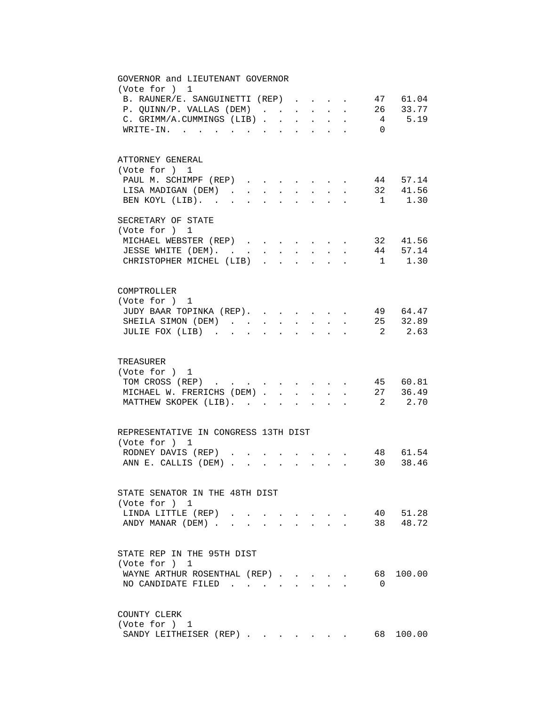| GOVERNOR and LIEUTENANT GOVERNOR<br>(Vote for ) 1                                                                                  |
|------------------------------------------------------------------------------------------------------------------------------------|
| 47 61.04<br>B. RAUNER/E. SANGUINETTI (REP)                                                                                         |
| 26 33.77<br>P. QUINN/P. VALLAS (DEM)<br>$\mathbf{r}$<br>$\sim$<br>$\mathbf{L}$<br>$\ddot{\phantom{0}}$                             |
| 4 5.19<br>C. GRIMM/A.CUMMINGS (LIB).<br>$\overline{a}$<br>$\ddot{\phantom{a}}$<br>$\mathbf{r}$                                     |
| $W\text{RITE}-\text{IN}.$<br>$\overline{0}$<br>$\mathbf{r}$ . The contract of the contract of $\mathbf{r}$<br>$\ddot{\phantom{a}}$ |
|                                                                                                                                    |
| ATTORNEY GENERAL                                                                                                                   |
| (Vote for ) 1                                                                                                                      |
| 44 57.14<br>PAUL M. SCHIMPF (REP)                                                                                                  |
| 32 41.56<br>LISA MADIGAN (DEM).                                                                                                    |
| $1 \t 1.30$<br>BEN KOYL (LIB).<br>$\mathbf{r}$                                                                                     |
| SECRETARY OF STATE                                                                                                                 |
| (Vote for ) 1                                                                                                                      |
| 32 41.56<br>MICHAEL WEBSTER (REP)                                                                                                  |
| JESSE WHITE (DEM).<br>44 57.14<br>$\ddot{\phantom{a}}$<br>$\ddot{\phantom{a}}$                                                     |
| $1 \t 1.30$<br>CHRISTOPHER MICHEL (LIB)                                                                                            |
|                                                                                                                                    |
| COMPTROLLER                                                                                                                        |
| (Vote for ) 1                                                                                                                      |
| . 4964.47<br>JUDY BAAR TOPINKA (REP).                                                                                              |
| . 25 32.89<br>SHEILA SIMON (DEM)<br>$\sim$<br>$\ddot{\phantom{0}}$<br>$\sim$<br>$\ddot{\phantom{a}}$                               |
| JULIE FOX (LIB)<br>2 2.63<br>$\bullet$<br>$\ddot{\phantom{a}}$<br>$\ddot{\phantom{0}}$<br>$\bullet$                                |
|                                                                                                                                    |
| TREASURER                                                                                                                          |
| (Vote for ) 1                                                                                                                      |
| 45 60.81<br>TOM CROSS (REP)                                                                                                        |
| 27 36.49<br>MICHAEL W. FRERICHS (DEM)                                                                                              |
| 2 2.70<br>MATTHEW SKOPEK (LIB).<br>$\mathbf{r}$                                                                                    |
|                                                                                                                                    |
| REPRESENTATIVE IN CONGRESS 13TH DIST<br>(Vote for ) 1                                                                              |
| 48 61.54<br>RODNEY DAVIS (REP)                                                                                                     |
| 30 38.46<br>ANN E. CALLIS (DEM)<br>$\mathbf{L} = \mathbf{L}$<br>$\mathcal{L}^{\mathcal{L}}$                                        |
|                                                                                                                                    |
| STATE SENATOR IN THE 48TH DIST                                                                                                     |
| (Vote for ) 1                                                                                                                      |
| 40 51.28<br>LINDA LITTLE (REP)                                                                                                     |
| 38 48.72<br>ANDY MANAR (DEM).<br><b>All Card Control</b>                                                                           |
|                                                                                                                                    |
| STATE REP IN THE 95TH DIST                                                                                                         |
| (Vote for ) 1                                                                                                                      |
| 68 100.00<br>WAYNE ARTHUR ROSENTHAL (REP)                                                                                          |
| NO CANDIDATE FILED<br>$\Omega$<br>$\cdot$ $\cdot$ $\cdot$ $\cdot$                                                                  |
|                                                                                                                                    |
| COUNTY CLERK                                                                                                                       |
| (Vote for ) 1                                                                                                                      |
| 68 100.00<br>SANDY LEITHEISER (REP)                                                                                                |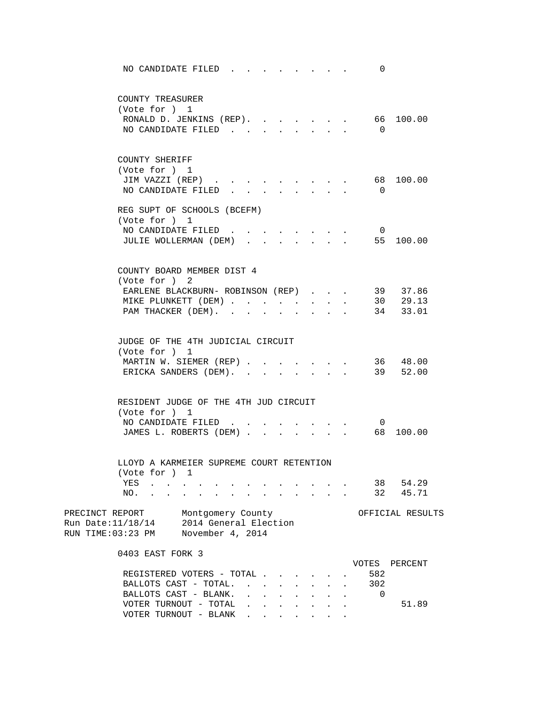| NO CANDIDATE FILED.                                                                                                           |                                                                |                                                                                                         |              |              |                                                | 0                        |                                  |
|-------------------------------------------------------------------------------------------------------------------------------|----------------------------------------------------------------|---------------------------------------------------------------------------------------------------------|--------------|--------------|------------------------------------------------|--------------------------|----------------------------------|
| COUNTY TREASURER<br>(Vote for ) 1<br>RONALD D. JENKINS (REP).<br>NO CANDIDATE FILED                                           |                                                                |                                                                                                         | $\mathbf{L}$ |              | $\cdot$ $\cdot$ $\cdot$                        | $\overline{0}$           | 66 100.00                        |
| COUNTY SHERIFF<br>(Vote for ) 1<br>JIM VAZZI (REP)<br>NO CANDIDATE FILED                                                      |                                                                |                                                                                                         |              |              |                                                | 68<br>$\overline{0}$     | 100.00                           |
| REG SUPT OF SCHOOLS (BCEFM)<br>(Vote for ) 1<br>NO CANDIDATE FILED.<br>JULIE WOLLERMAN (DEM)                                  |                                                                | $\mathbf{r}$ , $\mathbf{r}$ , $\mathbf{r}$<br>$\mathbf{L}^{\text{max}}$ , and $\mathbf{L}^{\text{max}}$ | $\mathbf{L}$ | $\sim$       |                                                | $\overline{0}$           | 55 100.00                        |
| COUNTY BOARD MEMBER DIST 4<br>(Vote for ) 2<br>EARLENE BLACKBURN- ROBINSON (REP)<br>MIKE PLUNKETT (DEM)<br>PAM THACKER (DEM). |                                                                |                                                                                                         |              | $\mathbf{L}$ | $\ddot{\phantom{0}}$                           |                          | 39 37.86<br>30 29.13<br>34 33.01 |
| JUDGE OF THE 4TH JUDICIAL CIRCUIT<br>(Vote for ) 1<br>MARTIN W. SIEMER (REP)<br>ERICKA SANDERS (DEM).                         |                                                                |                                                                                                         |              |              |                                                |                          | 36 48.00<br>39 52.00             |
| RESIDENT JUDGE OF THE 4TH JUD CIRCUIT<br>(Vote for ) 1<br>NO CANDIDATE FILED<br>JAMES L. ROBERTS (DEM)                        |                                                                |                                                                                                         | $\mathbf{L}$ |              | $\mathbf{r}$ and $\mathbf{r}$ and $\mathbf{r}$ | $\overline{0}$<br>68     | 100.00                           |
| LLOYD A KARMEIER SUPREME COURT RETENTION<br>(Vote for $)$ 1<br>YES<br>NO.                                                     |                                                                |                                                                                                         |              |              |                                                | 38<br>32                 | 54.29<br>45.71                   |
| PRECINCT REPORT<br>Run Date:11/18/14<br>RUN TIME:03:23 PM                                                                     | Montgomery County<br>2014 General Election<br>November 4, 2014 |                                                                                                         |              |              |                                                |                          | OFFICIAL RESULTS                 |
| 0403 EAST FORK 3<br>REGISTERED VOTERS - TOTAL .<br>BALLOTS CAST - TOTAL.<br>BALLOTS CAST - BLANK.                             |                                                                |                                                                                                         |              |              |                                                | VOTES<br>582<br>302<br>0 | PERCENT                          |
| VOTER TURNOUT - TOTAL<br>VOTER TURNOUT - BLANK                                                                                |                                                                |                                                                                                         |              |              |                                                |                          | 51.89                            |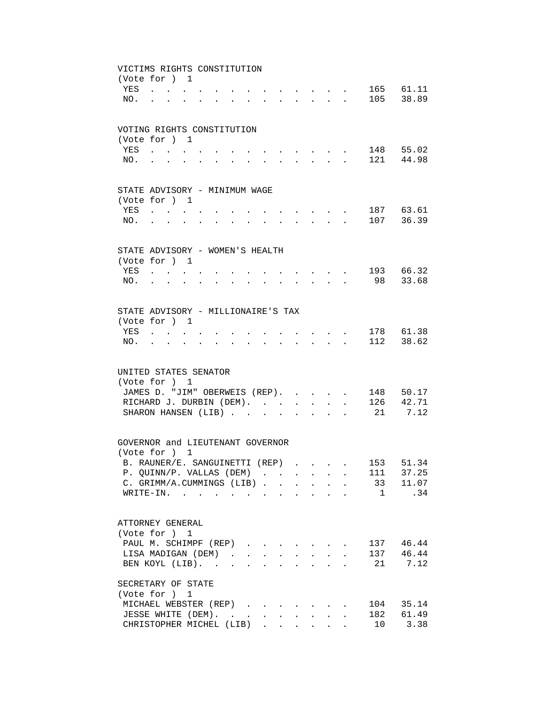|     | VICTIMS RIGHTS CONSTITUTION<br>(Vote for ) 1                                                                                                                                                                                   |                      |  |                           |                                                                                                                                     |            |                      |                                                                                         |     |           |
|-----|--------------------------------------------------------------------------------------------------------------------------------------------------------------------------------------------------------------------------------|----------------------|--|---------------------------|-------------------------------------------------------------------------------------------------------------------------------------|------------|----------------------|-----------------------------------------------------------------------------------------|-----|-----------|
| YES | $\mathbf{r}$ , $\mathbf{r}$ , $\mathbf{r}$                                                                                                                                                                                     |                      |  |                           | $\cdot$ $\cdot$ $\cdot$ $\cdot$ $\cdot$                                                                                             |            |                      |                                                                                         |     | 165 61.11 |
| NO. | <b>Contract</b>                                                                                                                                                                                                                |                      |  |                           |                                                                                                                                     |            |                      | $\mathbf{r}$ , $\mathbf{r}$ , $\mathbf{r}$ , $\mathbf{r}$ , $\mathbf{r}$ , $\mathbf{r}$ |     | 105 38.89 |
|     |                                                                                                                                                                                                                                |                      |  |                           |                                                                                                                                     |            |                      |                                                                                         |     |           |
|     | VOTING RIGHTS CONSTITUTION                                                                                                                                                                                                     |                      |  |                           |                                                                                                                                     |            |                      |                                                                                         |     |           |
|     | (Vote for ) 1                                                                                                                                                                                                                  |                      |  |                           |                                                                                                                                     |            |                      |                                                                                         |     |           |
| YES |                                                                                                                                                                                                                                |                      |  |                           |                                                                                                                                     |            |                      |                                                                                         |     | 148 55.02 |
| NO. |                                                                                                                                                                                                                                |                      |  |                           |                                                                                                                                     |            |                      |                                                                                         |     | 121 44.98 |
|     |                                                                                                                                                                                                                                |                      |  |                           |                                                                                                                                     |            |                      |                                                                                         |     |           |
|     | STATE ADVISORY - MINIMUM WAGE<br>(Vote for ) 1                                                                                                                                                                                 |                      |  |                           |                                                                                                                                     |            |                      |                                                                                         |     |           |
| YES | $\mathcal{A}(\mathcal{A})$ . The contribution of the contribution of $\mathcal{A}(\mathcal{A})$                                                                                                                                |                      |  |                           | $\mathbf{r}$ , and $\mathbf{r}$ , and $\mathbf{r}$                                                                                  |            |                      |                                                                                         |     | 187 63.61 |
| NO. | and a series of the contract of the series of the series of the series of the series of the series of the series of the series of the series of the series of the series of the series of the series of the series of the seri |                      |  |                           | $\mathbf{r}$ , $\mathbf{r}$ , $\mathbf{r}$ , $\mathbf{r}$ , $\mathbf{r}$                                                            |            |                      |                                                                                         |     | 107 36.39 |
|     |                                                                                                                                                                                                                                |                      |  |                           |                                                                                                                                     |            |                      |                                                                                         |     |           |
|     | STATE ADVISORY - WOMEN'S HEALTH                                                                                                                                                                                                |                      |  |                           |                                                                                                                                     |            |                      |                                                                                         |     |           |
|     | (Vote for ) 1                                                                                                                                                                                                                  |                      |  |                           |                                                                                                                                     |            |                      |                                                                                         |     |           |
|     | YES                                                                                                                                                                                                                            | $\ddot{\phantom{a}}$ |  |                           | $\mathbf{r}$ , $\mathbf{r}$ , $\mathbf{r}$ , $\mathbf{r}$                                                                           |            |                      |                                                                                         |     | 193 66.32 |
| NO. | and the state of the state of                                                                                                                                                                                                  |                      |  | $\mathbf{r} = \mathbf{r}$ | $\begin{array}{cccccccccccccc} \bullet & \bullet & \bullet & \bullet & \bullet & \bullet & \bullet & \bullet & \bullet \end{array}$ |            |                      |                                                                                         |     | 98 33.68  |
|     |                                                                                                                                                                                                                                |                      |  |                           |                                                                                                                                     |            |                      |                                                                                         |     |           |
|     | STATE ADVISORY - MILLIONAIRE'S TAX                                                                                                                                                                                             |                      |  |                           |                                                                                                                                     |            |                      |                                                                                         |     |           |
|     | (Vote for ) 1                                                                                                                                                                                                                  |                      |  |                           |                                                                                                                                     |            |                      |                                                                                         |     |           |
| YES |                                                                                                                                                                                                                                |                      |  |                           |                                                                                                                                     |            |                      |                                                                                         |     | 178 61.38 |
| NO. |                                                                                                                                                                                                                                |                      |  |                           |                                                                                                                                     |            |                      |                                                                                         |     | 112 38.62 |
|     |                                                                                                                                                                                                                                |                      |  |                           |                                                                                                                                     |            |                      |                                                                                         |     |           |
|     | UNITED STATES SENATOR                                                                                                                                                                                                          |                      |  |                           |                                                                                                                                     |            |                      |                                                                                         |     |           |
|     | (Vote for ) 1                                                                                                                                                                                                                  |                      |  |                           |                                                                                                                                     |            |                      |                                                                                         |     |           |
|     | JAMES D. "JIM" OBERWEIS (REP).                                                                                                                                                                                                 |                      |  |                           |                                                                                                                                     |            |                      |                                                                                         |     | 148 50.17 |
|     | RICHARD J. DURBIN (DEM).                                                                                                                                                                                                       |                      |  |                           |                                                                                                                                     |            | $\ddot{\phantom{0}}$ |                                                                                         |     | 126 42.71 |
|     | SHARON HANSEN (LIB)                                                                                                                                                                                                            |                      |  |                           |                                                                                                                                     |            |                      |                                                                                         |     | 21 7.12   |
|     |                                                                                                                                                                                                                                |                      |  |                           |                                                                                                                                     |            |                      |                                                                                         |     |           |
|     | GOVERNOR and LIEUTENANT GOVERNOR                                                                                                                                                                                               |                      |  |                           |                                                                                                                                     |            |                      |                                                                                         |     |           |
|     | (Vote for ) 1                                                                                                                                                                                                                  |                      |  |                           |                                                                                                                                     |            |                      |                                                                                         |     | 51.34     |
|     | B. RAUNER/E. SANGUINETTI (REP)<br>P. QUINN/P. VALLAS (DEM)                                                                                                                                                                     |                      |  |                           |                                                                                                                                     |            |                      |                                                                                         | 153 | 111 37.25 |
|     | C. GRIMM/A.CUMMINGS (LIB)                                                                                                                                                                                                      |                      |  |                           |                                                                                                                                     |            |                      |                                                                                         |     | 33 11.07  |
|     | WRITE-IN.                                                                                                                                                                                                                      |                      |  |                           |                                                                                                                                     |            |                      |                                                                                         | 1   | .34       |
|     |                                                                                                                                                                                                                                |                      |  |                           |                                                                                                                                     |            |                      |                                                                                         |     |           |
|     | ATTORNEY GENERAL                                                                                                                                                                                                               |                      |  |                           |                                                                                                                                     |            |                      |                                                                                         |     |           |
|     | (Vote for ) 1                                                                                                                                                                                                                  |                      |  |                           |                                                                                                                                     |            |                      |                                                                                         |     |           |
|     | PAUL M. SCHIMPF (REP)                                                                                                                                                                                                          |                      |  |                           |                                                                                                                                     |            |                      |                                                                                         |     | 137 46.44 |
|     | LISA MADIGAN (DEM)                                                                                                                                                                                                             |                      |  |                           |                                                                                                                                     |            |                      |                                                                                         |     | 137 46.44 |
|     | BEN KOYL (LIB).                                                                                                                                                                                                                |                      |  |                           |                                                                                                                                     |            |                      |                                                                                         |     | 21 7.12   |
|     | SECRETARY OF STATE                                                                                                                                                                                                             |                      |  |                           |                                                                                                                                     |            |                      |                                                                                         |     |           |
|     | (Vote for ) 1                                                                                                                                                                                                                  |                      |  |                           |                                                                                                                                     |            |                      |                                                                                         |     |           |
|     | MICHAEL WEBSTER (REP)                                                                                                                                                                                                          |                      |  |                           |                                                                                                                                     |            |                      |                                                                                         |     | 104 35.14 |
|     | JESSE WHITE (DEM).                                                                                                                                                                                                             |                      |  |                           |                                                                                                                                     | $\sim$ $-$ | $\sim$               |                                                                                         |     | 182 61.49 |
|     | CHRISTOPHER MICHEL (LIB)                                                                                                                                                                                                       |                      |  |                           |                                                                                                                                     |            |                      |                                                                                         |     | 10 3.38   |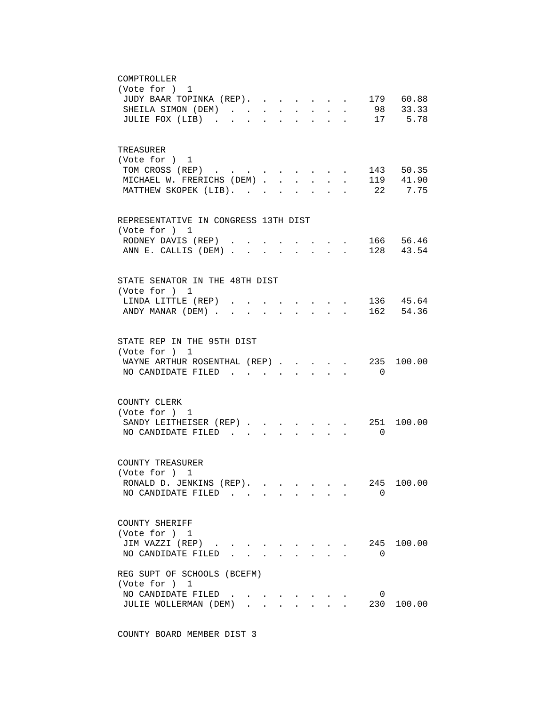| COMPTROLLER                                                                                       |
|---------------------------------------------------------------------------------------------------|
| (Vote for ) 1                                                                                     |
| 179 60.88<br>JUDY BAAR TOPINKA (REP).                                                             |
| 98 33.33<br>SHEILA SIMON (DEM)<br>$\sim$<br>$\mathbf{L} = \mathbf{L}$<br>$\sim$                   |
| 17 5.78<br>JULIE FOX (LIB)<br>$\cdot$<br>$\ddot{\phantom{a}}$<br>$\ddot{\phantom{a}}$             |
|                                                                                                   |
|                                                                                                   |
| TREASURER                                                                                         |
| (Vote for ) 1                                                                                     |
| 143 50.35<br>TOM CROSS (REP)                                                                      |
| 119 41.90<br>MICHAEL W. FRERICHS (DEM).<br>$\sim$<br>$\ddot{\phantom{0}}$<br>$\ddot{\phantom{a}}$ |
| 22<br>7.75<br>MATTHEW SKOPEK (LIB).                                                               |
|                                                                                                   |
| REPRESENTATIVE IN CONGRESS 13TH DIST                                                              |
| (Vote for ) 1                                                                                     |
| . 166 56.46<br>RODNEY DAVIS (REP).                                                                |
| 128 43.54<br>ANN E. CALLIS (DEM)<br>$\sim$ $\sim$ $\sim$                                          |
|                                                                                                   |
|                                                                                                   |
| STATE SENATOR IN THE 48TH DIST                                                                    |
| (Vote for ) 1                                                                                     |
| . 136 45.64<br>LINDA LITTLE (REP)                                                                 |
| $\cdot$ 162 54.36<br>ANDY MANAR (DEM)                                                             |
|                                                                                                   |
| STATE REP IN THE 95TH DIST                                                                        |
| (Vote for ) 1                                                                                     |
| WAYNE ARTHUR ROSENTHAL (REP)<br>235 100.00                                                        |
| $\sim$<br>NO CANDIDATE FILED.<br>$\overline{\phantom{0}}$                                         |
|                                                                                                   |
|                                                                                                   |
| COUNTY CLERK                                                                                      |
| (Vote for ) 1                                                                                     |
| 251<br>100.00<br>SANDY LEITHEISER (REP)<br>$\mathbf{r}$ , $\mathbf{r}$ , $\mathbf{r}$             |
| NO CANDIDATE FILED<br>$\overline{0}$                                                              |
|                                                                                                   |
|                                                                                                   |
| COUNTY TREASURER                                                                                  |
| (Vote for $)$ 1                                                                                   |
| RONALD D. JENKINS (REP).<br>245<br>100.00                                                         |
| NO CANDIDATE FILED<br>0                                                                           |
|                                                                                                   |
| COUNTY SHERIFF                                                                                    |
| (Vote for ) 1                                                                                     |
| JIM VAZZI (REP)<br>245<br>100.00<br>$\mathbf{L} = \mathbf{L}$<br>$\mathbf{r} = \mathbf{r}$        |
| NO CANDIDATE FILED<br>0                                                                           |
|                                                                                                   |
| REG SUPT OF SCHOOLS (BCEFM)                                                                       |
| (Vote for ) 1                                                                                     |
| NO CANDIDATE FILED<br>0<br>and the contract of the contract of                                    |
| JULIE WOLLERMAN (DEM)<br>230<br>100.00<br>$\cdot$ $\cdot$ $\cdot$                                 |
|                                                                                                   |

COUNTY BOARD MEMBER DIST 3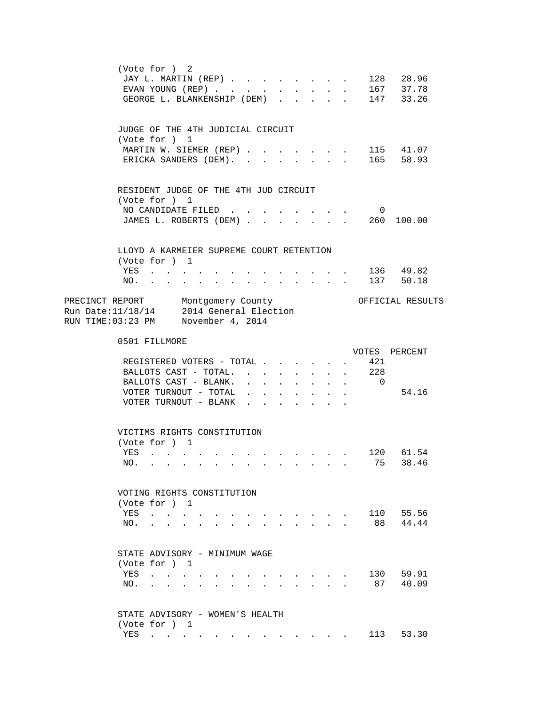|                                                                                                                     | (Vote for ) 2<br>JAY L. MARTIN (REP)<br>EVAN YOUNG $(REP)$<br>GEORGE L. BLANKENSHIP (DEM) |                           |                                            |              |           | $\cdot$ $\cdot$      |                               | $\cdot$ $\cdot$ 128 28.96<br>167 37.78<br>147 33.26 |
|---------------------------------------------------------------------------------------------------------------------|-------------------------------------------------------------------------------------------|---------------------------|--------------------------------------------|--------------|-----------|----------------------|-------------------------------|-----------------------------------------------------|
|                                                                                                                     | JUDGE OF THE 4TH JUDICIAL CIRCUIT                                                         |                           |                                            |              |           |                      |                               |                                                     |
|                                                                                                                     | (Vote for ) 1<br>MARTIN W. SIEMER (REP) 115 41.07                                         |                           |                                            |              |           |                      |                               |                                                     |
|                                                                                                                     | ERICKA SANDERS (DEM). 165 58.93                                                           |                           |                                            |              |           |                      |                               |                                                     |
|                                                                                                                     |                                                                                           |                           |                                            |              |           |                      |                               |                                                     |
|                                                                                                                     | RESIDENT JUDGE OF THE 4TH JUD CIRCUIT<br>(Vote for ) 1                                    |                           |                                            |              |           |                      |                               |                                                     |
|                                                                                                                     | NO CANDIDATE FILED                                                                        |                           |                                            |              |           |                      | $\overline{\mathbf{0}}$       |                                                     |
|                                                                                                                     | JAMES L. ROBERTS (DEM) 260 100.00                                                         |                           |                                            |              |           |                      |                               |                                                     |
|                                                                                                                     | LLOYD A KARMEIER SUPREME COURT RETENTION<br>(Vote for ) 1                                 |                           |                                            |              |           |                      |                               |                                                     |
|                                                                                                                     | YES                                                                                       |                           |                                            |              |           |                      |                               | . 136 49.82                                         |
| NO.                                                                                                                 | . 137 50.18                                                                               |                           |                                            |              |           |                      |                               |                                                     |
| PRECINCT REPORT Montgomery County<br>Run Date: 11/18/14 2014 General Election<br>RUN TIME:03:23 PM November 4, 2014 | 0501 FILLMORE                                                                             |                           |                                            |              |           |                      |                               |                                                     |
|                                                                                                                     |                                                                                           |                           |                                            |              |           |                      |                               | VOTES PERCENT                                       |
|                                                                                                                     |                                                                                           |                           |                                            |              |           |                      |                               |                                                     |
|                                                                                                                     | REGISTERED VOTERS - TOTAL                                                                 |                           |                                            |              | $\bullet$ |                      |                               |                                                     |
|                                                                                                                     | BALLOTS CAST - TOTAL.                                                                     |                           |                                            |              |           |                      | . 421                         |                                                     |
|                                                                                                                     | BALLOTS CAST - BLANK.                                                                     | $\ddot{\phantom{0}}$      |                                            |              |           | $\ddot{\phantom{0}}$ | $\,$ . 228<br>$\overline{0}$  |                                                     |
|                                                                                                                     | VOTER TURNOUT - TOTAL                                                                     |                           |                                            |              |           |                      |                               | 54.16                                               |
|                                                                                                                     | VOTER TURNOUT - BLANK .                                                                   |                           | $\mathbf{r}$                               |              |           |                      |                               |                                                     |
|                                                                                                                     | VICTIMS RIGHTS CONSTITUTION                                                               |                           |                                            |              |           |                      |                               |                                                     |
| YES                                                                                                                 | (Vote for ) 1<br>120 61.54                                                                |                           |                                            |              |           |                      |                               |                                                     |
|                                                                                                                     | NO.                                                                                       |                           |                                            |              |           |                      |                               | 75 38.46                                            |
|                                                                                                                     | VOTING RIGHTS CONSTITUTION                                                                |                           |                                            |              |           |                      |                               |                                                     |
|                                                                                                                     | (Vote for ) 1                                                                             |                           |                                            |              |           |                      |                               |                                                     |
|                                                                                                                     | YES                                                                                       |                           |                                            |              |           |                      |                               | 110 55.56                                           |
|                                                                                                                     | NO.                                                                                       |                           |                                            |              |           |                      | $\mathbf{L}$ and $\mathbf{L}$ | 88 44.44                                            |
|                                                                                                                     | STATE ADVISORY - MINIMUM WAGE                                                             |                           |                                            |              |           |                      |                               |                                                     |
|                                                                                                                     | (Vote for ) 1                                                                             |                           |                                            |              |           |                      |                               |                                                     |
|                                                                                                                     | YES                                                                                       |                           |                                            |              |           |                      |                               | 130 59.91                                           |
| NO.                                                                                                                 | $\mathbf{r} = \mathbf{r} \cdot \mathbf{r}$ and $\mathbf{r} = \mathbf{r} \cdot \mathbf{r}$ | $\mathbf{r} = \mathbf{r}$ | $\mathbf{r} = \mathbf{r} \cdot \mathbf{r}$ | $\mathbf{r}$ |           |                      |                               | 87 40.09                                            |
|                                                                                                                     | STATE ADVISORY - WOMEN'S HEALTH<br>(Vote for ) 1                                          |                           |                                            |              |           |                      |                               |                                                     |
|                                                                                                                     | YES                                                                                       |                           |                                            |              |           |                      |                               | 113 53.30                                           |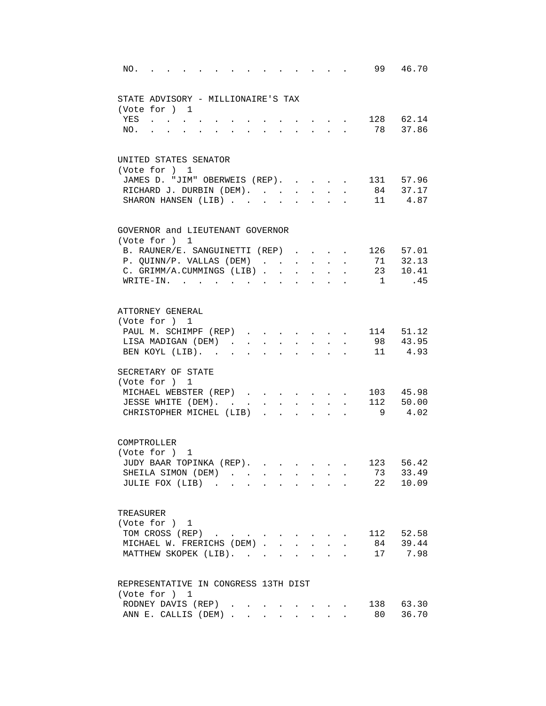| NO.         |                                        |              |                           |              |                                                                                               |                      |                                   |                                 |                           |                           |
|-------------|----------------------------------------|--------------|---------------------------|--------------|-----------------------------------------------------------------------------------------------|----------------------|-----------------------------------|---------------------------------|---------------------------|---------------------------|
|             | STATE ADVISORY - MILLIONAIRE'S TAX     |              |                           |              |                                                                                               |                      |                                   |                                 |                           |                           |
|             | (Vote for ) 1                          |              |                           |              |                                                                                               |                      |                                   |                                 |                           |                           |
|             | YES                                    |              |                           |              |                                                                                               |                      |                                   |                                 | $\cdot$ , , , , 128 62.14 |                           |
| NO.         | $\ddot{\phantom{a}}$                   |              | $\mathbf{r}$ $\mathbf{r}$ |              | $\mathbf{r} = \mathbf{r} \cdot \mathbf{r}$ , where $\mathbf{r} = \mathbf{r} \cdot \mathbf{r}$ |                      |                                   |                                 |                           | 78 37.86                  |
|             |                                        |              |                           |              |                                                                                               |                      |                                   |                                 |                           |                           |
|             | UNITED STATES SENATOR                  |              |                           |              |                                                                                               |                      |                                   |                                 |                           |                           |
|             | (Vote for ) 1                          |              |                           |              |                                                                                               |                      |                                   |                                 |                           |                           |
|             | JAMES D. "JIM" OBERWEIS (REP).         |              |                           |              |                                                                                               |                      |                                   |                                 |                           | 131 57.96<br>$84$ $37.17$ |
|             | RICHARD J. DURBIN (DEM).               |              |                           |              | $\mathbf{L}$                                                                                  | $\ddot{\phantom{a}}$ | $\ddot{\phantom{a}}$              | $\ddot{\phantom{a}}$            |                           | 11 4.87                   |
|             | SHARON HANSEN (LIB)                    |              |                           | $\sim$       |                                                                                               |                      |                                   |                                 |                           |                           |
|             | GOVERNOR and LIEUTENANT GOVERNOR       |              |                           |              |                                                                                               |                      |                                   |                                 |                           |                           |
|             | (Vote for ) 1                          |              |                           |              |                                                                                               |                      |                                   |                                 |                           |                           |
|             | B. RAUNER/E. SANGUINETTI (REP)         |              |                           |              |                                                                                               |                      |                                   | $\ddot{\phantom{a}}$            |                           | 126 57.01                 |
|             | P. QUINN/P. VALLAS (DEM)               |              |                           |              |                                                                                               |                      |                                   | $\ddot{\phantom{a}}$            |                           | 71 32.13                  |
|             | C. GRIMM/A.CUMMINGS (LIB).             |              |                           | $\sim$       |                                                                                               |                      |                                   |                                 |                           | 23 10.41                  |
|             | WRITE-IN. .                            | $\mathbf{r}$ | $\ddot{\phantom{a}}$      |              | $\mathbf{z} = \mathbf{z} + \mathbf{z}$ .                                                      |                      |                                   |                                 | $\mathbf{1}$              | .45                       |
|             | ATTORNEY GENERAL                       |              |                           |              |                                                                                               |                      |                                   |                                 |                           |                           |
|             | (Vote for ) 1                          |              |                           |              |                                                                                               |                      |                                   |                                 |                           |                           |
|             | PAUL M. SCHIMPF (REP) 114 51.12        |              |                           |              |                                                                                               |                      |                                   |                                 |                           |                           |
|             | LISA MADIGAN (DEM)                     |              |                           | $\sim$ $-$   |                                                                                               |                      | <b>Contract Contract Contract</b> | $\ddot{\phantom{0}}$            |                           | 98 43.95                  |
|             | BEN KOYL (LIB).                        |              |                           |              |                                                                                               |                      |                                   |                                 |                           | 11 4.93                   |
|             |                                        |              |                           |              |                                                                                               |                      |                                   |                                 |                           |                           |
|             | SECRETARY OF STATE                     |              |                           |              |                                                                                               |                      |                                   |                                 |                           |                           |
|             | (Vote for ) 1                          |              |                           |              |                                                                                               |                      |                                   |                                 |                           |                           |
|             | MICHAEL WEBSTER (REP)                  |              |                           |              |                                                                                               |                      |                                   |                                 |                           | 103 45.98                 |
|             | JESSE WHITE (DEM).                     |              |                           |              |                                                                                               |                      |                                   |                                 |                           | 112 50.00                 |
|             | CHRISTOPHER MICHEL (LIB)               |              |                           |              |                                                                                               |                      |                                   |                                 |                           | 9 4.02                    |
| COMPTROLLER |                                        |              |                           |              |                                                                                               |                      |                                   |                                 |                           |                           |
|             | (Vote for ) 1                          |              |                           |              |                                                                                               |                      |                                   |                                 |                           |                           |
|             |                                        |              |                           |              |                                                                                               |                      |                                   |                                 |                           |                           |
|             | JUDY BAAR TOPINKA (REP).               |              |                           |              |                                                                                               |                      |                                   |                                 | 73                        | 123 56.42                 |
|             | SHEILA SIMON (DEM).<br>JULIE FOX (LIB) |              |                           |              |                                                                                               |                      |                                   |                                 |                           | 33.49<br>22 10.09         |
|             |                                        |              | $\mathbf{L}$              | $\mathbf{r}$ | $\mathbf{r}$                                                                                  | $\mathbf{r}$         |                                   |                                 |                           |                           |
| TREASURER   |                                        |              |                           |              |                                                                                               |                      |                                   |                                 |                           |                           |
|             | (Vote for ) 1                          |              |                           |              |                                                                                               |                      |                                   |                                 |                           |                           |
|             | TOM CROSS (REP)                        |              |                           |              |                                                                                               |                      |                                   |                                 |                           | 112 52.58                 |
|             | MICHAEL W. FRERICHS (DEM).             |              |                           |              |                                                                                               |                      |                                   |                                 | 84                        | 39.44                     |
|             | MATTHEW SKOPEK (LIB).                  |              |                           |              |                                                                                               |                      |                                   |                                 |                           | 17 7.98                   |
|             |                                        |              |                           |              |                                                                                               |                      |                                   |                                 |                           |                           |
|             | REPRESENTATIVE IN CONGRESS 13TH DIST   |              |                           |              |                                                                                               |                      |                                   |                                 |                           |                           |
|             | (Vote for ) 1                          |              |                           |              |                                                                                               |                      |                                   |                                 |                           |                           |
|             | RODNEY DAVIS (REP).                    |              |                           |              |                                                                                               |                      |                                   | the contract of the contract of |                           | 138 63.30                 |
|             | ANN E. CALLIS (DEM)                    |              |                           |              | $\mathbf{r} = \mathbf{r} + \mathbf{r}$                                                        |                      |                                   |                                 | 80                        | 36.70                     |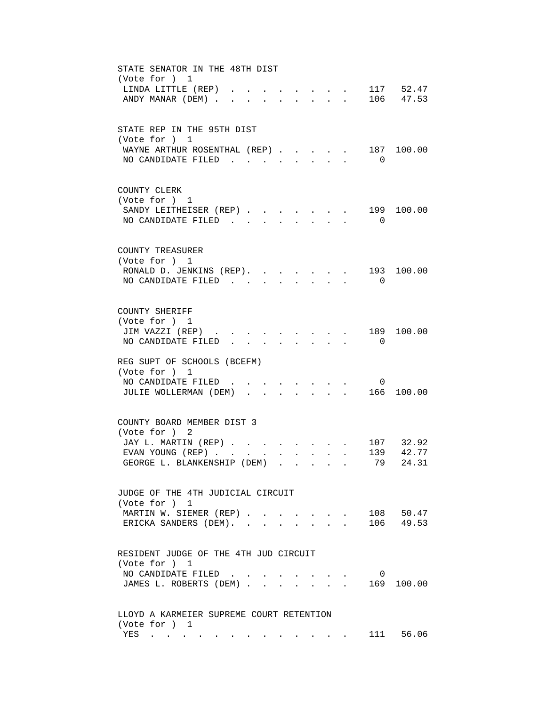| STATE SENATOR IN THE 48TH DIST<br>(Vote for ) 1<br>117 52.47<br>LINDA LITTLE (REP).                                                                                                            |
|------------------------------------------------------------------------------------------------------------------------------------------------------------------------------------------------|
| ANDY MANAR (DEM)<br>$\cdot$ , , , , 106 47.53<br>$\sim$                                                                                                                                        |
| STATE REP IN THE 95TH DIST<br>(Vote for ) 1                                                                                                                                                    |
| WAYNE ARTHUR ROSENTHAL (REP).<br>187 100.00<br>$\sim$<br>NO CANDIDATE FILED<br>$\Omega$<br>$\sim$                                                                                              |
| COUNTY CLERK<br>(Vote for ) 1                                                                                                                                                                  |
| 199<br>SANDY LEITHEISER (REP)<br>100.00<br>NO CANDIDATE FILED<br>$\overline{0}$<br>$\cdot$ $\cdot$ $\cdot$                                                                                     |
| COUNTY TREASURER<br>(Vote for ) 1                                                                                                                                                              |
| RONALD D. JENKINS (REP). 193 100.00<br>NO CANDIDATE FILED<br>$\overline{0}$<br>$\mathbf{r}$ , $\mathbf{r}$ , $\mathbf{r}$                                                                      |
| COUNTY SHERIFF<br>(Vote for ) 1                                                                                                                                                                |
| JIM VAZZI (REP).<br>189<br>100.00<br>NO CANDIDATE FILED<br>$\overline{\phantom{0}}$                                                                                                            |
| REG SUPT OF SCHOOLS (BCEFM)<br>(Vote for ) 1                                                                                                                                                   |
| NO CANDIDATE FILED<br>0<br>$\cdot$ 166<br>JULIE WOLLERMAN (DEM).<br>100.00                                                                                                                     |
| COUNTY BOARD MEMBER DIST 3<br>(Vote for ) 2                                                                                                                                                    |
| JAY L. MARTIN (REP) 107 32.92                                                                                                                                                                  |
| 139 42.77<br>EVAN YOUNG (REP)<br>GEORGE L. BLANKENSHIP (DEM)<br>79<br>24.31<br>the contract of the contract of the contract of the contract of the contract of the contract of the contract of |
| JUDGE OF THE 4TH JUDICIAL CIRCUIT<br>(Vote for ) 1                                                                                                                                             |
| 108 50.47<br>MARTIN W. SIEMER (REP)<br>$\mathbf{r} = \mathbf{r}$<br>$\mathbf{L} = \mathbf{L} \mathbf{L}$<br>106 49.53<br>ERICKA SANDERS (DEM).                                                 |
| RESIDENT JUDGE OF THE 4TH JUD CIRCUIT                                                                                                                                                          |
| (Vote for ) 1<br>NO CANDIDATE FILED<br>0                                                                                                                                                       |
| JAMES L. ROBERTS (DEM)<br>169<br>100.00                                                                                                                                                        |
| LLOYD A KARMEIER SUPREME COURT RETENTION<br>(Vote for ) 1                                                                                                                                      |
| 111 56.06<br>YES<br>$\mathbf{r} = \mathbf{r} + \mathbf{r} + \mathbf{r} + \mathbf{r}$<br>. The simulation of the simulation of the simulation $\mathcal{L}_\text{c}$                            |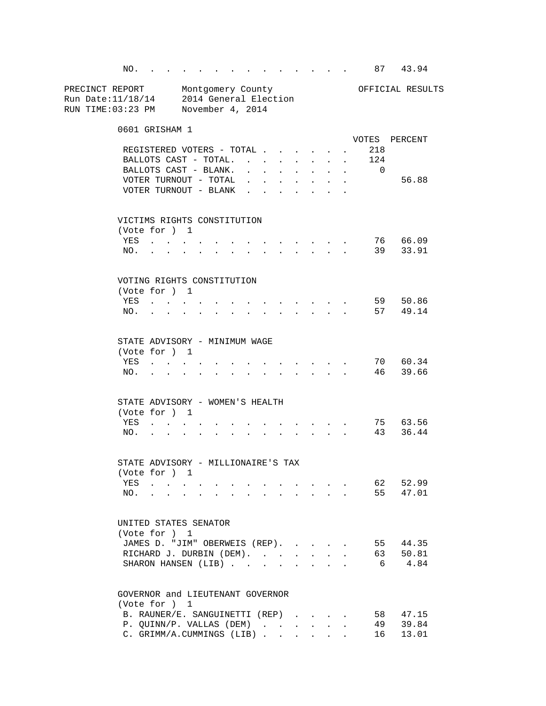NO. . . . . . . . . . . . . . 87 43.94 PRECINCT REPORT Montgomery County Montgomery Montgomery Montgomery County Run Date:11/18/14 2014 General Election RUN TIME:03:23 PM November 4, 2014 0601 GRISHAM 1 VOTES PERCENT REGISTERED VOTERS - TOTAL . . . . . . 218<br>BALLOTS CAST - TOTAL. . . . . . . . 124 BALLOTS CAST - TOTAL. . . . . . . . 124 BALLOTS CAST - BLANK. . . . . . . . VOTER TURNOUT - TOTAL . . . . . . . . 56.88 VOTER TURNOUT - BLANK . . . . . . . VICTIMS RIGHTS CONSTITUTION (Vote for ) 1 YES . . . . . . . . . . . . . 76 66.09 NO. . . . . . . . . . . . . . 39 33.91 VOTING RIGHTS CONSTITUTION (Vote for ) 1 YES . . . . . . . . . . . . . . 59 50.86 NO. . . . . . . . . . . . . . . 57 49.14 STATE ADVISORY - MINIMUM WAGE (Vote for ) 1 YES . . . . . . . . . . . . . . 70 60.34 NO. . . . . . . . . . . . . . 46 39.66 STATE ADVISORY - WOMEN'S HEALTH (Vote for ) 1 YES . . . . . . . . . . . . . 75 63.56 NO. . . . . . . . . . . . . . 43 36.44 STATE ADVISORY - MILLIONAIRE'S TAX (Vote for ) 1 YES . . . . . . . . . . . . . 62 52.99 NO. . . . . . . . . . . . . . 55 47.01 UNITED STATES SENATOR (Vote for ) 1 JAMES D. "JIM" OBERWEIS (REP). . . . . 55 44.35<br>RICHARD J. DURBIN (DEM). . . . . . . 63 50.81<br>SHARON HANGEN (LER) RICHARD J. DURBIN (DEM). . . . . . . SHARON HANSEN (LIB) . . . . . . . . 6 4.84 GOVERNOR and LIEUTENANT GOVERNOR (Vote for ) 1 B. RAUNER/E. SANGUINETTI (REP) . . . . 58 47.15 P. QUINN/P. VALLAS (DEM) . . . . . . 49 39.84 C. GRIMM/A.CUMMINGS (LIB) . . . . . . 16 13.01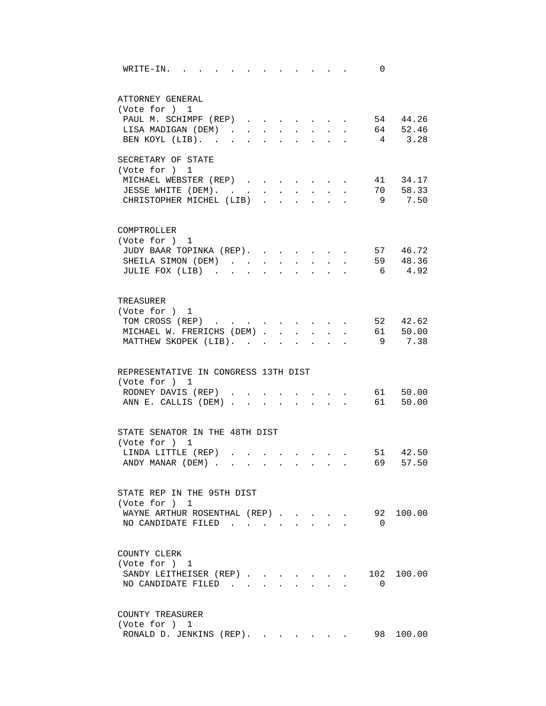| WRITE-IN.                                       |        |                      |                            |                      |                           |                           | the contract of the contract of the contract of the contract of the contract of the contract of the contract of | 0        |            |
|-------------------------------------------------|--------|----------------------|----------------------------|----------------------|---------------------------|---------------------------|-----------------------------------------------------------------------------------------------------------------|----------|------------|
| ATTORNEY GENERAL                                |        |                      |                            |                      |                           |                           |                                                                                                                 |          |            |
| (Vote for ) 1                                   |        |                      |                            |                      |                           |                           |                                                                                                                 |          |            |
| PAUL M. SCHIMPF (REP) 54 44.26                  |        |                      |                            |                      |                           |                           |                                                                                                                 |          |            |
| LISA MADIGAN (DEM)                              |        |                      | $\mathcal{L}^{\text{max}}$ | $\ddot{\phantom{0}}$ | $\mathbf{A}^{\text{max}}$ |                           |                                                                                                                 |          | . 64 52.46 |
| BEN KOYL (LIB).                                 | $\sim$ | $\sim$               | $\bullet$                  | $\ddot{\phantom{0}}$ |                           |                           |                                                                                                                 |          | 4 3.28     |
| SECRETARY OF STATE                              |        |                      |                            |                      |                           |                           |                                                                                                                 |          |            |
| (Vote for ) 1                                   |        |                      |                            |                      |                           |                           |                                                                                                                 |          |            |
| MICHAEL WEBSTER (REP)                           |        |                      |                            |                      |                           |                           |                                                                                                                 |          | 41 34.17   |
| JESSE WHITE (DEM).                              |        |                      |                            |                      |                           |                           |                                                                                                                 |          | 70 58.33   |
| CHRISTOPHER MICHEL (LIB)                        |        |                      |                            |                      |                           |                           |                                                                                                                 |          | 9 7.50     |
|                                                 |        |                      |                            |                      |                           |                           |                                                                                                                 |          |            |
| COMPTROLLER<br>(Vote for ) 1                    |        |                      |                            |                      |                           |                           |                                                                                                                 |          |            |
| JUDY BAAR TOPINKA (REP).                        |        |                      |                            |                      |                           |                           |                                                                                                                 |          | 57 46.72   |
|                                                 |        |                      |                            |                      |                           | $\mathbf{L} = \mathbf{L}$ | $\sim$                                                                                                          |          | 59 48.36   |
| SHEILA SIMON (DEM).<br>JULIE FOX (LIB)          |        | $\sim$ $\sim$        | $\mathbf{L}$               | $\ddot{\phantom{0}}$ |                           |                           |                                                                                                                 |          | 6 4.92     |
|                                                 |        | $\ddot{\phantom{a}}$ | $\overline{a}$             | $\mathbf{r}$         | $\sim$                    |                           |                                                                                                                 |          |            |
| TREASURER                                       |        |                      |                            |                      |                           |                           |                                                                                                                 |          |            |
| (Vote for ) 1                                   |        |                      |                            |                      |                           |                           |                                                                                                                 |          |            |
| TOM CROSS (REP)                                 |        |                      |                            |                      |                           |                           | $\sim$                                                                                                          |          | 52 42.62   |
| MICHAEL W. FRERICHS (DEM).                      |        |                      | $\mathbf{r}$               |                      |                           |                           |                                                                                                                 |          | 61 50.00   |
| MATTHEW SKOPEK (LIB).                           |        |                      |                            |                      |                           |                           |                                                                                                                 | 9        | 7.38       |
|                                                 |        |                      |                            |                      |                           |                           |                                                                                                                 |          |            |
| REPRESENTATIVE IN CONGRESS 13TH DIST            |        |                      |                            |                      |                           |                           |                                                                                                                 |          |            |
| (Vote for ) 1                                   |        |                      |                            |                      |                           |                           |                                                                                                                 |          |            |
| RODNEY DAVIS (REP)                              |        |                      |                            |                      |                           |                           |                                                                                                                 |          | 61 50.00   |
| ANN E. CALLIS (DEM)                             |        |                      |                            |                      |                           |                           |                                                                                                                 |          | 61 50.00   |
|                                                 |        |                      |                            |                      |                           |                           |                                                                                                                 |          |            |
| STATE SENATOR IN THE 48TH DIST<br>(Vote for ) 1 |        |                      |                            |                      |                           |                           |                                                                                                                 |          |            |
| LINDA LITTLE (REP)                              |        |                      |                            |                      |                           |                           | <b>Contract Contract Contract</b>                                                                               |          | 51 42.50   |
| ANDY MANAR (DEM)                                |        |                      |                            |                      |                           |                           |                                                                                                                 | 69       | 57.50      |
|                                                 |        |                      |                            |                      |                           |                           |                                                                                                                 |          |            |
| STATE REP IN THE 95TH DIST                      |        |                      |                            |                      |                           |                           |                                                                                                                 |          |            |
| (Vote for ) 1                                   |        |                      |                            |                      |                           |                           |                                                                                                                 |          |            |
| WAYNE ARTHUR ROSENTHAL (REP).                   |        |                      |                            |                      |                           |                           |                                                                                                                 |          | 92 100.00  |
| NO CANDIDATE FILED.                             |        |                      |                            |                      |                           |                           |                                                                                                                 | $\Omega$ |            |
| COUNTY CLERK                                    |        |                      |                            |                      |                           |                           |                                                                                                                 |          |            |
| (Vote for ) 1                                   |        |                      |                            |                      |                           |                           |                                                                                                                 |          |            |
| SANDY LEITHEISER (REP)                          |        |                      |                            |                      |                           |                           |                                                                                                                 | 102      | 100.00     |
| NO CANDIDATE FILED                              |        |                      |                            |                      |                           |                           |                                                                                                                 | 0        |            |
|                                                 |        |                      |                            |                      |                           |                           |                                                                                                                 |          |            |
| COUNTY TREASURER                                |        |                      |                            |                      |                           |                           |                                                                                                                 |          |            |
| (Vote for ) 1                                   |        |                      |                            |                      |                           |                           |                                                                                                                 |          |            |
| RONALD D. JENKINS (REP).                        |        |                      |                            |                      |                           |                           |                                                                                                                 |          | 98 100.00  |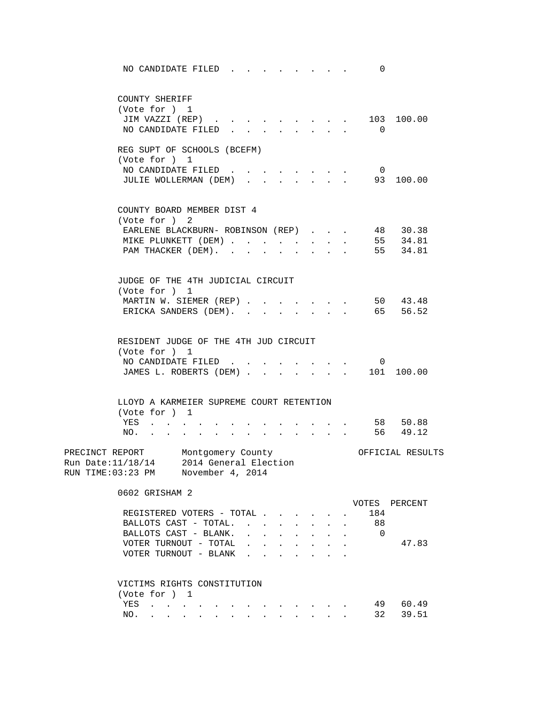| NO CANDIDATE FILED.                                                                                                                                                                                                                                                                                                                                                                     |                                                                           |                                                       | 0              |                      |
|-----------------------------------------------------------------------------------------------------------------------------------------------------------------------------------------------------------------------------------------------------------------------------------------------------------------------------------------------------------------------------------------|---------------------------------------------------------------------------|-------------------------------------------------------|----------------|----------------------|
| COUNTY SHERIFF<br>(Vote for ) 1                                                                                                                                                                                                                                                                                                                                                         |                                                                           |                                                       |                |                      |
| JIM VAZZI (REP)                                                                                                                                                                                                                                                                                                                                                                         |                                                                           |                                                       |                | 103 100.00           |
| NO CANDIDATE FILED.<br>$\ddot{\phantom{0}}$                                                                                                                                                                                                                                                                                                                                             | $\mathbf{r}$ , $\mathbf{r}$ , $\mathbf{r}$ , $\mathbf{r}$                 |                                                       | $\Omega$       |                      |
| REG SUPT OF SCHOOLS (BCEFM)<br>(Vote for ) 1                                                                                                                                                                                                                                                                                                                                            |                                                                           |                                                       |                |                      |
| NO CANDIDATE FILED                                                                                                                                                                                                                                                                                                                                                                      |                                                                           |                                                       | $\overline{0}$ |                      |
| JULIE WOLLERMAN (DEM)                                                                                                                                                                                                                                                                                                                                                                   |                                                                           |                                                       |                | 93 100.00            |
| COUNTY BOARD MEMBER DIST 4                                                                                                                                                                                                                                                                                                                                                              |                                                                           |                                                       |                |                      |
| (Vote for ) 2                                                                                                                                                                                                                                                                                                                                                                           |                                                                           |                                                       |                |                      |
| EARLENE BLACKBURN- ROBINSON (REP)                                                                                                                                                                                                                                                                                                                                                       |                                                                           |                                                       |                | 48 30.38<br>55 34.81 |
| MIKE PLUNKETT (DEM)<br>PAM THACKER (DEM).                                                                                                                                                                                                                                                                                                                                               | $\sim$<br>$\mathbf{L}$<br>$\ddot{\phantom{a}}$                            |                                                       |                | 55 34.81             |
|                                                                                                                                                                                                                                                                                                                                                                                         |                                                                           |                                                       |                |                      |
| JUDGE OF THE 4TH JUDICIAL CIRCUIT                                                                                                                                                                                                                                                                                                                                                       |                                                                           |                                                       |                |                      |
| (Vote for ) 1<br>MARTIN W. SIEMER (REP)                                                                                                                                                                                                                                                                                                                                                 |                                                                           |                                                       |                | 50 43.48             |
| ERICKA SANDERS (DEM).                                                                                                                                                                                                                                                                                                                                                                   |                                                                           | $\mathbf{z} = \mathbf{z} + \mathbf{z} + \mathbf{z}$ . |                | 65 56.52             |
|                                                                                                                                                                                                                                                                                                                                                                                         |                                                                           |                                                       |                |                      |
| RESIDENT JUDGE OF THE 4TH JUD CIRCUIT                                                                                                                                                                                                                                                                                                                                                   |                                                                           |                                                       |                |                      |
| (Vote for ) 1<br>NO CANDIDATE FILED                                                                                                                                                                                                                                                                                                                                                     | $\cdot$ $\cdot$ $\cdot$ $\cdot$ $\cdot$                                   |                                                       | 0              |                      |
| JAMES L. ROBERTS (DEM)                                                                                                                                                                                                                                                                                                                                                                  |                                                                           |                                                       |                | 101 100.00           |
| LLOYD A KARMEIER SUPREME COURT RETENTION                                                                                                                                                                                                                                                                                                                                                |                                                                           |                                                       |                |                      |
| (Vote for ) 1                                                                                                                                                                                                                                                                                                                                                                           |                                                                           |                                                       |                |                      |
| YES<br>$\sim$ 100 $\sim$<br>$\sim$                                                                                                                                                                                                                                                                                                                                                      |                                                                           |                                                       |                | 58 50.88             |
| NO.<br>$\mathbf{r}$ , $\mathbf{r}$ , $\mathbf{r}$ , $\mathbf{r}$                                                                                                                                                                                                                                                                                                                        | $\mathbf{r}$ , $\mathbf{r}$ , $\mathbf{r}$                                |                                                       |                | 56 49.12             |
| PRECINCT REPORT Montgomery County<br>Run Date:11/18/14 2014 General Election<br>RUN TIME:03:23 PM November 4, 2014                                                                                                                                                                                                                                                                      |                                                                           |                                                       |                | OFFICIAL RESULTS     |
| 0602 GRISHAM 2                                                                                                                                                                                                                                                                                                                                                                          |                                                                           |                                                       |                |                      |
|                                                                                                                                                                                                                                                                                                                                                                                         |                                                                           |                                                       |                | VOTES PERCENT        |
| REGISTERED VOTERS - TOTAL                                                                                                                                                                                                                                                                                                                                                               | $\sim$                                                                    | $\ddot{\phantom{a}}$                                  | 184            |                      |
| BALLOTS CAST - TOTAL<br>BALLOTS CAST - BLANK.                                                                                                                                                                                                                                                                                                                                           | $\sim$ $\sim$                                                             | $\mathbf{L}$<br>$\sim$                                | - 88           |                      |
| $\mathbf{r} = \mathbf{r} + \mathbf{r} + \mathbf{r} + \mathbf{r} + \mathbf{r} + \mathbf{r} + \mathbf{r}$<br>VOTER TURNOUT - TOTAL<br>$\mathbf{r}$ , and $\mathbf{r}$ , and $\mathbf{r}$ , and $\mathbf{r}$                                                                                                                                                                               |                                                                           |                                                       | 0              | 47.83                |
| VOTER TURNOUT - BLANK                                                                                                                                                                                                                                                                                                                                                                   | $\ddot{\phantom{a}}$<br><b>Contract Contract Contract</b>                 |                                                       |                |                      |
|                                                                                                                                                                                                                                                                                                                                                                                         |                                                                           |                                                       |                |                      |
| VICTIMS RIGHTS CONSTITUTION                                                                                                                                                                                                                                                                                                                                                             |                                                                           |                                                       |                |                      |
| (Vote for ) 1                                                                                                                                                                                                                                                                                                                                                                           |                                                                           |                                                       |                |                      |
| YES<br>$\mathbf{r}$ , $\mathbf{r}$<br>and a series of the contract of the series of the series of the series of the series of the series of the series of the series of the series of the series of the series of the series of the series of the series of the seri<br>NO.<br>$\mathbf{r}$ , $\mathbf{r}$ , $\mathbf{r}$<br>$\mathbf{r} = \mathbf{r}$<br>$\sim$ $\sim$<br>$\mathbf{r}$ | $\mathbf{r}$ , $\mathbf{r}$ , $\mathbf{r}$ , $\mathbf{r}$<br>$\mathbf{L}$ |                                                       | 32             | 49 60.49<br>39.51    |
|                                                                                                                                                                                                                                                                                                                                                                                         |                                                                           |                                                       |                |                      |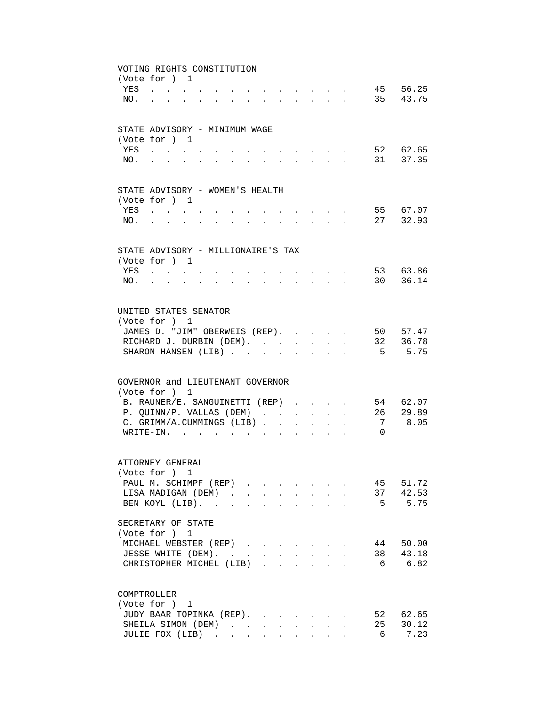|            | VOTING RIGHTS CONSTITUTION                                                                                                                                                                                                     |                                                                                                                 |                  |                                                                                                                                                                                                                                                                                                                                                                                                                              |                           |                                                                                                                     |          |                      |
|------------|--------------------------------------------------------------------------------------------------------------------------------------------------------------------------------------------------------------------------------|-----------------------------------------------------------------------------------------------------------------|------------------|------------------------------------------------------------------------------------------------------------------------------------------------------------------------------------------------------------------------------------------------------------------------------------------------------------------------------------------------------------------------------------------------------------------------------|---------------------------|---------------------------------------------------------------------------------------------------------------------|----------|----------------------|
|            | (Vote for ) 1                                                                                                                                                                                                                  |                                                                                                                 |                  |                                                                                                                                                                                                                                                                                                                                                                                                                              |                           |                                                                                                                     |          |                      |
| YES        | and the contract of the contract of                                                                                                                                                                                            |                                                                                                                 |                  | $\mathbf{r} = \mathbf{r} + \mathbf{r} + \mathbf{r} + \mathbf{r} + \mathbf{r} + \mathbf{r} + \mathbf{r} + \mathbf{r} + \mathbf{r} + \mathbf{r} + \mathbf{r} + \mathbf{r} + \mathbf{r} + \mathbf{r} + \mathbf{r} + \mathbf{r} + \mathbf{r} + \mathbf{r} + \mathbf{r} + \mathbf{r} + \mathbf{r} + \mathbf{r} + \mathbf{r} + \mathbf{r} + \mathbf{r} + \mathbf{r} + \mathbf{r} + \mathbf{r} + \mathbf{r} + \mathbf{r} + \mathbf$ |                           |                                                                                                                     |          | 45 56.25             |
| NO.        | and the state of the state of the                                                                                                                                                                                              | and a series of the contract of the contract of the contract of the contract of the contract of the contract of |                  |                                                                                                                                                                                                                                                                                                                                                                                                                              |                           |                                                                                                                     |          | 35 43.75             |
|            |                                                                                                                                                                                                                                |                                                                                                                 |                  |                                                                                                                                                                                                                                                                                                                                                                                                                              |                           |                                                                                                                     |          |                      |
|            |                                                                                                                                                                                                                                |                                                                                                                 |                  |                                                                                                                                                                                                                                                                                                                                                                                                                              |                           |                                                                                                                     |          |                      |
|            | STATE ADVISORY - MINIMUM WAGE                                                                                                                                                                                                  |                                                                                                                 |                  |                                                                                                                                                                                                                                                                                                                                                                                                                              |                           |                                                                                                                     |          |                      |
|            | (Vote for ) 1                                                                                                                                                                                                                  |                                                                                                                 |                  |                                                                                                                                                                                                                                                                                                                                                                                                                              |                           |                                                                                                                     |          | 52 62.65             |
| YES<br>NO. |                                                                                                                                                                                                                                |                                                                                                                 |                  | $\cdot$ $\cdot$ $\cdot$                                                                                                                                                                                                                                                                                                                                                                                                      | $\sim$                    |                                                                                                                     |          | 31 37.35             |
|            |                                                                                                                                                                                                                                |                                                                                                                 |                  | $\mathbf{L}$                                                                                                                                                                                                                                                                                                                                                                                                                 | $\sim$                    | $\sim$<br>$\mathbf{L}$                                                                                              |          |                      |
|            |                                                                                                                                                                                                                                |                                                                                                                 |                  |                                                                                                                                                                                                                                                                                                                                                                                                                              |                           |                                                                                                                     |          |                      |
|            | STATE ADVISORY - WOMEN'S HEALTH                                                                                                                                                                                                |                                                                                                                 |                  |                                                                                                                                                                                                                                                                                                                                                                                                                              |                           |                                                                                                                     |          |                      |
|            | (Vote for ) 1                                                                                                                                                                                                                  |                                                                                                                 |                  |                                                                                                                                                                                                                                                                                                                                                                                                                              |                           |                                                                                                                     |          |                      |
| YES        | $\mathbf{r} = \mathbf{r} \cdot \mathbf{r}$ , where $\mathbf{r} = \mathbf{r} \cdot \mathbf{r}$                                                                                                                                  |                                                                                                                 |                  |                                                                                                                                                                                                                                                                                                                                                                                                                              |                           |                                                                                                                     |          | 55 67.07             |
| NO.        | and a series of the contract of the series of the series of the series of the series of the series of the series of the series of the series of the series of the series of the series of the series of the series of the seri |                                                                                                                 |                  | $\mathbf{r} = \mathbf{r} \times \mathbf{r}$ , where $\mathbf{r} = \mathbf{r} \times \mathbf{r}$                                                                                                                                                                                                                                                                                                                              |                           |                                                                                                                     |          | 27 32.93             |
|            |                                                                                                                                                                                                                                |                                                                                                                 |                  |                                                                                                                                                                                                                                                                                                                                                                                                                              |                           |                                                                                                                     |          |                      |
|            |                                                                                                                                                                                                                                |                                                                                                                 |                  |                                                                                                                                                                                                                                                                                                                                                                                                                              |                           |                                                                                                                     |          |                      |
|            | STATE ADVISORY - MILLIONAIRE'S TAX                                                                                                                                                                                             |                                                                                                                 |                  |                                                                                                                                                                                                                                                                                                                                                                                                                              |                           |                                                                                                                     |          |                      |
|            | (Vote for ) 1                                                                                                                                                                                                                  |                                                                                                                 |                  |                                                                                                                                                                                                                                                                                                                                                                                                                              |                           |                                                                                                                     |          |                      |
|            | YES                                                                                                                                                                                                                            |                                                                                                                 |                  |                                                                                                                                                                                                                                                                                                                                                                                                                              |                           | and the contract of the contract of the contract of the contract of the contract of the contract of the contract of |          | 53 63.86<br>30 36.14 |
| NO.        | $\mathbf{r}$ , and $\mathbf{r}$ , and $\mathbf{r}$                                                                                                                                                                             | and a series of the contract of the contract of the contract of the contract of the contract of the contract of |                  |                                                                                                                                                                                                                                                                                                                                                                                                                              |                           |                                                                                                                     |          |                      |
|            |                                                                                                                                                                                                                                |                                                                                                                 |                  |                                                                                                                                                                                                                                                                                                                                                                                                                              |                           |                                                                                                                     |          |                      |
|            | UNITED STATES SENATOR                                                                                                                                                                                                          |                                                                                                                 |                  |                                                                                                                                                                                                                                                                                                                                                                                                                              |                           |                                                                                                                     |          |                      |
|            | (Vote for ) 1                                                                                                                                                                                                                  |                                                                                                                 |                  |                                                                                                                                                                                                                                                                                                                                                                                                                              |                           |                                                                                                                     |          |                      |
|            | JAMES D. "JIM" OBERWEIS (REP).                                                                                                                                                                                                 |                                                                                                                 |                  |                                                                                                                                                                                                                                                                                                                                                                                                                              |                           | $\sim$                                                                                                              |          | 50 57.47             |
|            | RICHARD J. DURBIN (DEM).                                                                                                                                                                                                       |                                                                                                                 |                  |                                                                                                                                                                                                                                                                                                                                                                                                                              |                           | $\sim$                                                                                                              |          | 32 36.78             |
|            | SHARON HANSEN (LIB)                                                                                                                                                                                                            |                                                                                                                 |                  |                                                                                                                                                                                                                                                                                                                                                                                                                              |                           |                                                                                                                     |          | 5 5.75               |
|            |                                                                                                                                                                                                                                |                                                                                                                 |                  |                                                                                                                                                                                                                                                                                                                                                                                                                              |                           |                                                                                                                     |          |                      |
|            |                                                                                                                                                                                                                                |                                                                                                                 |                  |                                                                                                                                                                                                                                                                                                                                                                                                                              |                           |                                                                                                                     |          |                      |
|            | GOVERNOR and LIEUTENANT GOVERNOR                                                                                                                                                                                               |                                                                                                                 |                  |                                                                                                                                                                                                                                                                                                                                                                                                                              |                           |                                                                                                                     |          |                      |
|            | (Vote for ) 1                                                                                                                                                                                                                  |                                                                                                                 |                  |                                                                                                                                                                                                                                                                                                                                                                                                                              |                           |                                                                                                                     |          |                      |
|            | B. RAUNER/E. SANGUINETTI (REP)                                                                                                                                                                                                 |                                                                                                                 |                  |                                                                                                                                                                                                                                                                                                                                                                                                                              |                           |                                                                                                                     |          | 54 62.07             |
|            | P. QUINN/P. VALLAS (DEM)<br>C. GRIMM/A.CUMMINGS (LIB).                                                                                                                                                                         |                                                                                                                 |                  | $\ddot{\phantom{0}}$                                                                                                                                                                                                                                                                                                                                                                                                         | $\sim$                    | $\ddot{\phantom{a}}$                                                                                                | 26<br>7  | 29.89<br>8.05        |
|            | WRITE-IN.                                                                                                                                                                                                                      |                                                                                                                 |                  | $\sim$<br>$\ddot{\phantom{0}}$                                                                                                                                                                                                                                                                                                                                                                                               |                           |                                                                                                                     | $\Omega$ |                      |
|            |                                                                                                                                                                                                                                |                                                                                                                 | $\mathbf{r}$     | $\mathbf{r}$<br>$\sim$                                                                                                                                                                                                                                                                                                                                                                                                       | $\sim$                    |                                                                                                                     |          |                      |
|            |                                                                                                                                                                                                                                |                                                                                                                 |                  |                                                                                                                                                                                                                                                                                                                                                                                                                              |                           |                                                                                                                     |          |                      |
|            | ATTORNEY GENERAL                                                                                                                                                                                                               |                                                                                                                 |                  |                                                                                                                                                                                                                                                                                                                                                                                                                              |                           |                                                                                                                     |          |                      |
|            | (Vote for ) 1                                                                                                                                                                                                                  |                                                                                                                 |                  |                                                                                                                                                                                                                                                                                                                                                                                                                              |                           |                                                                                                                     |          |                      |
|            | PAUL M. SCHIMPF (REP)                                                                                                                                                                                                          |                                                                                                                 |                  |                                                                                                                                                                                                                                                                                                                                                                                                                              |                           |                                                                                                                     | 45       | 51.72                |
|            | LISA MADIGAN (DEM).                                                                                                                                                                                                            |                                                                                                                 | $\sim$ 100 $\pm$ |                                                                                                                                                                                                                                                                                                                                                                                                                              |                           |                                                                                                                     | 37       | 42.53                |
|            | BEN KOYL (LIB).                                                                                                                                                                                                                |                                                                                                                 |                  |                                                                                                                                                                                                                                                                                                                                                                                                                              |                           |                                                                                                                     | 5        | 5.75                 |
|            |                                                                                                                                                                                                                                |                                                                                                                 |                  |                                                                                                                                                                                                                                                                                                                                                                                                                              |                           |                                                                                                                     |          |                      |
|            | SECRETARY OF STATE                                                                                                                                                                                                             |                                                                                                                 |                  |                                                                                                                                                                                                                                                                                                                                                                                                                              |                           |                                                                                                                     |          |                      |
|            | (Vote for ) 1                                                                                                                                                                                                                  |                                                                                                                 |                  |                                                                                                                                                                                                                                                                                                                                                                                                                              |                           |                                                                                                                     |          |                      |
|            | MICHAEL WEBSTER (REP)                                                                                                                                                                                                          |                                                                                                                 |                  |                                                                                                                                                                                                                                                                                                                                                                                                                              |                           |                                                                                                                     | 44       | 50.00                |
|            | JESSE WHITE (DEM).                                                                                                                                                                                                             |                                                                                                                 |                  |                                                                                                                                                                                                                                                                                                                                                                                                                              | $\mathbf{L}^{\text{max}}$ | $\bullet$ .                                                                                                         | 38       | 43.18                |
|            | CHRISTOPHER MICHEL (LIB).                                                                                                                                                                                                      |                                                                                                                 |                  | $\sim 100$<br>$\ddot{\phantom{a}}$                                                                                                                                                                                                                                                                                                                                                                                           | $\ddot{\phantom{a}}$      | $\ddot{\phantom{a}}$                                                                                                | 6        | 6.82                 |
|            |                                                                                                                                                                                                                                |                                                                                                                 |                  |                                                                                                                                                                                                                                                                                                                                                                                                                              |                           |                                                                                                                     |          |                      |
|            | COMPTROLLER                                                                                                                                                                                                                    |                                                                                                                 |                  |                                                                                                                                                                                                                                                                                                                                                                                                                              |                           |                                                                                                                     |          |                      |
|            | (Vote for ) 1                                                                                                                                                                                                                  |                                                                                                                 |                  |                                                                                                                                                                                                                                                                                                                                                                                                                              |                           |                                                                                                                     |          |                      |
|            | JUDY BAAR TOPINKA (REP).                                                                                                                                                                                                       |                                                                                                                 |                  |                                                                                                                                                                                                                                                                                                                                                                                                                              |                           |                                                                                                                     |          | 52 62.65             |
|            | SHEILA SIMON (DEM)                                                                                                                                                                                                             |                                                                                                                 |                  |                                                                                                                                                                                                                                                                                                                                                                                                                              | $\mathbf{L} = \mathbf{L}$ |                                                                                                                     | 25       | 30.12                |
|            | JULIE FOX (LIB)                                                                                                                                                                                                                |                                                                                                                 |                  |                                                                                                                                                                                                                                                                                                                                                                                                                              | $\sim$                    |                                                                                                                     | 6        | 7.23                 |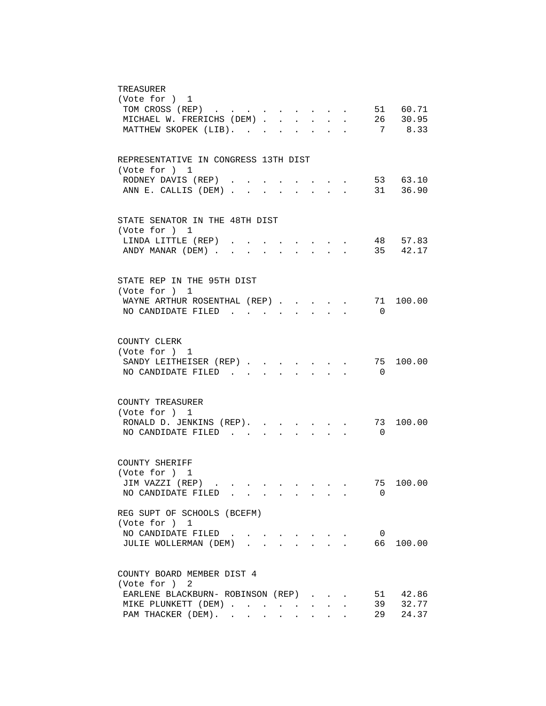| TREASURER                                                                                                                                          |
|----------------------------------------------------------------------------------------------------------------------------------------------------|
| (Vote for ) 1                                                                                                                                      |
| TOM CROSS (REP) 51 60.71                                                                                                                           |
| MICHAEL W. FRERICHS (DEM) 26 30.95                                                                                                                 |
| MATTHEW SKOPEK (LIB).<br>7 8.33<br>$\mathbf{r} = \mathbf{r}$ , and $\mathbf{r} = \mathbf{r}$                                                       |
|                                                                                                                                                    |
|                                                                                                                                                    |
| REPRESENTATIVE IN CONGRESS 13TH DIST                                                                                                               |
| (Vote for ) 1                                                                                                                                      |
| 53 63.10<br>RODNEY DAVIS (REP)<br>$\mathbf{r} = \mathbf{r}$ , $\mathbf{r} = \mathbf{r}$<br>31 36.90                                                |
| ANN E. CALLIS (DEM)<br>$\sim$ $\sim$ $\sim$ $\sim$ $\sim$ $\sim$<br>$\sim$                                                                         |
|                                                                                                                                                    |
| STATE SENATOR IN THE 48TH DIST                                                                                                                     |
| (Vote for ) 1                                                                                                                                      |
| 48 57.83<br>LINDA LITTLE (REP)                                                                                                                     |
| 35 42.17<br>ANDY MANAR (DEM)                                                                                                                       |
|                                                                                                                                                    |
| STATE REP IN THE 95TH DIST                                                                                                                         |
| (Vote for ) 1                                                                                                                                      |
| WAYNE ARTHUR ROSENTHAL (REP)<br>71<br>100.00                                                                                                       |
| NO CANDIDATE FILED<br>$\Omega$                                                                                                                     |
|                                                                                                                                                    |
|                                                                                                                                                    |
| COUNTY CLERK                                                                                                                                       |
| (Vote for ) 1                                                                                                                                      |
| 100.00<br>SANDY LEITHEISER (REP)<br>75                                                                                                             |
| NO CANDIDATE FILED<br>$\overline{0}$<br>$\mathbf{L} = \mathbf{L} \mathbf{L}$<br><b>Service</b>                                                     |
|                                                                                                                                                    |
| COUNTY TREASURER                                                                                                                                   |
| (Vote for ) 1                                                                                                                                      |
| RONALD D. JENKINS (REP).<br>73<br>100.00                                                                                                           |
| NO CANDIDATE FILED.<br>$\overline{0}$<br>$\sim$                                                                                                    |
|                                                                                                                                                    |
| COUNTY SHERIFF                                                                                                                                     |
| (Vote for ) 1                                                                                                                                      |
| 100.00<br>JIM VAZZI (REP)<br>75<br>the contract of the contract of the contract of the contract of the contract of the contract of the contract of |
| 0<br>NO CANDIDATE FILED                                                                                                                            |
|                                                                                                                                                    |
| REG SUPT OF SCHOOLS (BCEFM)                                                                                                                        |
| (Vote for ) 1                                                                                                                                      |
| NO CANDIDATE FILED<br>$\overline{\phantom{0}}$                                                                                                     |
| JULIE WOLLERMAN (DEM).<br>66<br>100.00                                                                                                             |
|                                                                                                                                                    |
| COUNTY BOARD MEMBER DIST 4                                                                                                                         |
| (Vote for ) 2                                                                                                                                      |
| EARLENE BLACKBURN- ROBINSON (REP)<br>42.86<br>51                                                                                                   |
| 32.77<br>39<br>MIKE PLUNKETT (DEM)<br><b>Contract Contract</b>                                                                                     |
| 24.37<br>PAM THACKER (DEM).<br>29<br>$\ddot{\phantom{a}}$                                                                                          |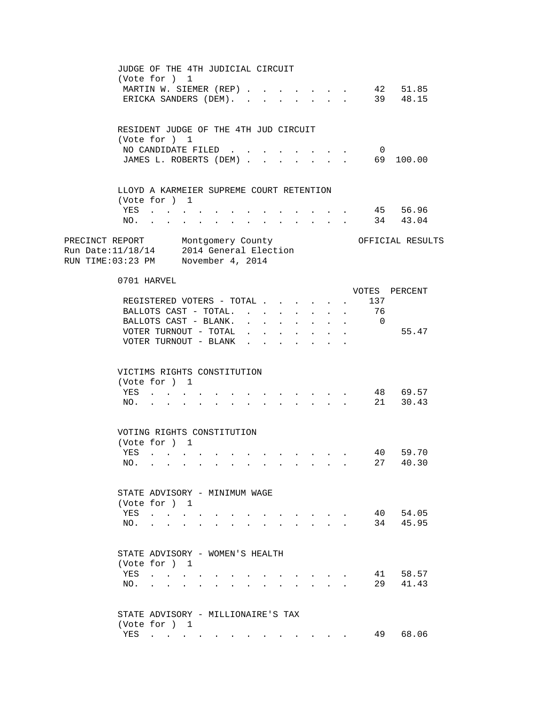|                                                                                                                    |     | JUDGE OF THE 4TH JUDICIAL CIRCUIT<br>(Vote for ) 1                                                      |                        |                                                                                                                                                                                                                                |                                                                                          |              |                      |                                     |                                                 |                                      |                                  |  |
|--------------------------------------------------------------------------------------------------------------------|-----|---------------------------------------------------------------------------------------------------------|------------------------|--------------------------------------------------------------------------------------------------------------------------------------------------------------------------------------------------------------------------------|------------------------------------------------------------------------------------------|--------------|----------------------|-------------------------------------|-------------------------------------------------|--------------------------------------|----------------------------------|--|
|                                                                                                                    |     | MARTIN W. SIEMER (REP)<br>ERICKA SANDERS (DEM). .                                                       |                        |                                                                                                                                                                                                                                | $\sim$                                                                                   |              |                      |                                     |                                                 |                                      | 42 51.85<br>39 48.15             |  |
|                                                                                                                    |     | RESIDENT JUDGE OF THE 4TH JUD CIRCUIT<br>(Vote for ) 1                                                  |                        |                                                                                                                                                                                                                                |                                                                                          |              |                      |                                     |                                                 |                                      |                                  |  |
|                                                                                                                    |     | NO CANDIDATE FILED                                                                                      |                        |                                                                                                                                                                                                                                |                                                                                          |              |                      |                                     |                                                 | $\overline{0}$                       |                                  |  |
|                                                                                                                    |     |                                                                                                         |                        |                                                                                                                                                                                                                                |                                                                                          |              |                      |                                     |                                                 |                                      | JAMES L. ROBERTS (DEM) 69 100.00 |  |
|                                                                                                                    |     | LLOYD A KARMEIER SUPREME COURT RETENTION                                                                |                        |                                                                                                                                                                                                                                |                                                                                          |              |                      |                                     |                                                 |                                      |                                  |  |
|                                                                                                                    |     | (Vote for ) 1<br>YES                                                                                    |                        |                                                                                                                                                                                                                                |                                                                                          |              |                      |                                     |                                                 |                                      | 45 56.96                         |  |
|                                                                                                                    |     | NO.                                                                                                     |                        |                                                                                                                                                                                                                                |                                                                                          |              |                      | and the contract of the contract of |                                                 |                                      | 34 43.04                         |  |
| PRECINCT REPORT Montgomery County<br>Run Date:11/18/14 2014 General Election<br>RUN TIME:03:23 PM November 4, 2014 |     |                                                                                                         |                        |                                                                                                                                                                                                                                |                                                                                          |              |                      |                                     |                                                 |                                      | OFFICIAL RESULTS                 |  |
|                                                                                                                    |     | 0701 HARVEL                                                                                             |                        |                                                                                                                                                                                                                                |                                                                                          |              |                      |                                     |                                                 |                                      |                                  |  |
|                                                                                                                    |     | REGISTERED VOTERS - TOTAL                                                                               |                        |                                                                                                                                                                                                                                |                                                                                          |              |                      |                                     |                                                 | 137<br>$\mathbf{L}$ and $\mathbf{L}$ | VOTES PERCENT                    |  |
|                                                                                                                    |     | BALLOTS CAST - TOTAL.                                                                                   |                        |                                                                                                                                                                                                                                |                                                                                          |              |                      |                                     |                                                 | 76                                   |                                  |  |
|                                                                                                                    |     | BALLOTS CAST - BLANK.                                                                                   |                        |                                                                                                                                                                                                                                |                                                                                          |              | $\mathbf{L}$         |                                     |                                                 | $\cdot$ $\cdot$ $\cdot$ 0            |                                  |  |
|                                                                                                                    |     | VOTER TURNOUT - TOTAL                                                                                   |                        |                                                                                                                                                                                                                                |                                                                                          |              |                      | $\sim 100$                          | $\sim 10^{-10}$                                 |                                      | 55.47                            |  |
|                                                                                                                    |     | VOTER TURNOUT - BLANK                                                                                   |                        |                                                                                                                                                                                                                                |                                                                                          | $\mathbf{L}$ | $\ddot{\phantom{a}}$ |                                     | $\bullet$ .<br><br><br><br><br><br><br><br><br> |                                      |                                  |  |
|                                                                                                                    |     | VICTIMS RIGHTS CONSTITUTION                                                                             |                        |                                                                                                                                                                                                                                |                                                                                          |              |                      |                                     |                                                 |                                      |                                  |  |
|                                                                                                                    |     | (Vote for ) 1                                                                                           |                        |                                                                                                                                                                                                                                |                                                                                          |              |                      |                                     |                                                 |                                      |                                  |  |
|                                                                                                                    |     | YES                                                                                                     |                        | and a series of the contract of the series of the series of the series of the series of the series of the series of the series of the series of the series of the series of the series of the series of the series of the seri |                                                                                          |              |                      |                                     |                                                 |                                      | 48 69.57                         |  |
|                                                                                                                    | NO. | $\mathbf{L} = \mathbf{L} \mathbf{L} = \mathbf{L} \mathbf{L}$                                            | $\sim$<br>$\mathbf{r}$ |                                                                                                                                                                                                                                | $\mathbf{r}$ , and $\mathbf{r}$ , and $\mathbf{r}$ , and $\mathbf{r}$ , and $\mathbf{r}$ |              |                      |                                     |                                                 |                                      | 21 30.43                         |  |
|                                                                                                                    |     | VOTING RIGHTS CONSTITUTION<br>(Vote for ) 1                                                             |                        |                                                                                                                                                                                                                                |                                                                                          |              |                      |                                     |                                                 |                                      |                                  |  |
|                                                                                                                    | YES | and the contract of the contract of                                                                     |                        |                                                                                                                                                                                                                                | the contract of the contract of the contract of the contract of the contract of          |              |                      |                                     |                                                 |                                      | 40 59.70                         |  |
|                                                                                                                    | NO. |                                                                                                         |                        |                                                                                                                                                                                                                                |                                                                                          |              |                      |                                     |                                                 |                                      | 27 40.30                         |  |
|                                                                                                                    |     | STATE ADVISORY - MINIMUM WAGE                                                                           |                        |                                                                                                                                                                                                                                |                                                                                          |              |                      |                                     |                                                 |                                      |                                  |  |
|                                                                                                                    |     | (Vote for ) 1                                                                                           |                        |                                                                                                                                                                                                                                |                                                                                          |              |                      |                                     |                                                 |                                      |                                  |  |
|                                                                                                                    | YES | $\cdot$                                                                                                 |                        |                                                                                                                                                                                                                                |                                                                                          |              |                      |                                     |                                                 |                                      | 40 54.05                         |  |
|                                                                                                                    | NO. | $\mathbf{L}^{\text{max}} = \mathbf{L}^{\text{max}} = \mathbf{L}^{\text{max}} = \mathbf{L}^{\text{max}}$ |                        |                                                                                                                                                                                                                                |                                                                                          |              |                      |                                     |                                                 | 34                                   | 45.95                            |  |
|                                                                                                                    |     | STATE ADVISORY - WOMEN'S HEALTH                                                                         |                        |                                                                                                                                                                                                                                |                                                                                          |              |                      |                                     |                                                 |                                      |                                  |  |
|                                                                                                                    |     | (Vote for ) 1                                                                                           |                        |                                                                                                                                                                                                                                |                                                                                          |              |                      |                                     |                                                 |                                      |                                  |  |
|                                                                                                                    | NO. | YES                                                                                                     |                        |                                                                                                                                                                                                                                |                                                                                          |              |                      |                                     | $\mathbf{L} = \mathbf{L}$                       | 41<br>29                             | 58.57<br>41.43                   |  |
|                                                                                                                    |     | STATE ADVISORY - MILLIONAIRE'S TAX                                                                      |                        |                                                                                                                                                                                                                                |                                                                                          |              |                      |                                     |                                                 |                                      |                                  |  |
|                                                                                                                    |     | (Vote for ) 1                                                                                           |                        |                                                                                                                                                                                                                                |                                                                                          |              |                      |                                     |                                                 |                                      |                                  |  |
|                                                                                                                    | YES | the contract of the contract of                                                                         |                        |                                                                                                                                                                                                                                |                                                                                          |              |                      |                                     |                                                 | 49                                   | 68.06                            |  |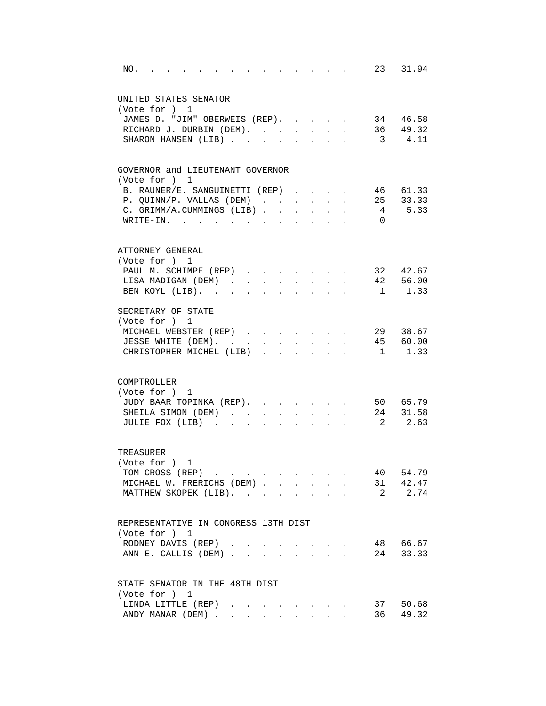| 23 31.94<br>NO.<br>the contract of the contract of the<br>and the contract of the contract of                            |
|--------------------------------------------------------------------------------------------------------------------------|
| UNITED STATES SENATOR                                                                                                    |
| (Vote for ) 1                                                                                                            |
| JAMES D. "JIM" OBERWEIS (REP). 34 46.58                                                                                  |
| RICHARD J. DURBIN (DEM). 36 49.32                                                                                        |
| SHARON HANSEN (LIB) 3 4.11                                                                                               |
| GOVERNOR and LIEUTENANT GOVERNOR                                                                                         |
| (Vote for ) 1                                                                                                            |
| 46 61.33<br>B. RAUNER/E. SANGUINETTI (REP)                                                                               |
| 25 33.33<br>P. QUINN/P. VALLAS (DEM)<br>$\sim$                                                                           |
| 4 5.33<br>C. GRIMM/A.CUMMINGS (LIB)                                                                                      |
| WRITE-IN.<br>$\overline{0}$                                                                                              |
| ATTORNEY GENERAL                                                                                                         |
| (Vote for ) 1                                                                                                            |
| 32 42.67<br>PAUL M. SCHIMPF (REP)<br>$\sim$ $-$<br>$\mathbf{r} = \mathbf{r}$                                             |
| 42 56.00<br>LISA MADIGAN (DEM).<br>$\sim$<br>$\sim$ $\sim$<br>$\sim$<br>$\sim$<br>$\sim$<br>$\mathbf{L}$<br>$\mathbf{L}$ |
| 1 1.33<br>BEN KOYL (LIB).<br>$\mathbf{L}$<br>$\mathbf{r}$<br>$\mathbf{r}$<br>s.                                          |
| SECRETARY OF STATE                                                                                                       |
| (Vote for ) 1                                                                                                            |
| MICHAEL WEBSTER (REP)<br>29 38.67                                                                                        |
| 45 60.00<br>JESSE WHITE (DEM).<br>$\sim$ $-$                                                                             |
| CHRISTOPHER MICHEL (LIB).<br>$\mathbf{1}$<br>1.33<br>$\overline{a}$                                                      |
| COMPTROLLER                                                                                                              |
| (Vote for ) 1                                                                                                            |
| JUDY BAAR TOPINKA (REP). 50 65.79                                                                                        |
| . 24 31.58<br>SHEILA SIMON (DEM)                                                                                         |
| 2 2.63<br>JULIE FOX (LIB)<br>$\ddot{\phantom{a}}$<br>$\sim$ 100 $\pm$<br>$\ddot{\phantom{0}}$                            |
|                                                                                                                          |
| TREASURER                                                                                                                |
| (Vote for ) 1                                                                                                            |
| TOM CROSS (REP)<br>40 54.79                                                                                              |
| 31 42.47<br>MICHAEL W. FRERICHS (DEM)                                                                                    |
| MATTHEW SKOPEK (LIB).<br>2 2.74                                                                                          |
| REPRESENTATIVE IN CONGRESS 13TH DIST                                                                                     |
| (Vote for ) 1                                                                                                            |
| 48 66.67<br>RODNEY DAVIS (REP).<br>$\sim$                                                                                |
| 24 33.33<br>ANN E. CALLIS (DEM)                                                                                          |
|                                                                                                                          |
| STATE SENATOR IN THE 48TH DIST                                                                                           |
| (Vote for ) 1                                                                                                            |
| LINDA LITTLE (REP)<br>37 50.68                                                                                           |
| 49.32<br>ANDY MANAR (DEM)<br>36                                                                                          |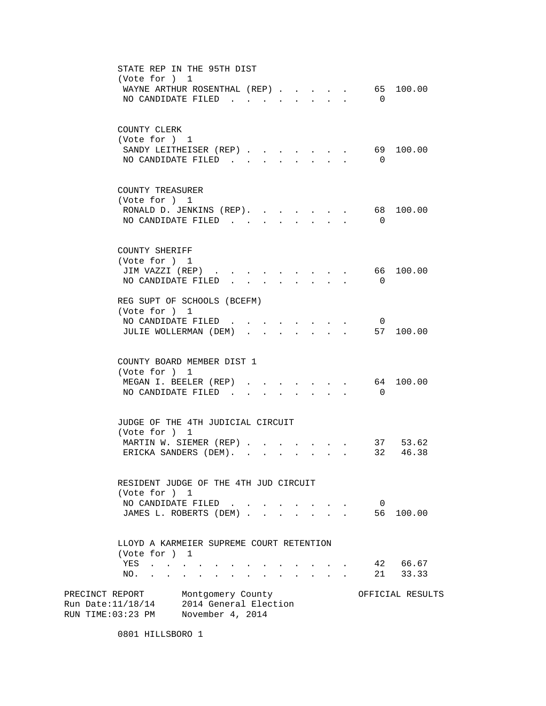| STATE REP IN THE 95TH DIST<br>(Vote for ) 1<br>WAYNE ARTHUR ROSENTHAL (REP)<br>NO CANDIDATE FILED                                                                                                    | 65 100.00<br>$\overline{0}$          |
|------------------------------------------------------------------------------------------------------------------------------------------------------------------------------------------------------|--------------------------------------|
| COUNTY CLERK<br>(Vote for ) 1<br>SANDY LEITHEISER (REP).<br>NO CANDIDATE FILED.<br>$\sim$                                                                                                            | 69 100.00<br>$\overline{0}$          |
| COUNTY TREASURER<br>(Vote for ) 1<br>RONALD D. JENKINS (REP). 68<br>NO CANDIDATE FILED<br>$\ddot{\phantom{a}}$                                                                                       | 100.00<br>$\overline{0}$             |
| COUNTY SHERIFF<br>(Vote for ) 1<br>JIM VAZZI (REP)<br>and the contract of the contract of<br>NO CANDIDATE FILED.                                                                                     | 66 100.00<br>$\Omega$                |
| REG SUPT OF SCHOOLS (BCEFM)<br>(Vote for ) 1<br>NO CANDIDATE FILED.<br>JULIE WOLLERMAN (DEM)                                                                                                         | $\overline{\mathbf{0}}$<br>57 100.00 |
| COUNTY BOARD MEMBER DIST 1<br>(Vote for ) 1<br>MEGAN I. BEELER (REP).<br>$\cdot$ $\cdot$ $\cdot$ $\cdot$<br>NO CANDIDATE FILED.                                                                      | 64 100.00<br>$\overline{0}$          |
| JUDGE OF THE 4TH JUDICIAL CIRCUIT<br>(Vote for ) 1<br>MARTIN W. SIEMER (REP)<br>ERICKA SANDERS (DEM).<br>$\mathbf{r} = \mathbf{r}$<br>$\mathbf{r}$                                                   | 37 53.62<br>32 46.38                 |
| RESIDENT JUDGE OF THE 4TH JUD CIRCUIT<br>(Vote for ) 1<br>NO CANDIDATE FILED.<br>JAMES L. ROBERTS (DEM).                                                                                             | $\overline{0}$<br>56 100.00          |
| LLOYD A KARMEIER SUPREME COURT RETENTION<br>(Vote for ) 1<br>YES<br>$\mathbf{z} = \mathbf{z} + \mathbf{z} + \mathbf{z} + \mathbf{z}$<br>NO.<br>$\ddot{\bullet}$<br>$\ddot{\phantom{0}}$<br>$\bullet$ | 42 66.67<br>21<br>33.33              |
| PRECINCT REPORT<br>Montgomery County<br>2014 General Election<br>Run Date:11/18/14<br>RUN TIME:03:23 PM November 4, 2014                                                                             | OFFICIAL RESULTS                     |

0801 HILLSBORO 1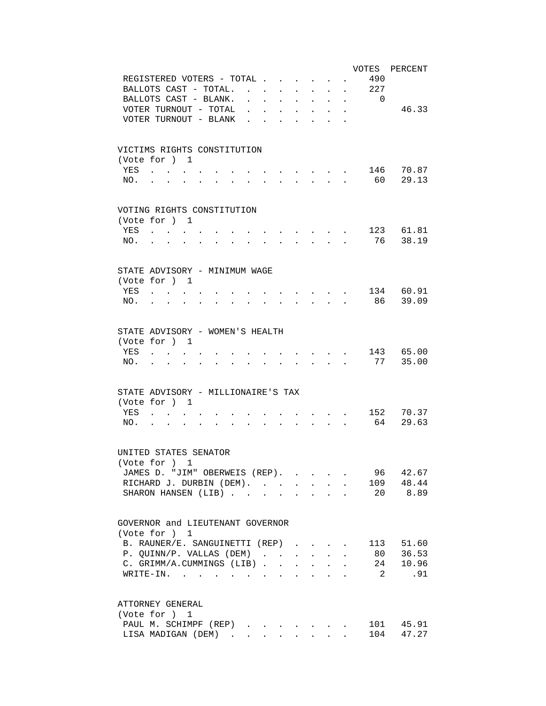| VOTES PERCENT                                                                                                                                                                                                                                                                                                                                                                                                                                 |  |
|-----------------------------------------------------------------------------------------------------------------------------------------------------------------------------------------------------------------------------------------------------------------------------------------------------------------------------------------------------------------------------------------------------------------------------------------------|--|
| REGISTERED VOTERS - TOTAL.<br>490<br>$\sim$                                                                                                                                                                                                                                                                                                                                                                                                   |  |
| BALLOTS CAST - TOTAL.<br>227<br>$\mathbf{r} = \mathbf{r}$                                                                                                                                                                                                                                                                                                                                                                                     |  |
| BALLOTS CAST - BLANK.<br>$\Omega$<br>$\ddot{\phantom{a}}$<br><b>Contract Contract</b><br>$\ddot{\phantom{a}}$<br>$\mathbf{L}$<br>$\ddot{\phantom{a}}$<br>$\ddot{\phantom{0}}$<br>$\ddot{\phantom{a}}$                                                                                                                                                                                                                                         |  |
| VOTER TURNOUT - TOTAL<br>46.33<br>$\ddot{\phantom{a}}$<br>$\sim$ $\sim$<br>$\mathbf{L}$<br>$\ddot{\phantom{a}}$<br>$\ddot{\phantom{a}}$<br>$\ddot{\phantom{a}}$<br>$\ddot{\phantom{a}}$                                                                                                                                                                                                                                                       |  |
| VOTER TURNOUT - BLANK<br>$\ddot{\phantom{a}}$<br>$\sim$                                                                                                                                                                                                                                                                                                                                                                                       |  |
|                                                                                                                                                                                                                                                                                                                                                                                                                                               |  |
| VICTIMS RIGHTS CONSTITUTION                                                                                                                                                                                                                                                                                                                                                                                                                   |  |
| (Vote for ) 1                                                                                                                                                                                                                                                                                                                                                                                                                                 |  |
| 146 70.87<br>YES                                                                                                                                                                                                                                                                                                                                                                                                                              |  |
| 29.13<br>60<br>NO.                                                                                                                                                                                                                                                                                                                                                                                                                            |  |
|                                                                                                                                                                                                                                                                                                                                                                                                                                               |  |
| VOTING RIGHTS CONSTITUTION                                                                                                                                                                                                                                                                                                                                                                                                                    |  |
| (Vote for ) 1                                                                                                                                                                                                                                                                                                                                                                                                                                 |  |
| 123 61.81<br>YES<br>$\mathbf{r} = \mathbf{r} \times \mathbf{r}$ , where $\mathbf{r} = \mathbf{r} \times \mathbf{r}$                                                                                                                                                                                                                                                                                                                           |  |
| 76 38.19<br>NO.<br>$\mathbf{r} = \mathbf{r} + \mathbf{r} + \mathbf{r} + \mathbf{r} + \mathbf{r} + \mathbf{r} + \mathbf{r}$                                                                                                                                                                                                                                                                                                                    |  |
|                                                                                                                                                                                                                                                                                                                                                                                                                                               |  |
| STATE ADVISORY - MINIMUM WAGE                                                                                                                                                                                                                                                                                                                                                                                                                 |  |
| (Vote for ) 1                                                                                                                                                                                                                                                                                                                                                                                                                                 |  |
| 134 60.91<br>YES<br>and the contract of the contract of the contract of the contract of the contract of the contract of the contract of the contract of the contract of the contract of the contract of the contract of the contract of the contra                                                                                                                                                                                            |  |
| 86 39.09<br>NO.<br>$\sim$ $\sim$ $\sim$ $\sim$                                                                                                                                                                                                                                                                                                                                                                                                |  |
| $\mathbf{r} = \mathbf{r} + \mathbf{r} + \mathbf{r} + \mathbf{r} + \mathbf{r} + \mathbf{r} + \mathbf{r} + \mathbf{r} + \mathbf{r} + \mathbf{r} + \mathbf{r} + \mathbf{r} + \mathbf{r} + \mathbf{r} + \mathbf{r} + \mathbf{r} + \mathbf{r} + \mathbf{r} + \mathbf{r} + \mathbf{r} + \mathbf{r} + \mathbf{r} + \mathbf{r} + \mathbf{r} + \mathbf{r} + \mathbf{r} + \mathbf{r} + \mathbf{r} + \mathbf{r} + \mathbf{r} + \mathbf$<br>$\sim$ $\sim$ |  |
|                                                                                                                                                                                                                                                                                                                                                                                                                                               |  |
| STATE ADVISORY - WOMEN'S HEALTH                                                                                                                                                                                                                                                                                                                                                                                                               |  |
| (Vote for ) 1                                                                                                                                                                                                                                                                                                                                                                                                                                 |  |
| 143 65.00<br>YES                                                                                                                                                                                                                                                                                                                                                                                                                              |  |
| 77<br>35.00<br>NO.                                                                                                                                                                                                                                                                                                                                                                                                                            |  |
|                                                                                                                                                                                                                                                                                                                                                                                                                                               |  |
| STATE ADVISORY - MILLIONAIRE'S TAX                                                                                                                                                                                                                                                                                                                                                                                                            |  |
| (Vote for ) 1                                                                                                                                                                                                                                                                                                                                                                                                                                 |  |
| 152 70.37<br>YES<br>$\mathbf{r} = \mathbf{r} + \mathbf{r} + \mathbf{r} + \mathbf{r}$                                                                                                                                                                                                                                                                                                                                                          |  |
| 29.63<br>64<br>NO.<br>$\mathbf{r} = \mathbf{r} + \mathbf{r} + \mathbf{r} + \mathbf{r}$<br><b>Contract Contract</b>                                                                                                                                                                                                                                                                                                                            |  |
|                                                                                                                                                                                                                                                                                                                                                                                                                                               |  |
| UNITED STATES SENATOR                                                                                                                                                                                                                                                                                                                                                                                                                         |  |
| (Vote for ) 1                                                                                                                                                                                                                                                                                                                                                                                                                                 |  |
| JAMES D. "JIM" OBERWEIS (REP).<br>96 42.67                                                                                                                                                                                                                                                                                                                                                                                                    |  |
| 109 48.44<br>RICHARD J. DURBIN (DEM).                                                                                                                                                                                                                                                                                                                                                                                                         |  |
| 20 8.89<br>SHARON HANSEN (LIB)                                                                                                                                                                                                                                                                                                                                                                                                                |  |
|                                                                                                                                                                                                                                                                                                                                                                                                                                               |  |
| GOVERNOR and LIEUTENANT GOVERNOR                                                                                                                                                                                                                                                                                                                                                                                                              |  |
| (Vote for ) 1                                                                                                                                                                                                                                                                                                                                                                                                                                 |  |
| B. RAUNER/E. SANGUINETTI (REP)<br>113 51.60                                                                                                                                                                                                                                                                                                                                                                                                   |  |
| 80 36.53<br>P. QUINN/P. VALLAS (DEM)<br>$\sim$                                                                                                                                                                                                                                                                                                                                                                                                |  |
| 24<br>C. GRIMM/A.CUMMINGS (LIB)<br>10.96                                                                                                                                                                                                                                                                                                                                                                                                      |  |
| $\overline{2}$<br>.91<br>WRITE-IN.                                                                                                                                                                                                                                                                                                                                                                                                            |  |
|                                                                                                                                                                                                                                                                                                                                                                                                                                               |  |
| ATTORNEY GENERAL                                                                                                                                                                                                                                                                                                                                                                                                                              |  |
| (Vote for ) 1                                                                                                                                                                                                                                                                                                                                                                                                                                 |  |
| 101 45.91<br>PAUL M. SCHIMPF (REP)                                                                                                                                                                                                                                                                                                                                                                                                            |  |
| 104<br>47.27<br>LISA MADIGAN (DEM)                                                                                                                                                                                                                                                                                                                                                                                                            |  |
|                                                                                                                                                                                                                                                                                                                                                                                                                                               |  |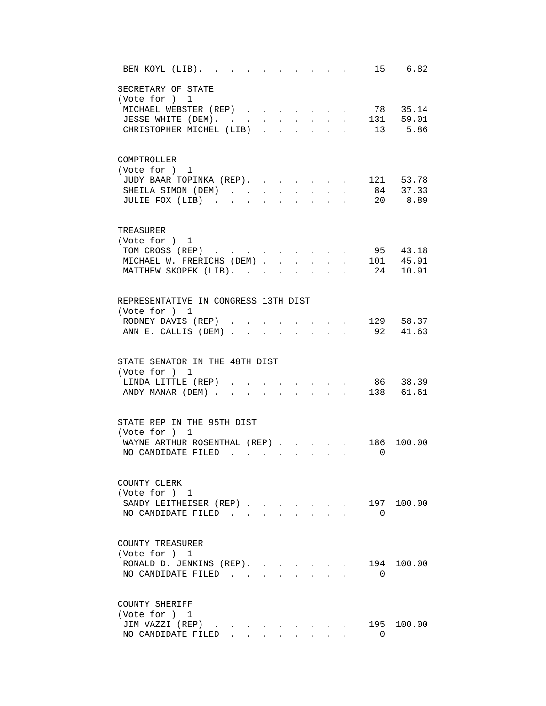| BEN KOYL (LIB). .<br>15 6.82                                                                                                                                                                                                                                                                       |
|----------------------------------------------------------------------------------------------------------------------------------------------------------------------------------------------------------------------------------------------------------------------------------------------------|
| SECRETARY OF STATE<br>(Vote for ) 1<br>78 35.14<br>MICHAEL WEBSTER (REP)<br>131 59.01<br>JESSE WHITE (DEM). .<br>$\mathbf{L}$<br>$\mathbf{L}$ and $\mathbf{L}$<br>$\sim$<br>$\mathbf{r}$<br>s.<br>13 5.86<br>CHRISTOPHER MICHEL (LIB)<br>$\mathbf{L}$<br>$\sim$ 100 $\sim$<br>$\ddot{\phantom{a}}$ |
| COMPTROLLER<br>(Vote for ) 1<br>JUDY BAAR TOPINKA (REP). .<br>121 53.78<br>$84$ $37.33$<br>SHEILA SIMON (DEM)<br>20 8.89<br>JULIE FOX (LIB)                                                                                                                                                        |
| TREASURER<br>(Vote for ) 1<br>95 43.18<br>TOM CROSS (REP)<br>101 45.91<br>MICHAEL W. FRERICHS (DEM) .<br>$\ddot{\phantom{a}}$<br>24 10.91<br>MATTHEW SKOPEK (LIB). .                                                                                                                               |
| REPRESENTATIVE IN CONGRESS 13TH DIST<br>(Vote for ) 1<br>129 58.37<br>RODNEY DAVIS (REP)<br>92 41.63<br>ANN E. CALLIS (DEM)<br>$\sim$                                                                                                                                                              |
| STATE SENATOR IN THE 48TH DIST<br>(Vote for ) 1<br>86 38.39<br>LINDA LITTLE (REP)<br>138 61.61<br>ANDY MANAR (DEM).<br>$\sim$                                                                                                                                                                      |
| STATE REP IN THE 95TH DIST<br>(Vote for ) 1<br>WAYNE ARTHUR ROSENTHAL (REP)<br>186<br>100.00<br>NO CANDIDATE FILED.<br>$\overline{\phantom{0}}$                                                                                                                                                    |
| COUNTY CLERK<br>(Vote for ) 1<br>197 100.00<br>SANDY LEITHEISER (REP)<br>NO CANDIDATE FILED<br>$\Omega$<br>$\mathbf{L}$<br>$\sim$                                                                                                                                                                  |
| COUNTY TREASURER<br>(Vote for ) 1<br>194 100.00<br>RONALD D. JENKINS (REP).<br>NO CANDIDATE FILED<br>$\Omega$                                                                                                                                                                                      |
| COUNTY SHERIFF<br>(Vote for ) 1<br>JIM VAZZI (REP)<br>195 100.00<br>NO CANDIDATE FILED<br>$\Omega$<br>$\mathbf{L}$<br>$\sim$                                                                                                                                                                       |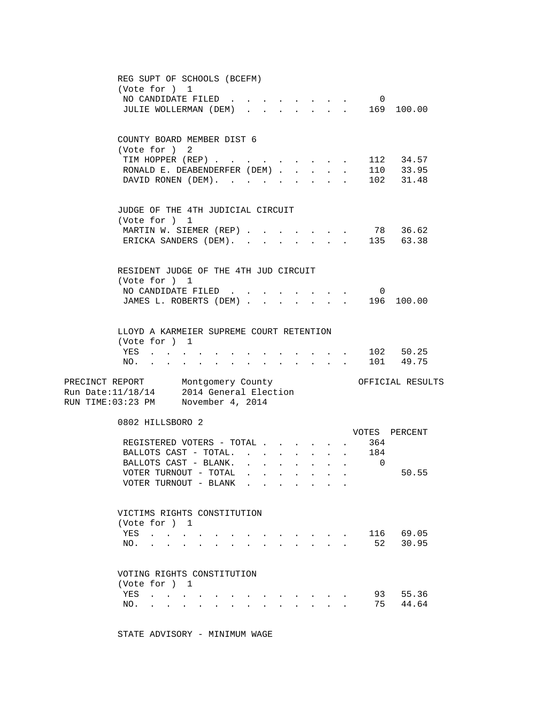| REG SUPT OF SCHOOLS (BCEFM)<br>(Vote for ) 1<br>NO CANDIDATE FILED.<br>$\overline{0}$<br>$\sim$<br>$\mathbf{r} = \mathbf{r}$<br>. 169 100.00<br>JULIE WOLLERMAN (DEM)<br>$\sim$<br>$\mathbf{L}$<br>$\sim$                                                                                                                                       |
|-------------------------------------------------------------------------------------------------------------------------------------------------------------------------------------------------------------------------------------------------------------------------------------------------------------------------------------------------|
| COUNTY BOARD MEMBER DIST 6<br>(Vote for ) 2<br>TIM HOPPER (REP) 112 34.57<br>RONALD E. DEABENDERFER (DEM).<br>. 110 33.95<br>$\mathbf{L} = \mathbf{L}$<br>$\ddot{\phantom{a}}$<br>DAVID RONEN (DEM).<br>102 31.48                                                                                                                               |
| JUDGE OF THE 4TH JUDICIAL CIRCUIT<br>(Vote for ) 1<br>MARTIN W. SIEMER (REP) 78 36.62<br>ERICKA SANDERS (DEM).<br>135 63.38                                                                                                                                                                                                                     |
| RESIDENT JUDGE OF THE 4TH JUD CIRCUIT<br>(Vote for ) 1<br>NO CANDIDATE FILED<br>$\overline{\mathbf{0}}$<br>$\sim$<br>$\mathbf{r} = \mathbf{r} + \mathbf{r}$<br>196 100.00<br>JAMES L. ROBERTS (DEM)                                                                                                                                             |
| LLOYD A KARMEIER SUPREME COURT RETENTION<br>(Vote for ) 1<br>. 102 50.25<br>YES<br>$\mathbf{r} = \mathbf{r} + \mathbf{r} + \mathbf{r} + \mathbf{r} + \mathbf{r}$<br>101 49.75<br>NO.<br>$\ddot{\phantom{a}}$<br>$\mathbf{z} = \mathbf{z} + \mathbf{z}$ .<br>and a strong control of the state of the<br>$\bullet$<br>$\sim$ 100 $\mu$           |
| PRECINCT REPORT Montgomery County<br>OFFICIAL RESULTS<br>Run Date: $11/18/14$ 2014 General Election<br>RUN TIME:03:23 PM November 4, 2014                                                                                                                                                                                                       |
| 0802 HILLSBORO 2<br>VOTES PERCENT<br>364<br>REGISTERED VOTERS - TOTAL<br>BALLOTS CAST - TOTAL.<br>184<br>BALLOTS CAST - BLANK.<br>$\overline{0}$<br>$\Delta \sim 100$<br>$\ddot{\phantom{a}}$<br>$\ddot{\phantom{a}}$<br>$\mathbf{r}$<br>50.55<br>VOTER TURNOUT - TOTAL .                                                                       |
| VOTER TURNOUT - BLANK<br>VICTIMS RIGHTS CONSTITUTION                                                                                                                                                                                                                                                                                            |
| (Vote for ) 1<br>116 69.05<br>YES<br>52<br>30.95<br>NO.<br>$\mathbf{r} = \mathbf{r} + \mathbf{r} + \mathbf{r} + \mathbf{r} + \mathbf{r} + \mathbf{r}$                                                                                                                                                                                           |
| VOTING RIGHTS CONSTITUTION<br>(Vote for ) 1<br>93 55.36<br>YES<br>the contract of the contract of the contract of the contract of the contract of the contract of the contract of<br>75 44.64<br>NO.<br>$\mathbf{r} = \mathbf{r} + \mathbf{r}$ , where $\mathbf{r} = \mathbf{r}$<br>$\bullet$ .<br><br><br><br><br><br><br><br><br><br><br><br> |

STATE ADVISORY - MINIMUM WAGE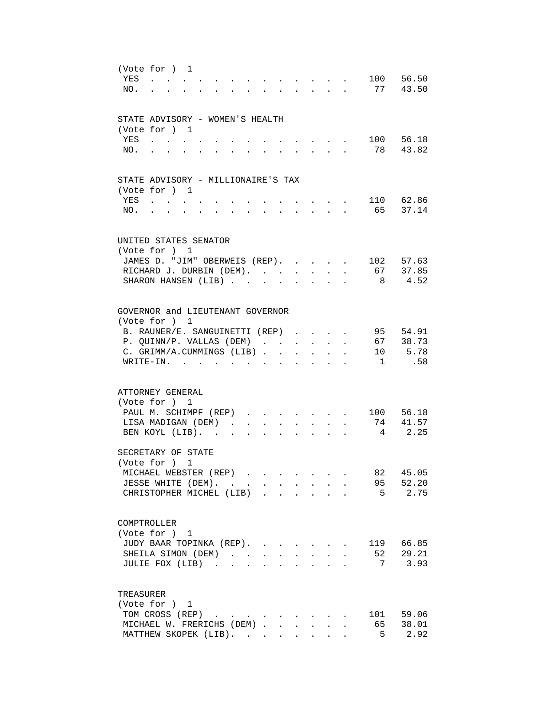| YES | (Vote for ) 1<br>$\sim$                                                                   |                                  |                           |                                                                  |                        |                                                             |              | 100            | 56.50     |
|-----|-------------------------------------------------------------------------------------------|----------------------------------|---------------------------|------------------------------------------------------------------|------------------------|-------------------------------------------------------------|--------------|----------------|-----------|
| NO. |                                                                                           |                                  |                           |                                                                  | $\Delta \sim 10^{-11}$ | $\mathcal{L}^{\text{max}}$                                  | $\sim$       |                | 77 43.50  |
|     |                                                                                           |                                  |                           |                                                                  |                        |                                                             |              |                |           |
|     |                                                                                           |                                  |                           |                                                                  |                        |                                                             |              |                |           |
|     | STATE ADVISORY - WOMEN'S HEALTH                                                           |                                  |                           |                                                                  |                        |                                                             |              |                |           |
|     | (Vote for ) 1                                                                             |                                  |                           |                                                                  |                        |                                                             |              |                |           |
| YES | $\mathbf{a}$ and $\mathbf{a}$ and $\mathbf{a}$                                            |                                  |                           |                                                                  |                        |                                                             |              |                | 100 56.18 |
| NO. |                                                                                           |                                  |                           |                                                                  |                        |                                                             |              |                | 78 43.82  |
|     |                                                                                           |                                  |                           |                                                                  |                        |                                                             |              |                |           |
|     |                                                                                           |                                  |                           |                                                                  |                        |                                                             |              |                |           |
|     | STATE ADVISORY - MILLIONAIRE'S TAX                                                        |                                  |                           |                                                                  |                        |                                                             |              |                |           |
|     | (Vote for ) 1                                                                             |                                  |                           |                                                                  |                        |                                                             |              |                |           |
| YES | $\mathcal{L}(\mathbf{X})$ , and $\mathcal{L}(\mathbf{X})$ , and $\mathcal{L}(\mathbf{X})$ |                                  |                           |                                                                  |                        |                                                             |              | 110 62.86      |           |
| NO. | $\mathbf{L} = \mathbf{L}$<br>$\sim$                                                       | $\bullet$ . The set of $\bullet$ | $\ddot{\phantom{0}}$      | $\mathbf{r} = \mathbf{r} + \mathbf{r} + \mathbf{r} + \mathbf{r}$ |                        |                                                             |              |                | 65 37.14  |
|     |                                                                                           |                                  |                           |                                                                  |                        |                                                             |              |                |           |
|     |                                                                                           |                                  |                           |                                                                  |                        |                                                             |              |                |           |
|     | UNITED STATES SENATOR                                                                     |                                  |                           |                                                                  |                        |                                                             |              |                |           |
|     | (Vote for ) 1                                                                             |                                  |                           |                                                                  |                        |                                                             |              |                |           |
|     | JAMES D. "JIM" OBERWEIS (REP).                                                            |                                  |                           |                                                                  |                        |                                                             |              |                | 102 57.63 |
|     | RICHARD J. DURBIN (DEM).                                                                  |                                  |                           |                                                                  |                        |                                                             | $\mathbf{r}$ |                | 67 37.85  |
|     | SHARON HANSEN (LIB)                                                                       |                                  |                           |                                                                  | $\mathbf{L}$           | $\ddot{\phantom{a}}$                                        |              |                | 8 4.52    |
|     |                                                                                           |                                  |                           |                                                                  |                        |                                                             |              |                |           |
|     |                                                                                           |                                  |                           |                                                                  |                        |                                                             |              |                |           |
|     | GOVERNOR and LIEUTENANT GOVERNOR                                                          |                                  |                           |                                                                  |                        |                                                             |              |                |           |
|     | (Vote for ) 1                                                                             |                                  |                           |                                                                  |                        |                                                             |              |                |           |
|     | B. RAUNER/E. SANGUINETTI (REP).                                                           |                                  |                           |                                                                  |                        |                                                             |              |                | 95 54.91  |
|     | P. QUINN/P. VALLAS (DEM).                                                                 |                                  |                           | $\sim$<br>$\ddot{\phantom{0}}$                                   | $\ddot{\phantom{0}}$   | $\ddot{\phantom{a}}$                                        |              |                | 67 38.73  |
|     | C. GRIMM/A.CUMMINGS (LIB).                                                                |                                  |                           | $\mathbf{r}$                                                     |                        |                                                             |              |                | 10 5.78   |
|     | $W$ RITE-IN.                                                                              |                                  |                           |                                                                  |                        |                                                             |              | $\mathbf{1}$   | .58       |
|     |                                                                                           |                                  |                           |                                                                  |                        |                                                             |              |                |           |
|     |                                                                                           |                                  |                           |                                                                  |                        |                                                             |              |                |           |
|     | ATTORNEY GENERAL                                                                          |                                  |                           |                                                                  |                        |                                                             |              |                |           |
|     | (Vote for ) 1                                                                             |                                  |                           |                                                                  |                        |                                                             |              |                |           |
|     | PAUL M. SCHIMPF (REP)                                                                     |                                  | $\mathbf{L} = \mathbf{L}$ |                                                                  |                        |                                                             |              |                | 100 56.18 |
|     | LISA MADIGAN (DEM).                                                                       |                                  |                           |                                                                  |                        |                                                             |              | 74             | 41.57     |
|     | BEN KOYL (LIB). .                                                                         | $\ddot{\phantom{a}}$             |                           |                                                                  |                        |                                                             |              |                | 2.25      |
|     |                                                                                           |                                  |                           |                                                                  |                        |                                                             |              |                |           |
|     | SECRETARY OF STATE                                                                        |                                  |                           |                                                                  |                        |                                                             |              |                |           |
|     | (Vote for ) 1                                                                             |                                  |                           |                                                                  |                        |                                                             |              |                |           |
|     | MICHAEL WEBSTER (REP)                                                                     |                                  |                           |                                                                  |                        |                                                             |              | 82             | 45.05     |
|     | JESSE WHITE (DEM).                                                                        |                                  |                           |                                                                  |                        | $\bullet$ .<br><br><br><br><br><br><br><br><br><br><br><br> |              |                | 95 52.20  |
|     | CHRISTOPHER MICHEL (LIB)                                                                  |                                  |                           |                                                                  |                        |                                                             |              | $5^{\circ}$    | 2.75      |
|     |                                                                                           |                                  |                           |                                                                  |                        |                                                             |              |                |           |
|     |                                                                                           |                                  |                           |                                                                  |                        |                                                             |              |                |           |
|     | COMPTROLLER                                                                               |                                  |                           |                                                                  |                        |                                                             |              |                |           |
|     | (Vote for ) 1                                                                             |                                  |                           |                                                                  |                        |                                                             |              |                |           |
|     | JUDY BAAR TOPINKA (REP).                                                                  |                                  |                           |                                                                  |                        |                                                             |              |                | 119 66.85 |
|     | SHEILA SIMON (DEM)                                                                        |                                  |                           |                                                                  |                        |                                                             |              | 52             | 29.21     |
|     | JULIE FOX (LIB)                                                                           |                                  |                           |                                                                  |                        |                                                             |              | 7              | 3.93      |
|     |                                                                                           |                                  |                           |                                                                  |                        |                                                             |              |                |           |
|     |                                                                                           |                                  |                           |                                                                  |                        |                                                             |              |                |           |
|     | TREASURER                                                                                 |                                  |                           |                                                                  |                        |                                                             |              |                |           |
|     | (Vote for ) 1                                                                             |                                  |                           |                                                                  |                        |                                                             |              |                |           |
|     | TOM CROSS (REP)                                                                           |                                  |                           |                                                                  |                        |                                                             |              | 101            | 59.06     |
|     | MICHAEL W. FRERICHS (DEM)                                                                 |                                  |                           |                                                                  | $\sim$                 |                                                             |              | 65             | 38.01     |
|     | MATTHEW SKOPEK (LIB).                                                                     |                                  |                           |                                                                  |                        |                                                             |              | 5 <sup>1</sup> | 2.92      |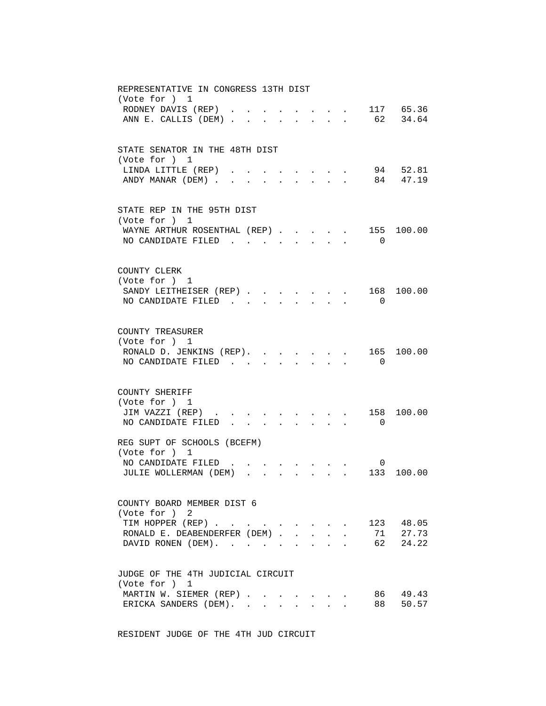| REPRESENTATIVE IN CONGRESS 13TH DIST<br>(Vote for ) 1                                                                                                                                                                       |  |
|-----------------------------------------------------------------------------------------------------------------------------------------------------------------------------------------------------------------------------|--|
| 117 65.36<br>RODNEY DAVIS (REP)<br>ANN E. CALLIS (DEM)<br>62 34.64<br>$\mathbf{r} = \mathbf{r}$<br>$\sim$ $\sim$ $\sim$ $\sim$ $\sim$<br>$\ddot{\phantom{a}}$                                                               |  |
| STATE SENATOR IN THE 48TH DIST<br>(Vote for ) 1                                                                                                                                                                             |  |
| 94 52.81<br>LINDA LITTLE (REP)<br>84 47.19<br>ANDY MANAR (DEM).                                                                                                                                                             |  |
| STATE REP IN THE 95TH DIST<br>(Vote for ) 1                                                                                                                                                                                 |  |
| 155 100.00<br>WAYNE ARTHUR ROSENTHAL (REP)<br>NO CANDIDATE FILED<br>$\overline{0}$<br>$\sim$<br>$\mathbf{r} = \mathbf{r}$                                                                                                   |  |
| COUNTY CLERK<br>(Vote for ) 1                                                                                                                                                                                               |  |
| $\ldots$ $168$ $100.00$<br>SANDY LEITHEISER (REP)<br>NO CANDIDATE FILED<br>$\Omega$                                                                                                                                         |  |
| COUNTY TREASURER<br>(Vote for ) 1                                                                                                                                                                                           |  |
| 165 100.00<br>RONALD D. JENKINS (REP). .<br>NO CANDIDATE FILED.<br>$\overline{0}$                                                                                                                                           |  |
| COUNTY SHERIFF                                                                                                                                                                                                              |  |
| (Vote for ) 1<br>158<br>JIM VAZZI (REP).<br>100.00<br>NO CANDIDATE FILED.<br>$\overline{0}$                                                                                                                                 |  |
| REG SUPT OF SCHOOLS (BCEFM)<br>(Vote for ) 1                                                                                                                                                                                |  |
| NO CANDIDATE FILED<br>$\overline{0}$<br>JULIE WOLLERMAN (DEM).<br>133 100.00<br>$\mathbf{L} = \mathbf{L} \mathbf{L}$                                                                                                        |  |
| COUNTY BOARD MEMBER DIST 6<br>(Vote for ) 2                                                                                                                                                                                 |  |
| TIM HOPPER (REP)<br>123 48.05<br>$\mathbf{r} = \mathbf{r}$<br>RONALD E. DEABENDERFER (DEM).<br>71<br>27.73<br>$\mathbf{L}^{\text{max}}$<br>$\sim$<br>62 24.22<br>DAVID RONEN (DEM).<br>$\mathbf{L}$<br>$\ddot{\phantom{0}}$ |  |
| JUDGE OF THE 4TH JUDICIAL CIRCUIT<br>(Vote for ) 1                                                                                                                                                                          |  |
| 86<br>49.43<br>MARTIN W. SIEMER (REP)<br>50.57<br>ERICKA SANDERS (DEM).<br>88<br>$\mathbf{L}$                                                                                                                               |  |
|                                                                                                                                                                                                                             |  |

RESIDENT JUDGE OF THE 4TH JUD CIRCUIT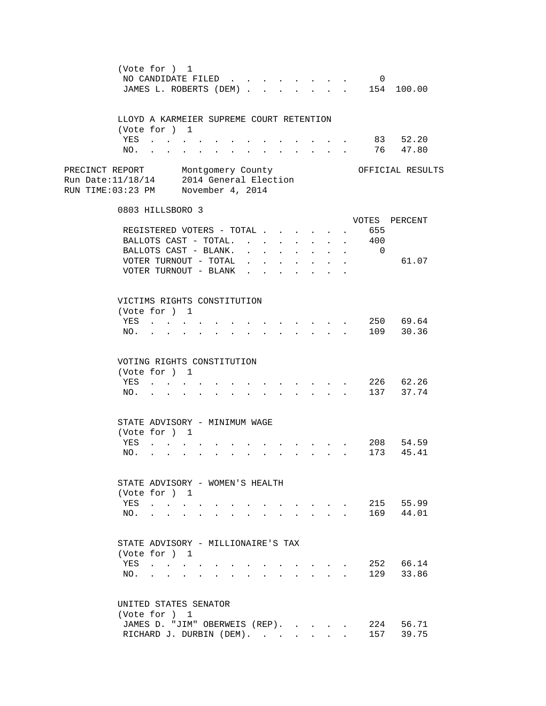| (Vote for ) 1                                                                                     | NO CANDIDATE FILED<br>JAMES L. ROBERTS (DEM) 154 100.00                                              |                                                                                                                                                                                                  |        |                                                      |                                                                                                                                             | $\overline{0}$                                            |                        |
|---------------------------------------------------------------------------------------------------|------------------------------------------------------------------------------------------------------|--------------------------------------------------------------------------------------------------------------------------------------------------------------------------------------------------|--------|------------------------------------------------------|---------------------------------------------------------------------------------------------------------------------------------------------|-----------------------------------------------------------|------------------------|
| (Vote for ) 1                                                                                     | LLOYD A KARMEIER SUPREME COURT RETENTION                                                             |                                                                                                                                                                                                  |        |                                                      |                                                                                                                                             |                                                           |                        |
| YES<br>NO.                                                                                        |                                                                                                      | $\mathbf{r} = \mathbf{r} + \mathbf{r} + \mathbf{r} + \mathbf{r}$ .                                                                                                                               |        | $\sim$<br>$\sim$                                     | $\mathbf{r} = \mathbf{r}$                                                                                                                   |                                                           | 83 52.20<br>76 47.80   |
| PRECINCT REPORT<br>Run Date: 11/18/14 2014 General Election<br>RUN TIME:03:23 PM November 4, 2014 | Montgomery County                                                                                    |                                                                                                                                                                                                  |        |                                                      |                                                                                                                                             |                                                           | OFFICIAL RESULTS       |
| 0803 HILLSBORO 3                                                                                  |                                                                                                      |                                                                                                                                                                                                  |        |                                                      |                                                                                                                                             |                                                           |                        |
|                                                                                                   | REGISTERED VOTERS - TOTAL<br>BALLOTS CAST - TOTAL.<br>BALLOTS CAST - BLANK.<br>VOTER TURNOUT - TOTAL | $\mathbf{r} = \mathbf{r} - \mathbf{r}$ , where $\mathbf{r} = \mathbf{r}$<br>$\mathbf{1}$ $\mathbf{1}$ $\mathbf{1}$ $\mathbf{1}$ $\mathbf{1}$ $\mathbf{1}$ $\mathbf{1}$ $\mathbf{1}$ $\mathbf{1}$ |        | $\sim$<br>$\mathcal{L}^{\text{max}}$<br>$\mathbf{L}$ | $\mathbf{L} = \mathbf{L} \mathbf{L}$<br>$\mathbf{L} = \mathbf{L}$                                                                           | 655<br>400<br>$\mathbf{L}^{\text{max}}$<br>$\overline{0}$ | VOTES PERCENT<br>61.07 |
| (Vote for ) 1<br>YES<br>NO.                                                                       | VOTER TURNOUT - BLANK<br>VICTIMS RIGHTS CONSTITUTION                                                 | $\mathbf{r} = \mathbf{r} \cdot \mathbf{r}$ and $\mathbf{r} = \mathbf{r} \cdot \mathbf{r}$                                                                                                        | $\sim$ | $\sim$<br>$\sim$<br>$\mathbf{r}$ , and $\mathbf{r}$  | $\bullet$ . The set of $\bullet$<br>$\mathcal{L}^{\text{max}}(\mathcal{L}^{\text{max}}(\mathcal{L}^{\text{max}}(\mathcal{L}^{\text{max}}))$ |                                                           | 250 69.64<br>109 30.36 |
| (Vote for ) 1<br>YES<br>NO.                                                                       | VOTING RIGHTS CONSTITUTION<br>$\mathbf{u} = \mathbf{u} + \mathbf{u}$ . $\mathbf{u} = \mathbf{u}$     |                                                                                                                                                                                                  |        |                                                      |                                                                                                                                             |                                                           | 226 62.26<br>137 37.74 |
| (Vote for ) 1<br>YES                                                                              | STATE ADVISORY - MINIMUM WAGE<br>$\mathbf{r} = \mathbf{r} + \mathbf{r} + \mathbf{r}$<br>NO.          | $\mathbf{r}$ , and $\mathbf{r}$ , and $\mathbf{r}$ , and $\mathbf{r}$ , and $\mathbf{r}$                                                                                                         |        |                                                      |                                                                                                                                             |                                                           | 208 54.59<br>173 45.41 |
| (Vote for ) 1<br>YES<br>NO.<br>$\mathbf{L}$                                                       | STATE ADVISORY - WOMEN'S HEALTH<br>$\sim$<br>$\mathbf{r} = \mathbf{r}$<br>$\ddot{\phantom{0}}$       | <u>.</u>                                                                                                                                                                                         |        |                                                      | $\mathbf{r}$ , $\mathbf{r}$ , $\mathbf{r}$ , $\mathbf{r}$                                                                                   |                                                           | 215 55.99<br>169 44.01 |
| (Vote for ) 1<br>YES<br>NO.                                                                       | STATE ADVISORY - MILLIONAIRE'S TAX                                                                   |                                                                                                                                                                                                  |        |                                                      |                                                                                                                                             |                                                           | 252 66.14<br>129 33.86 |
| (Vote for ) 1                                                                                     | UNITED STATES SENATOR<br>JAMES D. "JIM" OBERWEIS (REP).<br>RICHARD J. DURBIN (DEM).                  |                                                                                                                                                                                                  |        |                                                      |                                                                                                                                             |                                                           | 224 56.71<br>157 39.75 |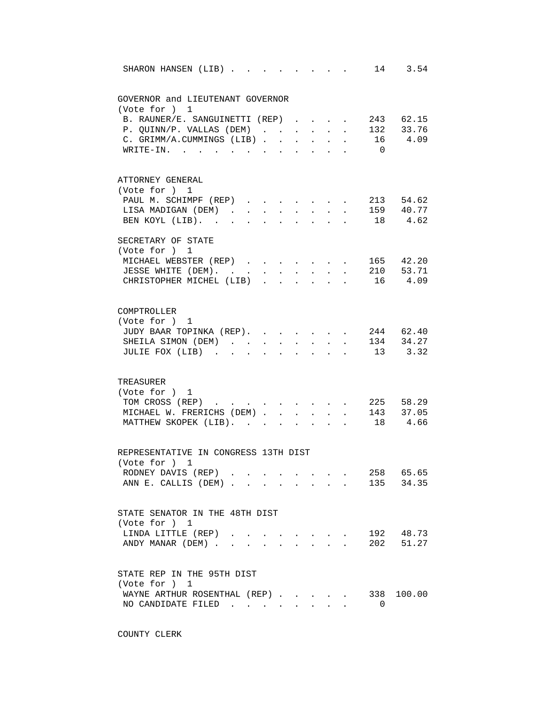| 14 3.54<br>SHARON HANSEN (LIB)<br>$\mathbf{r} = \mathbf{r} \cdot \mathbf{r}$<br>$\sim$                                                                                                                      |
|-------------------------------------------------------------------------------------------------------------------------------------------------------------------------------------------------------------|
|                                                                                                                                                                                                             |
| GOVERNOR and LIEUTENANT GOVERNOR                                                                                                                                                                            |
| (Vote for ) 1                                                                                                                                                                                               |
| B. RAUNER/E. SANGUINETTI (REP)<br>243 62.15<br>$\mathbf{r}$ and $\mathbf{r}$                                                                                                                                |
| P. QUINN/P. VALLAS (DEM) 132 33.76                                                                                                                                                                          |
| 16 4.09<br>C. GRIMM/A.CUMMINGS (LIB).<br>$\ddot{\phantom{a}}$<br>$\ddot{\phantom{0}}$<br>$\sim$ 100 $\pm$<br>$\ddot{\phantom{0}}$<br>WRITE-IN.<br>$\overline{0}$<br>$\cdot$ $\cdot$ $\cdot$ $\cdot$ $\cdot$ |
|                                                                                                                                                                                                             |
| ATTORNEY GENERAL                                                                                                                                                                                            |
| (Vote for ) 1                                                                                                                                                                                               |
| PAUL M. SCHIMPF (REP)<br>$\cdot$ $\cdot$ $\cdot$ $\cdot$ $\cdot$ 213 54.62                                                                                                                                  |
| LISA MADIGAN (DEM)<br>. 159 40.77                                                                                                                                                                           |
| . 18 4.62<br>BEN KOYL (LIB).<br><b>All Card Control</b><br>$\sim$                                                                                                                                           |
| SECRETARY OF STATE                                                                                                                                                                                          |
| (Vote for ) 1                                                                                                                                                                                               |
| 165 42.20<br>MICHAEL WEBSTER (REP)                                                                                                                                                                          |
| 210 53.71<br>JESSE WHITE (DEM).<br>$\mathbf{L} = \mathbf{L} \mathbf{L}$<br>$\mathcal{L}^{\text{max}}$                                                                                                       |
| 16 4.09<br>CHRISTOPHER MICHEL (LIB)<br>$\ddot{\phantom{a}}$                                                                                                                                                 |
|                                                                                                                                                                                                             |
| COMPTROLLER                                                                                                                                                                                                 |
| (Vote for ) 1                                                                                                                                                                                               |
| 244 62.40<br>JUDY BAAR TOPINKA (REP).                                                                                                                                                                       |
| $134$ $34.27$<br>SHEILA SIMON (DEM).<br>$\ddot{\phantom{a}}$<br>$\ddot{\phantom{a}}$<br>$\ddot{\phantom{a}}$<br>$\ddot{\phantom{a}}$                                                                        |
| 13 3.32<br>JULIE FOX (LIB)<br>$\sim$                                                                                                                                                                        |
|                                                                                                                                                                                                             |
| TREASURER                                                                                                                                                                                                   |
| (Vote for ) 1                                                                                                                                                                                               |
| 225 58.29<br>TOM CROSS (REP)                                                                                                                                                                                |
| MICHAEL W. FRERICHS (DEM).<br>143 37.05<br>$\mathbf{L}$<br>$\ddot{\phantom{0}}$<br>$\sim$                                                                                                                   |
| 18 4.66<br>MATTHEW SKOPEK (LIB).                                                                                                                                                                            |
|                                                                                                                                                                                                             |
| REPRESENTATIVE IN CONGRESS 13TH DIST                                                                                                                                                                        |
| (Vote for ) 1                                                                                                                                                                                               |
| 258 65.65<br>RODNEY DAVIS (REP)                                                                                                                                                                             |
| 135 34.35<br>ANN E. CALLIS (DEM)                                                                                                                                                                            |
|                                                                                                                                                                                                             |
| STATE SENATOR IN THE 48TH DIST<br>(Vote for ) 1                                                                                                                                                             |
| 192 48.73<br>LINDA LITTLE (REP)<br>$\mathbf{r} = \mathbf{r}$ , and $\mathbf{r} = \mathbf{r}$                                                                                                                |
| 202 51.27<br>ANDY MANAR (DEM)<br>$\mathcal{L}^{\text{max}}$                                                                                                                                                 |
|                                                                                                                                                                                                             |
| STATE REP IN THE 95TH DIST                                                                                                                                                                                  |
| (Vote for ) 1                                                                                                                                                                                               |
| WAYNE ARTHUR ROSENTHAL (REP)<br>338 100.00                                                                                                                                                                  |
| NO CANDIDATE FILED<br>$\Omega$                                                                                                                                                                              |
|                                                                                                                                                                                                             |

COUNTY CLERK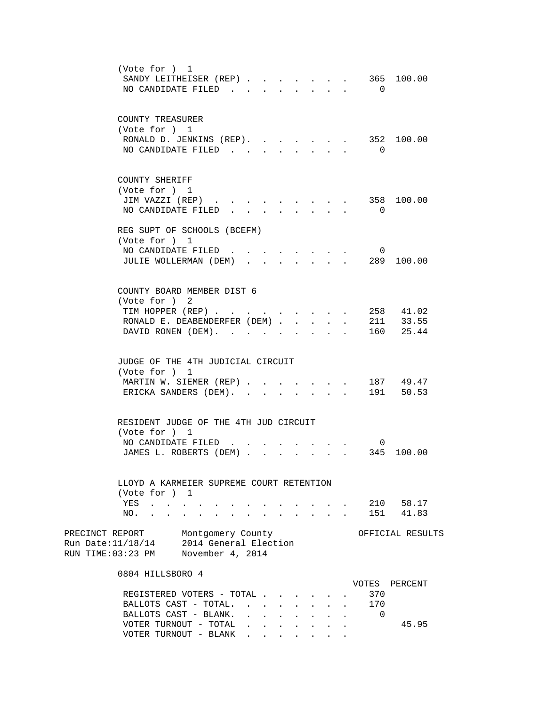| (Vote for ) 1<br>SANDY LEITHEISER (REP).<br>$\sim$<br>NO CANDIDATE FILED                                                                                                        | 365 100.00<br>$\overline{0}$               |
|---------------------------------------------------------------------------------------------------------------------------------------------------------------------------------|--------------------------------------------|
| COUNTY TREASURER<br>(Vote for ) 1<br>RONALD D. JENKINS (REP).<br>NO CANDIDATE FILED                                                                                             | 352 100.00<br>$\overline{0}$               |
| COUNTY SHERIFF<br>(Vote for ) 1<br>JIM VAZZI (REP)<br><b>All Card Control</b><br>NO CANDIDATE FILED<br>$\mathbf{r} = \mathbf{r} \cdot \mathbf{r}$<br>$\mathbf{r} = \mathbf{r}$  | 358 100.00<br>$\overline{0}$               |
| REG SUPT OF SCHOOLS (BCEFM)<br>(Vote for ) 1<br>NO CANDIDATE FILED.<br>JULIE WOLLERMAN (DEM)<br>$\sim$                                                                          | $\overline{0}$<br>289 100.00               |
| COUNTY BOARD MEMBER DIST 6<br>(Vote for ) 2<br>TIM HOPPER (REP)<br>RONALD E. DEABENDERFER (DEM).<br>$\mathbf{L}$<br>$\mathbf{L}$<br>DAVID RONEN (DEM).                          | 258 41.02<br>211 33.55<br>160<br>25.44     |
| JUDGE OF THE 4TH JUDICIAL CIRCUIT<br>(Vote for ) 1<br>MARTIN W. SIEMER (REP)<br>ERICKA SANDERS (DEM).<br>$\mathbf{r} = \mathbf{r}$<br>$\sim$                                    | 187 49.47<br>191 50.53                     |
| RESIDENT JUDGE OF THE 4TH JUD CIRCUIT<br>(Vote for ) 1<br>NO CANDIDATE FILED.<br>JAMES L. ROBERTS (DEM).                                                                        | $\overline{0}$<br>345 100.00               |
| LLOYD A KARMEIER SUPREME COURT RETENTION<br>(Vote for ) 1<br>YES<br>$\mathcal{A}=\mathcal{A}=\mathcal{A}=\mathcal{A}=\mathcal{A}$ .<br>NO.<br><b>Contract Contract Contract</b> | 210 58.17<br>41.83<br>151                  |
| PRECINCT REPORT<br>Montgomery County<br>Run Date: 11/18/14<br>2014 General Election<br>RUN TIME:03:23 PM<br>November 4, 2014                                                    | OFFICIAL RESULTS                           |
| 0804 HILLSBORO 4<br>REGISTERED VOTERS - TOTAL .<br>BALLOTS CAST - TOTAL.<br>BALLOTS CAST - BLANK.<br>$\sim$<br>$\mathbf{r}$                                                     | VOTES<br>PERCENT<br>370<br>170<br>$\Omega$ |
| VOTER TURNOUT - TOTAL<br>$\ddot{\phantom{0}}$<br>$\mathbf{L}$<br>VOTER TURNOUT - BLANK<br>$\mathbf{L} = \mathbf{L} \mathbf{L} + \mathbf{L} \mathbf{L}$                          | 45.95                                      |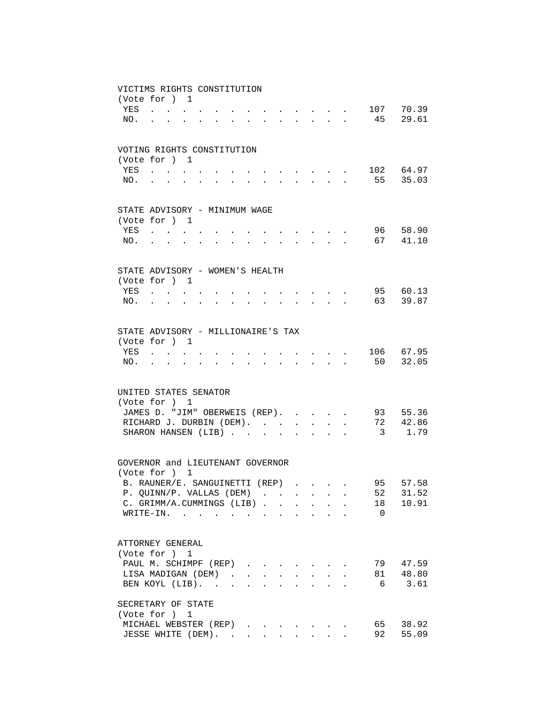|     | VICTIMS RIGHTS CONSTITUTION        |                                                                                               |        |  |  |                      |                               |                                                              |        |          |           |
|-----|------------------------------------|-----------------------------------------------------------------------------------------------|--------|--|--|----------------------|-------------------------------|--------------------------------------------------------------|--------|----------|-----------|
|     | (Vote for ) 1                      |                                                                                               |        |  |  |                      |                               |                                                              |        |          |           |
|     | YES                                | $\mathbf{r}$ . The set of $\mathbf{r}$                                                        |        |  |  |                      |                               |                                                              |        |          | 107 70.39 |
| NO. |                                    |                                                                                               |        |  |  |                      |                               | $\mathbf{L}$                                                 |        |          | 45 29.61  |
|     |                                    |                                                                                               |        |  |  |                      |                               |                                                              |        |          |           |
|     | VOTING RIGHTS CONSTITUTION         |                                                                                               |        |  |  |                      |                               |                                                              |        |          |           |
|     | (Vote for ) 1                      |                                                                                               |        |  |  |                      |                               |                                                              |        |          |           |
|     | YES                                |                                                                                               |        |  |  |                      |                               |                                                              |        |          | 102 64.97 |
| NO. |                                    |                                                                                               |        |  |  |                      |                               |                                                              |        |          | 55 35.03  |
|     |                                    |                                                                                               |        |  |  |                      |                               |                                                              |        |          |           |
|     |                                    |                                                                                               |        |  |  |                      |                               |                                                              |        |          |           |
|     | STATE ADVISORY - MINIMUM WAGE      |                                                                                               |        |  |  |                      |                               |                                                              |        |          |           |
|     | (Vote for ) 1<br>YES               |                                                                                               |        |  |  |                      |                               |                                                              |        |          | 96 58.90  |
| NO. |                                    | and the state of the state of the                                                             |        |  |  |                      | and the state of the state of |                                                              |        |          | 67 41.10  |
|     |                                    | $\mathbf{r} = \mathbf{r} \cdot \mathbf{r}$ , where $\mathbf{r} = \mathbf{r} \cdot \mathbf{r}$ |        |  |  |                      | <b>Contract Contract</b>      |                                                              |        |          |           |
|     |                                    |                                                                                               |        |  |  |                      |                               |                                                              |        |          |           |
|     | STATE ADVISORY - WOMEN'S HEALTH    |                                                                                               |        |  |  |                      |                               |                                                              |        |          |           |
|     | (Vote for ) 1                      |                                                                                               |        |  |  |                      |                               |                                                              |        |          |           |
|     | YES                                |                                                                                               | $\sim$ |  |  |                      |                               | $\mathbf{L} = \mathbf{L} \mathbf{L} = \mathbf{L} \mathbf{L}$ |        |          | 95 60.13  |
| NO. |                                    |                                                                                               |        |  |  | $\ddot{\phantom{a}}$ | $\mathbf{r}$                  |                                                              |        |          | 63 39.87  |
|     |                                    |                                                                                               |        |  |  |                      |                               |                                                              |        |          |           |
|     | STATE ADVISORY - MILLIONAIRE'S TAX |                                                                                               |        |  |  |                      |                               |                                                              |        |          |           |
|     | (Vote for ) 1                      |                                                                                               |        |  |  |                      |                               |                                                              |        |          |           |
|     | YES                                |                                                                                               |        |  |  |                      |                               |                                                              |        |          | 106 67.95 |
| NO. |                                    |                                                                                               |        |  |  |                      |                               |                                                              |        |          | 50 32.05  |
|     |                                    |                                                                                               |        |  |  |                      |                               |                                                              |        |          |           |
|     | UNITED STATES SENATOR              |                                                                                               |        |  |  |                      |                               |                                                              |        |          |           |
|     | (Vote for ) 1                      |                                                                                               |        |  |  |                      |                               |                                                              |        |          |           |
|     | JAMES D. "JIM" OBERWEIS (REP).     |                                                                                               |        |  |  |                      |                               |                                                              | $\sim$ |          | 93 55.36  |
|     | RICHARD J. DURBIN (DEM).           |                                                                                               |        |  |  |                      |                               |                                                              |        |          | 72 42.86  |
|     | SHARON HANSEN (LIB)                |                                                                                               |        |  |  |                      |                               | $\cdot$ $\cdot$ $\cdot$                                      |        |          | 3 1.79    |
|     |                                    |                                                                                               |        |  |  |                      |                               |                                                              |        |          |           |
|     | GOVERNOR and LIEUTENANT GOVERNOR   |                                                                                               |        |  |  |                      |                               |                                                              |        |          |           |
|     | (Vote for ) 1                      |                                                                                               |        |  |  |                      |                               |                                                              |        |          |           |
|     | B. RAUNER/E. SANGUINETTI (REP)     |                                                                                               |        |  |  |                      |                               |                                                              |        | 95       | 57.58     |
|     | P. QUINN/P. VALLAS (DEM)           |                                                                                               |        |  |  |                      |                               |                                                              |        | 52       | 31.52     |
|     | C. GRIMM/A.CUMMINGS (LIB)          |                                                                                               |        |  |  |                      |                               |                                                              |        | 18       | 10.91     |
|     | WRITE-IN.                          |                                                                                               |        |  |  |                      |                               |                                                              |        | $\Omega$ |           |
|     |                                    |                                                                                               |        |  |  |                      |                               |                                                              |        |          |           |
|     | ATTORNEY GENERAL                   |                                                                                               |        |  |  |                      |                               |                                                              |        |          |           |
|     | (Vote for ) 1                      |                                                                                               |        |  |  |                      |                               |                                                              |        |          |           |
|     | PAUL M. SCHIMPF (REP)              |                                                                                               |        |  |  |                      |                               |                                                              | $\sim$ |          | 79 47.59  |
|     | LISA MADIGAN (DEM)                 |                                                                                               |        |  |  |                      |                               |                                                              | $\sim$ | 81       | 48.80     |
|     | BEN KOYL (LIB).                    |                                                                                               |        |  |  |                      |                               |                                                              |        |          | 6 3.61    |
|     | SECRETARY OF STATE                 |                                                                                               |        |  |  |                      |                               |                                                              |        |          |           |
|     | (Vote for ) 1                      |                                                                                               |        |  |  |                      |                               |                                                              |        |          |           |
|     | MICHAEL WEBSTER (REP)              |                                                                                               |        |  |  |                      |                               |                                                              |        |          | 65 38.92  |
|     | JESSE WHITE (DEM).                 |                                                                                               |        |  |  |                      |                               |                                                              |        | 92       | 55.09     |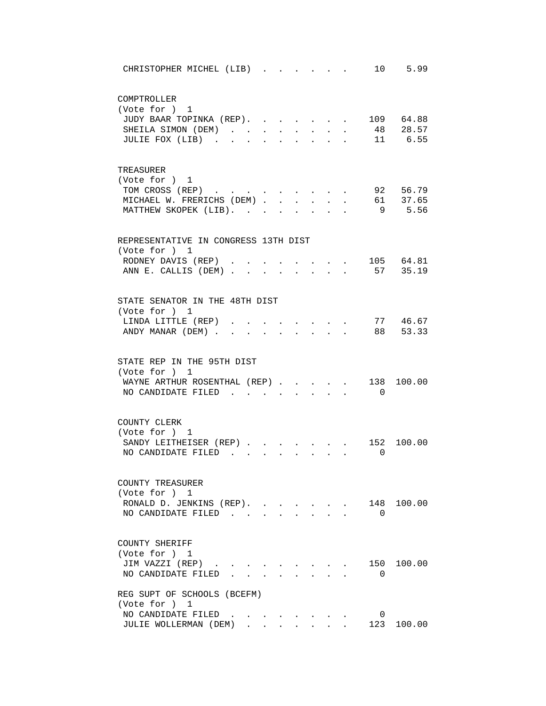| 10 5.99<br>CHRISTOPHER MICHEL (LIB)                                                                                                                                                                    |
|--------------------------------------------------------------------------------------------------------------------------------------------------------------------------------------------------------|
| COMPTROLLER<br>(Vote for ) 1<br>JUDY BAAR TOPINKA (REP).<br>. 109 64.88<br>. 48 28.57<br>SHEILA SIMON (DEM)<br>$\ddot{\phantom{0}}$<br>11 6.55<br>JULIE FOX (LIB)<br>$\ddot{\phantom{a}}$              |
| TREASURER<br>(Vote for ) 1<br>92 56.79<br>TOM CROSS (REP)<br>MICHAEL W. FRERICHS (DEM)<br>. 61 37.65<br>$\mathbf{L}$<br>MATTHEW SKOPEK (LIB).<br>9 5.56<br>$\mathbf{r} = \mathbf{r}$<br>$\overline{a}$ |
| REPRESENTATIVE IN CONGRESS 13TH DIST<br>(Vote for ) 1<br>. 105 64.81<br>RODNEY DAVIS (REP).<br>57 35.19<br>ANN E. CALLIS (DEM)<br>$\mathbf{L} = \mathbf{L}$<br>$\mathbf{L}$                            |
| STATE SENATOR IN THE 48TH DIST<br>(Vote for ) 1<br>LINDA LITTLE (REP)<br>77 46.67<br>ANDY MANAR (DEM).<br>88 53.33                                                                                     |
| STATE REP IN THE 95TH DIST<br>(Vote for ) 1<br>WAYNE ARTHUR ROSENTHAL (REP)<br>138<br>100.00<br>NO CANDIDATE FILED<br>$\overline{0}$<br>$\ddot{\phantom{0}}$<br>$\mathbf{L}$                           |
| COUNTY CLERK<br>(Vote for ) 1<br>SANDY LEITHEISER (REP)<br>100.00<br>152<br>NO CANDIDATE FILED<br>0<br>$\sim$ $\sim$ $\sim$                                                                            |
| COUNTY TREASURER<br>(Vote for ) 1<br>148 100.00<br>RONALD D. JENKINS (REP).<br>NO CANDIDATE FILED.<br>$\Omega$                                                                                         |
| COUNTY SHERIFF<br>(Vote for ) 1<br>150 100.00<br>JIM VAZZI (REP)<br>NO CANDIDATE FILED<br>0                                                                                                            |
| REG SUPT OF SCHOOLS (BCEFM)<br>(Vote for ) 1<br>NO CANDIDATE FILED<br>0<br>123 100.00<br>JULIE WOLLERMAN (DEM)<br>$\mathbf{r} = \mathbf{r} + \mathbf{r} + \mathbf{r} + \mathbf{r}$                     |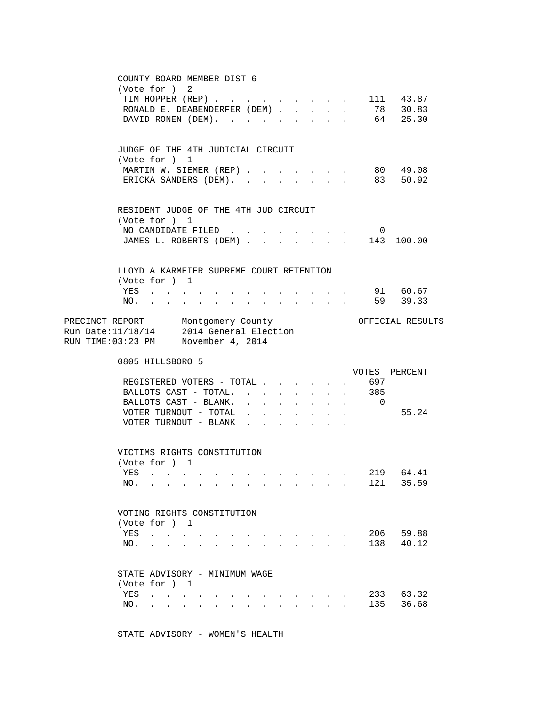|              | COUNTY BOARD MEMBER DIST 6<br>(Vote for ) 2<br>TIM HOPPER (REP)<br>RONALD E. DEABENDERFER (DEM)<br>DAVID RONEN (DEM).                                                                                           |                                             |                      |                                                  | $\sim$ $-$                                                                                              |                    | $\cdot$ $\cdot$ 111 43.87   | 78 30.83<br>64 25.30 |
|--------------|-----------------------------------------------------------------------------------------------------------------------------------------------------------------------------------------------------------------|---------------------------------------------|----------------------|--------------------------------------------------|---------------------------------------------------------------------------------------------------------|--------------------|-----------------------------|----------------------|
|              | JUDGE OF THE 4TH JUDICIAL CIRCUIT<br>(Vote for ) 1<br>MARTIN W. SIEMER (REP) 80 49.08<br>ERICKA SANDERS (DEM). 83 50.92                                                                                         |                                             |                      |                                                  |                                                                                                         |                    |                             |                      |
|              | RESIDENT JUDGE OF THE 4TH JUD CIRCUIT<br>(Vote for ) 1<br>NO CANDIDATE FILED<br>JAMES L. ROBERTS (DEM) 143 100.00                                                                                               |                                             |                      |                                                  |                                                                                                         |                    | $\overline{0}$              |                      |
| NO.          | LLOYD A KARMEIER SUPREME COURT RETENTION<br>(Vote for ) 1<br>YES<br>$\mathbf{z} = \mathbf{z} + \mathbf{z}$ .<br>$\ddot{\phantom{a}}$<br>$\sim 100$<br>$\mathbf{z} = \mathbf{z} + \mathbf{z}$ . The $\mathbf{z}$ | $\sim$ 100 $\pm$                            |                      |                                                  | $\mathbf{r} = \mathbf{r} \times \mathbf{r}$ , where $\mathbf{r} = \mathbf{r} \times \mathbf{r}$ , where |                    |                             | 91 60.67<br>59 39.33 |
|              | PRECINCT REPORT Montgomery County<br>Run Date: $11/18/14$ 2014 General Election<br>RUN TIME:03:23 PM November 4, 2014                                                                                           |                                             |                      |                                                  |                                                                                                         |                    |                             | OFFICIAL RESULTS     |
|              | 0805 HILLSBORO 5<br>REGISTERED VOTERS - TOTAL<br>BALLOTS CAST - TOTAL.                                                                                                                                          |                                             | $\sim$               | <b>Contract Contract</b><br>$\ddot{\phantom{0}}$ | $\mathbf{z} = \mathbf{z} + \mathbf{z}$ .<br>$\ddot{\phantom{0}}$<br>$\sim$                              | $\Delta \sim 10^4$ | VOTES PERCENT<br>697<br>385 |                      |
|              | BALLOTS CAST - BLANK.<br>VOTER TURNOUT - TOTAL<br>VOTER TURNOUT - BLANK                                                                                                                                         | $\mathbf{L} = \mathbf{L} \times \mathbf{L}$ | $\ddot{\phantom{0}}$ | $\mathbf{L}$                                     | $\mathbf{L}$<br>$\ddot{\phantom{a}}$<br>$\mathbf{r}$                                                    |                    | $\overline{0}$              | 55.24                |
| YES .<br>NO. | VICTIMS RIGHTS CONSTITUTION<br>(Vote for ) 1                                                                                                                                                                    |                                             |                      |                                                  |                                                                                                         |                    | 121                         | 219 64.41<br>35.59   |
|              | VOTING RIGHTS CONSTITUTION<br>(Vote for ) 1                                                                                                                                                                     |                                             |                      |                                                  |                                                                                                         |                    |                             |                      |
| YES<br>NO.   | $\mathbf{z} = \mathbf{z} + \mathbf{z} + \mathbf{z} + \mathbf{z}$<br>$\mathbf{r} = \mathbf{r} + \mathbf{r} + \mathbf{r} + \mathbf{r}$<br>STATE ADVISORY - MINIMUM WAGE                                           |                                             |                      |                                                  | <b>Allen Adams</b>                                                                                      |                    | 206<br>138                  | 59.88<br>40.12       |
| YES<br>NO.   | (Vote for ) 1<br>$\mathcal{A}^{\mathcal{A}}$ , and $\mathcal{A}^{\mathcal{A}}$ , and $\mathcal{A}^{\mathcal{A}}$<br>$\cdot$ $\cdot$                                                                             |                                             |                      |                                                  | and the state of the state of the state<br>$\mathbf{r} = \mathbf{r}$ , where $\mathbf{r} = \mathbf{r}$  |                    | 135                         | 233 63.32<br>36.68   |

STATE ADVISORY - WOMEN'S HEALTH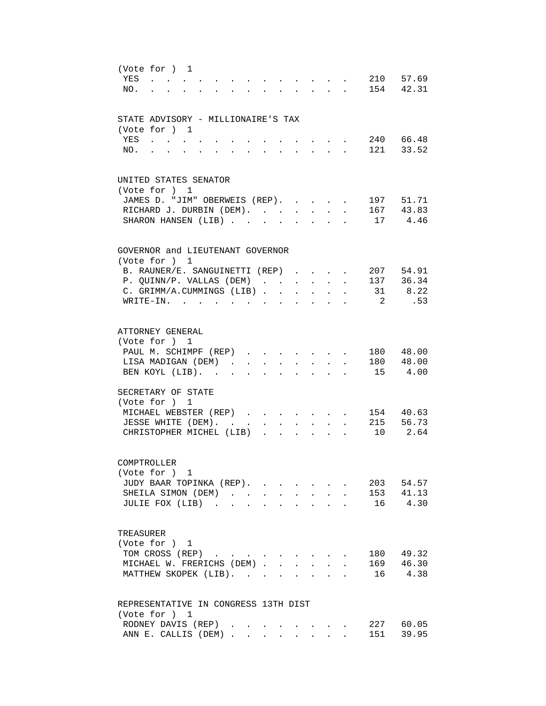| (Vote for ) 1<br>YES<br>210 57.69<br>$\sim$<br>$\sim$<br>$\bullet$ . The set of $\bullet$<br>154 42.31<br>NO.<br>$\mathbf{L}$<br>$\Delta \sim 10$<br>$\mathbf{L}$ |
|-------------------------------------------------------------------------------------------------------------------------------------------------------------------|
| STATE ADVISORY - MILLIONAIRE'S TAX                                                                                                                                |
| (Vote for ) 1<br>240 66.48<br>YES<br>$\mathbf{r} = \mathbf{r} \cdot \mathbf{r}$ , where $\mathbf{r} = \mathbf{r} \cdot \mathbf{r}$                                |
| 121 33.52<br>NO.<br><b>Contract Contract</b><br>$\ddot{\phantom{a}}$<br>$\ddot{\phantom{a}}$<br>$\ddot{\phantom{a}}$<br>$\bullet$                                 |
| UNITED STATES SENATOR                                                                                                                                             |
| (Vote for ) 1                                                                                                                                                     |
| 197 51.71<br>JAMES D. "JIM" OBERWEIS (REP).                                                                                                                       |
| 167 43.83<br>RICHARD J. DURBIN (DEM).<br>$\mathbf{r}$<br>17 4.46<br>SHARON HANSEN (LIB)                                                                           |
|                                                                                                                                                                   |
| GOVERNOR and LIEUTENANT GOVERNOR                                                                                                                                  |
| (Vote for ) 1<br>207 54.91<br>B. RAUNER/E. SANGUINETTI (REP)                                                                                                      |
| $\sim$<br>137 36.34<br>P. QUINN/P. VALLAS (DEM)<br>$\mathbf{r}$                                                                                                   |
| 31 8.22<br>C. GRIMM/A.CUMMINGS (LIB)<br>$\mathbf{L} = \mathbf{L} \mathbf{L} + \mathbf{L} \mathbf{L}$<br>$\mathbf{r}$                                              |
| .53<br>WRITE-IN.<br>$\mathbf{2}$                                                                                                                                  |
| ATTORNEY GENERAL                                                                                                                                                  |
| (Vote for ) 1                                                                                                                                                     |
| 180 48.00<br>PAUL M. SCHIMPF (REP)<br><b>Service</b> State                                                                                                        |
| 180 48.00<br>LISA MADIGAN (DEM).<br>$\sim$<br>$\sim$                                                                                                              |
| 15 4.00<br>BEN KOYL (LIB).<br>$\sim$<br>$\ddot{\phantom{a}}$<br>$\mathbf{r}$                                                                                      |
| SECRETARY OF STATE                                                                                                                                                |
| (Vote for ) 1                                                                                                                                                     |
| 154<br>40.63<br>MICHAEL WEBSTER (REP)                                                                                                                             |
| 215 56.73<br>JESSE WHITE (DEM).<br>$\sim$ $\sim$ $\sim$<br>$\Delta \phi = \Delta \phi$ and $\Delta \phi$                                                          |
| 10<br>2.64<br>CHRISTOPHER MICHEL (LIB)<br>$\mathbf{r}$                                                                                                            |
| COMPTROLLER                                                                                                                                                       |
| (Vote for ) 1                                                                                                                                                     |
| JUDY BAAR TOPINKA (REP).<br>203 54.57                                                                                                                             |
| SHEILA SIMON (DEM)<br>153 41.13<br>16 4.30<br>JULIE FOX (LIB)                                                                                                     |
|                                                                                                                                                                   |
| TREASURER                                                                                                                                                         |
| (Vote for ) 1<br>TOM CROSS (REP)<br>180 49.32                                                                                                                     |
| 169 46.30<br>MICHAEL W. FRERICHS (DEM)                                                                                                                            |
| MATTHEW SKOPEK (LIB).<br>16 4.38                                                                                                                                  |
| REPRESENTATIVE IN CONGRESS 13TH DIST                                                                                                                              |
| (Vote for ) 1                                                                                                                                                     |
| 227 60.05<br>RODNEY DAVIS (REP)                                                                                                                                   |
| 151 39.95<br>ANN E. CALLIS (DEM)                                                                                                                                  |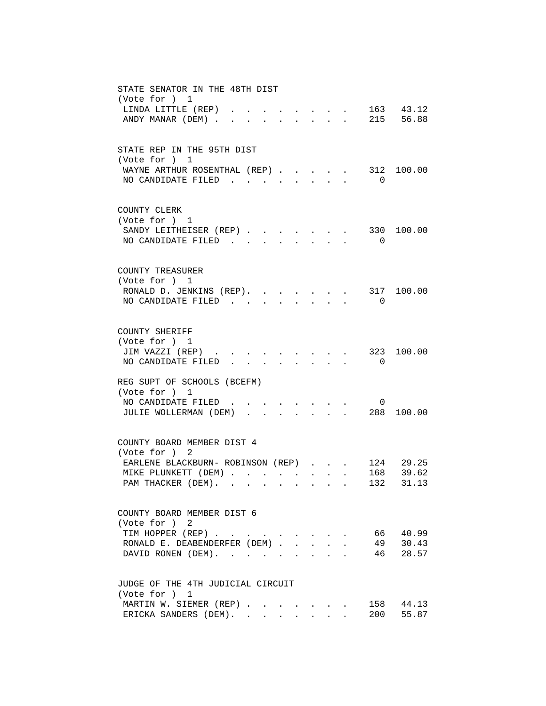| STATE SENATOR IN THE 48TH DIST<br>(Vote for ) 1                                                                                                    |
|----------------------------------------------------------------------------------------------------------------------------------------------------|
| LINDA LITTLE (REP)<br>43.12                                                                                                                        |
| $\cdot$ , . 215 56.88<br>ANDY MANAR (DEM)                                                                                                          |
| STATE REP IN THE 95TH DIST                                                                                                                         |
| (Vote for ) 1<br>WAYNE ARTHUR ROSENTHAL (REP)<br>312 100.00<br><b><i>Committee Committee Committee Committee</i></b>                               |
| NO CANDIDATE FILED.<br>$\Omega$<br>$\mathbf{L}$                                                                                                    |
| COUNTY CLERK                                                                                                                                       |
| (Vote for ) 1<br>SANDY LEITHEISER (REP) 330<br>100.00                                                                                              |
| NO CANDIDATE FILED<br>$\overline{0}$<br>$\mathbf{L} = \mathbf{L} \mathbf{L}$<br>$\sim$                                                             |
| COUNTY TREASURER                                                                                                                                   |
| (Vote for ) 1<br>RONALD D. JENKINS (REP). 317 100.00                                                                                               |
| NO CANDIDATE FILED<br>$\Omega$                                                                                                                     |
| COUNTY SHERIFF                                                                                                                                     |
| (Vote for ) 1<br>JIM VAZZI (REP)<br>323 100.00                                                                                                     |
| NO CANDIDATE FILED<br>$\overline{0}$                                                                                                               |
| REG SUPT OF SCHOOLS (BCEFM)<br>(Vote for ) 1                                                                                                       |
| NO CANDIDATE FILED<br>0                                                                                                                            |
| JULIE WOLLERMAN (DEM).<br>$\cdot$ $\cdot$ $\cdot$ $\cdot$ $\cdot$ 288<br>100.00                                                                    |
| COUNTY BOARD MEMBER DIST 4<br>(Vote for ) 2                                                                                                        |
| 124 29.25<br>EARLENE BLACKBURN- ROBINSON (REP)                                                                                                     |
| 168 39.62<br>MIKE PLUNKETT (DEM)                                                                                                                   |
| PAM THACKER (DEM).<br>132 31.13<br>the contract of the contract of the contract of the contract of the contract of the contract of the contract of |
| COUNTY BOARD MEMBER DIST 6                                                                                                                         |
| (Vote for ) 2<br>66 40.99<br>TIM HOPPER (REP)                                                                                                      |
| 49<br>30.43<br>RONALD E. DEABENDERFER (DEM).<br>$\mathcal{L}^{\text{max}}$<br>$\mathbf{L}$<br>$\sim$                                               |
| 46 28.57<br>DAVID RONEN (DEM).<br>$\Delta \sim 10^4$<br>$\mathbf{L}$                                                                               |
| JUDGE OF THE 4TH JUDICIAL CIRCUIT                                                                                                                  |
| (Vote for ) 1                                                                                                                                      |
| MARTIN W. SIEMER (REP)<br>158<br>44.13<br>ERICKA SANDERS (DEM).<br>200<br>55.87                                                                    |
|                                                                                                                                                    |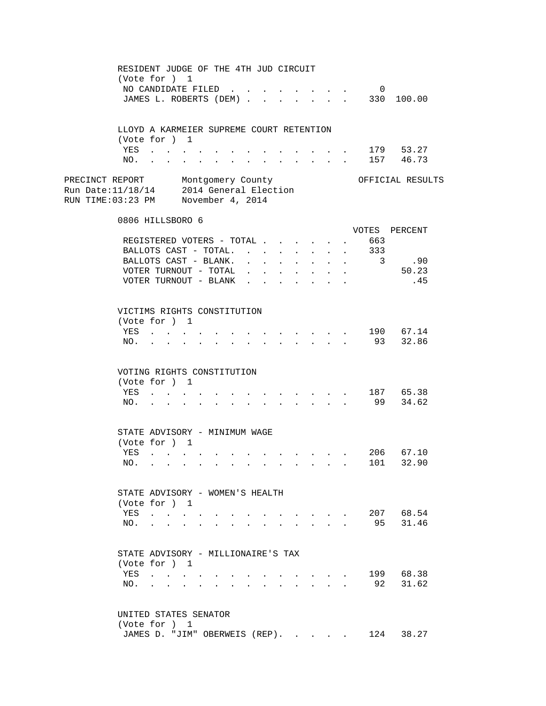|                                                                                                                    | RESIDENT JUDGE OF THE 4TH JUD CIRCUIT<br>(Vote for ) 1    |                                                                                           |                                                                                                                          |                                                       |                  |                      |                                            |                   |                               |                   |  |
|--------------------------------------------------------------------------------------------------------------------|-----------------------------------------------------------|-------------------------------------------------------------------------------------------|--------------------------------------------------------------------------------------------------------------------------|-------------------------------------------------------|------------------|----------------------|--------------------------------------------|-------------------|-------------------------------|-------------------|--|
|                                                                                                                    | NO CANDIDATE FILED<br>JAMES L. ROBERTS (DEM)              |                                                                                           |                                                                                                                          |                                                       |                  |                      | $1 - 1 - 1 = 1$                            | <b>Contractor</b> | $\overline{0}$                | 330 100.00        |  |
|                                                                                                                    | LLOYD A KARMEIER SUPREME COURT RETENTION<br>(Vote for ) 1 |                                                                                           |                                                                                                                          |                                                       |                  |                      |                                            |                   |                               |                   |  |
|                                                                                                                    | YES                                                       |                                                                                           |                                                                                                                          |                                                       |                  |                      |                                            |                   |                               | $\cdot$ 179 53.27 |  |
|                                                                                                                    |                                                           |                                                                                           |                                                                                                                          |                                                       |                  |                      |                                            |                   |                               | NO. 157 46.73     |  |
| PRECINCT REPORT Montgomery County<br>Run Date:11/18/14 2014 General Election<br>RUN TIME:03:23 PM November 4, 2014 |                                                           |                                                                                           |                                                                                                                          |                                                       |                  |                      |                                            |                   |                               | OFFICIAL RESULTS  |  |
|                                                                                                                    | 0806 HILLSBORO 6                                          |                                                                                           |                                                                                                                          |                                                       |                  |                      |                                            |                   |                               |                   |  |
|                                                                                                                    |                                                           |                                                                                           |                                                                                                                          |                                                       |                  |                      |                                            |                   | REGISTERED VOTERS - TOTAL 663 | VOTES PERCENT     |  |
|                                                                                                                    | BALLOTS CAST - TOTAL.                                     |                                                                                           |                                                                                                                          |                                                       | $\sim$ 100 $\mu$ | $\mathbf{L}$         |                                            |                   | . 333                         |                   |  |
|                                                                                                                    | BALLOTS CAST - BLANK.                                     |                                                                                           |                                                                                                                          |                                                       |                  |                      | $\bullet$ .                                |                   |                               | $\cdot$ 3 .90     |  |
|                                                                                                                    | VOTER TURNOUT - TOTAL .                                   |                                                                                           |                                                                                                                          | $\mathbf{r} = \mathbf{r} + \mathbf{r} + \mathbf{r}$ . | $\mathbf{L}$     | $\ddot{\phantom{0}}$ | $\bullet$                                  |                   |                               | 50.23             |  |
|                                                                                                                    | VOTER TURNOUT - BLANK.                                    |                                                                                           |                                                                                                                          |                                                       |                  |                      |                                            |                   |                               | .45               |  |
|                                                                                                                    |                                                           |                                                                                           |                                                                                                                          |                                                       |                  |                      |                                            |                   |                               |                   |  |
|                                                                                                                    | VICTIMS RIGHTS CONSTITUTION                               |                                                                                           |                                                                                                                          |                                                       |                  |                      |                                            |                   |                               |                   |  |
|                                                                                                                    | (Vote for ) 1                                             |                                                                                           |                                                                                                                          |                                                       |                  |                      |                                            |                   |                               |                   |  |
|                                                                                                                    | YES                                                       |                                                                                           |                                                                                                                          |                                                       |                  |                      |                                            |                   |                               | $\cdot$ 190 67.14 |  |
|                                                                                                                    |                                                           |                                                                                           |                                                                                                                          |                                                       |                  |                      |                                            |                   |                               | NO. 93 32.86      |  |
|                                                                                                                    | VOTING RIGHTS CONSTITUTION                                |                                                                                           |                                                                                                                          |                                                       |                  |                      |                                            |                   |                               |                   |  |
|                                                                                                                    | (Vote for ) 1                                             |                                                                                           |                                                                                                                          |                                                       |                  |                      |                                            |                   |                               |                   |  |
|                                                                                                                    |                                                           |                                                                                           |                                                                                                                          |                                                       |                  |                      |                                            |                   |                               | YES 187 65.38     |  |
|                                                                                                                    | $NO.$ $\ldots$ $\ldots$                                   |                                                                                           | $\mathbf{r} = \mathbf{r} - \mathbf{r}$ , $\mathbf{r} = \mathbf{r} - \mathbf{r}$ , $\mathbf{r} = \mathbf{r} - \mathbf{r}$ |                                                       |                  |                      |                                            |                   |                               | 99 34.62          |  |
|                                                                                                                    |                                                           |                                                                                           |                                                                                                                          |                                                       |                  |                      |                                            |                   |                               |                   |  |
|                                                                                                                    | STATE ADVISORY - MINIMUM WAGE<br>(Vote for ) 1            |                                                                                           |                                                                                                                          |                                                       |                  |                      |                                            |                   |                               |                   |  |
|                                                                                                                    | YES                                                       | $\mathcal{L}(\mathbf{r})$ , and $\mathcal{L}(\mathbf{r})$ , and $\mathcal{L}(\mathbf{r})$ |                                                                                                                          |                                                       |                  |                      |                                            |                   |                               | $\cdot$ 206 67.10 |  |
|                                                                                                                    | NO. .                                                     |                                                                                           |                                                                                                                          |                                                       |                  |                      |                                            |                   |                               | 101 32.90         |  |
|                                                                                                                    |                                                           |                                                                                           |                                                                                                                          |                                                       |                  |                      |                                            |                   |                               |                   |  |
|                                                                                                                    | STATE ADVISORY - WOMEN'S HEALTH                           |                                                                                           |                                                                                                                          |                                                       |                  |                      |                                            |                   |                               |                   |  |
|                                                                                                                    | (Vote for ) 1                                             |                                                                                           |                                                                                                                          |                                                       |                  |                      |                                            |                   |                               |                   |  |
|                                                                                                                    | YES                                                       |                                                                                           |                                                                                                                          |                                                       |                  |                      | $\cdot$ $\cdot$ $\cdot$ $\cdot$ $\cdot$    |                   |                               | 207 68.54         |  |
|                                                                                                                    | NO.                                                       | $\mathbf{r} = \mathbf{r} + \mathbf{r} + \mathbf{r} + \mathbf{r}$                          |                                                                                                                          |                                                       |                  |                      |                                            |                   |                               | 95 31.46          |  |
|                                                                                                                    | STATE ADVISORY - MILLIONAIRE'S TAX                        |                                                                                           |                                                                                                                          |                                                       |                  |                      |                                            |                   |                               |                   |  |
|                                                                                                                    | (Vote for ) 1                                             |                                                                                           |                                                                                                                          |                                                       |                  |                      |                                            |                   |                               |                   |  |
|                                                                                                                    | YES                                                       |                                                                                           |                                                                                                                          |                                                       |                  |                      | $\mathbf{r}$ , $\mathbf{r}$ , $\mathbf{r}$ |                   |                               | 199 68.38         |  |
|                                                                                                                    | NO.                                                       |                                                                                           |                                                                                                                          |                                                       |                  |                      | $\sim$ $\sim$ $\sim$ $\sim$ $\sim$         |                   |                               | 92 31.62          |  |
|                                                                                                                    |                                                           |                                                                                           |                                                                                                                          |                                                       |                  |                      |                                            |                   |                               |                   |  |
|                                                                                                                    | UNITED STATES SENATOR                                     |                                                                                           |                                                                                                                          |                                                       |                  |                      |                                            |                   |                               |                   |  |
|                                                                                                                    | (Vote for ) 1                                             |                                                                                           |                                                                                                                          |                                                       |                  |                      |                                            |                   |                               |                   |  |
|                                                                                                                    | JAMES D. "JIM" OBERWEIS (REP).                            |                                                                                           |                                                                                                                          |                                                       |                  |                      |                                            |                   |                               | 124 38.27         |  |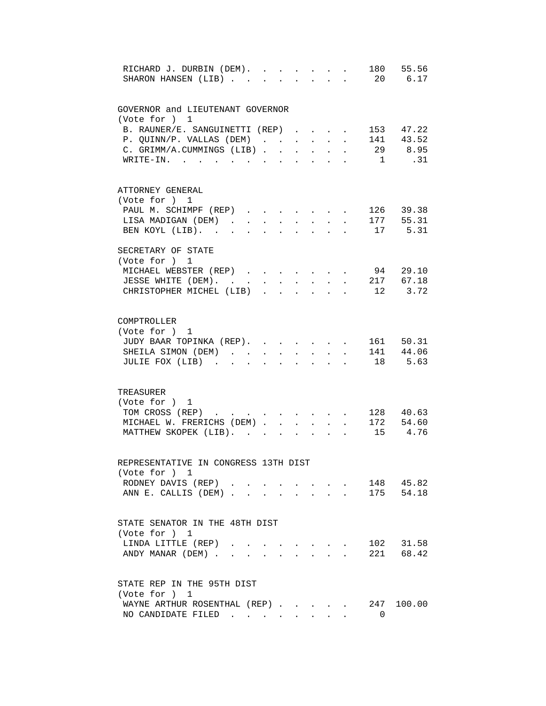| RICHARD J. DURBIN (DEM).<br>SHARON HANSEN (LIB) |                      |                      |                                                                                                                                                                                                                                                           |                  | $\ddot{\phantom{a}}$ |                               | 180 55.56<br>20 6.17    |
|-------------------------------------------------|----------------------|----------------------|-----------------------------------------------------------------------------------------------------------------------------------------------------------------------------------------------------------------------------------------------------------|------------------|----------------------|-------------------------------|-------------------------|
| GOVERNOR and LIEUTENANT GOVERNOR                |                      |                      |                                                                                                                                                                                                                                                           |                  |                      |                               |                         |
| (Vote for ) 1                                   |                      |                      |                                                                                                                                                                                                                                                           |                  |                      |                               |                         |
| B. RAUNER/E. SANGUINETTI (REP)                  |                      |                      |                                                                                                                                                                                                                                                           |                  |                      | $\mathbf{L}$ and $\mathbf{L}$ | 153 47.22               |
| P. QUINN/P. VALLAS (DEM) $\ldots$ 141 43.52     |                      |                      |                                                                                                                                                                                                                                                           |                  |                      |                               |                         |
| C. GRIMM/A.CUMMINGS (LIB).                      |                      | $\sim 10^{-11}$      | $\ddot{\phantom{0}}$                                                                                                                                                                                                                                      | $\sim$ 100 $\pm$ | $\mathbf{L}$         |                               | 29 8.95                 |
| $\texttt{WRTTE-IN.}$                            |                      |                      |                                                                                                                                                                                                                                                           |                  |                      | 1                             | .31                     |
| ATTORNEY GENERAL                                |                      |                      |                                                                                                                                                                                                                                                           |                  |                      |                               |                         |
| (Vote for ) 1                                   |                      |                      |                                                                                                                                                                                                                                                           |                  |                      |                               |                         |
| PAUL M. SCHIMPF (REP) 126 39.38                 |                      |                      |                                                                                                                                                                                                                                                           |                  |                      |                               |                         |
| LISA MADIGAN (DEM)                              |                      |                      | $\mathbf{r} = \mathbf{r} + \mathbf{r} + \mathbf{r} + \mathbf{r}$                                                                                                                                                                                          |                  |                      |                               | . 177 55.31             |
| BEN KOYL (LIB).                                 |                      |                      | $\mathbf{r} = \mathbf{r} + \mathbf{r} + \mathbf{r} + \mathbf{r}$ . The contribution of the contribution of the contribution of the contribution of the contribution of the contribution of the contribution of the contribution of the contribution of th |                  |                      |                               | . 17 5.31               |
| SECRETARY OF STATE                              |                      |                      |                                                                                                                                                                                                                                                           |                  |                      |                               |                         |
| (Vote for ) 1                                   |                      |                      |                                                                                                                                                                                                                                                           |                  |                      |                               |                         |
|                                                 |                      |                      |                                                                                                                                                                                                                                                           |                  |                      |                               |                         |
| MICHAEL WEBSTER (REP)                           |                      |                      |                                                                                                                                                                                                                                                           |                  |                      |                               | 94 29.10<br>. 217 67.18 |
| JESSE WHITE (DEM).                              |                      |                      |                                                                                                                                                                                                                                                           | $\mathbf{L}$     |                      |                               |                         |
| CHRISTOPHER MICHEL (LIB)                        |                      |                      |                                                                                                                                                                                                                                                           |                  |                      |                               | $\cdot$ 12 3.72         |
| COMPTROLLER                                     |                      |                      |                                                                                                                                                                                                                                                           |                  |                      |                               |                         |
| (Vote for ) 1                                   |                      |                      |                                                                                                                                                                                                                                                           |                  |                      |                               |                         |
| JUDY BAAR TOPINKA (REP).                        |                      |                      |                                                                                                                                                                                                                                                           |                  |                      |                               | 161 50.31               |
| SHEILA SIMON (DEM)                              | $\ddot{\phantom{a}}$ |                      | $\ddot{\phantom{a}}$                                                                                                                                                                                                                                      | $\mathbf{r}$     |                      |                               | 141 44.06               |
| JULIE FOX (LIB).<br>$\sim$                      |                      |                      |                                                                                                                                                                                                                                                           |                  |                      |                               | 18 5.63                 |
|                                                 |                      |                      |                                                                                                                                                                                                                                                           |                  |                      |                               |                         |
| TREASURER                                       |                      |                      |                                                                                                                                                                                                                                                           |                  |                      |                               |                         |
| (Vote for ) 1                                   |                      |                      |                                                                                                                                                                                                                                                           |                  |                      |                               |                         |
| TOM CROSS (REP)                                 |                      |                      | $\mathbf{L} = \mathbf{L} \mathbf{L} + \mathbf{L} \mathbf{L}$                                                                                                                                                                                              |                  |                      |                               | 128 40.63               |
| MICHAEL W. FRERICHS (DEM)                       |                      |                      |                                                                                                                                                                                                                                                           | $\sim$ $\sim$    |                      |                               | 172 54.60               |
| MATTHEW SKOPEK (LIB).                           |                      | $\ddot{\phantom{a}}$ |                                                                                                                                                                                                                                                           |                  |                      |                               | 15 4.76                 |
| REPRESENTATIVE IN CONGRESS 13TH DIST            |                      |                      |                                                                                                                                                                                                                                                           |                  |                      |                               |                         |
| (Vote for ) 1                                   |                      |                      |                                                                                                                                                                                                                                                           |                  |                      |                               |                         |
| RODNEY DAVIS (REP)                              |                      |                      |                                                                                                                                                                                                                                                           |                  |                      |                               | 148 45.82               |
| ANN E. CALLIS (DEM)                             |                      |                      |                                                                                                                                                                                                                                                           |                  |                      |                               | 175 54.18               |
| STATE SENATOR IN THE 48TH DIST                  |                      |                      |                                                                                                                                                                                                                                                           |                  |                      |                               |                         |
| (Vote for ) 1                                   |                      |                      |                                                                                                                                                                                                                                                           |                  |                      |                               |                         |
|                                                 |                      |                      |                                                                                                                                                                                                                                                           |                  |                      |                               |                         |
| LINDA LITTLE (REP)                              |                      |                      | $\mathbf{r} = \mathbf{r} \cdot \mathbf{r}$ , where $\mathbf{r} = \mathbf{r} \cdot \mathbf{r}$                                                                                                                                                             |                  |                      |                               | 102 31.58               |
| ANDY MANAR (DEM)                                |                      |                      |                                                                                                                                                                                                                                                           |                  |                      |                               | 221 68.42               |
| STATE REP IN THE 95TH DIST                      |                      |                      |                                                                                                                                                                                                                                                           |                  |                      |                               |                         |
| (Vote for ) 1                                   |                      |                      |                                                                                                                                                                                                                                                           |                  |                      |                               |                         |
| WAYNE ARTHUR ROSENTHAL (REP) 247 100.00         |                      |                      |                                                                                                                                                                                                                                                           |                  |                      |                               |                         |
| NO CANDIDATE FILED                              |                      |                      |                                                                                                                                                                                                                                                           |                  |                      | $\Omega$                      |                         |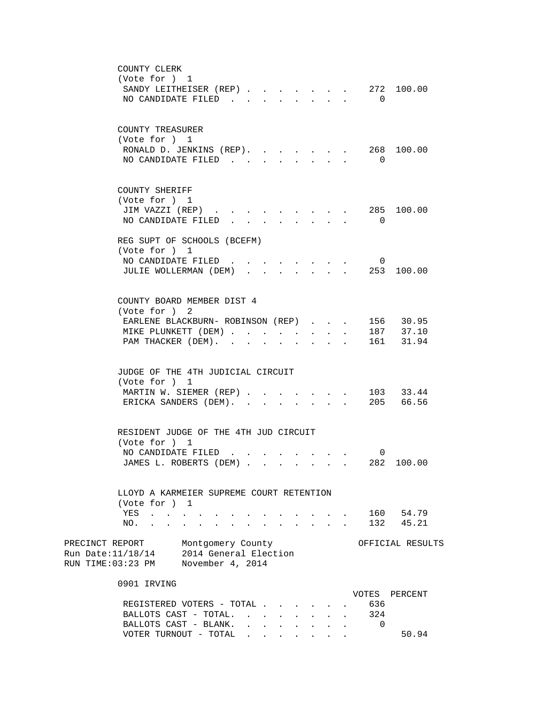| COUNTY CLERK                                                                                                                                                                                                                                               |                |                  |
|------------------------------------------------------------------------------------------------------------------------------------------------------------------------------------------------------------------------------------------------------------|----------------|------------------|
| (Vote for ) 1                                                                                                                                                                                                                                              |                |                  |
| SANDY LEITHEISER (REP) 272 100.00                                                                                                                                                                                                                          |                |                  |
| NO CANDIDATE FILED<br>$\cdot$ $\cdot$ $\cdot$ $\cdot$ $\cdot$ $\cdot$                                                                                                                                                                                      | $\Omega$       |                  |
|                                                                                                                                                                                                                                                            |                |                  |
|                                                                                                                                                                                                                                                            |                |                  |
| COUNTY TREASURER                                                                                                                                                                                                                                           |                |                  |
| (Vote for ) 1                                                                                                                                                                                                                                              |                |                  |
| RONALD D. JENKINS (REP).<br>$\mathbf{r}$ , and $\mathbf{r}$                                                                                                                                                                                                |                | 268 100.00       |
| NO CANDIDATE FILED.                                                                                                                                                                                                                                        | $\overline{0}$ |                  |
|                                                                                                                                                                                                                                                            |                |                  |
|                                                                                                                                                                                                                                                            |                |                  |
| COUNTY SHERIFF                                                                                                                                                                                                                                             |                |                  |
| (Vote for ) 1                                                                                                                                                                                                                                              |                |                  |
| JIM VAZZI (REP)                                                                                                                                                                                                                                            |                | 285 100.00       |
| NO CANDIDATE FILED                                                                                                                                                                                                                                         | $\overline{0}$ |                  |
|                                                                                                                                                                                                                                                            |                |                  |
| REG SUPT OF SCHOOLS (BCEFM)                                                                                                                                                                                                                                |                |                  |
| (Vote for ) 1                                                                                                                                                                                                                                              |                |                  |
| NO CANDIDATE FILED<br><u>in the contract of the contract of the contract of the contract of the contract of the contract of the contract of the contract of the contract of the contract of the contract of the contract of the contract of the contra</u> | $\overline{0}$ |                  |
| JULIE WOLLERMAN (DEM) 253 100.00                                                                                                                                                                                                                           |                |                  |
|                                                                                                                                                                                                                                                            |                |                  |
|                                                                                                                                                                                                                                                            |                |                  |
| COUNTY BOARD MEMBER DIST 4                                                                                                                                                                                                                                 |                |                  |
| (Vote for ) 2                                                                                                                                                                                                                                              |                |                  |
| EARLENE BLACKBURN- ROBINSON (REP).                                                                                                                                                                                                                         | $\mathbf{L}$   | 156 30.95        |
| MIKE PLUNKETT (DEM)<br>$\mathbf{r}$ $\mathbf{r}$<br>$\mathbf{L}$                                                                                                                                                                                           |                | 187 37.10        |
| PAM THACKER (DEM).<br>$\mathbf{L}$<br>$\sim$                                                                                                                                                                                                               |                | 161 31.94        |
|                                                                                                                                                                                                                                                            |                |                  |
|                                                                                                                                                                                                                                                            |                |                  |
| JUDGE OF THE 4TH JUDICIAL CIRCUIT                                                                                                                                                                                                                          |                |                  |
| (Vote for ) 1                                                                                                                                                                                                                                              |                |                  |
| MARTIN W. SIEMER (REP)                                                                                                                                                                                                                                     |                | . 103 33.44      |
| ERICKA SANDERS (DEM).<br>and a strategic control of the strategic                                                                                                                                                                                          |                | 205 66.56        |
|                                                                                                                                                                                                                                                            |                |                  |
|                                                                                                                                                                                                                                                            |                |                  |
| RESIDENT JUDGE OF THE 4TH JUD CIRCUIT                                                                                                                                                                                                                      |                |                  |
| (Vote for ) 1                                                                                                                                                                                                                                              |                |                  |
| NO CANDIDATE FILED                                                                                                                                                                                                                                         | 0              |                  |
| JAMES L. ROBERTS (DEM)                                                                                                                                                                                                                                     |                | 282 100.00       |
|                                                                                                                                                                                                                                                            |                |                  |
|                                                                                                                                                                                                                                                            |                |                  |
| LLOYD A KARMEIER SUPREME COURT RETENTION                                                                                                                                                                                                                   |                |                  |
| (Vote for ) 1                                                                                                                                                                                                                                              |                |                  |
| YES<br>$\mathbf{r} = \mathbf{r}$                                                                                                                                                                                                                           |                | 160 54.79        |
| NO.<br>$\mathbf{r} = \mathbf{r} \cdot \mathbf{r}$ , where $\mathbf{r} = \mathbf{r} \cdot \mathbf{r}$                                                                                                                                                       |                | 132 45.21        |
|                                                                                                                                                                                                                                                            |                |                  |
| PRECINCT REPORT Montgomery County                                                                                                                                                                                                                          |                | OFFICIAL RESULTS |
| Run Date: 11/18/14 2014 General Election                                                                                                                                                                                                                   |                |                  |
| RUN TIME:03:23 PM November 4, 2014                                                                                                                                                                                                                         |                |                  |
|                                                                                                                                                                                                                                                            |                |                  |
| 0901 IRVING                                                                                                                                                                                                                                                |                |                  |
|                                                                                                                                                                                                                                                            |                | VOTES PERCENT    |
| REGISTERED VOTERS - TOTAL                                                                                                                                                                                                                                  | 636            |                  |
| BALLOTS CAST - TOTAL.                                                                                                                                                                                                                                      | 324            |                  |
| BALLOTS CAST - BLANK.<br>$\mathbf{r}$ , and $\mathbf{r}$ , and $\mathbf{r}$ , and $\mathbf{r}$                                                                                                                                                             | 0              |                  |
| VOTER TURNOUT - TOTAL                                                                                                                                                                                                                                      |                | 50.94            |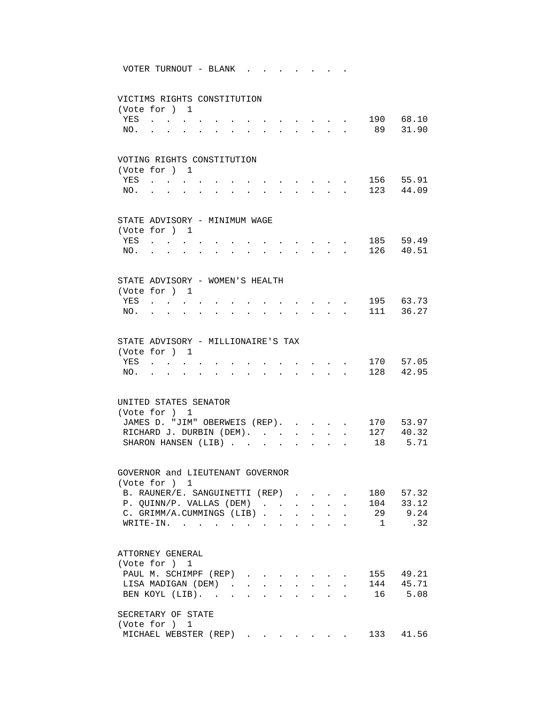VOTER TURNOUT - BLANK . . . . . . .

## VICTIMS RIGHTS CONSTITUTION (Vote for ) 1 YES . . . . . . . . . . . . . 190 68.10 NO. . . . . . . . . . . . . . 89 31.90 VOTING RIGHTS CONSTITUTION (Vote for ) 1 YES . . . . . . . . . . . . . 156 55.91 NO. . . . . . . . . . . . . . 123 44.09 STATE ADVISORY - MINIMUM WAGE (Vote for ) 1 YES . . . . . . . . . . . . . 185 59.49 NO. . . . . . . . . . . . . . 126 40.51 STATE ADVISORY - WOMEN'S HEALTH (Vote for ) 1 YES . . . . . . . . . . . . . 195 63.73 NO. . . . . . . . . . . . . . 111 36.27 STATE ADVISORY - MILLIONAIRE'S TAX (Vote for ) 1 YES . . . . . . . . . . . . . 170 57.05 NO. . . . . . . . . . . . . . 128 42.95 UNITED STATES SENATOR (Vote for ) 1 JAMES D. "JIM" OBERWEIS (REP). . . . . 170 53.97<br>RICHARD J. DURBIN (DEM). . . . . . . 127 40.32 RICHARD J. DURBIN (DEM). . . . . . . 127 40.32 SHARON HANSEN (LIB) . . . . . . . . 18 5.71 GOVERNOR and LIEUTENANT GOVERNOR (Vote for ) 1 B. RAUNER/E. SANGUINETTI (REP) . . . . 180 57.32 P. QUINN/P. VALLAS (DEM) . . . . . . 104 33.12<br>C. GRIMM/A.CUMMINGS (LIB) . . . . . . 29 9.24<br>WRITE-IN C. GRIMM/A.CUMMINGS (LIB) . . . . . . 29 9.24<br>WRITE-IN. . . . . . . . . . . . 1 .32 WRITE-IN. . . . . . . . . . . . 1 ATTORNEY GENERAL (Vote for ) 1 PAUL M. SCHIMPF (REP) . . . . . . . 155 49.21 LISA MADIGAN (DEM) . . . . . . . . 144 45.71 BEN KOYL (LIB). . . . . . . . . . 16 5.08 SECRETARY OF STATE (Vote for ) 1 MICHAEL WEBSTER (REP) . . . . . . 133 41.56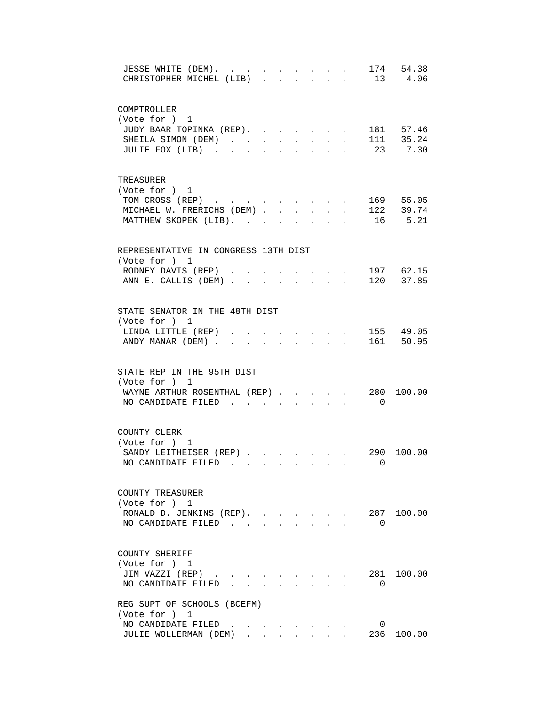| 174 54.38<br>JESSE WHITE (DEM).<br>$\sim 10^{-10}$<br><b>Service</b> State<br>$\mathbf{r} = \mathbf{r} + \mathbf{r}$<br>13 4.06<br>CHRISTOPHER MICHEL (LIB).<br>$\sim$<br>$\mathbf{r}$ $\mathbf{r}$ |
|-----------------------------------------------------------------------------------------------------------------------------------------------------------------------------------------------------|
| COMPTROLLER                                                                                                                                                                                         |
| (Vote for ) 1                                                                                                                                                                                       |
| JUDY BAAR TOPINKA (REP).<br>181 57.46                                                                                                                                                               |
| SHEILA SIMON (DEM)<br>$\sim$                                                                                                                                                                        |
| 23 7.30<br>JULIE FOX (LIB)                                                                                                                                                                          |
| TREASURER                                                                                                                                                                                           |
| (Vote for ) 1                                                                                                                                                                                       |
| TOM CROSS (REP)<br>169 55.05                                                                                                                                                                        |
| . 122 39.74<br>MICHAEL W. FRERICHS (DEM)<br>16 5.21                                                                                                                                                 |
| MATTHEW SKOPEK (LIB).                                                                                                                                                                               |
| REPRESENTATIVE IN CONGRESS 13TH DIST                                                                                                                                                                |
| (Vote for ) 1<br>. 197 62.15<br>RODNEY DAVIS (REP)                                                                                                                                                  |
| ANN E. CALLIS (DEM) 120 37.85                                                                                                                                                                       |
|                                                                                                                                                                                                     |
| STATE SENATOR IN THE 48TH DIST                                                                                                                                                                      |
| (Vote for ) 1                                                                                                                                                                                       |
| 155 49.05<br>LINDA LITTLE (REP).<br>161 50.95<br>ANDY MANAR (DEM).                                                                                                                                  |
|                                                                                                                                                                                                     |
| STATE REP IN THE 95TH DIST                                                                                                                                                                          |
| (Vote for ) 1<br>280                                                                                                                                                                                |
| WAYNE ARTHUR ROSENTHAL (REP)<br>100.00<br>NO CANDIDATE FILED<br>$\overline{0}$<br>$\cdot$ $\cdot$ $\cdot$                                                                                           |
|                                                                                                                                                                                                     |
| COUNTY CLERK                                                                                                                                                                                        |
| (Vote for ) 1                                                                                                                                                                                       |
| SANDY LEITHEISER (REP)<br>290 100.00                                                                                                                                                                |
| NO CANDIDATE FILED<br>$\cdots$ . $\cdots$ 0                                                                                                                                                         |
| COUNTY TREASURER                                                                                                                                                                                    |
| (Vote for ) 1                                                                                                                                                                                       |
| RONALD D. JENKINS (REP).<br>287 100.00<br>$\mathbf{r} = \mathbf{r}$                                                                                                                                 |
| NO CANDIDATE FILED<br>$\Omega$<br>$\sim$                                                                                                                                                            |
| COUNTY SHERIFF                                                                                                                                                                                      |
| (Vote for ) 1                                                                                                                                                                                       |
| JIM VAZZI (REP)<br>281<br>100.00                                                                                                                                                                    |
| NO CANDIDATE FILED.<br>$\Omega$                                                                                                                                                                     |
| REG SUPT OF SCHOOLS (BCEFM)                                                                                                                                                                         |
| (Vote for ) 1<br>NO CANDIDATE FILED<br>0                                                                                                                                                            |
| JULIE WOLLERMAN (DEM)<br>236 100.00                                                                                                                                                                 |
|                                                                                                                                                                                                     |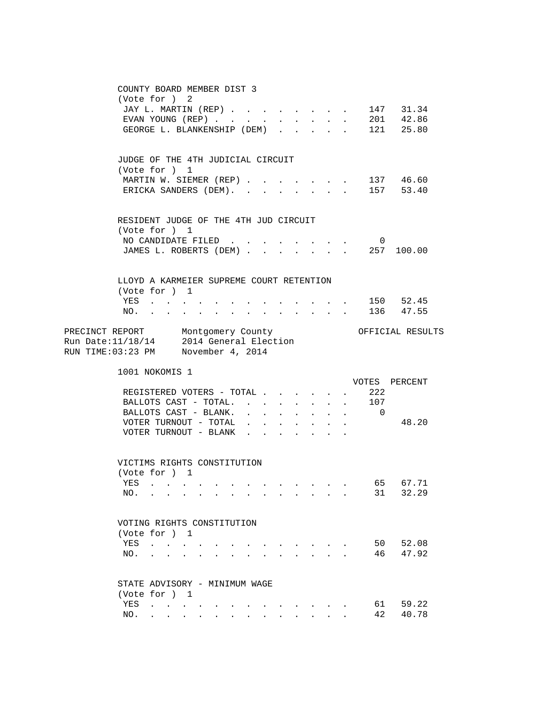| COUNTY BOARD MEMBER DIST 3<br>(Vote for ) 2<br>JAY L. MARTIN (REP)<br>147 31.34<br>$201$ 42.86<br>EVAN YOUNG (REP)<br>$\sim$<br>$\mathbf{L}$<br>$\sim$<br>$\sim$<br>$\cdot$ 121 25.80<br>GEORGE L. BLANKENSHIP (DEM)                                                                                                                                           |
|----------------------------------------------------------------------------------------------------------------------------------------------------------------------------------------------------------------------------------------------------------------------------------------------------------------------------------------------------------------|
| JUDGE OF THE 4TH JUDICIAL CIRCUIT<br>(Vote for ) 1<br>MARTIN W. SIEMER (REP) .<br>$\cdot$ 137 46.60<br>$\ddot{\phantom{a}}$<br>ERICKA SANDERS (DEM).<br>157 53.40<br>$\cdot$ $\cdot$ $\cdot$ $\cdot$ $\cdot$                                                                                                                                                   |
| RESIDENT JUDGE OF THE 4TH JUD CIRCUIT<br>(Vote for ) 1<br>NO CANDIDATE FILED<br>$\overline{0}$<br>JAMES L. ROBERTS (DEM) 257 100.00                                                                                                                                                                                                                            |
| LLOYD A KARMEIER SUPREME COURT RETENTION<br>(Vote for ) 1<br>$\cdot$ 150 52.45<br>YES<br>136 47.55<br>$\mathbf{r} = \mathbf{r} \times \mathbf{r}$ , where $\mathbf{r} = \mathbf{r} \times \mathbf{r}$ , where $\mathbf{r} = \mathbf{r} \times \mathbf{r}$<br>$NO.$ $.$<br>$\sim$<br>$\mathbf{L}$<br>$\sim$<br>$\sim$                                           |
| PRECINCT REPORT Montgomery County<br>OFFICIAL RESULTS<br>Run Date:11/18/14 2014 General Election<br>RUN TIME:03:23 PM November 4, 2014                                                                                                                                                                                                                         |
| 1001 NOKOMIS 1<br>VOTES PERCENT<br>222<br>REGISTERED VOTERS - TOTAL<br>$\cdot$ $\cdot$ $\cdot$ $\cdot$ 107<br>BALLOTS CAST - TOTAL.<br>BALLOTS CAST - BLANK.<br>$\cdot$ $\cdot$ $\cdot$ 0<br>$\mathbf{L}$<br>VOTER TURNOUT - TOTAL<br>48.20<br>$\ddot{\phantom{0}}$<br>$\mathbf{L}$ and $\mathbf{L}$<br>VOTER TURNOUT - BLANK                                  |
| VICTIMS RIGHTS CONSTITUTION<br>(Vote for ) 1<br>65 67.71<br>YES<br>31<br>32.29<br>NO.<br>the contract of the contract of the contract of the contract of the contract of<br>$\sim$                                                                                                                                                                             |
| VOTING RIGHTS CONSTITUTION<br>(Vote for ) 1<br>50<br>52.08<br>YES<br>$\mathbf{L} = \mathbf{L}$<br>46<br>47.92<br>NO.                                                                                                                                                                                                                                           |
| STATE ADVISORY - MINIMUM WAGE<br>(Vote for ) 1<br>61 —<br>59.22<br>YES<br>and the contract of the con-<br>42<br>40.78<br>NO.<br>and a series of the contract of the series of the series of the series of the series of the series of the series of the series of the series of the series of the series of the series of the series of the series of the seri |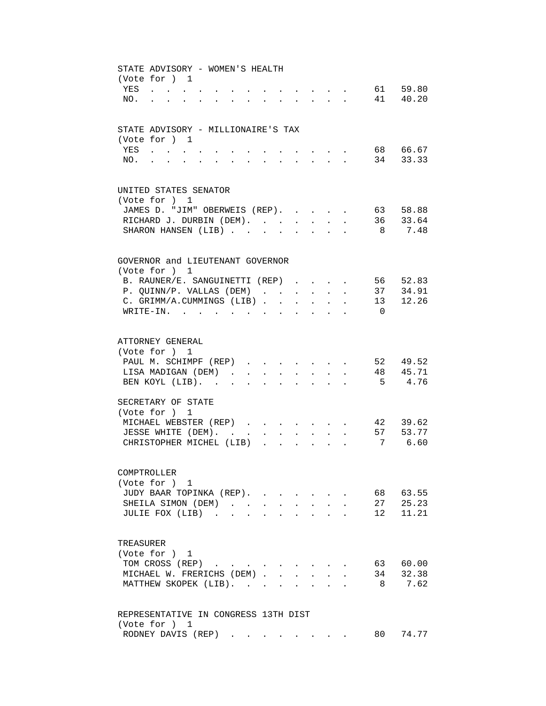| STATE ADVISORY - WOMEN'S HEALTH<br>(Vote for ) 1                                                                                                                                                                                                                                                                                        |
|-----------------------------------------------------------------------------------------------------------------------------------------------------------------------------------------------------------------------------------------------------------------------------------------------------------------------------------------|
| 61 59.80<br>YES<br>$\mathbf{r}$ . The contract of the contract of the contract of the contract of the contract of the contract of the contract of the contract of the contract of the contract of the contract of the contract of the contract of th<br>the contract of the contract of the contract of the contract of the contract of |
| 41 40.20<br>NO.<br><b>Contract Contract</b><br>$\mathbf{r} = \mathbf{r} + \mathbf{r} + \mathbf{r} + \mathbf{r} + \mathbf{r}$<br>$\ddot{\phantom{0}}$<br>$\bullet$ . The set of $\bullet$<br>$\sim$                                                                                                                                      |
|                                                                                                                                                                                                                                                                                                                                         |
| STATE ADVISORY - MILLIONAIRE'S TAX                                                                                                                                                                                                                                                                                                      |
| (Vote for ) 1                                                                                                                                                                                                                                                                                                                           |
| 68 66.67<br>YES                                                                                                                                                                                                                                                                                                                         |
| 34 33.33<br>NO.                                                                                                                                                                                                                                                                                                                         |
|                                                                                                                                                                                                                                                                                                                                         |
| UNITED STATES SENATOR                                                                                                                                                                                                                                                                                                                   |
| (Vote for ) 1                                                                                                                                                                                                                                                                                                                           |
| 63 58.88<br>JAMES D. "JIM" OBERWEIS (REP).<br>$\ddot{\phantom{a}}$                                                                                                                                                                                                                                                                      |
| RICHARD J. DURBIN (DEM).<br>36 33.64<br>$\sim$                                                                                                                                                                                                                                                                                          |
| SHARON HANSEN (LIB).<br>8<br>7.48<br>$\ddot{\phantom{a}}$                                                                                                                                                                                                                                                                               |
|                                                                                                                                                                                                                                                                                                                                         |
| GOVERNOR and LIEUTENANT GOVERNOR                                                                                                                                                                                                                                                                                                        |
| (Vote for ) 1<br>B. RAUNER/E. SANGUINETTI (REP)<br>56 52.83                                                                                                                                                                                                                                                                             |
| $\sim$ 100 $\sim$                                                                                                                                                                                                                                                                                                                       |
| 37 34.91<br>P. QUINN/P. VALLAS (DEM)<br>13 12.26                                                                                                                                                                                                                                                                                        |
| C. GRIMM/A.CUMMINGS (LIB).<br>$\ddot{\phantom{a}}$<br>$\ddot{\phantom{a}}$<br>$\ddot{\phantom{a}}$                                                                                                                                                                                                                                      |
| $WRITE-IN.$ .<br>$\Omega$<br>$\mathbf{L} = \mathbf{L} \mathbf{L} = \mathbf{L} \mathbf{L}$<br>$\ddot{\phantom{a}}$                                                                                                                                                                                                                       |
|                                                                                                                                                                                                                                                                                                                                         |
| ATTORNEY GENERAL                                                                                                                                                                                                                                                                                                                        |
| (Vote for ) 1                                                                                                                                                                                                                                                                                                                           |
| 52 49.52<br>PAUL M. SCHIMPF (REP)                                                                                                                                                                                                                                                                                                       |
| 48 45.71<br>LISA MADIGAN (DEM)<br>$\ddot{\phantom{0}}$<br>$\bullet$ .<br><br><br><br><br><br><br><br><br><br><br><br><br>$\bullet$ .<br><br><br><br><br><br><br><br><br><br><br><br><br>$\ddot{\phantom{0}}$                                                                                                                            |
| 5 4.76<br>BEN KOYL (LIB).<br>$\sim$<br>$\ddot{\phantom{a}}$<br>$\ddot{\phantom{0}}$<br>$\bullet$ . The set of $\bullet$                                                                                                                                                                                                                 |
| SECRETARY OF STATE                                                                                                                                                                                                                                                                                                                      |
| (Vote for ) 1                                                                                                                                                                                                                                                                                                                           |
| 42 39.62<br>MICHAEL WEBSTER (REP)                                                                                                                                                                                                                                                                                                       |
| 57 53.77<br>JESSE WHITE (DEM).<br>$\sim 10^{-11}$<br>$\mathbf{L}$<br>$\sim 10^{-11}$<br>$\mathbf{r}$<br>$\sim$<br>$\mathbf{L}$                                                                                                                                                                                                          |
| 7 6.60<br>CHRISTOPHER MICHEL (LIB)<br>$\mathbf{1}$ $\mathbf{1}$ $\mathbf{1}$ $\mathbf{1}$ $\mathbf{1}$<br>$\mathbf{r}$                                                                                                                                                                                                                  |
|                                                                                                                                                                                                                                                                                                                                         |
| COMPTROLLER                                                                                                                                                                                                                                                                                                                             |
| (Vote for ) 1                                                                                                                                                                                                                                                                                                                           |
| JUDY BAAR TOPINKA (REP).<br>63.55<br>68                                                                                                                                                                                                                                                                                                 |
| 25.23<br>SHEILA SIMON (DEM).<br>27<br>$\sim$                                                                                                                                                                                                                                                                                            |
| 11.21<br>JULIE FOX (LIB).<br>12<br>$\mathbf{r}$                                                                                                                                                                                                                                                                                         |
|                                                                                                                                                                                                                                                                                                                                         |
| TREASURER                                                                                                                                                                                                                                                                                                                               |
| (Vote for ) 1                                                                                                                                                                                                                                                                                                                           |
| TOM CROSS (REP)<br>63 60.00                                                                                                                                                                                                                                                                                                             |
| MICHAEL W. FRERICHS (DEM).<br>34<br>32.38                                                                                                                                                                                                                                                                                               |
| MATTHEW SKOPEK (LIB).<br>7.62<br>8                                                                                                                                                                                                                                                                                                      |
|                                                                                                                                                                                                                                                                                                                                         |
| REPRESENTATIVE IN CONGRESS 13TH DIST<br>(Vote for ) 1                                                                                                                                                                                                                                                                                   |
| 80 74.77<br>RODNEY DAVIS (REP)                                                                                                                                                                                                                                                                                                          |
|                                                                                                                                                                                                                                                                                                                                         |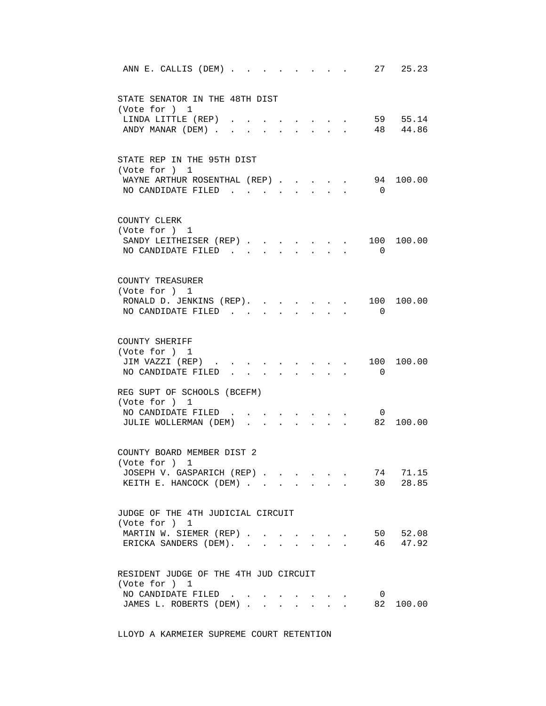| 27 25.23<br>ANN E. CALLIS (DEM)                                                                                                                                                                                              |
|------------------------------------------------------------------------------------------------------------------------------------------------------------------------------------------------------------------------------|
| STATE SENATOR IN THE 48TH DIST<br>(Vote for ) 1                                                                                                                                                                              |
| 59 55.14<br>LINDA LITTLE (REP).<br>ANDY MANAR (DEM).<br>48 44.86                                                                                                                                                             |
| STATE REP IN THE 95TH DIST<br>(Vote for ) 1<br>94<br>WAYNE ARTHUR ROSENTHAL (REP)<br>100.00<br>NO CANDIDATE FILED<br>$\overline{0}$<br>$\sim$                                                                                |
| COUNTY CLERK<br>(Vote for ) 1<br>100.00<br>SANDY LEITHEISER (REP).<br>100<br>$\sim$<br>$\bullet$ .<br><br><br><br><br><br><br><br><br><br><br><br>NO CANDIDATE FILED.<br>$\Omega$<br>$\sim$ $\sim$<br>$\mathbf{L}$<br>$\sim$ |
| COUNTY TREASURER<br>(Vote for ) 1<br>100 100.00<br>RONALD D. JENKINS (REP).<br>$\mathbf{L}$<br>$\cdot$ $\cdot$<br>NO CANDIDATE FILED<br>$\Omega$                                                                             |
| COUNTY SHERIFF<br>(Vote for ) 1<br>JIM VAZZI (REP)<br>100<br>100.00<br>$\cdot$ $\cdot$ $\cdot$ $\cdot$ $\cdot$<br>NO CANDIDATE FILED<br>0<br>$\mathbf{L}$<br>$\mathbf{L} = \mathbf{L}$<br>$\cdot$ $\cdot$ $\cdot$ $\cdot$    |
| REG SUPT OF SCHOOLS (BCEFM)<br>(Vote for ) 1<br>NO CANDIDATE FILED<br>$\overline{\mathbf{0}}$<br>JULIE WOLLERMAN (DEM)<br>82<br>100.00<br>$\mathbf{L}$<br>$\sim$                                                             |
| COUNTY BOARD MEMBER DIST 2<br>(Vote for $)$ 1<br>74<br>71.15<br>JOSEPH V. GASPARICH (REP)<br>30 28.85<br>KEITH E. HANCOCK (DEM)<br>$\bullet$ .                                                                               |
| JUDGE OF THE 4TH JUDICIAL CIRCUIT<br>(Vote for ) 1<br>50 52.08<br>MARTIN W. SIEMER (REP)<br>46 47.92<br>ERICKA SANDERS (DEM).                                                                                                |
| RESIDENT JUDGE OF THE 4TH JUD CIRCUIT<br>(Vote for ) 1<br>NO CANDIDATE FILED<br>$\overline{0}$<br>JAMES L. ROBERTS (DEM).<br>82<br>100.00<br>$\sim$ $\sim$<br>$\mathbf{L}$<br>$\mathbf{L}$<br>$\sim$<br>$\mathbf{L}$         |

LLOYD A KARMEIER SUPREME COURT RETENTION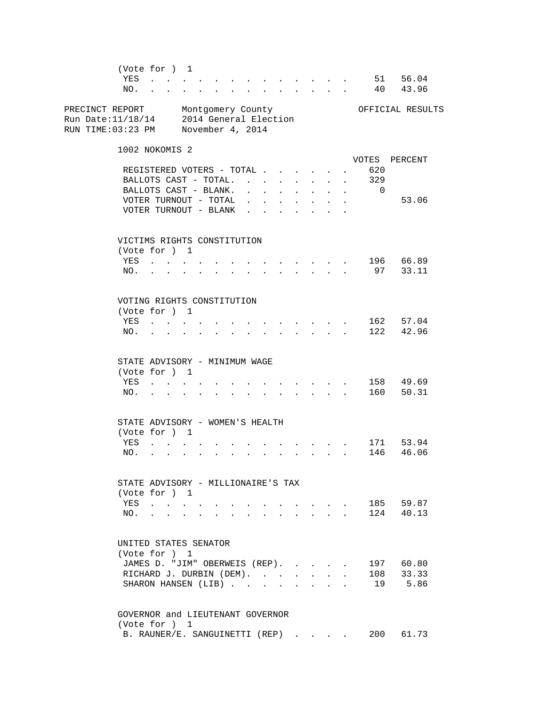(Vote for ) 1 YES . . . . . . . . . . . . . . 51 56.04 NO. . . . . . . . . . . . . . 40 43.96 PRECINCT REPORT Montgomery County Orriclal RESULTS Run Date:11/18/14 2014 General Election RUN TIME:03:23 PM November 4, 2014 1002 NOKOMIS 2 VOTES PERCENT REGISTERED VOTERS - TOTAL . . . . . . 620<br>BALLOTS CAST - TOTAL. . . . . . . . 329 BALLOTS CAST - TOTAL. . . . . . . . BALLOTS CAST - BLANK. . . . . . . . 0 VOTER TURNOUT - TOTAL . . . . . . . . 53.06 VOTER TURNOUT - BLANK . . . . . . VICTIMS RIGHTS CONSTITUTION (Vote for ) 1 YES . . . . . . . . . . . . . 196 66.89 NO. . . . . . . . . . . . . . 97 33.11 VOTING RIGHTS CONSTITUTION (Vote for ) 1 YES . . . . . . . . . . . . . 162 57.04 NO. . . . . . . . . . . . . . 122 42.96 STATE ADVISORY - MINIMUM WAGE (Vote for ) 1 YES . . . . . . . . . . . . . 158 49.69 NO. . . . . . . . . . . . . . 160 50.31 STATE ADVISORY - WOMEN'S HEALTH (Vote for ) 1 YES . . . . . . . . . . . . . 171 53.94 NO. . . . . . . . . . . . . . 146 46.06 STATE ADVISORY - MILLIONAIRE'S TAX (Vote for ) 1 YES . . . . . . . . . . . . . 185 59.87 NO. . . . . . . . . . . . . . 124 40.13 UNITED STATES SENATOR (Vote for ) 1 JAMES D. "JIM" OBERWEIS (REP). . . . . 197 60.80 RICHARD J. DURBIN (DEM). . . . . . . 108 33.33 SHARON HANSEN (LIB) . . . . . . . . 19 5.86 GOVERNOR and LIEUTENANT GOVERNOR (Vote for ) 1 B. RAUNER/E. SANGUINETTI (REP) . . . . 200 61.73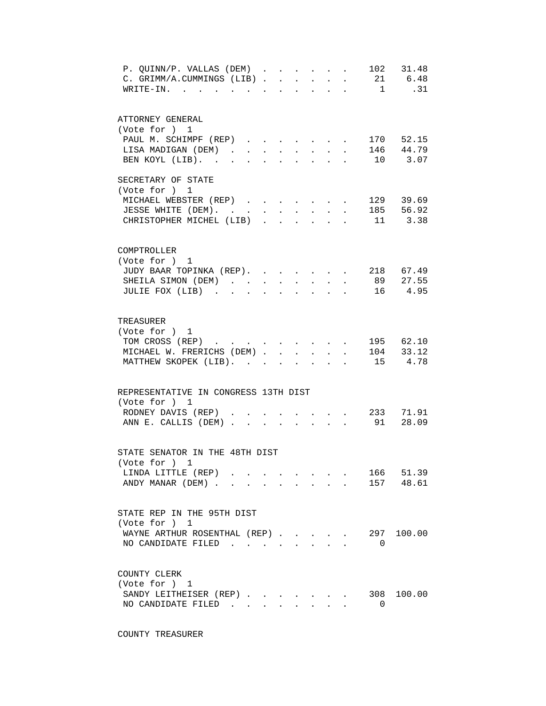| P. QUINN/P. VALLAS (DEM)<br>C. GRIMM/A.CUMMINGS (LIB). |  | $\mathbf{r}$ | $\ddot{\phantom{a}}$ | $\mathbf{L}$ | $\mathbf{L}^{\text{max}}$ | $\ddot{\phantom{a}}$ |                | 102 31.48<br>21 6.48<br>.31 |
|--------------------------------------------------------|--|--------------|----------------------|--------------|---------------------------|----------------------|----------------|-----------------------------|
| WRITE-IN. .                                            |  |              |                      |              |                           |                      | $\overline{1}$ |                             |
| ATTORNEY GENERAL<br>(Vote for ) 1                      |  |              |                      |              |                           |                      |                |                             |
| PAUL M. SCHIMPF (REP)                                  |  |              |                      |              |                           |                      |                | 170 52.15                   |
| LISA MADIGAN (DEM)                                     |  | $\sim$ $-$   |                      |              | <b>All Contracts</b>      |                      |                | . 146 44.79                 |
| BEN KOYL (LIB).                                        |  |              |                      |              |                           |                      |                | 10 3.07                     |
| SECRETARY OF STATE                                     |  |              |                      |              |                           |                      |                |                             |
| (Vote for ) 1                                          |  |              |                      |              |                           |                      |                | 129 39.69                   |
| MICHAEL WEBSTER (REP)<br>JESSE WHITE (DEM). 185 56.92  |  |              |                      |              |                           |                      |                |                             |
| CHRISTOPHER MICHEL (LIB) 11 3.38                       |  |              |                      |              |                           |                      |                |                             |
|                                                        |  |              |                      |              |                           |                      |                |                             |
| COMPTROLLER                                            |  |              |                      |              |                           |                      |                |                             |
| (Vote for ) 1                                          |  |              |                      |              |                           |                      |                |                             |
| JUDY BAAR TOPINKA (REP).                               |  |              |                      |              |                           |                      |                | 218 67.49                   |
| SHEILA SIMON (DEM)                                     |  |              |                      |              |                           | $\Delta$ .           |                | 89 27.55<br>16 4.95         |
| JULIE FOX (LIB)                                        |  |              |                      |              |                           |                      |                |                             |
| TREASURER                                              |  |              |                      |              |                           |                      |                |                             |
| (Vote for ) 1                                          |  |              |                      |              |                           |                      |                |                             |
| TOM CROSS (REP)                                        |  |              |                      |              |                           |                      |                | 195 62.10                   |
| MICHAEL W. FRERICHS (DEM).                             |  | $\sim$       | $\mathbf{r}$         |              | $\ddot{\phantom{a}}$      |                      |                | $104$ $33.12$               |
| MATTHEW SKOPEK (LIB).                                  |  |              |                      |              |                           |                      |                | 15 4.78                     |
| REPRESENTATIVE IN CONGRESS 13TH DIST                   |  |              |                      |              |                           |                      |                |                             |
| (Vote for ) 1                                          |  |              |                      |              |                           |                      |                |                             |
| RODNEY DAVIS (REP)                                     |  |              |                      |              |                           |                      |                | 233 71.91                   |
| ANN E. CALLIS (DEM)                                    |  |              |                      |              | $\ddot{\phantom{0}}$      |                      |                | 91 28.09                    |
| STATE SENATOR IN THE 48TH DIST                         |  |              |                      |              |                           |                      |                |                             |
| (Vote for ) 1                                          |  |              |                      |              |                           |                      |                |                             |
| LINDA LITTLE (REP)                                     |  |              |                      |              |                           |                      |                | 166 51.39                   |
| ANDY MANAR (DEM)                                       |  |              |                      |              |                           |                      |                | 157 48.61                   |
|                                                        |  |              |                      |              |                           |                      |                |                             |
| STATE REP IN THE 95TH DIST                             |  |              |                      |              |                           |                      |                |                             |
| (Vote for ) 1<br>WAYNE ARTHUR ROSENTHAL (REP)          |  |              |                      |              |                           |                      |                | 297 100.00                  |
| NO CANDIDATE FILED                                     |  |              |                      |              |                           |                      | $\Omega$       |                             |
|                                                        |  |              |                      |              |                           |                      |                |                             |
| COUNTY CLERK                                           |  |              |                      |              |                           |                      |                |                             |
| (Vote for ) 1                                          |  |              |                      |              |                           |                      |                |                             |
| SANDY LEITHEISER (REP)                                 |  |              |                      |              |                           |                      | 308            | 100.00                      |
| NO CANDIDATE FILED                                     |  |              |                      |              |                           |                      | 0              |                             |

COUNTY TREASURER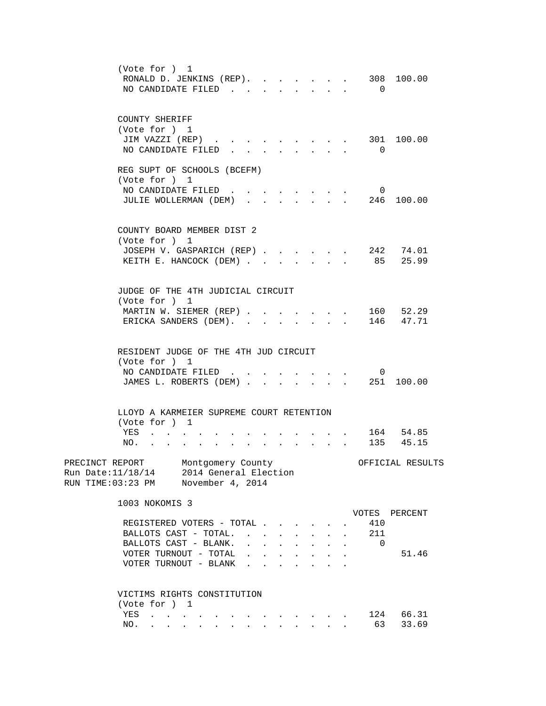| (Vote for ) 1<br>RONALD D. JENKINS (REP).<br>NO CANDIDATE FILED.<br>$\sim$                                                                                                                                                                                                                                                                                                                                                                                                                | 308 100.00<br>$\overline{0}$                                     |
|-------------------------------------------------------------------------------------------------------------------------------------------------------------------------------------------------------------------------------------------------------------------------------------------------------------------------------------------------------------------------------------------------------------------------------------------------------------------------------------------|------------------------------------------------------------------|
| COUNTY SHERIFF<br>(Vote for ) 1<br>JIM VAZZI (REP)<br>NO CANDIDATE FILED.                                                                                                                                                                                                                                                                                                                                                                                                                 | 301 100.00<br>$\Omega$                                           |
| REG SUPT OF SCHOOLS (BCEFM)<br>(Vote for ) 1<br>NO CANDIDATE FILED<br>JULIE WOLLERMAN (DEM)<br>$\mathbf{r}$ , $\mathbf{r}$ , $\mathbf{r}$ , $\mathbf{r}$ , $\mathbf{r}$                                                                                                                                                                                                                                                                                                                   | $\mathbf{0}$<br>246 100.00                                       |
| COUNTY BOARD MEMBER DIST 2<br>(Vote for ) 1<br>JOSEPH V. GASPARICH (REP)<br>KEITH E. HANCOCK (DEM)<br>$\sim$<br>$\ddot{\phantom{a}}$                                                                                                                                                                                                                                                                                                                                                      | 242 74.01<br>85<br>25.99                                         |
| JUDGE OF THE 4TH JUDICIAL CIRCUIT<br>(Vote for )<br>1<br>MARTIN W. SIEMER (REP)<br>$\ddot{\phantom{0}}$<br>ERICKA SANDERS (DEM).                                                                                                                                                                                                                                                                                                                                                          | 160 52.29<br>146 47.71                                           |
| RESIDENT JUDGE OF THE 4TH JUD CIRCUIT<br>(Vote for ) 1<br>NO CANDIDATE FILED<br>JAMES L. ROBERTS (DEM)<br>$\mathbf{r} = \mathbf{r}$ , $\mathbf{r} = \mathbf{r}$                                                                                                                                                                                                                                                                                                                           | $\overline{0}$<br>251 100.00                                     |
| LLOYD A KARMEIER SUPREME COURT RETENTION<br>(Vote for ) 1<br>YES<br>NO.<br>$\sim$                                                                                                                                                                                                                                                                                                                                                                                                         | 164 54.85<br>135 45.15                                           |
| PRECINCT REPORT Montgomery County<br>Run Date: 11/18/14 2014 General Election<br>RUN TIME:03:23 PM November 4, 2014                                                                                                                                                                                                                                                                                                                                                                       | OFFICIAL RESULTS                                                 |
| 1003 NOKOMIS 3<br>REGISTERED VOTERS - TOTAL<br>BALLOTS CAST - TOTAL.<br>$\sim$ $-$<br>$\mathbf{L} = \mathbf{L} \mathbf{L} + \mathbf{L} \mathbf{L}$<br>BALLOTS CAST - BLANK.<br>$\ddot{\phantom{a}}$<br>$\sim$ $\sim$<br>$\begin{array}{cccccccccccccc} \bullet & \bullet & \bullet & \bullet & \bullet & \bullet & \bullet & \bullet & \bullet \end{array}$<br>VOTER TURNOUT - TOTAL<br>$\mathbf{r}$ , $\mathbf{r}$ , $\mathbf{r}$ , $\mathbf{r}$ , $\mathbf{r}$<br>VOTER TURNOUT - BLANK | VOTES PERCENT<br>410<br>211<br>$\mathbf{r}$<br>$\Omega$<br>51.46 |
| VICTIMS RIGHTS CONSTITUTION<br>(Vote for ) 1<br>YES<br>$\mathcal{L}_\mathcal{A}$ . The contribution of the contribution of the contribution of $\mathcal{L}_\mathcal{A}$<br>NO.<br>a construction of the construction of the construction of the construction of the construction of the construction of the construction of the construction of the construction of the construction of the construction of the                                                                          | 124 66.31<br>63<br>33.69                                         |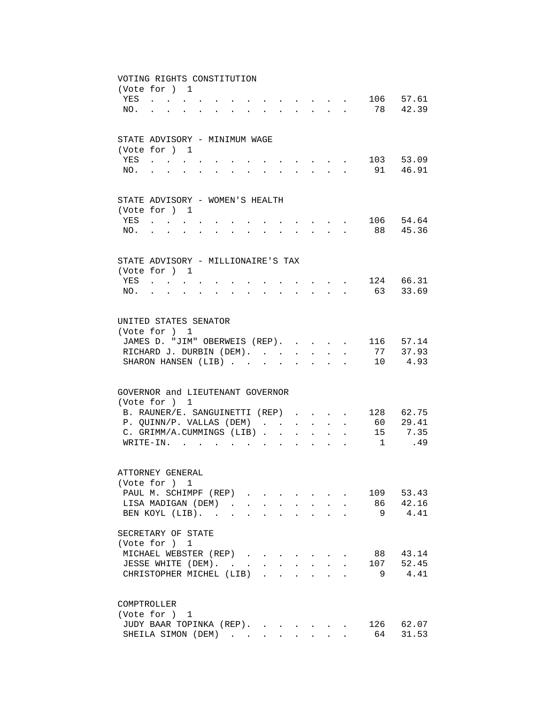| VOTING RIGHTS CONSTITUTION                             |                                                                                                                                                                                                                                |  |                                                                                                                                  |                      |              |                      |                                                                  |                                                             |                           |                                   |              |               |
|--------------------------------------------------------|--------------------------------------------------------------------------------------------------------------------------------------------------------------------------------------------------------------------------------|--|----------------------------------------------------------------------------------------------------------------------------------|----------------------|--------------|----------------------|------------------------------------------------------------------|-------------------------------------------------------------|---------------------------|-----------------------------------|--------------|---------------|
| (Vote for ) 1                                          |                                                                                                                                                                                                                                |  |                                                                                                                                  |                      |              |                      |                                                                  |                                                             |                           |                                   |              |               |
| YES                                                    |                                                                                                                                                                                                                                |  |                                                                                                                                  |                      |              |                      |                                                                  |                                                             |                           | .                                 |              | 106 57.61     |
| NO.                                                    | $\mathbf{r}$ , $\mathbf{r}$ , $\mathbf{r}$ , $\mathbf{r}$                                                                                                                                                                      |  | $\mathbf{r} = \mathbf{r} - \mathbf{r}$ , and $\mathbf{r} = \mathbf{r} - \mathbf{r}$ , and $\mathbf{r} = \mathbf{r} - \mathbf{r}$ |                      |              |                      |                                                                  |                                                             |                           |                                   |              | 78 42.39      |
|                                                        |                                                                                                                                                                                                                                |  |                                                                                                                                  |                      |              |                      |                                                                  |                                                             |                           |                                   |              |               |
|                                                        |                                                                                                                                                                                                                                |  |                                                                                                                                  |                      |              |                      |                                                                  |                                                             |                           |                                   |              |               |
| STATE ADVISORY - MINIMUM WAGE                          |                                                                                                                                                                                                                                |  |                                                                                                                                  |                      |              |                      |                                                                  |                                                             |                           |                                   |              |               |
| (Vote for ) 1                                          |                                                                                                                                                                                                                                |  |                                                                                                                                  |                      |              |                      |                                                                  |                                                             |                           |                                   |              |               |
| YES                                                    | $\sim$                                                                                                                                                                                                                         |  |                                                                                                                                  |                      |              |                      | $\bullet$ .<br><br><br><br><br><br><br><br><br><br><br><br>      |                                                             |                           |                                   |              | 103 53.09     |
| NO.                                                    |                                                                                                                                                                                                                                |  |                                                                                                                                  |                      |              |                      |                                                                  | $\mathcal{L}^{\text{max}}$                                  |                           |                                   |              | 91 46.91      |
|                                                        |                                                                                                                                                                                                                                |  |                                                                                                                                  |                      |              |                      |                                                                  |                                                             |                           |                                   |              |               |
| STATE ADVISORY - WOMEN'S HEALTH                        |                                                                                                                                                                                                                                |  |                                                                                                                                  |                      |              |                      |                                                                  |                                                             |                           |                                   |              |               |
| (Vote for ) 1                                          |                                                                                                                                                                                                                                |  |                                                                                                                                  |                      |              |                      |                                                                  |                                                             |                           |                                   |              |               |
| YES                                                    | and the contract of the state of                                                                                                                                                                                               |  |                                                                                                                                  |                      |              |                      |                                                                  |                                                             |                           |                                   |              | 106 54.64     |
| NO.                                                    | and a series of the contract of the series of the series of the series of the series of the series of the series of the series of the series of the series of the series of the series of the series of the series of the seri |  |                                                                                                                                  |                      |              |                      | $\mathbf{r} = \mathbf{r} + \mathbf{r} + \mathbf{r} + \mathbf{r}$ |                                                             |                           |                                   |              | 88 45.36      |
|                                                        |                                                                                                                                                                                                                                |  |                                                                                                                                  |                      |              |                      |                                                                  |                                                             |                           |                                   |              |               |
| STATE ADVISORY - MILLIONAIRE'S TAX                     |                                                                                                                                                                                                                                |  |                                                                                                                                  |                      |              |                      |                                                                  |                                                             |                           |                                   |              |               |
| (Vote for ) 1                                          |                                                                                                                                                                                                                                |  |                                                                                                                                  |                      |              |                      |                                                                  |                                                             |                           |                                   |              |               |
| YES                                                    |                                                                                                                                                                                                                                |  |                                                                                                                                  |                      |              |                      |                                                                  |                                                             |                           |                                   |              | 124 66.31     |
| NO.                                                    | and the state of the state of the                                                                                                                                                                                              |  | and a series of the contract of the contract of the contract of the contract of the contract of the contract of                  |                      |              |                      |                                                                  |                                                             |                           | and the state of the state of the |              | 63 33.69      |
|                                                        |                                                                                                                                                                                                                                |  |                                                                                                                                  |                      |              |                      |                                                                  |                                                             |                           |                                   |              |               |
|                                                        |                                                                                                                                                                                                                                |  |                                                                                                                                  |                      |              |                      |                                                                  |                                                             |                           |                                   |              |               |
| UNITED STATES SENATOR                                  |                                                                                                                                                                                                                                |  |                                                                                                                                  |                      |              |                      |                                                                  |                                                             |                           |                                   |              |               |
| (Vote for ) 1                                          |                                                                                                                                                                                                                                |  |                                                                                                                                  |                      |              |                      |                                                                  |                                                             |                           |                                   |              |               |
| JAMES D. "JIM" OBERWEIS (REP).                         |                                                                                                                                                                                                                                |  |                                                                                                                                  |                      |              |                      |                                                                  |                                                             |                           | $\mathbf{L}$ and $\mathbf{L}$     |              | 116 57.14     |
| RICHARD J. DURBIN (DEM).                               |                                                                                                                                                                                                                                |  |                                                                                                                                  |                      |              |                      | $\mathbf{A}$                                                     |                                                             | $\mathbf{L} = \mathbf{L}$ | $\mathbf{r}$                      |              | 77 37.93      |
| SHARON HANSEN (LIB)                                    |                                                                                                                                                                                                                                |  |                                                                                                                                  |                      |              | $\sim$ $\sim$        | $\ddot{\phantom{a}}$                                             | $\sim$                                                      | $\mathbf{L}$              | $\sim$                            |              | 10 4.93       |
|                                                        |                                                                                                                                                                                                                                |  |                                                                                                                                  |                      |              |                      |                                                                  |                                                             |                           |                                   |              |               |
|                                                        |                                                                                                                                                                                                                                |  |                                                                                                                                  |                      |              |                      |                                                                  |                                                             |                           |                                   |              |               |
| GOVERNOR and LIEUTENANT GOVERNOR                       |                                                                                                                                                                                                                                |  |                                                                                                                                  |                      |              |                      |                                                                  |                                                             |                           |                                   |              |               |
| (Vote for ) 1                                          |                                                                                                                                                                                                                                |  |                                                                                                                                  |                      |              |                      |                                                                  |                                                             |                           |                                   |              |               |
| B. RAUNER/E. SANGUINETTI (REP)                         |                                                                                                                                                                                                                                |  |                                                                                                                                  |                      |              |                      |                                                                  |                                                             |                           |                                   |              | 128 62.75     |
| P. QUINN/P. VALLAS (DEM)<br>C. GRIMM/A.CUMMINGS (LIB). |                                                                                                                                                                                                                                |  |                                                                                                                                  |                      |              |                      | $\ddot{\phantom{0}}$                                             | $\mathcal{L}^{\pm}$                                         | $\ddot{\phantom{a}}$      |                                   | 60 -<br>15   | 29.41<br>7.35 |
| $W\text{RITE}-\text{IN}$ .                             |                                                                                                                                                                                                                                |  |                                                                                                                                  |                      |              | $\sim$               | $\ddot{\phantom{0}}$                                             | $\mathbf{r}$                                                |                           |                                   | $\mathbf{1}$ | .49           |
|                                                        |                                                                                                                                                                                                                                |  |                                                                                                                                  |                      | $\mathbf{r}$ | $\mathbf{r}$         | $\sim$                                                           | $\sim$                                                      |                           |                                   |              |               |
|                                                        |                                                                                                                                                                                                                                |  |                                                                                                                                  |                      |              |                      |                                                                  |                                                             |                           |                                   |              |               |
| ATTORNEY GENERAL                                       |                                                                                                                                                                                                                                |  |                                                                                                                                  |                      |              |                      |                                                                  |                                                             |                           |                                   |              |               |
| (Vote for ) 1                                          |                                                                                                                                                                                                                                |  |                                                                                                                                  |                      |              |                      |                                                                  |                                                             |                           |                                   |              |               |
| PAUL M. SCHIMPF (REP)                                  |                                                                                                                                                                                                                                |  |                                                                                                                                  |                      |              |                      |                                                                  |                                                             |                           |                                   | 109          | 53.43         |
| LISA MADIGAN (DEM).                                    |                                                                                                                                                                                                                                |  |                                                                                                                                  | $\ddot{\phantom{a}}$ |              |                      |                                                                  |                                                             |                           |                                   | 86           | 42.16         |
| BEN KOYL (LIB). .                                      |                                                                                                                                                                                                                                |  |                                                                                                                                  |                      |              |                      |                                                                  |                                                             |                           |                                   | 9            | 4.41          |
| SECRETARY OF STATE                                     |                                                                                                                                                                                                                                |  |                                                                                                                                  |                      |              |                      |                                                                  |                                                             |                           |                                   |              |               |
| (Vote for ) 1                                          |                                                                                                                                                                                                                                |  |                                                                                                                                  |                      |              |                      |                                                                  |                                                             |                           |                                   |              |               |
| MICHAEL WEBSTER (REP)                                  |                                                                                                                                                                                                                                |  |                                                                                                                                  |                      |              |                      |                                                                  |                                                             |                           |                                   | 88           | 43.14         |
| JESSE WHITE (DEM).                                     |                                                                                                                                                                                                                                |  | $\mathcal{L}(\mathcal{A})$ . The set of $\mathcal{L}(\mathcal{A})$                                                               |                      |              |                      | $\ddot{\phantom{a}}$                                             | $\bullet$ .<br><br><br><br><br><br><br><br><br><br><br><br> | $\ddot{\phantom{a}}$      |                                   | 107          | 52.45         |
| CHRISTOPHER MICHEL (LIB).                              |                                                                                                                                                                                                                                |  |                                                                                                                                  |                      |              | $\ddot{\phantom{a}}$ | $\ddot{\phantom{a}}$                                             |                                                             |                           |                                   | 9            | 4.41          |
|                                                        |                                                                                                                                                                                                                                |  |                                                                                                                                  |                      |              |                      |                                                                  |                                                             |                           |                                   |              |               |
|                                                        |                                                                                                                                                                                                                                |  |                                                                                                                                  |                      |              |                      |                                                                  |                                                             |                           |                                   |              |               |
| COMPTROLLER                                            |                                                                                                                                                                                                                                |  |                                                                                                                                  |                      |              |                      |                                                                  |                                                             |                           |                                   |              |               |
| (Vote for ) 1                                          |                                                                                                                                                                                                                                |  |                                                                                                                                  |                      |              |                      |                                                                  |                                                             |                           |                                   |              |               |
| JUDY BAAR TOPINKA (REP).                               |                                                                                                                                                                                                                                |  |                                                                                                                                  |                      |              |                      |                                                                  |                                                             |                           |                                   |              | 126 62.07     |
| SHEILA SIMON (DEM)                                     |                                                                                                                                                                                                                                |  |                                                                                                                                  |                      |              |                      |                                                                  | $\sim$ $\sim$ $\sim$ $\sim$                                 |                           |                                   | 64           | 31.53         |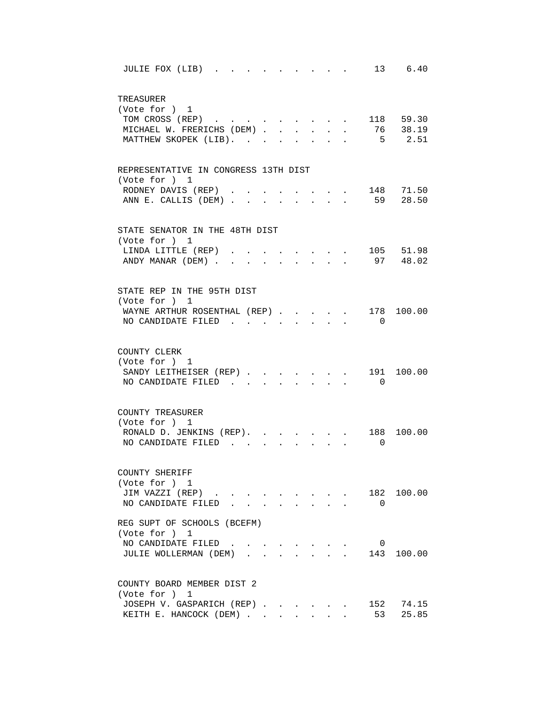| 13 6.40<br>JULIE FOX (LIB).                                                                                                            |
|----------------------------------------------------------------------------------------------------------------------------------------|
| TREASURER<br>(Vote for ) 1                                                                                                             |
| . 118 59.30<br>TOM CROSS (REP)                                                                                                         |
| . 76 38.19<br>MICHAEL W. FRERICHS (DEM)<br>$\ddot{\phantom{0}}$                                                                        |
| $5 \t 2.51$<br>MATTHEW SKOPEK (LIB).<br>$\ddot{\phantom{a}}$                                                                           |
| REPRESENTATIVE IN CONGRESS 13TH DIST                                                                                                   |
| (Vote for ) 1<br>148 71.50                                                                                                             |
| RODNEY DAVIS (REP)<br>$\mathbf{r}$ , $\mathbf{r}$ , $\mathbf{r}$<br>59 28.50<br>ANN E. CALLIS (DEM)<br>$\cdot$ $\cdot$ $\cdot$ $\cdot$ |
|                                                                                                                                        |
| STATE SENATOR IN THE 48TH DIST<br>(Vote for ) 1                                                                                        |
| 105 51.98<br>LINDA LITTLE (REP)                                                                                                        |
| 97 48.02<br>ANDY MANAR (DEM).                                                                                                          |
| STATE REP IN THE 95TH DIST                                                                                                             |
| (Vote for ) 1                                                                                                                          |
| WAYNE ARTHUR ROSENTHAL (REP).<br>178 100.00                                                                                            |
| NO CANDIDATE FILED<br>$\overline{0}$                                                                                                   |
| COUNTY CLERK<br>(Vote for ) 1                                                                                                          |
| 191 100.00<br>SANDY LEITHEISER (REP)<br>$\overline{0}$<br>NO CANDIDATE FILED.                                                          |
|                                                                                                                                        |
| COUNTY TREASURER<br>(Vote for ) 1                                                                                                      |
| RONALD D. JENKINS (REP). .<br>188 100.00                                                                                               |
| NO CANDIDATE FILED<br>$\Omega$                                                                                                         |
|                                                                                                                                        |
| COUNTY SHERIFF<br>(Vote for ) 1                                                                                                        |
| JIM VAZZI (REP)<br>182 100.00                                                                                                          |
| NO CANDIDATE FILED.<br>$\overline{0}$                                                                                                  |
| REG SUPT OF SCHOOLS (BCEFM)<br>(Vote for ) 1                                                                                           |
| NO CANDIDATE FILED.<br>$\overline{0}$<br>$\sim$<br>$\sim$ $\sim$                                                                       |
| 143 100.00<br>JULIE WOLLERMAN (DEM).                                                                                                   |
| COUNTY BOARD MEMBER DIST 2                                                                                                             |
| (Vote for ) 1                                                                                                                          |
| 152<br>74.15<br>JOSEPH V. GASPARICH (REP)                                                                                              |
| KEITH E. HANCOCK (DEM)<br>53<br>25.85                                                                                                  |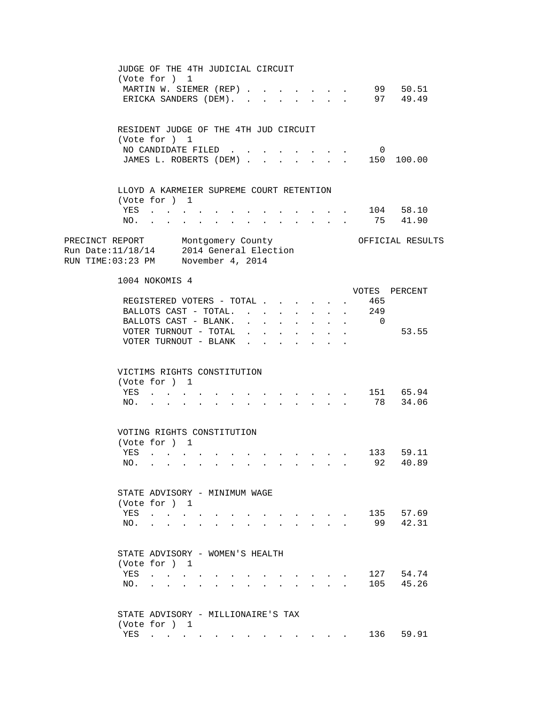|                                                                                                                    |     | JUDGE OF THE 4TH JUDICIAL CIRCUIT<br>(Vote for ) 1               |  |  |                                                                                                                                                 |              |                      |                                                                                                                                                                                                                                |                                          |              |                           |                                   |  |
|--------------------------------------------------------------------------------------------------------------------|-----|------------------------------------------------------------------|--|--|-------------------------------------------------------------------------------------------------------------------------------------------------|--------------|----------------------|--------------------------------------------------------------------------------------------------------------------------------------------------------------------------------------------------------------------------------|------------------------------------------|--------------|---------------------------|-----------------------------------|--|
|                                                                                                                    |     | MARTIN W. SIEMER (REP)<br>ERICKA SANDERS (DEM). .                |  |  | $\sim$                                                                                                                                          |              |                      |                                                                                                                                                                                                                                |                                          |              |                           | 99 50.51<br>$97$ $49.49$          |  |
|                                                                                                                    |     | RESIDENT JUDGE OF THE 4TH JUD CIRCUIT                            |  |  |                                                                                                                                                 |              |                      |                                                                                                                                                                                                                                |                                          |              |                           |                                   |  |
|                                                                                                                    |     | (Vote for ) 1<br>NO CANDIDATE FILED                              |  |  |                                                                                                                                                 |              |                      |                                                                                                                                                                                                                                |                                          |              |                           |                                   |  |
|                                                                                                                    |     |                                                                  |  |  |                                                                                                                                                 |              |                      | and a strategic and a strategic                                                                                                                                                                                                |                                          |              | $\overline{0}$            | JAMES L. ROBERTS (DEM) 150 100.00 |  |
|                                                                                                                    |     |                                                                  |  |  |                                                                                                                                                 |              |                      |                                                                                                                                                                                                                                |                                          |              |                           |                                   |  |
|                                                                                                                    |     | LLOYD A KARMEIER SUPREME COURT RETENTION<br>(Vote for ) 1        |  |  |                                                                                                                                                 |              |                      |                                                                                                                                                                                                                                |                                          |              |                           |                                   |  |
|                                                                                                                    |     | YES                                                              |  |  |                                                                                                                                                 |              |                      |                                                                                                                                                                                                                                |                                          |              |                           | $\cdot$ 104 58.10                 |  |
|                                                                                                                    |     | NO.                                                              |  |  |                                                                                                                                                 |              |                      |                                                                                                                                                                                                                                |                                          |              |                           | 75 41.90                          |  |
| PRECINCT REPORT Montgomery County<br>Run Date:11/18/14 2014 General Election<br>RUN TIME:03:23 PM November 4, 2014 |     |                                                                  |  |  |                                                                                                                                                 |              |                      |                                                                                                                                                                                                                                |                                          |              |                           | OFFICIAL RESULTS                  |  |
|                                                                                                                    |     | 1004 NOKOMIS 4                                                   |  |  |                                                                                                                                                 |              |                      |                                                                                                                                                                                                                                |                                          |              |                           |                                   |  |
|                                                                                                                    |     |                                                                  |  |  |                                                                                                                                                 |              |                      |                                                                                                                                                                                                                                |                                          |              |                           | VOTES PERCENT                     |  |
|                                                                                                                    |     | REGISTERED VOTERS - TOTAL                                        |  |  |                                                                                                                                                 |              |                      |                                                                                                                                                                                                                                |                                          | $\mathbf{L}$ | 465                       |                                   |  |
|                                                                                                                    |     |                                                                  |  |  |                                                                                                                                                 |              |                      |                                                                                                                                                                                                                                |                                          |              | BALLOTS CAST - TOTAL. 249 |                                   |  |
|                                                                                                                    |     | BALLOTS CAST - BLANK.                                            |  |  |                                                                                                                                                 |              | $\sim$               |                                                                                                                                                                                                                                |                                          |              | $\cdot$ $\cdot$ $\cdot$ 0 |                                   |  |
|                                                                                                                    |     | VOTER TURNOUT - TOTAL                                            |  |  |                                                                                                                                                 |              |                      |                                                                                                                                                                                                                                | $\cdot$ $\cdot$ $\cdot$ $\cdot$          |              |                           | 53.55                             |  |
|                                                                                                                    |     | VOTER TURNOUT - BLANK<br>VICTIMS RIGHTS CONSTITUTION             |  |  |                                                                                                                                                 | $\mathbf{L}$ | $\ddot{\phantom{0}}$ |                                                                                                                                                                                                                                | $\mathbf{z} = \mathbf{z} - \mathbf{z}$ . |              |                           |                                   |  |
|                                                                                                                    |     | (Vote for ) 1                                                    |  |  |                                                                                                                                                 |              |                      |                                                                                                                                                                                                                                |                                          |              |                           |                                   |  |
|                                                                                                                    |     | YES                                                              |  |  | $\mathbf{r} = \mathbf{r} - \mathbf{r}$ , and $\mathbf{r} = \mathbf{r} - \mathbf{r}$ , and $\mathbf{r} = \mathbf{r} - \mathbf{r}$                |              |                      |                                                                                                                                                                                                                                |                                          |              |                           | 151 65.94                         |  |
|                                                                                                                    |     | $NO.$ $.$ $.$                                                    |  |  | $\mathbf{r} = \mathbf{r} + \mathbf{r}$ , and $\mathbf{r} = \mathbf{r} + \mathbf{r} + \mathbf{r}$ , where $\mathbf{r} = \mathbf{r} + \mathbf{r}$ |              |                      |                                                                                                                                                                                                                                |                                          |              |                           | 78 34.06                          |  |
|                                                                                                                    |     | VOTING RIGHTS CONSTITUTION<br>(Vote for ) 1                      |  |  |                                                                                                                                                 |              |                      |                                                                                                                                                                                                                                |                                          |              |                           |                                   |  |
|                                                                                                                    | YES | and the contract of the con-                                     |  |  | the contract of the contract of the contract of the contract of the contract of                                                                 |              |                      |                                                                                                                                                                                                                                |                                          |              |                           | 133 59.11                         |  |
|                                                                                                                    | NO. |                                                                  |  |  |                                                                                                                                                 |              |                      |                                                                                                                                                                                                                                |                                          |              |                           | 92 40.89                          |  |
|                                                                                                                    |     |                                                                  |  |  |                                                                                                                                                 |              |                      |                                                                                                                                                                                                                                |                                          |              |                           |                                   |  |
|                                                                                                                    |     | STATE ADVISORY - MINIMUM WAGE                                    |  |  |                                                                                                                                                 |              |                      |                                                                                                                                                                                                                                |                                          |              |                           |                                   |  |
|                                                                                                                    |     | (Vote for ) 1                                                    |  |  |                                                                                                                                                 |              |                      |                                                                                                                                                                                                                                |                                          |              |                           |                                   |  |
|                                                                                                                    | YES | $\sim$ $\sim$ $\sim$ $\sim$ $\sim$ $\sim$                        |  |  |                                                                                                                                                 |              |                      |                                                                                                                                                                                                                                |                                          |              |                           | 135 57.69                         |  |
|                                                                                                                    | NO. | $\mathbf{r} = \mathbf{r} + \mathbf{r} + \mathbf{r} + \mathbf{r}$ |  |  |                                                                                                                                                 |              |                      |                                                                                                                                                                                                                                |                                          |              | 99                        | 42.31                             |  |
|                                                                                                                    |     | STATE ADVISORY - WOMEN'S HEALTH                                  |  |  |                                                                                                                                                 |              |                      |                                                                                                                                                                                                                                |                                          |              |                           |                                   |  |
|                                                                                                                    |     | (Vote for ) 1                                                    |  |  |                                                                                                                                                 |              |                      |                                                                                                                                                                                                                                |                                          |              |                           |                                   |  |
|                                                                                                                    |     | YES                                                              |  |  |                                                                                                                                                 |              |                      |                                                                                                                                                                                                                                |                                          |              |                           | 127 54.74                         |  |
|                                                                                                                    | NO. |                                                                  |  |  |                                                                                                                                                 |              |                      | $\mathbf{r}$ and $\mathbf{r}$ and $\mathbf{r}$                                                                                                                                                                                 |                                          |              |                           | 105 45.26                         |  |
|                                                                                                                    |     | STATE ADVISORY - MILLIONAIRE'S TAX                               |  |  |                                                                                                                                                 |              |                      |                                                                                                                                                                                                                                |                                          |              |                           |                                   |  |
|                                                                                                                    |     | (Vote for ) 1<br>YES                                             |  |  |                                                                                                                                                 |              |                      |                                                                                                                                                                                                                                |                                          |              | 136                       | 59.91                             |  |
|                                                                                                                    |     |                                                                  |  |  |                                                                                                                                                 |              |                      | and the contract of the contract of the contract of the contract of the contract of the contract of the contract of the contract of the contract of the contract of the contract of the contract of the contract of the contra |                                          |              |                           |                                   |  |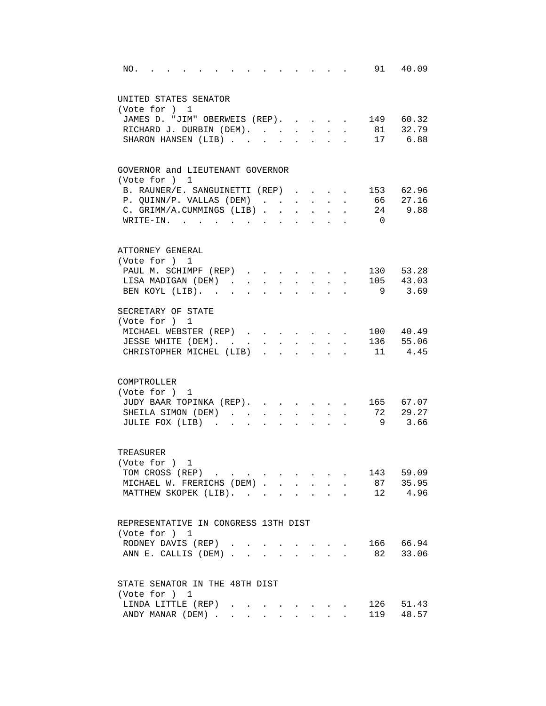| $\cdot$ $\cdot$ $\cdot$ $\cdot$ $\cdot$ $\cdot$ 91 40.09<br>NO.<br>and the contract of the contract of                   |
|--------------------------------------------------------------------------------------------------------------------------|
| UNITED STATES SENATOR                                                                                                    |
| (Vote for ) 1                                                                                                            |
| JAMES D. "JIM" OBERWEIS (REP). 149 60.32                                                                                 |
| RICHARD J. DURBIN (DEM). 81 32.79                                                                                        |
| SHARON HANSEN (LIB) 17 6.88                                                                                              |
| GOVERNOR and LIEUTENANT GOVERNOR                                                                                         |
| (Vote for ) 1                                                                                                            |
| 153 62.96<br>B. RAUNER/E. SANGUINETTI (REP)                                                                              |
| 66 27.16<br>P. QUINN/P. VALLAS (DEM)<br>$\sim$                                                                           |
| 24 9.88<br>C. GRIMM/A.CUMMINGS (LIB)                                                                                     |
| WRITE-IN.<br>$\overline{0}$                                                                                              |
| ATTORNEY GENERAL                                                                                                         |
| (Vote for ) 1                                                                                                            |
| 130 53.28<br>PAUL M. SCHIMPF (REP)<br>$\mathbf{r} = \mathbf{r}$<br>$\mathbf{r}$ and $\mathbf{r}$<br>$\sim$               |
| 105 43.03<br>LISA MADIGAN (DEM).<br>$\sim$<br>$\sim$<br>$\sim$<br>$\mathbf{r}$<br>$\sim$<br>$\mathbf{L}$<br>$\mathbf{L}$ |
| $9 \t3.69$<br>BEN KOYL (LIB).<br>$\sim$<br>$\mathbf{r}$<br>$\mathbf{r}$<br>$\sim$                                        |
|                                                                                                                          |
| SECRETARY OF STATE                                                                                                       |
| (Vote for ) 1                                                                                                            |
| MICHAEL WEBSTER (REP)<br>100 40.49<br>$\mathbf{r}$ , and $\mathbf{r}$ , and $\mathbf{r}$ , and $\mathbf{r}$              |
| 136 55.06<br>JESSE WHITE (DEM).<br>$\bullet$ .                                                                           |
| CHRISTOPHER MICHEL (LIB).<br>11 4.45                                                                                     |
|                                                                                                                          |
| COMPTROLLER                                                                                                              |
| (Vote for ) 1                                                                                                            |
| JUDY BAAR TOPINKA (REP). 165 67.07                                                                                       |
| 72 29.27<br>SHEILA SIMON (DEM)                                                                                           |
| 9 3.66<br>JULIE FOX (LIB)<br>$\ddot{\phantom{a}}$<br>$\sim$<br>$\ddot{\phantom{a}}$                                      |
| TREASURER                                                                                                                |
| (Vote for ) 1                                                                                                            |
| 143 59.09<br>TOM CROSS (REP)                                                                                             |
| 87 35.95<br>MICHAEL W. FRERICHS (DEM)                                                                                    |
| MATTHEW SKOPEK (LIB).<br>12 4.96                                                                                         |
| REPRESENTATIVE IN CONGRESS 13TH DIST                                                                                     |
| (Vote for ) 1                                                                                                            |
| 166 66.94<br>RODNEY DAVIS (REP).<br>$\sim$<br>$\mathbf{L} = \mathbf{L} \mathbf{L}$                                       |
| 82 33.06<br>ANN E. CALLIS (DEM)<br>and the state<br>a.                                                                   |
|                                                                                                                          |
| STATE SENATOR IN THE 48TH DIST                                                                                           |
| (Vote for ) 1                                                                                                            |
| LINDA LITTLE (REP)<br>126<br>51.43                                                                                       |
| 48.57<br>ANDY MANAR (DEM)<br>119                                                                                         |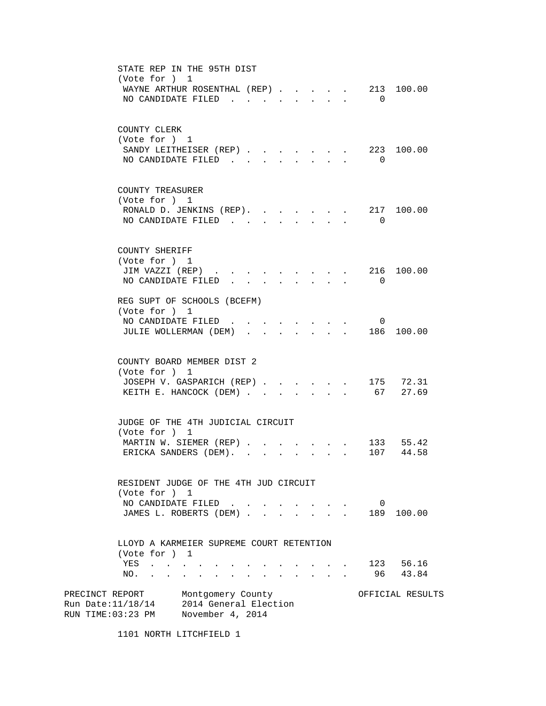STATE REP IN THE 95TH DIST (Vote for ) 1 WAYNE ARTHUR ROSENTHAL (REP) . . . . . 213 100.00 NO CANDIDATE FILED . . . . . . . . 0 COUNTY CLERK (Vote for ) 1 SANDY LEITHEISER (REP) . . . . . . . 223 100.00 NO CANDIDATE FILED . . . . . . . 0 COUNTY TREASURER (Vote for ) 1 RONALD D. JENKINS (REP). . . . . . 217 100.00 NO CANDIDATE FILED . . . . . . . . 0 COUNTY SHERIFF (Vote for ) 1 JIM VAZZI (REP) . . . . . . . . . 216 100.00 NO CANDIDATE FILED . . . . . . . . 0 REG SUPT OF SCHOOLS (BCEFM) (Vote for ) 1 NO CANDIDATE FILED . . . . . . . . 0 JULIE WOLLERMAN (DEM) . . . . . . . 186 100.00 COUNTY BOARD MEMBER DIST 2 (Vote for ) 1 JOSEPH V. GASPARICH (REP) . . . . . 175 72.31 KEITH E. HANCOCK (DEM) . . . . . . . 67 27.69 JUDGE OF THE 4TH JUDICIAL CIRCUIT (Vote for ) 1 MARTIN W. SIEMER (REP) . . . . . . . 133 55.42 ERICKA SANDERS (DEM). . . . . . . . 107 44.58 RESIDENT JUDGE OF THE 4TH JUD CIRCUIT (Vote for ) 1 NO CANDIDATE FILED . . . . . . . . 0 JAMES L. ROBERTS (DEM) . . . . . . . 189 100.00 LLOYD A KARMEIER SUPREME COURT RETENTION (Vote for ) 1 YES . . . . . . . . . . . . . 123 56.16 NO. . . . . . . . . . . . . . 96 43.84 PRECINCT REPORT Montgomery County More of FICIAL RESULTS Run Date:11/18/14 2014 General Election RUN TIME:03:23 PM November 4, 2014

1101 NORTH LITCHFIELD 1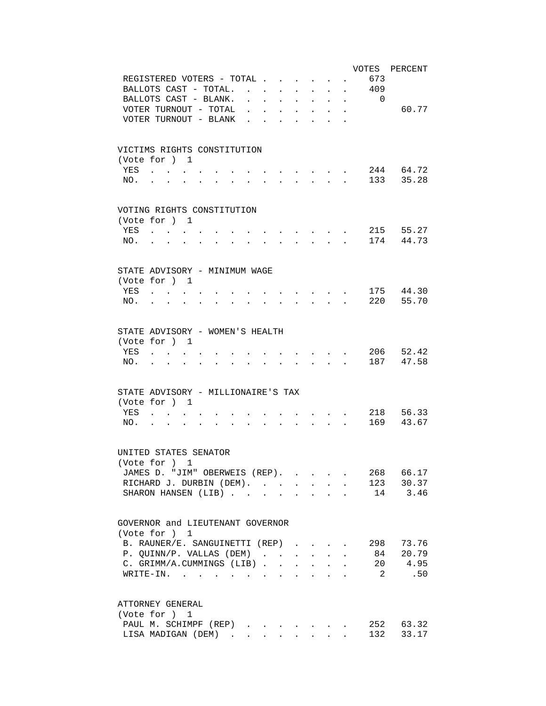| VOTES PERCENT                                                                                                                                                                                                                |
|------------------------------------------------------------------------------------------------------------------------------------------------------------------------------------------------------------------------------|
| 673<br>REGISTERED VOTERS - TOTAL .<br>$\ddot{\phantom{a}}$                                                                                                                                                                   |
| BALLOTS CAST - TOTAL.<br>409<br>$\mathbf{r}$<br>$\sim$<br>$\ddot{\phantom{a}}$                                                                                                                                               |
| BALLOTS CAST - BLANK.<br>$\overline{0}$<br>$\ddot{\phantom{a}}$                                                                                                                                                              |
| VOTER TURNOUT - TOTAL<br>60.77<br>$\ddot{\phantom{a}}$<br>÷.<br>÷.<br>$\mathbf{L}$                                                                                                                                           |
| $\sim$<br>$\mathbf{L}$<br>$\ddot{\phantom{a}}$                                                                                                                                                                               |
| VOTER TURNOUT - BLANK<br>$\ddot{\phantom{a}}$                                                                                                                                                                                |
|                                                                                                                                                                                                                              |
| VICTIMS RIGHTS CONSTITUTION                                                                                                                                                                                                  |
| (Vote for ) 1                                                                                                                                                                                                                |
| 244 64.72<br>YES                                                                                                                                                                                                             |
| 133 35.28<br>NO.                                                                                                                                                                                                             |
|                                                                                                                                                                                                                              |
| VOTING RIGHTS CONSTITUTION                                                                                                                                                                                                   |
| (Vote for ) 1                                                                                                                                                                                                                |
| 215 55.27<br>YES<br>and the state of the state of                                                                                                                                                                            |
| 174 44.73<br>NO.<br>$\mathbf{r}$ and $\mathbf{r}$<br>$\mathbf{r}$ , and $\mathbf{r}$ , and $\mathbf{r}$ , and $\mathbf{r}$<br>$\sim$                                                                                         |
|                                                                                                                                                                                                                              |
| STATE ADVISORY - MINIMUM WAGE                                                                                                                                                                                                |
| (Vote for ) 1                                                                                                                                                                                                                |
| 175 44.30<br>YES<br>and the contract of the con-<br>$\mathbf{r}$ , $\mathbf{r}$ , $\mathbf{r}$ , $\mathbf{r}$                                                                                                                |
| 220 55.70<br>NO.<br>$\mathbf{r}$ , $\mathbf{r}$ , $\mathbf{r}$ , $\mathbf{r}$                                                                                                                                                |
|                                                                                                                                                                                                                              |
|                                                                                                                                                                                                                              |
| STATE ADVISORY - WOMEN'S HEALTH                                                                                                                                                                                              |
| (Vote for ) 1                                                                                                                                                                                                                |
| 206 52.42<br>YES                                                                                                                                                                                                             |
| 187 47.58<br>NO.                                                                                                                                                                                                             |
|                                                                                                                                                                                                                              |
| STATE ADVISORY - MILLIONAIRE'S TAX                                                                                                                                                                                           |
|                                                                                                                                                                                                                              |
| (Vote for ) 1                                                                                                                                                                                                                |
| 218 56.33<br>YES<br>$\mathbf{z} = \left\{ \mathbf{z}_1, \ldots, \mathbf{z}_n \right\}$ , where $\mathbf{z}_1$                                                                                                                |
| 169 43.67<br>NO.<br>$\mathbf{r} = \mathbf{r} \cdot \mathbf{r}$ , where $\mathbf{r} = \mathbf{r} \cdot \mathbf{r}$<br>$\mathbf{r} = \mathbf{r} + \mathbf{r}$<br>$\sim$ 100 $\sim$ 100 $\sim$<br>and the state of the state of |
|                                                                                                                                                                                                                              |
| UNITED STATES SENATOR                                                                                                                                                                                                        |
| (Vote for ) 1                                                                                                                                                                                                                |
| 268 66.17<br>JAMES D. "JIM" OBERWEIS (REP).                                                                                                                                                                                  |
| RICHARD J. DURBIN (DEM). 123 30.37                                                                                                                                                                                           |
| 14 3.46<br>SHARON HANSEN (LIB)                                                                                                                                                                                               |
|                                                                                                                                                                                                                              |
| GOVERNOR and LIEUTENANT GOVERNOR                                                                                                                                                                                             |
| (Vote for ) 1                                                                                                                                                                                                                |
|                                                                                                                                                                                                                              |
| B. RAUNER/E. SANGUINETTI (REP)<br>298 73.76                                                                                                                                                                                  |
| 84 20.79<br>P. QUINN/P. VALLAS (DEM)<br>$\mathbf{r} = \mathbf{r} \mathbf{r}$ , where $\mathbf{r} = \mathbf{r} \mathbf{r}$<br>$\ddot{\phantom{a}}$                                                                            |
| 20 4.95<br>C. GRIMM/A.CUMMINGS (LIB)<br>$\mathbf{r} = \mathbf{r}$ and $\mathbf{r} = \mathbf{r}$                                                                                                                              |
| $\overline{2}$<br>.50<br>WRITE-IN.                                                                                                                                                                                           |
|                                                                                                                                                                                                                              |
| ATTORNEY GENERAL                                                                                                                                                                                                             |
| (Vote for ) 1                                                                                                                                                                                                                |
| PAUL M. SCHIMPF (REP)<br>252 63.32                                                                                                                                                                                           |
| 33.17<br>LISA MADIGAN (DEM)<br>132                                                                                                                                                                                           |
|                                                                                                                                                                                                                              |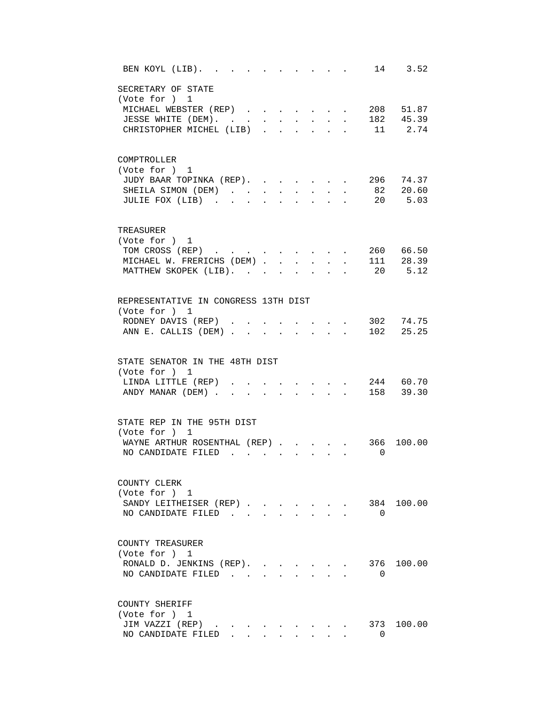| 14 3.52<br>BEN KOYL (LIB). .                                                                                                                                                                                                                                  |
|---------------------------------------------------------------------------------------------------------------------------------------------------------------------------------------------------------------------------------------------------------------|
| SECRETARY OF STATE<br>(Vote for ) 1<br>208 51.87<br>MICHAEL WEBSTER (REP)<br>182 45.39<br>JESSE WHITE (DEM). .<br>$\mathbf{L} = \mathbf{L}$<br>$\mathbf{L}^{\text{max}}$<br>$\sim$<br>$\sim$<br>11 2.74<br>CHRISTOPHER MICHEL (LIB)<br>$\mathbf{L}$<br>$\sim$ |
| COMPTROLLER<br>(Vote for ) 1<br>JUDY BAAR TOPINKA (REP). .<br>296 74.37<br>$82 \t 20.60$<br>SHEILA SIMON (DEM)<br>20 5.03<br>JULIE FOX (LIB)                                                                                                                  |
| TREASURER<br>(Vote for ) 1<br>260 66.50<br>TOM CROSS (REP)<br>111 28.39<br>MICHAEL W. FRERICHS (DEM) .<br>$\ddot{\phantom{a}}$<br>20 5.12<br>MATTHEW SKOPEK (LIB). .                                                                                          |
| REPRESENTATIVE IN CONGRESS 13TH DIST<br>(Vote for ) 1<br>RODNEY DAVIS (REP).<br>302 74.75<br>ANN E. CALLIS (DEM)<br>102 25.25<br>$\sim$                                                                                                                       |
| STATE SENATOR IN THE 48TH DIST<br>(Vote for ) 1<br>244 60.70<br>LINDA LITTLE (REP)<br>158 39.30<br>ANDY MANAR (DEM).                                                                                                                                          |
| STATE REP IN THE 95TH DIST<br>(Vote for ) 1<br>WAYNE ARTHUR ROSENTHAL (REP).<br>366<br>100.00<br>NO CANDIDATE FILED.<br>$\overline{0}$                                                                                                                        |
| COUNTY CLERK<br>(Vote for ) 1<br>100.00<br>SANDY LEITHEISER (REP)<br>384<br>NO CANDIDATE FILED<br>$\Omega$<br>$\mathbf{L}$<br>$\sim$                                                                                                                          |
| COUNTY TREASURER<br>(Vote for ) 1<br>376 100.00<br>RONALD D. JENKINS (REP).<br>NO CANDIDATE FILED<br>0                                                                                                                                                        |
| COUNTY SHERIFF<br>(Vote for ) 1<br>JIM VAZZI (REP)<br>373 100.00<br>$\bullet$ .<br><br><br><br><br><br><br><br><br><br><br><br><br><br>NO CANDIDATE FILED.<br>$\Omega$                                                                                        |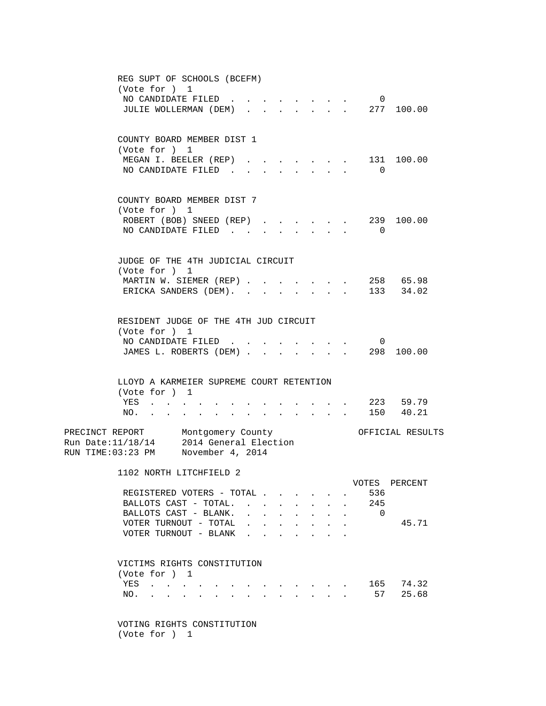| REG SUPT OF SCHOOLS (BCEFM)<br>(Vote for ) 1<br>NO CANDIDATE FILED<br>$\overline{\phantom{0}}$                                                                                                                                                         |        |
|--------------------------------------------------------------------------------------------------------------------------------------------------------------------------------------------------------------------------------------------------------|--------|
| 277 100.00<br>JULIE WOLLERMAN (DEM)<br>$\mathcal{L}^{\text{max}}$                                                                                                                                                                                      |        |
| COUNTY BOARD MEMBER DIST 1<br>(Vote for ) 1                                                                                                                                                                                                            |        |
| 131 100.00<br>MEGAN I. BEELER (REP)<br>NO CANDIDATE FILED.<br>0                                                                                                                                                                                        |        |
| COUNTY BOARD MEMBER DIST 7<br>(Vote for ) 1                                                                                                                                                                                                            |        |
| ROBERT (BOB) SNEED (REP).<br>239<br>NO CANDIDATE FILED<br>$\overline{0}$<br>$\ddot{\phantom{0}}$                                                                                                                                                       | 100.00 |
| JUDGE OF THE 4TH JUDICIAL CIRCUIT<br>(Vote for ) 1                                                                                                                                                                                                     |        |
| 258 65.98<br>MARTIN W. SIEMER (REP)<br>133 34.02<br>ERICKA SANDERS (DEM).                                                                                                                                                                              |        |
| RESIDENT JUDGE OF THE 4TH JUD CIRCUIT<br>(Vote for ) 1                                                                                                                                                                                                 |        |
| NO CANDIDATE FILED.<br>$\overline{0}$<br>JAMES L. ROBERTS (DEM) .<br>298 100.00                                                                                                                                                                        |        |
| LLOYD A KARMEIER SUPREME COURT RETENTION<br>(Vote for ) 1                                                                                                                                                                                              |        |
| . 223 59.79<br>YES<br>150 40.21<br>NO.<br>and a series of the contract of the series of<br>$\sim$ $\sim$<br><b>Contract Contract</b>                                                                                                                   |        |
| PRECINCT REPORT Montgomery County<br>OFFICIAL RESULTS<br>Run Date:11/18/14 2014 General Election<br>RUN TIME:03:23 PM November 4, 2014                                                                                                                 |        |
| 1102 NORTH LITCHFIELD 2<br>VOTES PERCENT                                                                                                                                                                                                               |        |
| 536<br>REGISTERED VOTERS - TOTAL<br>245<br>BALLOTS CAST - TOTAL.<br>$\bullet$ .<br><br><br><br><br><br><br><br><br><br><br><br><br>$\overline{0}$<br>BALLOTS CAST - BLANK.                                                                             |        |
| VOTER TURNOUT - TOTAL<br>VOTER TURNOUT - BLANK                                                                                                                                                                                                         | 45.71  |
| VICTIMS RIGHTS CONSTITUTION<br>(Vote for ) 1                                                                                                                                                                                                           |        |
| 165 74.32<br>YES<br>and a straightful and a straight<br>. 57<br>NO.<br>the contract of the contract of the contract of the contract of the contract of the contract of the contract of<br>$\mathbf{L} = \mathbf{L} \mathbf{L} + \mathbf{L} \mathbf{L}$ | 25.68  |
| VOTING RIGHTS CONSTITUTION                                                                                                                                                                                                                             |        |

(Vote for ) 1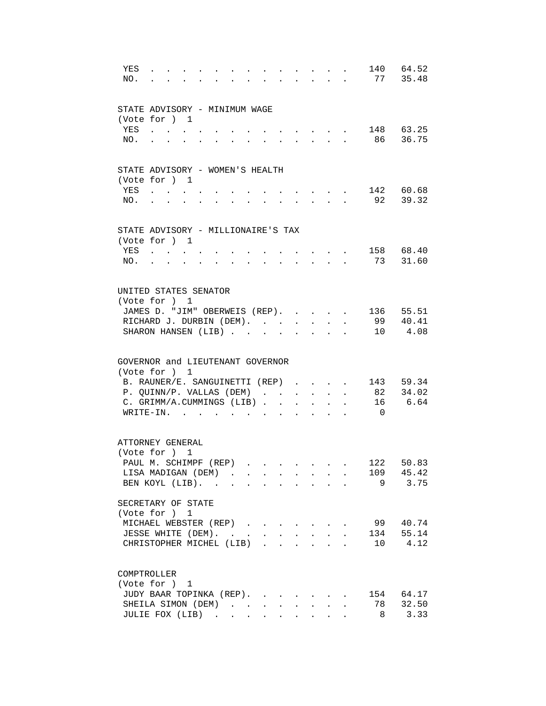| YES<br>NO. |                                                                                                                       |                                                           |                                                           |                           | and the state of the state of                                                                 |                                                           |                      |                      |                | 140 64.52<br>77 35.48 |
|------------|-----------------------------------------------------------------------------------------------------------------------|-----------------------------------------------------------|-----------------------------------------------------------|---------------------------|-----------------------------------------------------------------------------------------------|-----------------------------------------------------------|----------------------|----------------------|----------------|-----------------------|
|            | STATE ADVISORY - MINIMUM WAGE                                                                                         |                                                           |                                                           |                           |                                                                                               |                                                           |                      |                      |                |                       |
|            | (Vote for ) 1                                                                                                         |                                                           |                                                           |                           |                                                                                               |                                                           |                      |                      |                |                       |
| YES        | the contract of the contract of                                                                                       |                                                           |                                                           |                           |                                                                                               |                                                           |                      |                      |                | 148 63.25             |
| NO.        | $\mathbf{r} = \mathbf{r} \cdot \mathbf{r}$ , where $\mathbf{r} = \mathbf{r} \cdot \mathbf{r}$<br>$\ddot{\phantom{a}}$ | $\mathbf{z} = \mathbf{z} + \mathbf{z}$ . The $\mathbf{z}$ | <b>All Card Corporation</b>                               |                           | $\mathbf{r} = \mathbf{r} \cdot \mathbf{r}$ , where $\mathbf{r} = \mathbf{r} \cdot \mathbf{r}$ |                                                           |                      |                      |                | 86 36.75              |
|            | STATE ADVISORY - WOMEN'S HEALTH                                                                                       |                                                           |                                                           |                           |                                                                                               |                                                           |                      |                      |                |                       |
|            | (Vote for ) 1                                                                                                         |                                                           |                                                           |                           |                                                                                               |                                                           |                      |                      |                |                       |
| YES        | <b>Contract Contract Contract</b>                                                                                     |                                                           |                                                           |                           | $\sim$ $\sim$ $\sim$ $\sim$ $\sim$ $\sim$                                                     |                                                           |                      |                      |                | 142 60.68             |
| NO.        |                                                                                                                       | $\sim$                                                    | $\ddot{\phantom{a}}$                                      | $\cdot$                   | $\sim$ $\sim$ $\sim$ $\sim$ $\sim$                                                            |                                                           |                      |                      |                | 92 39.32              |
|            | STATE ADVISORY - MILLIONAIRE'S TAX                                                                                    |                                                           |                                                           |                           |                                                                                               |                                                           |                      |                      |                |                       |
|            | (Vote for ) 1                                                                                                         |                                                           |                                                           |                           |                                                                                               |                                                           |                      |                      |                |                       |
| YES        | <b>Contract</b>                                                                                                       |                                                           |                                                           |                           |                                                                                               |                                                           |                      |                      |                | 158 68.40             |
| NO.        |                                                                                                                       |                                                           |                                                           |                           |                                                                                               |                                                           |                      |                      |                | 73 31.60              |
|            | UNITED STATES SENATOR                                                                                                 |                                                           |                                                           |                           |                                                                                               |                                                           |                      |                      |                |                       |
|            | (Vote for ) 1                                                                                                         |                                                           |                                                           |                           |                                                                                               |                                                           |                      |                      |                |                       |
|            | JAMES D. "JIM" OBERWEIS (REP).                                                                                        |                                                           |                                                           |                           |                                                                                               |                                                           |                      | $\mathbf{r}$         |                | 136 55.51             |
|            | RICHARD J. DURBIN (DEM).<br>SHARON HANSEN (LIB)                                                                       |                                                           |                                                           |                           |                                                                                               | $\mathbf{L}^{\text{max}}$ , and $\mathbf{L}^{\text{max}}$ | $\bullet$ .          |                      |                | 99 40.41<br>10 4.08   |
|            |                                                                                                                       |                                                           |                                                           |                           | $\ddot{\phantom{a}}$                                                                          | $\bullet$                                                 |                      |                      |                |                       |
|            | GOVERNOR and LIEUTENANT GOVERNOR                                                                                      |                                                           |                                                           |                           |                                                                                               |                                                           |                      |                      |                |                       |
|            | (Vote for ) 1                                                                                                         |                                                           |                                                           |                           |                                                                                               |                                                           |                      |                      |                |                       |
|            | B. RAUNER/E. SANGUINETTI (REP)<br>P. QUINN/P. VALLAS (DEM)                                                            |                                                           |                                                           |                           |                                                                                               |                                                           |                      |                      |                | 143 59.34<br>82 34.02 |
|            | C. GRIMM/A.CUMMINGS (LIB)                                                                                             |                                                           |                                                           |                           |                                                                                               |                                                           | $\ddot{\phantom{0}}$ | $\ddot{\phantom{a}}$ |                | 16 6.64               |
|            | WRITE-IN.                                                                                                             | $\mathbf{r}$ , $\mathbf{r}$ , $\mathbf{r}$                |                                                           | $\bullet$                 |                                                                                               | $\ddot{\phantom{0}}$                                      |                      |                      | $\overline{0}$ |                       |
|            | ATTORNEY GENERAL                                                                                                      |                                                           |                                                           |                           |                                                                                               |                                                           |                      |                      |                |                       |
|            | (Vote for ) 1                                                                                                         |                                                           |                                                           |                           |                                                                                               |                                                           |                      |                      |                |                       |
|            | PAUL M. SCHIMPF (REP)                                                                                                 |                                                           |                                                           |                           |                                                                                               |                                                           |                      |                      | 122            | 50.83                 |
|            | LISA MADIGAN (DEM)                                                                                                    |                                                           |                                                           |                           |                                                                                               |                                                           |                      |                      |                | 109 45.42             |
|            | BEN KOYL (LIB).                                                                                                       |                                                           |                                                           |                           |                                                                                               |                                                           |                      |                      |                | 9 3.75                |
|            | SECRETARY OF STATE                                                                                                    |                                                           |                                                           |                           |                                                                                               |                                                           |                      |                      |                |                       |
|            | (Vote for ) 1                                                                                                         |                                                           |                                                           |                           |                                                                                               |                                                           |                      |                      |                |                       |
|            | MICHAEL WEBSTER (REP)                                                                                                 |                                                           |                                                           |                           |                                                                                               |                                                           |                      |                      | 99             | 40.74                 |
|            | JESSE WHITE (DEM). .<br>CHRISTOPHER MICHEL (LIB).                                                                     |                                                           | $\mathbf{A}^{\text{max}}$ , and $\mathbf{A}^{\text{max}}$ | $\mathbf{L}^{\text{max}}$ |                                                                                               |                                                           |                      |                      | 134<br>10      | 55.14<br>4.12         |
|            |                                                                                                                       |                                                           |                                                           |                           |                                                                                               |                                                           |                      |                      |                |                       |
|            | COMPTROLLER<br>(Vote for ) 1                                                                                          |                                                           |                                                           |                           |                                                                                               |                                                           |                      |                      |                |                       |
|            | JUDY BAAR TOPINKA (REP).                                                                                              |                                                           |                                                           |                           |                                                                                               |                                                           |                      |                      |                | 154 64.17             |
|            | SHEILA SIMON (DEM)                                                                                                    |                                                           |                                                           |                           | $\ddot{\phantom{0}}$                                                                          | $\mathbf{A}^{\text{max}}$                                 |                      |                      | 78             | 32.50                 |
|            | JULIE FOX (LIB)                                                                                                       |                                                           |                                                           |                           |                                                                                               |                                                           |                      |                      | 8              | 3.33                  |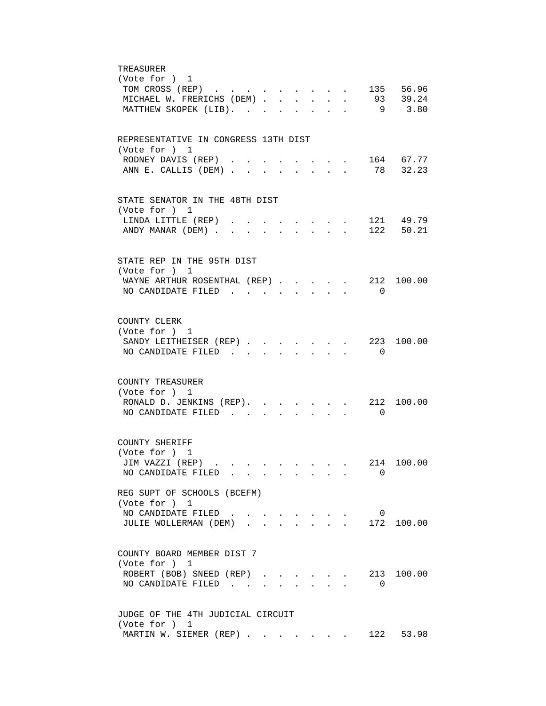| TREASURER                                                                                                     |
|---------------------------------------------------------------------------------------------------------------|
| (Vote for ) 1                                                                                                 |
| TOM CROSS (REP) 135 56.96                                                                                     |
| MICHAEL W. FRERICHS (DEM) 93 39.24<br>MATTHEW SKOPEK (LIB).<br>9 3.80                                         |
|                                                                                                               |
|                                                                                                               |
| REPRESENTATIVE IN CONGRESS 13TH DIST<br>(Vote for ) 1                                                         |
| $\cdot$ 164 67.77<br>RODNEY DAVIS (REP)                                                                       |
| 78 32.23<br>ANN E. CALLIS (DEM).<br>$\mathcal{L}^{\text{max}}$<br>$\mathbf{L} = \mathbf{L}$                   |
|                                                                                                               |
| STATE SENATOR IN THE 48TH DIST                                                                                |
| (Vote for ) 1                                                                                                 |
| 121 49.79<br>LINDA LITTLE (REP).                                                                              |
| ANDY MANAR (DEM)<br>122 50.21                                                                                 |
|                                                                                                               |
| STATE REP IN THE 95TH DIST                                                                                    |
| (Vote for ) 1                                                                                                 |
| WAYNE ARTHUR ROSENTHAL (REP)<br>212 100.00                                                                    |
| NO CANDIDATE FILED<br>$\Omega$                                                                                |
|                                                                                                               |
| COUNTY CLERK                                                                                                  |
| (Vote for ) 1                                                                                                 |
| SANDY LEITHEISER (REP). 223<br>100.00                                                                         |
| NO CANDIDATE FILED<br>$\overline{\phantom{0}}$<br>$\mathbf{r} = \mathbf{r}$<br>$\sim$<br>$\sim$               |
|                                                                                                               |
| COUNTY TREASURER                                                                                              |
| (Vote for ) 1                                                                                                 |
| RONALD D. JENKINS (REP).<br>212 100.00<br>$\cdot$ $\cdot$ $\cdot$                                             |
| NO CANDIDATE FILED<br>$\overline{0}$                                                                          |
|                                                                                                               |
| COUNTY SHERIFF                                                                                                |
| (Vote for ) 1<br>214 100.00<br>JIM VAZZI (REP)                                                                |
| NO CANDIDATE FILED<br>0                                                                                       |
|                                                                                                               |
| REG SUPT OF SCHOOLS (BCEFM)                                                                                   |
| (Vote for ) 1                                                                                                 |
| NO CANDIDATE FILED.<br>$\overline{\phantom{0}}$<br>$\sim$<br>$\sim$ $\sim$<br>172 100.00<br>$\sim$ 100 $\sim$ |
| JULIE WOLLERMAN (DEM).                                                                                        |
|                                                                                                               |
| COUNTY BOARD MEMBER DIST 7                                                                                    |
| (Vote for ) 1<br>ROBERT (BOB) SNEED (REP).<br>213 100.00                                                      |
| NO CANDIDATE FILED<br>0                                                                                       |
|                                                                                                               |
|                                                                                                               |
| JUDGE OF THE 4TH JUDICIAL CIRCUIT<br>(Vote for ) 1                                                            |
| MARTIN W. SIEMER (REP)<br>122 53.98                                                                           |
|                                                                                                               |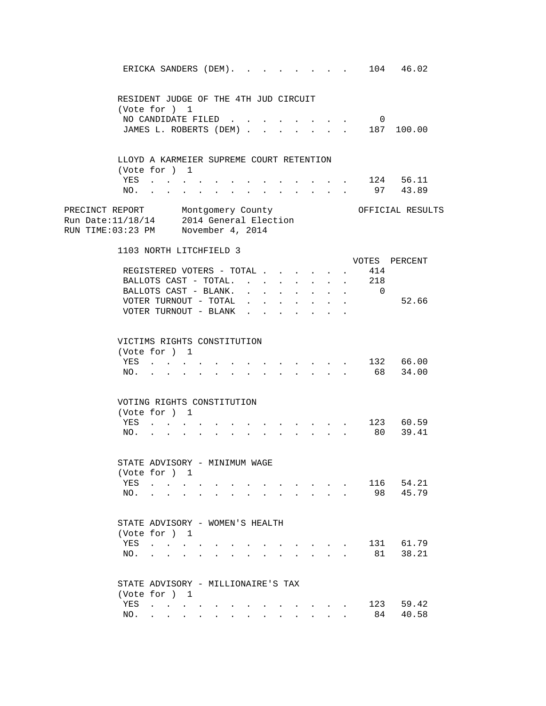|                                                                                                                    |            |                                                                                                                 |  |        |                                      |                                            |                                      |                        |                                        |                           |                | ERICKA SANDERS (DEM). 104 46.02   |  |
|--------------------------------------------------------------------------------------------------------------------|------------|-----------------------------------------------------------------------------------------------------------------|--|--------|--------------------------------------|--------------------------------------------|--------------------------------------|------------------------|----------------------------------------|---------------------------|----------------|-----------------------------------|--|
|                                                                                                                    |            | RESIDENT JUDGE OF THE 4TH JUD CIRCUIT                                                                           |  |        |                                      |                                            |                                      |                        |                                        |                           |                |                                   |  |
|                                                                                                                    |            | (Vote for ) 1                                                                                                   |  |        |                                      |                                            |                                      |                        |                                        |                           |                |                                   |  |
|                                                                                                                    |            | NO CANDIDATE FILED                                                                                              |  |        |                                      |                                            |                                      |                        |                                        |                           | $\overline{0}$ |                                   |  |
|                                                                                                                    |            |                                                                                                                 |  |        |                                      |                                            |                                      |                        |                                        |                           |                | JAMES L. ROBERTS (DEM) 187 100.00 |  |
|                                                                                                                    |            | LLOYD A KARMEIER SUPREME COURT RETENTION                                                                        |  |        |                                      |                                            |                                      |                        |                                        |                           |                |                                   |  |
|                                                                                                                    |            | (Vote for ) 1                                                                                                   |  |        |                                      |                                            |                                      |                        |                                        |                           |                |                                   |  |
|                                                                                                                    |            | YES                                                                                                             |  |        |                                      |                                            | $\ddot{\phantom{0}}$                 |                        | $\mathbf{L} = \mathbf{L}$              |                           |                | . 124 56.11                       |  |
|                                                                                                                    | NO.        |                                                                                                                 |  | $\sim$ |                                      |                                            | $\sim$                               | $\sim$                 | $\sim$                                 |                           |                | 97 43.89                          |  |
| PRECINCT REPORT Montgomery County<br>Run Date:11/18/14 2014 General Election<br>RUN TIME:03:23 PM November 4, 2014 |            |                                                                                                                 |  |        |                                      |                                            |                                      |                        |                                        |                           |                | OFFICIAL RESULTS                  |  |
|                                                                                                                    |            | 1103 NORTH LITCHFIELD 3                                                                                         |  |        |                                      |                                            |                                      |                        |                                        |                           |                |                                   |  |
|                                                                                                                    |            |                                                                                                                 |  |        |                                      |                                            |                                      |                        |                                        |                           |                | VOTES PERCENT                     |  |
|                                                                                                                    |            | REGISTERED VOTERS - TOTAL                                                                                       |  |        |                                      |                                            |                                      | $\sim$                 | $\ddot{\phantom{a}}$                   |                           | 414            |                                   |  |
|                                                                                                                    |            | BALLOTS CAST - TOTAL.                                                                                           |  |        |                                      | $\mathbf{L}^{\text{max}}$                  | $\sim$                               | $\mathbf{L}$           | $\sim$                                 | $\mathbf{L}$              | 218            |                                   |  |
|                                                                                                                    |            | BALLOTS CAST - BLANK.                                                                                           |  |        | $\mathbf{L} = \mathbf{L} \mathbf{L}$ | $\mathbf{L}$                               | $\mathbf{L}$                         | $\mathbf{L}$           |                                        | $\mathbf{r} = \mathbf{r}$ | $\overline{0}$ |                                   |  |
|                                                                                                                    |            | VOTER TURNOUT - TOTAL                                                                                           |  |        |                                      | $\mathbf{r}$ , $\mathbf{r}$ , $\mathbf{r}$ |                                      |                        | $\mathbf{r} = \mathbf{r} + \mathbf{r}$ |                           |                | 52.66                             |  |
|                                                                                                                    |            | VOTER TURNOUT - BLANK                                                                                           |  |        |                                      |                                            |                                      |                        |                                        |                           |                |                                   |  |
|                                                                                                                    | YES<br>NO. | VICTIMS RIGHTS CONSTITUTION<br>(Vote for ) 1<br>$\mathbf{L}^{\text{max}}$ and $\mathbf{L}^{\text{max}}$         |  |        |                                      |                                            | $\sim$<br>$\mathcal{L}^{\text{max}}$ | $\sim$<br>$\mathbf{L}$ | $\sim$                                 |                           |                | 132 66.00<br>68 34.00             |  |
|                                                                                                                    |            | VOTING RIGHTS CONSTITUTION                                                                                      |  |        |                                      |                                            |                                      |                        |                                        |                           |                |                                   |  |
|                                                                                                                    |            | (Vote for ) 1                                                                                                   |  |        |                                      |                                            |                                      |                        |                                        |                           |                |                                   |  |
|                                                                                                                    | YES        | and a strong control of the state of                                                                            |  |        |                                      |                                            |                                      |                        |                                        |                           |                | . 123 60.59                       |  |
|                                                                                                                    | NO.        | .                                                                                                               |  |        |                                      |                                            |                                      |                        |                                        |                           | . 80           | 39.41                             |  |
|                                                                                                                    |            | STATE ADVISORY - MINIMUM WAGE                                                                                   |  |        |                                      |                                            |                                      |                        |                                        |                           |                |                                   |  |
|                                                                                                                    |            | (Vote for ) 1                                                                                                   |  |        |                                      |                                            |                                      |                        |                                        |                           |                |                                   |  |
|                                                                                                                    | YES        | the contract of the contract of the contract of the contract of the contract of the contract of the contract of |  |        |                                      |                                            |                                      |                        |                                        |                           | 116            | 54.21                             |  |
|                                                                                                                    |            | NO.                                                                                                             |  |        |                                      |                                            |                                      |                        |                                        |                           | 98             | 45.79                             |  |
|                                                                                                                    |            | STATE ADVISORY - WOMEN'S HEALTH                                                                                 |  |        |                                      |                                            |                                      |                        |                                        |                           |                |                                   |  |
|                                                                                                                    |            | (Vote for ) 1                                                                                                   |  |        |                                      |                                            |                                      |                        |                                        |                           |                |                                   |  |
|                                                                                                                    |            | YES                                                                                                             |  |        |                                      |                                            | $\mathbf{r}$ $\mathbf{r}$            | $\sim$                 |                                        |                           |                | 131 61.79                         |  |
|                                                                                                                    | NO.        | $\mathbf{r}$ and $\mathbf{r}$                                                                                   |  |        |                                      |                                            |                                      |                        |                                        |                           | 81             | 38.21                             |  |
|                                                                                                                    |            | STATE ADVISORY - MILLIONAIRE'S TAX<br>(Vote for ) 1                                                             |  |        |                                      |                                            |                                      |                        |                                        |                           |                |                                   |  |
|                                                                                                                    |            | YES                                                                                                             |  |        |                                      |                                            |                                      |                        |                                        |                           | 123            | 59.42                             |  |
|                                                                                                                    |            | NO.                                                                                                             |  |        |                                      |                                            |                                      |                        |                                        |                           | 84             | 40.58                             |  |
|                                                                                                                    |            |                                                                                                                 |  |        |                                      |                                            |                                      |                        |                                        |                           |                |                                   |  |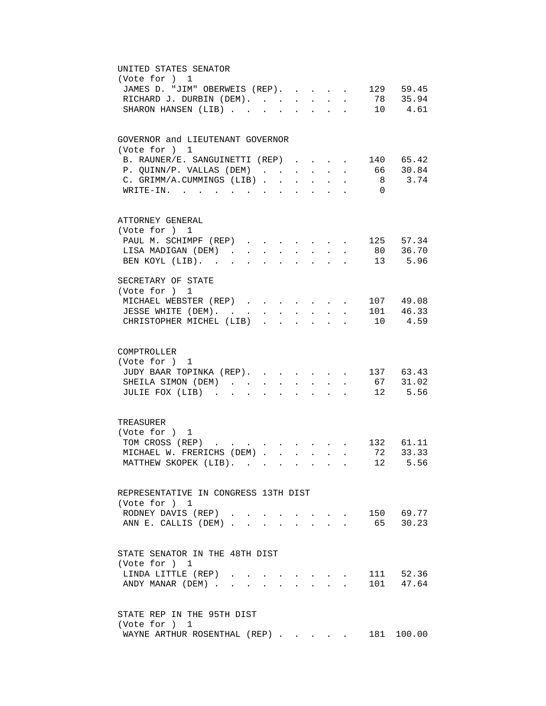| UNITED STATES SENATOR                                                                                                                           |
|-------------------------------------------------------------------------------------------------------------------------------------------------|
| (Vote for ) 1                                                                                                                                   |
| JAMES D. "JIM" OBERWEIS (REP). 129 59.45                                                                                                        |
| RICHARD J. DURBIN (DEM). 78 35.94                                                                                                               |
| SHARON HANSEN (LIB) 10 4.61                                                                                                                     |
|                                                                                                                                                 |
| GOVERNOR and LIEUTENANT GOVERNOR                                                                                                                |
| (Vote for ) 1                                                                                                                                   |
|                                                                                                                                                 |
| . 140 65.42<br>B. RAUNER/E. SANGUINETTI (REP)                                                                                                   |
| 66 30.84<br>P. QUINN/P. VALLAS (DEM)                                                                                                            |
| C. GRIMM/A.CUMMINGS (LIB)<br>8 3.74                                                                                                             |
| WRITE-IN.<br>$\overline{0}$                                                                                                                     |
|                                                                                                                                                 |
| ATTORNEY GENERAL                                                                                                                                |
| (Vote for ) 1                                                                                                                                   |
| 125 57.34<br>PAUL M. SCHIMPF (REP)<br>$\mathbf{r}$ and $\mathbf{r}$<br>$\mathbf{r} = \mathbf{r} + \mathbf{r}$ , where $\mathbf{r} = \mathbf{r}$ |
| 80 36.70<br>LISA MADIGAN (DEM).<br>$\sim$<br>$\sim$ $\sim$<br>$\sim$<br>$\sim$<br>$\sim$<br>$\mathbf{L}$                                        |
| 13 5.96<br>BEN KOYL (LIB).<br>$\mathbf{L}$<br>$\mathbf{L}$<br>$\overline{a}$<br>$\mathbf{r}$<br>$\mathbf{r}$                                    |
|                                                                                                                                                 |
| SECRETARY OF STATE                                                                                                                              |
| (Vote for ) 1                                                                                                                                   |
| MICHAEL WEBSTER (REP)<br>107 49.08                                                                                                              |
| $\cdot$ 101 46.33<br>JESSE WHITE (DEM).<br>$\sim$ $-$<br>$\ddot{\phantom{0}}$                                                                   |
| 10 4.59<br>CHRISTOPHER MICHEL (LIB).<br>$\ddot{\phantom{a}}$                                                                                    |
|                                                                                                                                                 |
| COMPTROLLER                                                                                                                                     |
| (Vote for ) 1                                                                                                                                   |
| JUDY BAAR TOPINKA (REP). 137 63.43                                                                                                              |
| SHEILA SIMON (DEM) 67 31.02                                                                                                                     |
| JULIE FOX (LIB)<br>$\cdot$ 12 5.56                                                                                                              |
|                                                                                                                                                 |
| TREASURER                                                                                                                                       |
| (Vote for ) 1                                                                                                                                   |
| TOM CROSS (REP) 132 61.11                                                                                                                       |
| MICHAEL W. FRERICHS (DEM) 72 33.33                                                                                                              |
|                                                                                                                                                 |
| MATTHEW SKOPEK (LIB). 12 5.56                                                                                                                   |
|                                                                                                                                                 |
| REPRESENTATIVE IN CONGRESS 13TH DIST                                                                                                            |
| (Vote for ) 1                                                                                                                                   |
| 150 69.77<br>RODNEY DAVIS (REP).                                                                                                                |
| 65 30.23<br>ANN E. CALLIS (DEM)                                                                                                                 |
|                                                                                                                                                 |
| STATE SENATOR IN THE 48TH DIST                                                                                                                  |
| (Vote for ) 1                                                                                                                                   |
| 111 52.36<br>LINDA LITTLE (REP)<br>$\mathbf{A}$                                                                                                 |
| 101 47.64<br>ANDY MANAR (DEM)                                                                                                                   |
|                                                                                                                                                 |
|                                                                                                                                                 |
| STATE REP IN THE 95TH DIST<br>(Vote for ) 1                                                                                                     |
| WAYNE ARTHUR ROSENTHAL (REP)<br>181 100.00                                                                                                      |
|                                                                                                                                                 |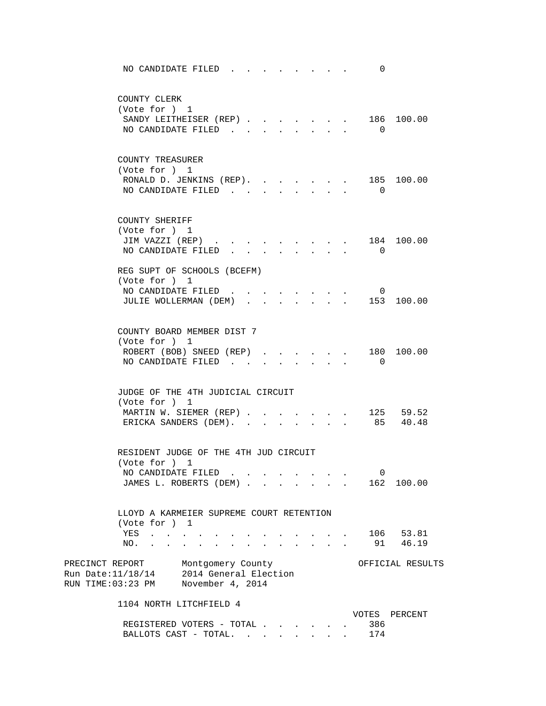| NO CANDIDATE FILED                                                                                                                                                                                                                           | 0                                |                       |
|----------------------------------------------------------------------------------------------------------------------------------------------------------------------------------------------------------------------------------------------|----------------------------------|-----------------------|
| COUNTY CLERK<br>(Vote for ) 1<br>SANDY LEITHEISER (REP)<br>NO CANDIDATE FILED<br>$\mathbf{L} = \mathbf{L} \mathbf{L}$                                                                                                                        | $\overline{0}$                   | 186 100.00            |
| COUNTY TREASURER<br>(Vote for ) 1<br>RONALD D. JENKINS (REP). 185 100.00<br>NO CANDIDATE FILED                                                                                                                                               | $\overline{0}$                   |                       |
| COUNTY SHERIFF<br>(Vote for ) 1<br>JIM VAZZI (REP)<br>$\mathbf{r} = \mathbf{r} + \mathbf{r}$ , where $\mathbf{r} = \mathbf{r} + \mathbf{r}$<br>$\sim$<br>NO CANDIDATE FILED<br>$\mathbf{L}^{\text{max}}$<br>$\sim$<br>$\sim$<br>$\mathbf{L}$ | $\sim$<br>$\cap$<br>$\mathbf{r}$ | 184 100.00            |
| REG SUPT OF SCHOOLS (BCEFM)<br>(Vote for ) 1<br>NO CANDIDATE FILED<br>$\cdot$ 153 100.00<br>JULIE WOLLERMAN (DEM)                                                                                                                            | 0                                |                       |
| COUNTY BOARD MEMBER DIST 7<br>(Vote for ) 1<br>ROBERT (BOB) SNEED (REP) 180 100.00<br>NO CANDIDATE FILED<br>$\mathbf{r} = \mathbf{r} + \mathbf{r} + \mathbf{r} + \mathbf{r}$                                                                 | $\overline{0}$                   |                       |
| JUDGE OF THE 4TH JUDICIAL CIRCUIT<br>(Vote for ) 1<br>MARTIN W. SIEMER (REP)<br>ERICKA SANDERS (DEM).                                                                                                                                        |                                  | 125 59.52<br>85 40.48 |
| RESIDENT JUDGE OF THE 4TH JUD CIRCUIT<br>(Vote for ) 1<br>NO CANDIDATE FILED.<br>JAMES L. ROBERTS (DEM).<br>$\ddot{\phantom{0}}$                                                                                                             | 0                                | 162 100.00            |
| LLOYD A KARMEIER SUPREME COURT RETENTION<br>(Vote for ) 1<br>YES<br><b><i>Contract Contract Street</i></b><br>NO.                                                                                                                            | 91                               | 106 53.81<br>46.19    |
| PRECINCT REPORT Montgomery County<br>Run Date: 11/18/14 2014 General Election<br>RUN TIME:03:23 PM November 4, 2014                                                                                                                          |                                  | OFFICIAL RESULTS      |
| 1104 NORTH LITCHFIELD 4<br>REGISTERED VOTERS - TOTAL                                                                                                                                                                                         | VOTES<br>386                     | PERCENT               |

BALLOTS CAST - TOTAL. . . . . . . . 174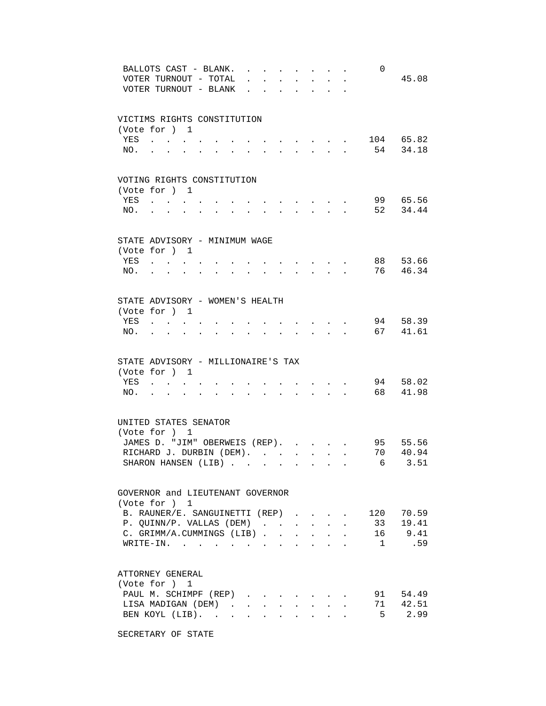|            | BALLOTS CAST - BLANK.<br>VOTER TURNOUT - TOTAL<br>VOTER TURNOUT - BLANK                             |             | $\ddot{\phantom{a}}$<br>$\sim$ $\sim$ $\sim$ |                           |                                                 |                               |                                                                                                    |                                                                                                        | 0            | 45.08                 |
|------------|-----------------------------------------------------------------------------------------------------|-------------|----------------------------------------------|---------------------------|-------------------------------------------------|-------------------------------|----------------------------------------------------------------------------------------------------|--------------------------------------------------------------------------------------------------------|--------------|-----------------------|
|            | VICTIMS RIGHTS CONSTITUTION<br>(Vote for ) 1                                                        |             |                                              |                           |                                                 |                               |                                                                                                    |                                                                                                        |              |                       |
| YES<br>NO. | $\mathbf{r}$ , $\mathbf{r}$ , $\mathbf{r}$ , $\mathbf{r}$<br>$\mathbf{z} = \mathbf{z} + \mathbf{z}$ | $\bullet$ . | $\sim 100$ km s $^{-1}$                      |                           | the contract of the contract of the contract of |                               |                                                                                                    |                                                                                                        |              | 104 65.82<br>54 34.18 |
|            | VOTING RIGHTS CONSTITUTION<br>(Vote for ) 1                                                         |             |                                              |                           |                                                 |                               |                                                                                                    |                                                                                                        |              |                       |
| YES        | <b>Contract Contract Contract</b>                                                                   |             |                                              |                           | and the state of the state of the               |                               |                                                                                                    |                                                                                                        |              | 99 65.56              |
| NO.        | $\mathbf{L}$<br>$\overline{a}$                                                                      |             | $\sim$                                       | $\ddot{\phantom{a}}$      | <b>Contract Contract Contract</b>               | $\mathbf{A}$ and $\mathbf{A}$ |                                                                                                    |                                                                                                        |              | 52 34.44              |
|            | STATE ADVISORY - MINIMUM WAGE<br>(Vote for ) 1                                                      |             |                                              |                           |                                                 |                               |                                                                                                    |                                                                                                        |              |                       |
| YES        |                                                                                                     |             |                                              |                           |                                                 |                               |                                                                                                    |                                                                                                        |              | 88 53.66              |
| NO.        |                                                                                                     |             |                                              |                           |                                                 |                               |                                                                                                    |                                                                                                        | 76           | 46.34                 |
|            | STATE ADVISORY - WOMEN'S HEALTH                                                                     |             |                                              |                           |                                                 |                               |                                                                                                    |                                                                                                        |              |                       |
| YES        | (Vote for ) 1<br>$\mathbf{r}$ , and $\mathbf{r}$ , and $\mathbf{r}$                                 |             |                                              |                           |                                                 | $\sim$ $\sim$ $\sim$ $\sim$   |                                                                                                    |                                                                                                        |              | 94 58.39              |
| NO.        | $\ddot{\phantom{0}}$<br>$\ddot{\phantom{0}}$<br>$\sim$                                              |             | <b>All Card Corporation</b>                  |                           |                                                 |                               |                                                                                                    | $\mathbf{r} = \mathbf{r} \cdot \mathbf{r} = \mathbf{r} \cdot \mathbf{r} = \mathbf{r} \cdot \mathbf{r}$ | 67 41.61     |                       |
|            | STATE ADVISORY - MILLIONAIRE'S TAX                                                                  |             |                                              |                           |                                                 |                               |                                                                                                    |                                                                                                        |              |                       |
| YES        | (Vote for ) 1<br>$\mathbf{r} = \mathbf{r}$                                                          |             |                                              |                           |                                                 |                               |                                                                                                    |                                                                                                        |              | 94 58.02              |
| NO.        |                                                                                                     |             | $\mathbf{r} = \mathbf{r}$                    | $\cdot$                   |                                                 |                               | $\mathbf{r} = \mathbf{r} \cdot \mathbf{r}$ . The set of $\mathbf{r} = \mathbf{r} \cdot \mathbf{r}$ |                                                                                                        | 68 —         | 41.98                 |
|            | UNITED STATES SENATOR                                                                               |             |                                              |                           |                                                 |                               |                                                                                                    |                                                                                                        |              |                       |
|            | (Vote for ) 1<br>JAMES D. "JIM" OBERWEIS (REP).                                                     |             |                                              |                           |                                                 |                               |                                                                                                    |                                                                                                        |              | 95 55.56              |
|            | RICHARD J. DURBIN (DEM).                                                                            |             |                                              |                           |                                                 |                               |                                                                                                    |                                                                                                        | 70           | 40.94                 |
|            | SHARON HANSEN (LIB)                                                                                 |             |                                              |                           |                                                 |                               |                                                                                                    |                                                                                                        |              | 6 3.51                |
|            | GOVERNOR and LIEUTENANT GOVERNOR<br>(Vote for ) 1                                                   |             |                                              |                           |                                                 |                               |                                                                                                    |                                                                                                        |              |                       |
|            | B. RAUNER/E. SANGUINETTI (REP)                                                                      |             |                                              |                           |                                                 |                               |                                                                                                    |                                                                                                        | 120          | 70.59                 |
|            | P. QUINN/P. VALLAS (DEM)                                                                            |             |                                              |                           |                                                 | $\mathbf{L}^{\text{max}}$     |                                                                                                    |                                                                                                        | 33           | 19.41                 |
|            | C. GRIMM/A.CUMMINGS (LIB).                                                                          |             |                                              | $\ddot{\phantom{a}}$      |                                                 |                               |                                                                                                    |                                                                                                        | 16           | 9.41                  |
|            | WRITE-IN.                                                                                           |             |                                              |                           |                                                 |                               |                                                                                                    |                                                                                                        | $\mathbf{1}$ | .59                   |
|            | ATTORNEY GENERAL<br>(Vote for ) 1                                                                   |             |                                              |                           |                                                 |                               |                                                                                                    |                                                                                                        |              |                       |
|            | PAUL M. SCHIMPF (REP)                                                                               |             |                                              |                           |                                                 |                               |                                                                                                    |                                                                                                        |              | 91 54.49              |
|            | LISA MADIGAN (DEM)                                                                                  |             |                                              | $\mathbf{L}^{\text{max}}$ | $\ddot{\phantom{0}}$                            | $\sim$ 100 $\pm$              |                                                                                                    |                                                                                                        |              | 71 42.51              |
|            | BEN KOYL (LIB).                                                                                     |             | $\sim$<br>$\ddot{\phantom{a}}$               |                           |                                                 |                               |                                                                                                    |                                                                                                        | 5            | 2.99                  |

SECRETARY OF STATE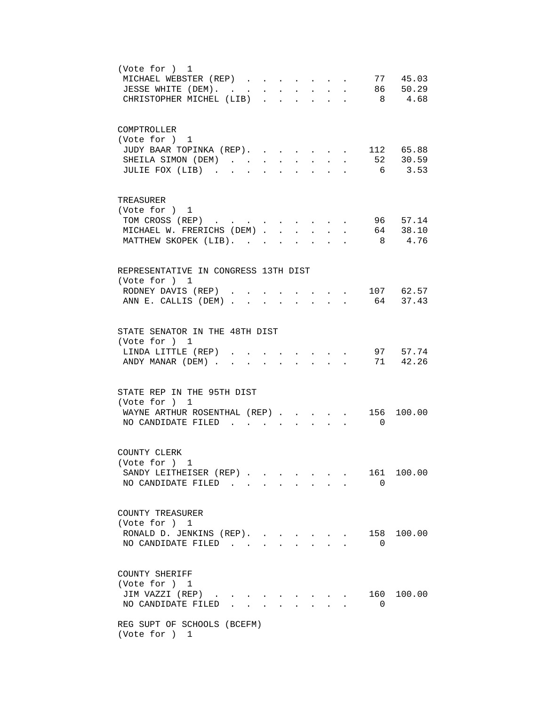| (Vote for ) 1<br>77 45.03<br>MICHAEL WEBSTER (REP)<br>86 50.29<br>JESSE WHITE (DEM).<br>$\sim$<br>CHRISTOPHER MICHEL (LIB)<br>8 4.68<br>$\mathcal{L}(\mathcal{A})$ , and $\mathcal{L}(\mathcal{A})$ , and<br>$\sim$                                                              |
|----------------------------------------------------------------------------------------------------------------------------------------------------------------------------------------------------------------------------------------------------------------------------------|
| COMPTROLLER<br>(Vote for ) 1<br>112 65.88<br>JUDY BAAR TOPINKA (REP).<br>52 30.59<br>SHEILA SIMON (DEM).<br>$\ddot{\phantom{a}}$<br>$\ddot{\phantom{a}}$<br>$\mathbf{r}$<br>$\ddot{\phantom{a}}$<br>$\ddot{\phantom{0}}$<br>$6\overline{6}$<br>3.53<br>JULIE FOX (LIB)<br>$\sim$ |
| TREASURER<br>(Vote for ) 1<br>96 57.14<br>TOM CROSS (REP)<br>64 38.10<br>MICHAEL W. FRERICHS (DEM)<br>$\sim$<br>4.76<br>MATTHEW SKOPEK (LIB).<br>8<br>$\ddot{\phantom{a}}$                                                                                                       |
| REPRESENTATIVE IN CONGRESS 13TH DIST<br>(Vote for ) 1<br>RODNEY DAVIS (REP)<br>$\cdot$ $\cdot$ $\cdot$ $\cdot$ 107 62.57<br>ANN E. CALLIS (DEM) 64 37.43                                                                                                                         |
| STATE SENATOR IN THE 48TH DIST<br>(Vote for ) 1<br>97 57.74<br>LINDA LITTLE (REP)<br>$\mathbf{r} = \mathbf{r} \cdot \mathbf{r}$ and $\mathbf{r} = \mathbf{r} \cdot \mathbf{r}$<br>71 42.26<br>ANDY MANAR (DEM)<br>$\mathbf{L}$<br>$\sim$<br>$\sim$<br>$\sim$                     |
| STATE REP IN THE 95TH DIST<br>(Vote for ) 1<br>WAYNE ARTHUR ROSENTHAL (REP).<br>156 100.00<br>NO CANDIDATE FILED<br>$\overline{\phantom{0}}$                                                                                                                                     |
| COUNTY CLERK<br>(Vote for ) 1<br>SANDY LEITHEISER (REP)<br>161<br>100.00<br>NO CANDIDATE FILED<br>$\Omega$                                                                                                                                                                       |
| COUNTY TREASURER<br>(Vote for ) 1<br>100.00<br>RONALD D. JENKINS (REP).<br>158<br>NO CANDIDATE FILED<br>$\Omega$                                                                                                                                                                 |
| COUNTY SHERIFF<br>(Vote for ) 1<br>JIM VAZZI (REP).<br>160 100.00<br>$\sim$ $\sim$ $\sim$<br>NO CANDIDATE FILED<br>0                                                                                                                                                             |
| REG SUPT OF SCHOOLS (BCEFM)<br>(Vote for ) 1                                                                                                                                                                                                                                     |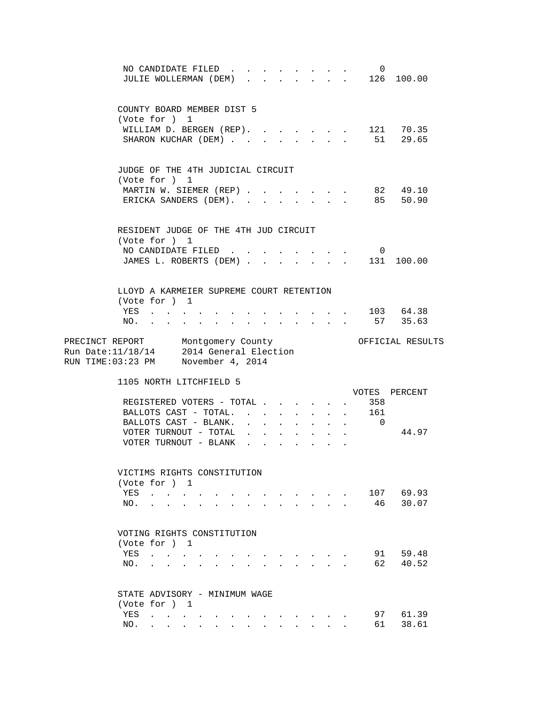|            | NO CANDIDATE FILED<br>JULIE WOLLERMAN (DEM).                                                                                                                                                                                                                                  |                                            |                                                                                                                            |                                                             |                                                       | 0<br>$\begin{array}{cccccccccccccc} . & . & . & . & . & . & 126 & 100.00 \end{array}$ |                               |
|------------|-------------------------------------------------------------------------------------------------------------------------------------------------------------------------------------------------------------------------------------------------------------------------------|--------------------------------------------|----------------------------------------------------------------------------------------------------------------------------|-------------------------------------------------------------|-------------------------------------------------------|---------------------------------------------------------------------------------------|-------------------------------|
|            | COUNTY BOARD MEMBER DIST 5<br>(Vote for ) 1<br>WILLIAM D. BERGEN (REP). 121 70.35<br>SHARON KUCHAR (DEM) 51 29.65                                                                                                                                                             |                                            |                                                                                                                            |                                                             |                                                       |                                                                                       |                               |
|            | JUDGE OF THE 4TH JUDICIAL CIRCUIT<br>(Vote for ) 1<br>MARTIN W. SIEMER (REP)<br>ERICKA SANDERS (DEM). .                                                                                                                                                                       |                                            | $\sim$                                                                                                                     | $\sim$ $\sim$<br>$\mathbf{L}$                               | $\sim$<br>$\sim$                                      | 85                                                                                    | 82 49.10<br>50.90             |
|            | RESIDENT JUDGE OF THE 4TH JUD CIRCUIT<br>(Vote for ) 1<br>NO CANDIDATE FILED<br>JAMES L. ROBERTS (DEM) 131 100.00                                                                                                                                                             |                                            |                                                                                                                            |                                                             |                                                       | $\overline{\phantom{0}}$                                                              |                               |
|            | LLOYD A KARMEIER SUPREME COURT RETENTION<br>(Vote for ) 1<br>YES<br>NO.                                                                                                                                                                                                       | <u>.</u>                                   |                                                                                                                            |                                                             |                                                       |                                                                                       | $\cdot$ 103 64.38<br>57 35.63 |
|            | PRECINCT REPORT Montgomery County<br>Run Date:11/18/14 2014 General Election<br>RUN TIME:03:23 PM November 4, 2014                                                                                                                                                            |                                            |                                                                                                                            |                                                             |                                                       |                                                                                       | OFFICIAL RESULTS              |
|            | 1105 NORTH LITCHFIELD 5<br>REGISTERED VOTERS - TOTAL<br>BALLOTS CAST - TOTAL.<br>BALLOTS CAST - BLANK.<br>VOTER TURNOUT - TOTAL<br>VOTER TURNOUT - BLANK                                                                                                                      | $\mathbf{L} = \mathbf{L}$                  | $\bullet$ .<br><br><br><br><br><br><br><br><br><br><br><br><br>$\bullet$ .<br><br><br><br><br><br><br><br><br><br><br><br> | $\bullet$ .<br><br><br><br><br><br><br><br><br><br><br><br> |                                                       | 358<br>161<br>$\cdot$ $\cdot$ $\cdot$ 0                                               | VOTES PERCENT<br>44.97        |
| YES<br>NO. | VICTIMS RIGHTS CONSTITUTION<br>(Vote for ) 1<br>$\mathcal{A}(\mathcal{A})$ , and $\mathcal{A}(\mathcal{A})$ , and $\mathcal{A}(\mathcal{A})$<br>$\mathbf{r}$ , $\mathbf{r}$ , $\mathbf{r}$<br>$\ddot{\bullet}$                                                                | and the state of the state of the state of | $\mathbf{r}$ , $\mathbf{r}$ , $\mathbf{r}$ , $\mathbf{r}$                                                                  |                                                             | $\mathbf{r} = \mathbf{r}$ , $\mathbf{r} = \mathbf{r}$ | 46                                                                                    | 107 69.93<br>30.07            |
| NO.        | VOTING RIGHTS CONSTITUTION<br>(Vote for ) 1<br>YES                                                                                                                                                                                                                            |                                            |                                                                                                                            |                                                             |                                                       | 91<br>62                                                                              | 59.48<br>40.52                |
| YES<br>NO. | STATE ADVISORY - MINIMUM WAGE<br>(Vote for ) 1<br>the contract of the contract of<br>$\bullet$ . In the set of $\bullet$<br>$\bullet$ .<br><br><br><br><br><br><br><br><br><br><br><br><br><br>$\bullet$ .<br>$\bullet$ .<br><br><br><br><br><br><br><br><br><br><br><br><br> | $\bullet$ .                                |                                                                                                                            |                                                             |                                                       | 97<br>61                                                                              | 61.39<br>38.61                |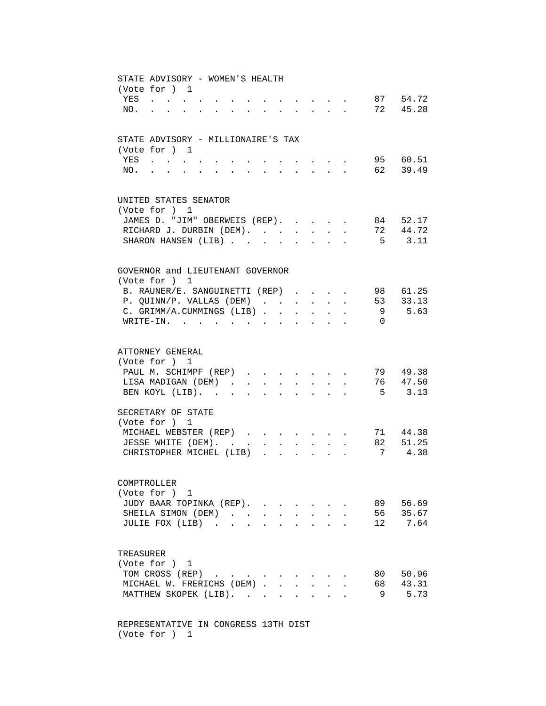| STATE ADVISORY - WOMEN'S HEALTH<br>(Vote for ) 1<br>$\cdot$ $\cdot$ $\cdot$ $\cdot$ $\cdot$ 87 54.72<br>YES<br>72 45.28<br>$NO.$<br>and a series of the series of the series of the series of the series of the series of the series of the series<br>$\sim$ 100 $\mu$<br>$\bullet$ .<br><br><br><br><br><br><br><br><br><br><br><br><br> |
|-------------------------------------------------------------------------------------------------------------------------------------------------------------------------------------------------------------------------------------------------------------------------------------------------------------------------------------------|
| STATE ADVISORY - MILLIONAIRE'S TAX<br>(Vote for ) 1<br>95 60.51<br>YES<br>62 39.49<br>NO.<br>$\sim$<br>$\mathbf{L}$<br>$\sim$<br>$\mathbf{L}$                                                                                                                                                                                             |
| UNITED STATES SENATOR<br>(Vote for ) 1<br>JAMES D. "JIM" OBERWEIS (REP).<br>84 52.17<br>44.72<br>RICHARD J. DURBIN (DEM).<br>72<br>$\sim$ $-$<br>SHARON HANSEN (LIB)<br>5 3.11                                                                                                                                                            |
| GOVERNOR and LIEUTENANT GOVERNOR<br>(Vote for ) 1<br>B. RAUNER/E. SANGUINETTI (REP)<br>98 61.25<br>$\sim$<br>53 33.13<br>P. QUINN/P. VALLAS (DEM)<br>5.63<br>C. GRIMM/A.CUMMINGS (LIB).<br>9<br>$\ddot{\phantom{a}}$<br>$\ddot{\phantom{a}}$<br>$\ddot{\phantom{a}}$<br>$W$ RITE-IN.<br>$\Omega$<br>$\sim$ $\sim$                         |
| ATTORNEY GENERAL<br>(Vote for ) 1<br>79 49.38<br>PAUL M. SCHIMPF (REP)<br>76 47.50<br>LISA MADIGAN (DEM)<br>$\ddot{\phantom{0}}$<br>$\sim$<br>$\bullet$ .<br>$5 \t 3.13$<br>BEN KOYL (LIB).<br>$\ddot{\phantom{a}}$<br>$\sim$<br>$\ddot{\phantom{a}}$<br>$\ddot{\phantom{a}}$<br>$\sim$                                                   |
| SECRETARY OF STATE<br>(Vote for ) 1<br>71 44.38<br>MICHAEL WEBSTER (REP)<br>82 51.25<br>JESSE WHITE (DEM). .<br>$\mathbf{r}$ and $\mathbf{r}$ and $\mathbf{r}$<br>$\mathbf{L}$<br>7 4.38<br>CHRISTOPHER MICHEL (LIB)<br>$\mathbf{r} = \mathbf{r} - \mathbf{r}$<br>$\ddot{\phantom{a}}$                                                    |
| COMPTROLLER<br>(Vote for ) 1<br>JUDY BAAR TOPINKA (REP).<br>89<br>56.69<br>SHEILA SIMON (DEM).<br>56<br>35.67<br>$\sim$<br>$\ddot{\phantom{a}}$<br>7.64<br>JULIE FOX (LIB)<br>12                                                                                                                                                          |
| TREASURER<br>(Vote for ) 1<br>TOM CROSS (REP)<br>80<br>50.96<br>MICHAEL W. FRERICHS (DEM).<br>68<br>43.31<br>$\overline{a}$<br>5.73<br>MATTHEW SKOPEK (LIB).<br>9                                                                                                                                                                         |

 REPRESENTATIVE IN CONGRESS 13TH DIST (Vote for ) 1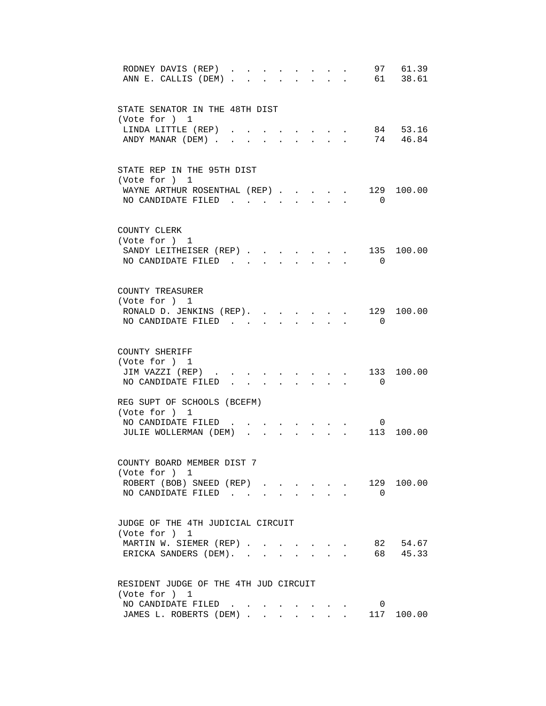| 97 61.39<br>RODNEY DAVIS (REP)<br>61 38.61<br>ANN E. CALLIS (DEM)<br>$\mathbf{r}$ $\mathbf{r}$                                                                                                                                                                                                                                                                                                                    |
|-------------------------------------------------------------------------------------------------------------------------------------------------------------------------------------------------------------------------------------------------------------------------------------------------------------------------------------------------------------------------------------------------------------------|
| STATE SENATOR IN THE 48TH DIST<br>(Vote for ) 1                                                                                                                                                                                                                                                                                                                                                                   |
| 84 53.16<br>LINDA LITTLE (REP)<br>74 46.84<br>ANDY MANAR (DEM).<br>$\mathbf{L}$<br>$\ddot{\phantom{a}}$                                                                                                                                                                                                                                                                                                           |
| STATE REP IN THE 95TH DIST<br>(Vote for ) 1<br>129<br>WAYNE ARTHUR ROSENTHAL (REP)<br>100.00                                                                                                                                                                                                                                                                                                                      |
| NO CANDIDATE FILED<br>$\overline{0}$                                                                                                                                                                                                                                                                                                                                                                              |
| COUNTY CLERK<br>(Vote for ) 1<br>SANDY LEITHEISER (REP)<br>135<br>100.00                                                                                                                                                                                                                                                                                                                                          |
| NO CANDIDATE FILED<br>$\Omega$<br>$\mathbf{L}$<br>$\mathbf{r}$<br>$\sim$                                                                                                                                                                                                                                                                                                                                          |
| COUNTY TREASURER<br>(Vote for ) 1<br>RONALD D. JENKINS (REP).<br>129 100.00<br>$\mathbf{r}$ and $\mathbf{r}$                                                                                                                                                                                                                                                                                                      |
| NO CANDIDATE FILED.<br>$\overline{0}$                                                                                                                                                                                                                                                                                                                                                                             |
| COUNTY SHERIFF<br>(Vote for ) 1<br>JIM VAZZI (REP)<br>133<br>100.00<br>$\bullet$ . The set of the set of the set of the set of the set of the set of the set of the set of the set of the set of the set of the set of the set of the set of the set of the set of the set of the set of the set of the s<br>NO CANDIDATE FILED<br>$\overline{0}$<br>$\mathbf{L} = \mathbf{L} \mathbf{L} + \mathbf{L} \mathbf{L}$ |
| REG SUPT OF SCHOOLS (BCEFM)<br>(Vote for ) 1                                                                                                                                                                                                                                                                                                                                                                      |
| NO CANDIDATE FILED<br>0<br>$\sim$<br>$\mathbf{L}$<br>$\mathbf{r}$ $\mathbf{r}$<br>100.00<br>JULIE WOLLERMAN (DEM)<br>113<br>$\mathbf{r}$ , $\mathbf{r}$ , $\mathbf{r}$                                                                                                                                                                                                                                            |
| COUNTY BOARD MEMBER DIST 7<br>(Vote for ) 1<br>129 100.00<br>ROBERT (BOB) SNEED (REP)                                                                                                                                                                                                                                                                                                                             |
| NO CANDIDATE FILED.<br>$\overline{0}$<br>and the state of the state of the                                                                                                                                                                                                                                                                                                                                        |
| JUDGE OF THE 4TH JUDICIAL CIRCUIT<br>(Vote for ) 1<br>82 54.67<br>MARTIN W. SIEMER (REP)                                                                                                                                                                                                                                                                                                                          |
| 68 45.33<br>ERICKA SANDERS (DEM).<br>$\mathbf{L}$                                                                                                                                                                                                                                                                                                                                                                 |
| RESIDENT JUDGE OF THE 4TH JUD CIRCUIT<br>(Vote for ) 1                                                                                                                                                                                                                                                                                                                                                            |
| NO CANDIDATE FILED.<br>$\overline{0}$<br>JAMES L. ROBERTS (DEM)<br>117 100.00<br>$\ddot{\phantom{a}}$                                                                                                                                                                                                                                                                                                             |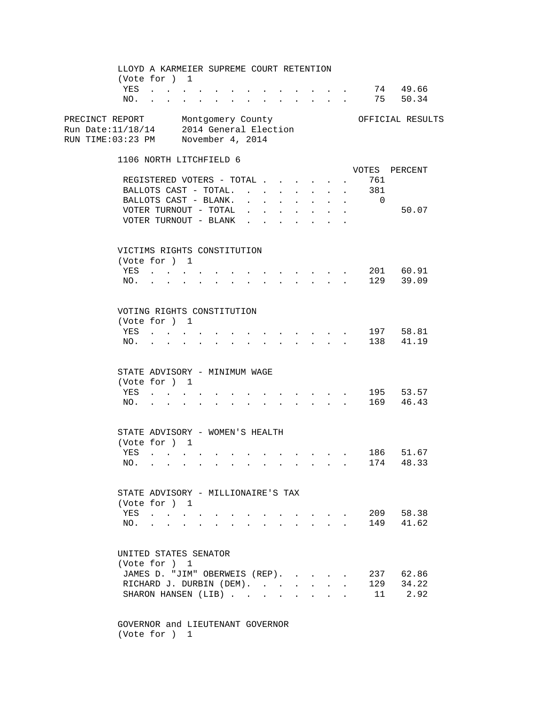LLOYD A KARMEIER SUPREME COURT RETENTION (Vote for ) 1 YES . . . . . . . . . . . . . . 74 49.66<br>NO. . . . . . . . . . . . . . 75 50.34 NO. . . . . . . . . . . . . . PRECINCT REPORT Montgomery County Ounty OFFICIAL RESULTS Run Date:11/18/14 2014 General Election RUN TIME:03:23 PM November 4, 2014 1106 NORTH LITCHFIELD 6 VOTES PERCENT REGISTERED VOTERS - TOTAL . . . . . . 761 BALLOTS CAST - TOTAL. . . . . . . . 381<br>BALLOTS CAST - BLANK. . . . . . . . . 0 BALLOTS CAST - BLANK.  $\cdot \cdot \cdot \cdot \cdot \cdot \cdot$ VOTER TURNOUT - TOTAL . . . . . . . . 50.07 VOTER TURNOUT - BLANK . . . . . . VICTIMS RIGHTS CONSTITUTION (Vote for ) 1 YES . . . . . . . . . . . . . 201 60.91 NO. . . . . . . . . . . . . . 129 39.09 VOTING RIGHTS CONSTITUTION (Vote for ) 1 YES . . . . . . . . . . . . . 197 58.81 NO. . . . . . . . . . . . . . 138 41.19 STATE ADVISORY - MINIMUM WAGE (Vote for ) 1 YES . . . . . . . . . . . . . 195 53.57 NO. . . . . . . . . . . . . . 169 46.43 STATE ADVISORY - WOMEN'S HEALTH (Vote for ) 1 YES . . . . . . . . . . . . . 186 51.67 NO. . . . . . . . . . . . . . 174 48.33 STATE ADVISORY - MILLIONAIRE'S TAX (Vote for ) 1 YES . . . . . . . . . . . . . 209 58.38 NO. . . . . . . . . . . . . . 149 41.62 UNITED STATES SENATOR (Vote for ) 1 JAMES D. "JIM" OBERWEIS (REP). . . . . 237 62.86<br>RICHARD J. DURBIN (DEM). . . . . . . 129 34.22 RICHARD J. DURBIN (DEM). . . . . . . 129 SHARON HANSEN (LIB) . . . . . . . . 11 2.92

 GOVERNOR and LIEUTENANT GOVERNOR (Vote for ) 1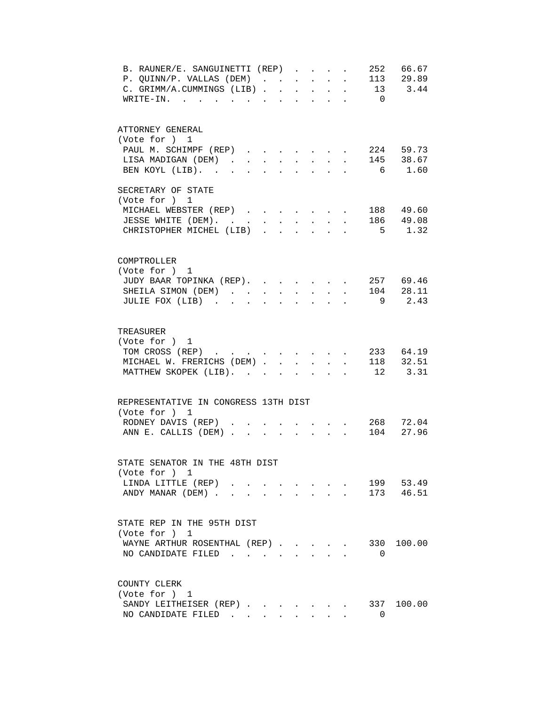| B. RAUNER/E. SANGUINETTI (REP)<br>252 66.67<br>113 29.89<br>P. QUINN/P. VALLAS (DEM)<br>$\sim$<br>$\sim$<br>$\sim$<br>13 3.44<br>C. GRIMM/A.CUMMINGS (LIB).<br>$\sim$<br>$\mathbf{r}$<br>$\ddot{\phantom{a}}$<br>$\overline{0}$<br>$WRITE-IN.$<br>$\mathbf{r} = \mathbf{r} \cdot \mathbf{r}$<br>$\mathbf{r} = \mathbf{r}$<br>$\sim$<br>$\mathcal{L}^{\mathcal{A}}$ |
|--------------------------------------------------------------------------------------------------------------------------------------------------------------------------------------------------------------------------------------------------------------------------------------------------------------------------------------------------------------------|
| ATTORNEY GENERAL<br>(Vote for ) 1<br>$\cdot$ 224 59.73<br>PAUL M. SCHIMPF (REP)<br>$\ddot{\phantom{a}}$<br>145 38.67<br>LISA MADIGAN (DEM).<br>$\mathbf{r} = \mathbf{r} + \mathbf{r}$ .<br>$\sim$ 100 $\pm$<br>$\ddot{\phantom{0}}$<br>$\ddot{\phantom{0}}$<br>BEN KOYL (LIB).<br>$6\overline{6}$<br>1.60<br>$\ddot{\phantom{a}}$<br>$\ddot{\phantom{a}}$          |
| SECRETARY OF STATE<br>(Vote for ) 1<br>MICHAEL WEBSTER (REP) 188 49.60<br>JESSE WHITE (DEM). 186 49.08<br>$5 \t 1.32$<br>CHRISTOPHER MICHEL (LIB)                                                                                                                                                                                                                  |
| COMPTROLLER<br>(Vote for ) 1<br>JUDY BAAR TOPINKA (REP). 257 69.46<br>SHEILA SIMON (DEM) 104 28.11<br>JULIE FOX (LIB)<br>9 2.43                                                                                                                                                                                                                                    |
| TREASURER<br>(Vote for ) 1<br>233 64.19<br>TOM CROSS (REP)<br>$\sim$<br>118 32.51<br>MICHAEL W. FRERICHS (DEM)<br>$\mathbf{r}$<br>$\mathbf{r}$<br>12 3.31<br>MATTHEW SKOPEK (LIB).<br>$\mathbf{L} = \mathbf{L} \mathbf{L}$<br>$\sim$<br>$\mathbf{r} = \mathbf{r}$                                                                                                  |
| REPRESENTATIVE IN CONGRESS 13TH DIST<br>(Vote for ) 1<br>. 268 72.04<br>RODNEY DAVIS (REP)<br>ANN E. CALLIS (DEM)<br>104 27.96<br>$\ddot{\phantom{a}}$<br>$\cdot$ $\cdot$ $\cdot$                                                                                                                                                                                  |
| STATE SENATOR IN THE 48TH DIST<br>(Vote for ) 1<br>199 53.49<br>LINDA LITTLE (REP)<br>ANDY MANAR (DEM)<br>173 46.51                                                                                                                                                                                                                                                |
| STATE REP IN THE 95TH DIST<br>(Vote for ) 1<br>100.00<br>WAYNE ARTHUR ROSENTHAL (REP).<br>330<br>$\sim$<br>NO CANDIDATE FILED<br>0                                                                                                                                                                                                                                 |
| COUNTY CLERK<br>(Vote for ) 1<br>SANDY LEITHEISER (REP)<br>337 100.00<br>NO CANDIDATE FILED<br>$\Omega$                                                                                                                                                                                                                                                            |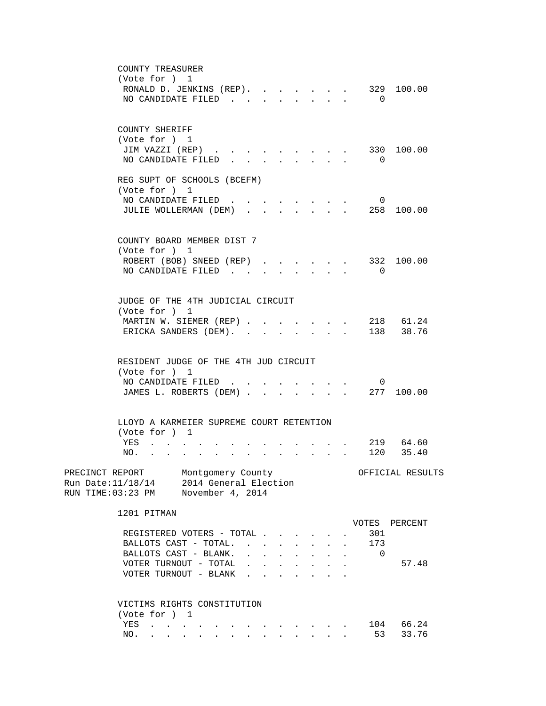| COUNTY TREASURER                                                                                                                                                                                                                                                                                                                   |                             |
|------------------------------------------------------------------------------------------------------------------------------------------------------------------------------------------------------------------------------------------------------------------------------------------------------------------------------------|-----------------------------|
| (Vote for ) 1                                                                                                                                                                                                                                                                                                                      |                             |
| RONALD D. JENKINS (REP).                                                                                                                                                                                                                                                                                                           | 329 100.00                  |
| NO CANDIDATE FILED<br>and the state of the state of the state                                                                                                                                                                                                                                                                      | $\overline{0}$              |
|                                                                                                                                                                                                                                                                                                                                    |                             |
|                                                                                                                                                                                                                                                                                                                                    |                             |
| COUNTY SHERIFF                                                                                                                                                                                                                                                                                                                     |                             |
| (Vote for ) 1                                                                                                                                                                                                                                                                                                                      |                             |
| JIM VAZZI (REP)                                                                                                                                                                                                                                                                                                                    | 330 100.00                  |
| NO CANDIDATE FILED                                                                                                                                                                                                                                                                                                                 | $\overline{0}$              |
|                                                                                                                                                                                                                                                                                                                                    |                             |
| REG SUPT OF SCHOOLS (BCEFM)                                                                                                                                                                                                                                                                                                        |                             |
| (Vote for ) 1                                                                                                                                                                                                                                                                                                                      |                             |
| NO CANDIDATE FILED                                                                                                                                                                                                                                                                                                                 | 0                           |
| JULIE WOLLERMAN (DEM) 258 100.00                                                                                                                                                                                                                                                                                                   |                             |
|                                                                                                                                                                                                                                                                                                                                    |                             |
|                                                                                                                                                                                                                                                                                                                                    |                             |
| COUNTY BOARD MEMBER DIST 7                                                                                                                                                                                                                                                                                                         |                             |
| (Vote for ) 1                                                                                                                                                                                                                                                                                                                      |                             |
| ROBERT (BOB) SNEED (REP)                                                                                                                                                                                                                                                                                                           | 332 100.00                  |
| NO CANDIDATE FILED<br>$\mathbf{L}^{\text{max}}$<br>$\mathbf{r}$                                                                                                                                                                                                                                                                    | $\overline{0}$              |
|                                                                                                                                                                                                                                                                                                                                    |                             |
|                                                                                                                                                                                                                                                                                                                                    |                             |
| JUDGE OF THE 4TH JUDICIAL CIRCUIT                                                                                                                                                                                                                                                                                                  |                             |
| (Vote for ) 1                                                                                                                                                                                                                                                                                                                      |                             |
| MARTIN W. SIEMER (REP)                                                                                                                                                                                                                                                                                                             | 218 61.24                   |
| ERICKA SANDERS (DEM). .                                                                                                                                                                                                                                                                                                            | 138 38.76                   |
|                                                                                                                                                                                                                                                                                                                                    |                             |
|                                                                                                                                                                                                                                                                                                                                    |                             |
| RESIDENT JUDGE OF THE 4TH JUD CIRCUIT                                                                                                                                                                                                                                                                                              |                             |
| (Vote for ) 1                                                                                                                                                                                                                                                                                                                      |                             |
| NO CANDIDATE FILED                                                                                                                                                                                                                                                                                                                 | $\overline{0}$              |
| JAMES L. ROBERTS (DEM)                                                                                                                                                                                                                                                                                                             | $\cdot$ 277 100.00          |
|                                                                                                                                                                                                                                                                                                                                    |                             |
|                                                                                                                                                                                                                                                                                                                                    |                             |
| LLOYD A KARMEIER SUPREME COURT RETENTION                                                                                                                                                                                                                                                                                           |                             |
| (Vote for ) 1                                                                                                                                                                                                                                                                                                                      |                             |
| YES<br>$\mathbf{r} = \mathbf{r}$ , $\mathbf{r} = \mathbf{r}$<br>$\sim$                                                                                                                                                                                                                                                             | 219 64.60                   |
| NO.<br><u>in the second contract of the second contract of the second contract of the second contract of the second contract of the second contract of the second contract of the second contract of the second contract of the second </u><br>$\mathbf{r} = \mathbf{r}$ , where $\mathbf{r} = \mathbf{r}$<br>$\ddot{\phantom{a}}$ | 120 35.40                   |
|                                                                                                                                                                                                                                                                                                                                    |                             |
| PRECINCT REPORT<br>Montgomery County                                                                                                                                                                                                                                                                                               | OFFICIAL RESULTS            |
| 2014 General Election<br>Run Date:11/18/14                                                                                                                                                                                                                                                                                         |                             |
| November 4, 2014<br>RUN TIME:03:23 PM                                                                                                                                                                                                                                                                                              |                             |
| 1201 PITMAN                                                                                                                                                                                                                                                                                                                        |                             |
|                                                                                                                                                                                                                                                                                                                                    | VOTES<br>PERCENT            |
| REGISTERED VOTERS - TOTAL                                                                                                                                                                                                                                                                                                          | 301                         |
| BALLOTS CAST - TOTAL                                                                                                                                                                                                                                                                                                               |                             |
|                                                                                                                                                                                                                                                                                                                                    | 173<br>$\ddot{\phantom{a}}$ |
| BALLOTS CAST - BLANK.<br>$\mathbf{r} = \mathbf{r}$<br>$\mathbf{r} = \mathbf{r} + \mathbf{r} + \mathbf{r}$                                                                                                                                                                                                                          | $\Omega$                    |
| VOTER TURNOUT - TOTAL<br><b>Contract Contract Contract</b><br>$\mathbf{r} = \mathbf{r} + \mathbf{r} + \mathbf{r} + \mathbf{r}$                                                                                                                                                                                                     | 57.48                       |
| VOTER TURNOUT - BLANK<br>$\ddot{\phantom{0}}$                                                                                                                                                                                                                                                                                      |                             |
|                                                                                                                                                                                                                                                                                                                                    |                             |
| VICTIMS RIGHTS CONSTITUTION                                                                                                                                                                                                                                                                                                        |                             |
| (Vote for ) 1                                                                                                                                                                                                                                                                                                                      |                             |
| YES<br>$\mathbf{r} = \mathbf{r} + \mathbf{r} + \mathbf{r} + \mathbf{r} + \mathbf{r}$                                                                                                                                                                                                                                               | 104 66.24                   |
| NO.<br>$\mathbf{r} = \mathbf{r}$ , $\mathbf{r} = \mathbf{r}$<br>$\mathbf{r} = \mathbf{r} - \mathbf{r}$ , and $\mathbf{r} = \mathbf{r} - \mathbf{r}$ , and $\mathbf{r} = \mathbf{r} - \mathbf{r}$                                                                                                                                   | 53<br>33.76                 |
|                                                                                                                                                                                                                                                                                                                                    |                             |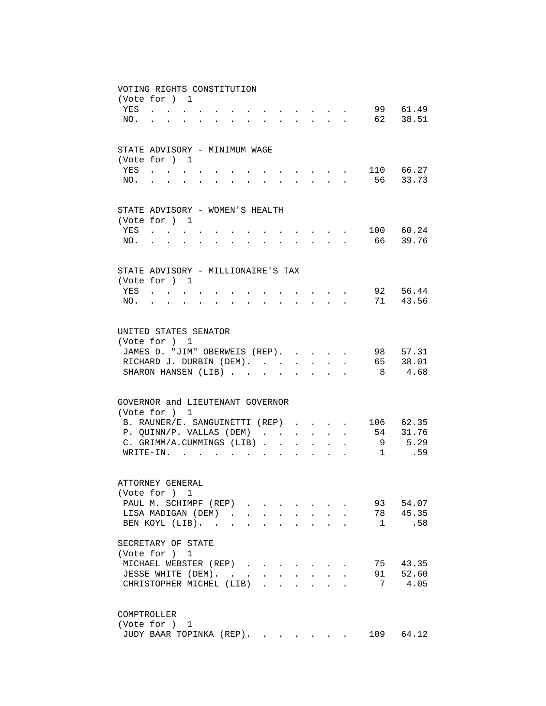|     | VOTING RIGHTS CONSTITUTION                                                                                      |                                   |              |                                      |                           |                                                             |                            |                      |                                                                  |              |                              |
|-----|-----------------------------------------------------------------------------------------------------------------|-----------------------------------|--------------|--------------------------------------|---------------------------|-------------------------------------------------------------|----------------------------|----------------------|------------------------------------------------------------------|--------------|------------------------------|
|     | (Vote for ) 1                                                                                                   |                                   |              |                                      |                           |                                                             |                            |                      |                                                                  |              |                              |
| YES | $\mathbf{r}$ . The set of $\mathbf{r}$                                                                          | $\ddot{\phantom{0}}$              |              |                                      |                           |                                                             |                            |                      |                                                                  |              | 99 61.49                     |
| NO. | $\mathbf{r} = \mathbf{r}$                                                                                       |                                   |              | $\mathbf{L} = \mathbf{L} \mathbf{L}$ | $\sim$                    |                                                             | $\mathcal{L}^{\text{max}}$ |                      |                                                                  |              | 62 38.51                     |
|     |                                                                                                                 |                                   |              |                                      |                           |                                                             |                            |                      |                                                                  |              |                              |
|     | STATE ADVISORY - MINIMUM WAGE                                                                                   |                                   |              |                                      |                           |                                                             |                            |                      |                                                                  |              |                              |
|     | (Vote for ) 1                                                                                                   |                                   |              |                                      |                           |                                                             |                            |                      |                                                                  |              |                              |
| YES |                                                                                                                 | <b>Contract Contract Contract</b> |              |                                      |                           |                                                             |                            |                      |                                                                  |              | 110 66.27                    |
| NO. |                                                                                                                 |                                   |              |                                      |                           | $\ddot{\phantom{a}}$                                        | $\mathbf{A}$               |                      |                                                                  |              | 56 33.73                     |
|     |                                                                                                                 |                                   |              |                                      |                           |                                                             |                            |                      |                                                                  |              |                              |
|     | STATE ADVISORY - WOMEN'S HEALTH                                                                                 |                                   |              |                                      |                           |                                                             |                            |                      |                                                                  |              |                              |
|     | (Vote for ) 1                                                                                                   |                                   |              |                                      |                           |                                                             |                            |                      |                                                                  |              |                              |
| YES | . The contribution of the contribution of the contribution of $\mathcal{A}$                                     |                                   |              |                                      |                           |                                                             |                            |                      |                                                                  |              | 100 60.24                    |
| NO. | and a series of the contract of the contract of the contract of the contract of the contract of the contract of |                                   |              |                                      |                           |                                                             |                            | $\ddot{\phantom{0}}$ |                                                                  |              | 66 39.76                     |
|     |                                                                                                                 |                                   |              |                                      |                           |                                                             |                            |                      |                                                                  |              |                              |
|     | STATE ADVISORY - MILLIONAIRE'S TAX                                                                              |                                   |              |                                      |                           |                                                             |                            |                      |                                                                  |              |                              |
|     | (Vote for ) 1                                                                                                   |                                   |              |                                      |                           |                                                             |                            |                      |                                                                  |              |                              |
|     | YES.                                                                                                            |                                   |              | $\mathbf{r} = \mathbf{r}$            | $\sim$                    | and the state of the state of                               |                            |                      |                                                                  |              | 92 56.44                     |
| NO. | $\mathbf{r} = \mathbf{r}$                                                                                       | $\sim$                            | $\mathbf{L}$ | $\mathbf{r} = \mathbf{r}$            |                           |                                                             |                            |                      | $\mathbf{r} = \mathbf{r} + \mathbf{r} + \mathbf{r} + \mathbf{r}$ |              | 71 43.56                     |
|     | (Vote for ) 1<br>JAMES D. "JIM" OBERWEIS (REP).<br>RICHARD J. DURBIN (DEM).<br>SHARON HANSEN (LIB). .           |                                   |              |                                      |                           | $\mathbf{L}$                                                |                            |                      | $\mathbf{r}$                                                     | 8            | 98 57.31<br>65 38.01<br>4.68 |
|     |                                                                                                                 |                                   |              |                                      |                           |                                                             |                            |                      |                                                                  |              |                              |
|     | GOVERNOR and LIEUTENANT GOVERNOR<br>(Vote for ) 1                                                               |                                   |              |                                      |                           |                                                             |                            |                      |                                                                  |              |                              |
|     | B. RAUNER/E. SANGUINETTI (REP)                                                                                  |                                   |              |                                      |                           |                                                             |                            |                      |                                                                  |              | 106 62.35                    |
|     | P. QUINN/P. VALLAS (DEM)                                                                                        |                                   |              |                                      |                           |                                                             | $\sim$ $-$                 | $\ddot{\phantom{0}}$ |                                                                  |              | 54 31.76                     |
|     | C. GRIMM/A.CUMMINGS (LIB).                                                                                      |                                   |              |                                      |                           | $\bullet$ .<br><br><br><br><br><br><br><br><br><br><br><br> |                            |                      |                                                                  | 9            | 5.29                         |
|     | $W$ RITE-IN.                                                                                                    |                                   |              |                                      | $\mathbf{r}$              |                                                             |                            |                      |                                                                  | 1            | .59                          |
|     |                                                                                                                 |                                   |              |                                      |                           |                                                             |                            |                      |                                                                  |              |                              |
|     | ATTORNEY GENERAL                                                                                                |                                   |              |                                      |                           |                                                             |                            |                      |                                                                  |              |                              |
|     | (Vote for ) 1                                                                                                   |                                   |              |                                      |                           |                                                             |                            |                      |                                                                  |              |                              |
|     | PAUL M. SCHIMPF (REP)                                                                                           |                                   |              |                                      |                           |                                                             |                            |                      |                                                                  |              | 93 54.07                     |
|     | LISA MADIGAN (DEM)                                                                                              |                                   |              |                                      | $\mathbf{L}^{\text{max}}$ | $\mathbf{L}^{\text{max}}$                                   | $\mathbf{L}^{\text{max}}$  |                      |                                                                  |              | 78 45.35                     |
|     | BEN KOYL (LIB).                                                                                                 |                                   |              |                                      | $\sim$                    | $\ddot{\phantom{a}}$                                        | $\mathbf{r}$               | $\bullet$ .          |                                                                  | <sup>1</sup> | .58                          |
|     |                                                                                                                 |                                   |              |                                      |                           |                                                             |                            |                      |                                                                  |              |                              |
|     | SECRETARY OF STATE                                                                                              |                                   |              |                                      |                           |                                                             |                            |                      |                                                                  |              |                              |
|     | (Vote for ) 1                                                                                                   |                                   |              |                                      |                           |                                                             |                            |                      |                                                                  |              |                              |
|     | MICHAEL WEBSTER (REP)                                                                                           |                                   |              |                                      |                           |                                                             |                            |                      |                                                                  |              | 75 43.35                     |
|     | JESSE WHITE (DEM).                                                                                              |                                   |              |                                      |                           |                                                             |                            |                      |                                                                  |              | 91 52.60                     |
|     | CHRISTOPHER MICHEL (LIB)                                                                                        |                                   |              |                                      |                           |                                                             |                            |                      |                                                                  | 7            | 4.05                         |
|     | COMPTROLLER                                                                                                     |                                   |              |                                      |                           |                                                             |                            |                      |                                                                  |              |                              |
|     | (Vote for ) 1                                                                                                   |                                   |              |                                      |                           |                                                             |                            |                      |                                                                  |              |                              |
|     | JUDY BAAR TOPINKA (REP).                                                                                        |                                   |              |                                      |                           |                                                             |                            |                      |                                                                  |              | 109 64.12                    |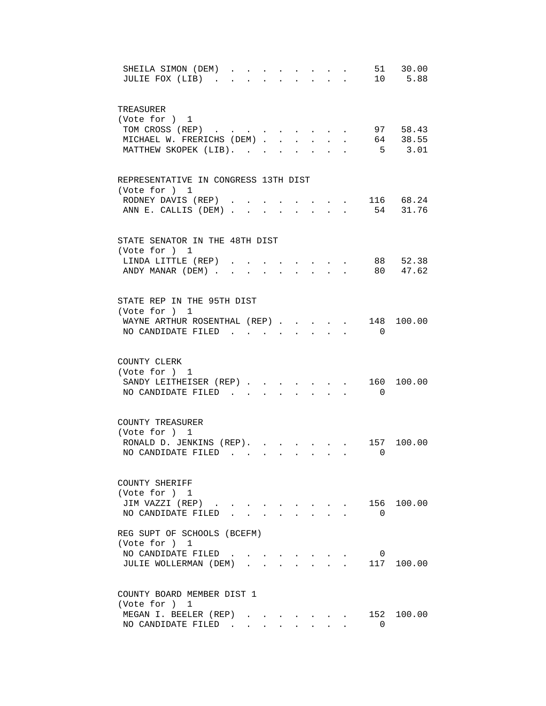| 51 30.00<br>SHEILA SIMON (DEM).<br>JULIE FOX (LIB).<br>10 5.88                                                                                                                                                              |
|-----------------------------------------------------------------------------------------------------------------------------------------------------------------------------------------------------------------------------|
| TREASURER<br>(Vote for ) 1<br>TOM CROSS (REP)<br>97 58.43<br>64 38.55<br>MICHAEL W. FRERICHS (DEM).<br>$\mathbf{L}$<br>$\ddot{\phantom{0}}$<br>$\mathbf{L}$<br>$\ddot{\phantom{0}}$<br>$5 \t 3.01$<br>MATTHEW SKOPEK (LIB). |
| REPRESENTATIVE IN CONGRESS 13TH DIST<br>(Vote for ) 1<br>$\cdot$ , , , $\cdot$ 116 68.24<br>RODNEY DAVIS (REP)<br>ANN E. CALLIS (DEM) 54 31.76                                                                              |
| STATE SENATOR IN THE 48TH DIST<br>(Vote for ) 1<br>88 52.38<br>LINDA LITTLE (REP).<br>80 47.62<br>ANDY MANAR (DEM).<br>$\mathcal{L}^{\text{max}}$<br>$\sim$<br>$\mathbf{L}$                                                 |
| STATE REP IN THE 95TH DIST<br>(Vote for ) 1<br>WAYNE ARTHUR ROSENTHAL (REP)<br>148 100.00<br>$\ddot{\phantom{a}}$<br>$\mathbf{r}$<br>NO CANDIDATE FILED<br>$\overline{0}$                                                   |
| COUNTY CLERK<br>(Vote for ) 1<br>SANDY LEITHEISER (REP). 160<br>100.00<br>NO CANDIDATE FILED<br>$\overline{0}$<br>$\mathbf{r}$ , and $\mathbf{r}$<br>$\mathbf{L}$                                                           |
| COUNTY TREASURER<br>(Vote for ) 1<br>RONALD D. JENKINS (REP).<br>100.00<br>157<br>NO CANDIDATE FILED.<br>$\mathbf 0$<br>$\sim$<br>$\sim$                                                                                    |
| COUNTY SHERIFF<br>(Vote for ) 1<br>156 100.00<br>JIM VAZZI (REP)<br>NO CANDIDATE FILED.<br>$\Omega$                                                                                                                         |
| REG SUPT OF SCHOOLS (BCEFM)<br>(Vote for ) 1<br>NO CANDIDATE FILED<br>0<br>$\mathbf{r}$ , and $\mathbf{r}$ , and $\mathbf{r}$ , and $\mathbf{r}$<br>117 100.00<br>JULIE WOLLERMAN (DEM)<br>$\mathbf{r} = \mathbf{r}$        |
| COUNTY BOARD MEMBER DIST 1<br>(Vote for ) 1<br>MEGAN I. BEELER (REP)<br>152 100.00<br>$\cdot$ $\cdot$ $\cdot$ $\cdot$<br>NO CANDIDATE FILED.<br>$\Omega$                                                                    |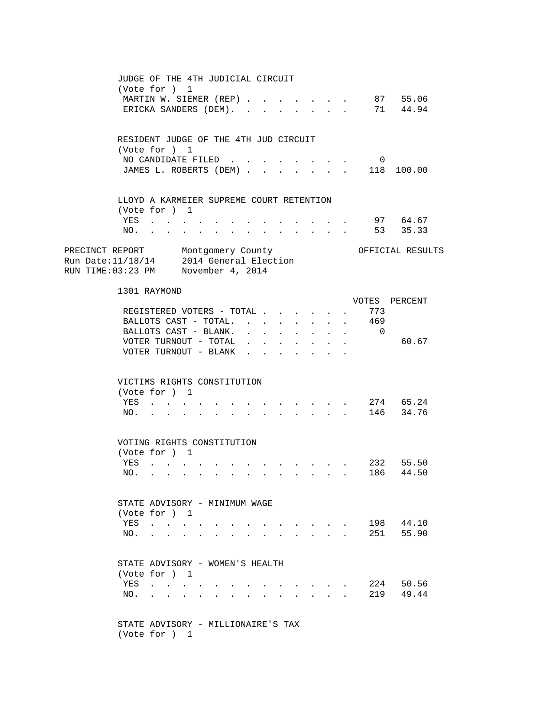JUDGE OF THE 4TH JUDICIAL CIRCUIT (Vote for ) 1 MARTIN W. SIEMER (REP) . . . . . . 87 55.06 ERICKA SANDERS (DEM). . . . . . . . 71 44.94 RESIDENT JUDGE OF THE 4TH JUD CIRCUIT (Vote for ) 1 NO CANDIDATE FILED . . . . . . . . 0 JAMES L. ROBERTS (DEM) . . . . . . . 118 100.00 LLOYD A KARMEIER SUPREME COURT RETENTION (Vote for ) 1 YES . . . . . . . . . . . . . 97 64.67 NO. . . . . . . . . . . . . . 53 35.33 PRECINCT REPORT Montgomery County Ores OFFICIAL RESULTS Run Date:11/18/14 2014 General Election RUN TIME:03:23 PM November 4, 2014 1301 RAYMOND VOTES PERCENT REGISTERED VOTERS - TOTAL . . . . . . 773 BALLOTS CAST - TOTAL. . . . . . . . 469 BALLOTS CAST - BLANK. . . . . . . . 0 VOTER TURNOUT - TOTAL . . . . . . . . 60.67 VOTER TURNOUT - BLANK . . . . . VICTIMS RIGHTS CONSTITUTION (Vote for ) 1 YES . . . . . . . . . . . . . 274 65.24 NO. . . . . . . . . . . . . . 146 34.76 VOTING RIGHTS CONSTITUTION (Vote for ) 1 YES . . . . . . . . . . . . . 232 55.50 NO. . . . . . . . . . . . . . 186 44.50 STATE ADVISORY - MINIMUM WAGE (Vote for ) 1 YES . . . . . . . . . . . . . 198 44.10 NO. . . . . . . . . . . . . . 251 55.90 STATE ADVISORY - WOMEN'S HEALTH (Vote for ) 1 YES . . . . . . . . . . . . . 224 50.56 NO. . . . . . . . . . . . . . 219 49.44 STATE ADVISORY - MILLIONAIRE'S TAX (Vote for ) 1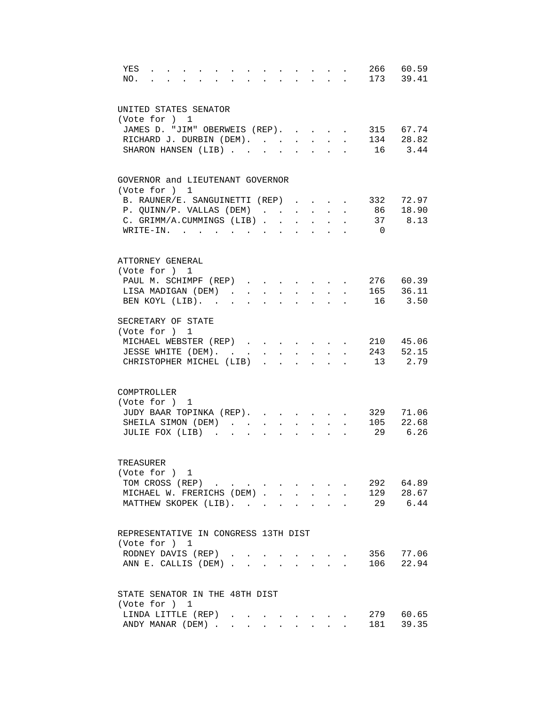| 60.59<br>266<br>YES<br>$\ddot{\phantom{0}}$<br>173 39.41<br>NO.                                  |  |
|--------------------------------------------------------------------------------------------------|--|
| UNITED STATES SENATOR<br>(Vote for ) 1                                                           |  |
| JAMES D. "JIM" OBERWEIS (REP).<br>315 67.74                                                      |  |
| . 134 28.82<br>RICHARD J. DURBIN (DEM).                                                          |  |
| SHARON HANSEN (LIB)<br>16 3.44                                                                   |  |
| GOVERNOR and LIEUTENANT GOVERNOR                                                                 |  |
| (Vote for ) 1<br>332 72.97<br>B. RAUNER/E. SANGUINETTI (REP)                                     |  |
| 86 18.90<br>P. QUINN/P. VALLAS (DEM)                                                             |  |
| 37 8.13<br>C. GRIMM/A.CUMMINGS (LIB)                                                             |  |
| WRITE-IN.<br>$\overline{0}$                                                                      |  |
| ATTORNEY GENERAL                                                                                 |  |
| (Vote for ) 1                                                                                    |  |
| 276 60.39<br>PAUL M. SCHIMPF (REP)                                                               |  |
| 165 36.11<br>LISA MADIGAN (DEM)<br>$\sim$<br>$\sim$<br>$\mathbf{L}^{\text{max}}$<br>$\mathbf{L}$ |  |
| BEN KOYL (LIB).<br>16 3.50<br>$\ddot{\phantom{a}}$<br>$\sim$                                     |  |
| SECRETARY OF STATE                                                                               |  |
| (Vote for ) 1                                                                                    |  |
| MICHAEL WEBSTER (REP)<br>210 45.06                                                               |  |
| 243 52.15<br>JESSE WHITE (DEM). .<br>$\ddot{\phantom{a}}$<br>$\sim$                              |  |
| 2.79<br>CHRISTOPHER MICHEL (LIB)<br>13<br>$\mathbf{r}$                                           |  |
| COMPTROLLER                                                                                      |  |
| (Vote for ) 1                                                                                    |  |
| JUDY BAAR TOPINKA (REP).<br>329<br>71.06                                                         |  |
| 105<br>22.68<br>SHEILA SIMON (DEM)<br>$\ddot{\phantom{a}}$<br>$\ddot{\phantom{0}}$               |  |
| 6.26<br>29<br>JULIE FOX (LIB)                                                                    |  |
| TREASURER                                                                                        |  |
| (Vote for ) 1                                                                                    |  |
| 292 64.89<br>TOM CROSS (REP)                                                                     |  |
| MICHAEL W. FRERICHS (DEM) 129 28.67                                                              |  |
| 29 6.44<br>MATTHEW SKOPEK (LIB).                                                                 |  |
| REPRESENTATIVE IN CONGRESS 13TH DIST                                                             |  |
| (Vote for ) 1                                                                                    |  |
| 356 77.06<br>RODNEY DAVIS (REP)                                                                  |  |
| 106 22.94<br>ANN E. CALLIS (DEM)                                                                 |  |
| STATE SENATOR IN THE 48TH DIST                                                                   |  |
| (Vote for ) 1                                                                                    |  |
| 279 60.65<br>LINDA LITTLE (REP)<br>the contract of the contract of                               |  |
| 39.35<br>ANDY MANAR (DEM)<br>181<br>$\sim$<br>$\mathbf{L}$<br>$\mathbf{L}^{\text{max}}$          |  |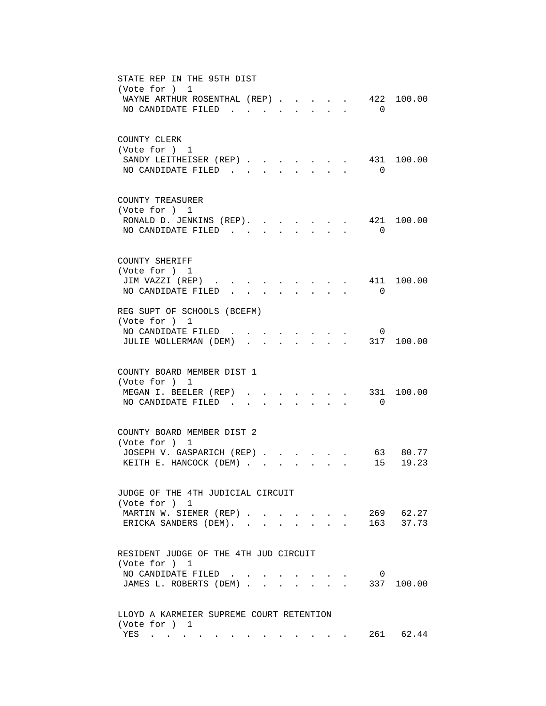| STATE REP IN THE 95TH DIST<br>(Vote for ) 1<br>422<br>100.00<br>WAYNE ARTHUR ROSENTHAL (REP).<br>NO CANDIDATE FILED.<br>$\overline{0}$<br>$\sim$                                         |
|------------------------------------------------------------------------------------------------------------------------------------------------------------------------------------------|
| COUNTY CLERK<br>(Vote for ) 1<br>SANDY LEITHEISER (REP)<br>431<br>100.00<br>$\mathcal{L}^{\text{max}}$<br>$\sim$<br>NO CANDIDATE FILED.<br>$\overline{0}$<br>$\sim$<br>$\mathbf{r}$      |
| COUNTY TREASURER<br>(Vote for ) 1<br>421 100.00<br>RONALD D. JENKINS (REP).<br>NO CANDIDATE FILED.<br>$\Omega$                                                                           |
| COUNTY SHERIFF<br>(Vote for ) 1<br>411<br>100.00<br>JIM VAZZI (REP)<br>NO CANDIDATE FILED<br>$\Omega$<br>$\ddot{\phantom{0}}$                                                            |
| REG SUPT OF SCHOOLS (BCEFM)<br>(Vote for ) 1<br>NO CANDIDATE FILED<br>0<br>JULIE WOLLERMAN (DEM)<br>317 100.00<br>$\mathbf{L}$                                                           |
| COUNTY BOARD MEMBER DIST 1<br>(Vote for ) 1<br>331<br>MEGAN I. BEELER (REP)<br>100.00<br>NO CANDIDATE FILED<br>$\Omega$<br>$\sim$                                                        |
| COUNTY BOARD MEMBER DIST 2<br>(Vote for ) 1<br>JOSEPH V. GASPARICH (REP)<br>63 80.77<br>KEITH E. HANCOCK (DEM)<br>15<br>19.23<br>$\mathbf{r} = \mathbf{r}$ and $\mathbf{r} = \mathbf{r}$ |
| JUDGE OF THE 4TH JUDICIAL CIRCUIT<br>(Vote for ) 1<br>269 62.27<br>MARTIN W. SIEMER (REP)<br>$\mathbf{L} = \mathbf{L}$<br>163 37.73<br>ERICKA SANDERS (DEM). .<br>$\sim$                 |
| RESIDENT JUDGE OF THE 4TH JUD CIRCUIT<br>(Vote for ) 1<br>NO CANDIDATE FILED<br>0<br>JAMES L. ROBERTS (DEM)<br>337 100.00                                                                |
| LLOYD A KARMEIER SUPREME COURT RETENTION<br>(Vote for ) 1<br>261 62.44<br>YES<br>. The simulation of the simulation of the simulation of $\mathcal{O}(10^6)$                             |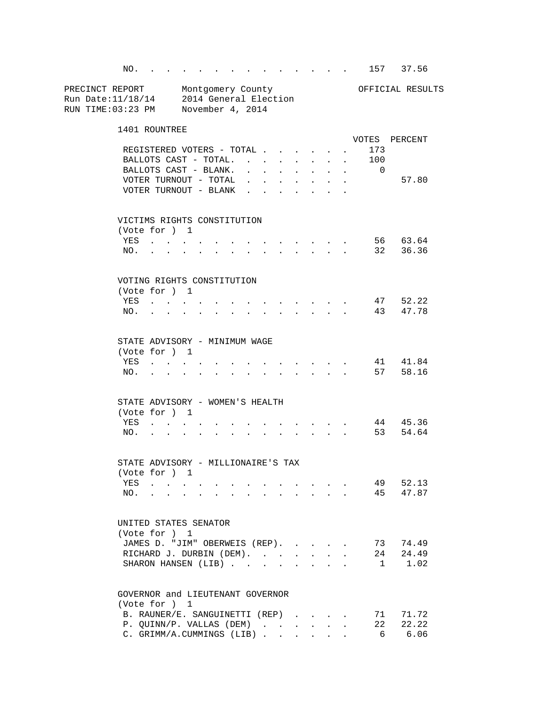NO. . . . . . . . . . . . . . 157 37.56 PRECINCT REPORT Montgomery County Montgomery Montgomery Montgomery County Run Date:11/18/14 2014 General Election RUN TIME:03:23 PM November 4, 2014 1401 ROUNTREE VOTES PERCENT REGISTERED VOTERS - TOTAL . . . . . . 173<br>BALLOTS CAST - TOTAL. . . . . . . . 100 BALLOTS CAST - TOTAL. . . . . . . . 100 BALLOTS CAST - BLANK. . . . . . . . VOTER TURNOUT - TOTAL . . . . . . . . 57.80 VOTER TURNOUT - BLANK . . . . . . . VICTIMS RIGHTS CONSTITUTION (Vote for ) 1 YES . . . . . . . . . . . . . 56 63.64 NO. . . . . . . . . . . . . . 32 36.36 VOTING RIGHTS CONSTITUTION (Vote for ) 1 YES . . . . . . . . . . . . . 47 52.22 NO. . . . . . . . . . . . . . 43 47.78 STATE ADVISORY - MINIMUM WAGE (Vote for ) 1 YES . . . . . . . . . . . . . 41 41.84 NO. . . . . . . . . . . . . . 57 58.16 STATE ADVISORY - WOMEN'S HEALTH (Vote for ) 1 YES . . . . . . . . . . . . . 44 45.36 NO. . . . . . . . . . . . . . 53 54.64 STATE ADVISORY - MILLIONAIRE'S TAX (Vote for ) 1 YES . . . . . . . . . . . . . 49 52.13 NO. . . . . . . . . . . . . . 45 47.87 UNITED STATES SENATOR (Vote for ) 1 JAMES D. "JIM" OBERWEIS (REP). . . . . 73 74.49<br>RICHARD J. DURBIN (DEM). . . . . . 24 24.49 RICHARD J. DURBIN (DEM). . . . . . . SHARON HANSEN (LIB) . . . . . . . . 1 1.02 GOVERNOR and LIEUTENANT GOVERNOR (Vote for ) 1 B. RAUNER/E. SANGUINETTI (REP) . . . . 71 71.72 P. QUINN/P. VALLAS (DEM) . . . . . . 22 22.22 C. GRIMM/A.CUMMINGS (LIB) . . . . . . 6 6.06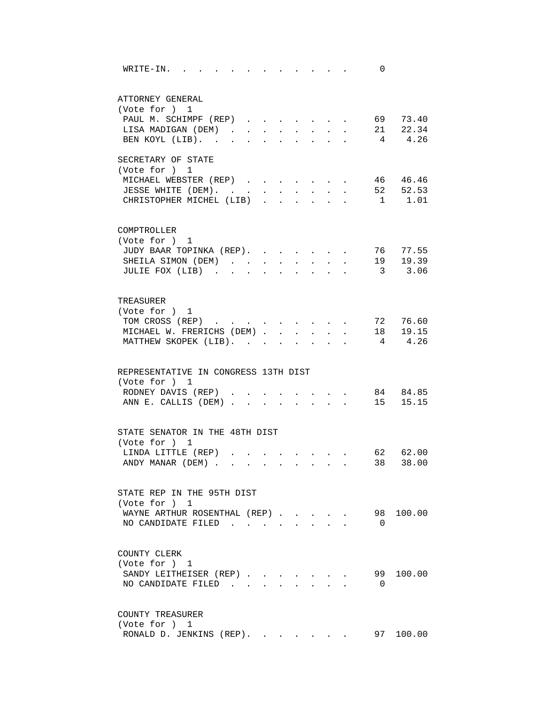| WRITE-IN.<br>0<br>the contract of the contract of the contract of the contract of the contract of the contract of the contract of                                                                                                                                                                                                                                                                                    |
|----------------------------------------------------------------------------------------------------------------------------------------------------------------------------------------------------------------------------------------------------------------------------------------------------------------------------------------------------------------------------------------------------------------------|
| ATTORNEY GENERAL                                                                                                                                                                                                                                                                                                                                                                                                     |
| (Vote for ) 1                                                                                                                                                                                                                                                                                                                                                                                                        |
| PAUL M. SCHIMPF (REP) 69 73.40                                                                                                                                                                                                                                                                                                                                                                                       |
| . 21 22.34<br>LISA MADIGAN (DEM)<br>$\mathcal{L}^{\text{max}}$<br>$\mathcal{L}^{\text{max}}$<br>$\ddot{\phantom{0}}$                                                                                                                                                                                                                                                                                                 |
| 4 4.26<br>BEN KOYL (LIB).<br>$\sim$<br>$\sim$<br>$\bullet$<br>$\ddot{\phantom{0}}$                                                                                                                                                                                                                                                                                                                                   |
| SECRETARY OF STATE                                                                                                                                                                                                                                                                                                                                                                                                   |
| (Vote for ) 1                                                                                                                                                                                                                                                                                                                                                                                                        |
| 46 46.46<br>MICHAEL WEBSTER (REP)                                                                                                                                                                                                                                                                                                                                                                                    |
| 52 52.53<br>JESSE WHITE (DEM).                                                                                                                                                                                                                                                                                                                                                                                       |
| $1 \qquad 1.01$<br>CHRISTOPHER MICHEL (LIB)                                                                                                                                                                                                                                                                                                                                                                          |
| COMPTROLLER                                                                                                                                                                                                                                                                                                                                                                                                          |
| (Vote for ) 1                                                                                                                                                                                                                                                                                                                                                                                                        |
| JUDY BAAR TOPINKA (REP).<br>76 77.55<br>$\mathbf{r} = \mathbf{r}$<br>$\sim$                                                                                                                                                                                                                                                                                                                                          |
| 19 19.39<br>SHEILA SIMON (DEM).<br>$\mathbf{L}$<br>$\mathbf{r}$<br>$\sim$<br>$\ddot{\phantom{a}}$                                                                                                                                                                                                                                                                                                                    |
| 3 3.06<br>JULIE FOX (LIB)<br>$\ddot{\phantom{a}}$<br>$\overline{a}$<br>$\mathbf{r}$<br>$\mathbf{r}$                                                                                                                                                                                                                                                                                                                  |
|                                                                                                                                                                                                                                                                                                                                                                                                                      |
| TREASURER                                                                                                                                                                                                                                                                                                                                                                                                            |
| (Vote for ) 1                                                                                                                                                                                                                                                                                                                                                                                                        |
| TOM CROSS (REP)<br>72 76.60<br>$\sim$                                                                                                                                                                                                                                                                                                                                                                                |
| 18  19.15<br>MICHAEL W. FRERICHS (DEM).<br>$\mathbf{r}$                                                                                                                                                                                                                                                                                                                                                              |
| 4.26<br>MATTHEW SKOPEK (LIB).<br>$4\phantom{.0000}\phantom{.0000}\phantom{.0000}\phantom{.0000}\phantom{.0000}\phantom{.0000}\phantom{.0000}\phantom{.0000}\phantom{.0000}\phantom{.0000}\phantom{.0000}\phantom{.0000}\phantom{.0000}\phantom{.0000}\phantom{.0000}\phantom{.0000}\phantom{.0000}\phantom{.0000}\phantom{.0000}\phantom{.0000}\phantom{.0000}\phantom{.0000}\phantom{.0000}\phantom{.0000}\phantom$ |
| REPRESENTATIVE IN CONGRESS 13TH DIST                                                                                                                                                                                                                                                                                                                                                                                 |
| (Vote for ) 1                                                                                                                                                                                                                                                                                                                                                                                                        |
| 84 84.85<br>RODNEY DAVIS (REP)                                                                                                                                                                                                                                                                                                                                                                                       |
| ANN E. CALLIS (DEM) 15 15.15                                                                                                                                                                                                                                                                                                                                                                                         |
|                                                                                                                                                                                                                                                                                                                                                                                                                      |
| STATE SENATOR IN THE 48TH DIST                                                                                                                                                                                                                                                                                                                                                                                       |
| (Vote for ) 1                                                                                                                                                                                                                                                                                                                                                                                                        |
| LINDA LITTLE (REP)<br>62 62.00                                                                                                                                                                                                                                                                                                                                                                                       |
| 38 38.00<br>ANDY MANAR (DEM)                                                                                                                                                                                                                                                                                                                                                                                         |
|                                                                                                                                                                                                                                                                                                                                                                                                                      |
| STATE REP IN THE 95TH DIST<br>(Vote for ) 1                                                                                                                                                                                                                                                                                                                                                                          |
| 98 100.00<br>WAYNE ARTHUR ROSENTHAL (REP).                                                                                                                                                                                                                                                                                                                                                                           |
| NO CANDIDATE FILED.<br>$\Omega$                                                                                                                                                                                                                                                                                                                                                                                      |
|                                                                                                                                                                                                                                                                                                                                                                                                                      |
| COUNTY CLERK                                                                                                                                                                                                                                                                                                                                                                                                         |
| (Vote for ) 1                                                                                                                                                                                                                                                                                                                                                                                                        |
| 100.00<br>SANDY LEITHEISER (REP)<br>99                                                                                                                                                                                                                                                                                                                                                                               |
| NO CANDIDATE FILED.<br>$\overline{0}$                                                                                                                                                                                                                                                                                                                                                                                |
|                                                                                                                                                                                                                                                                                                                                                                                                                      |
| COUNTY TREASURER<br>(Vote for ) 1                                                                                                                                                                                                                                                                                                                                                                                    |
| 97 100.00<br>RONALD D. JENKINS (REP).                                                                                                                                                                                                                                                                                                                                                                                |
|                                                                                                                                                                                                                                                                                                                                                                                                                      |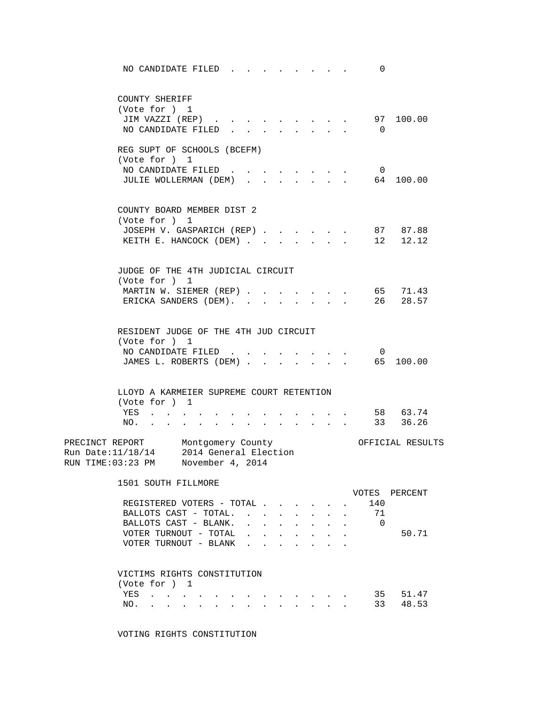| NO CANDIDATE FILED                                                                                               | 0                    |
|------------------------------------------------------------------------------------------------------------------|----------------------|
| COUNTY SHERIFF                                                                                                   |                      |
| (Vote for ) 1                                                                                                    |                      |
| JIM VAZZI (REP)<br>$\cdot$ $\cdot$ $\cdot$ $\cdot$ $\cdot$                                                       | 97 100.00            |
| NO CANDIDATE FILED.<br>$\mathbf{L}$<br>$\cdot$ $\cdot$ $\cdot$ $\cdot$ $\cdot$<br>$\sim$<br>$\ddot{\phantom{a}}$ | $\overline{0}$       |
| REG SUPT OF SCHOOLS (BCEFM)                                                                                      |                      |
| (Vote for ) 1                                                                                                    |                      |
| NO CANDIDATE FILED<br>$\sim$<br>$\bullet$ .<br><br><br><br><br><br><br><br><br><br><br><br>                      | $\overline{0}$       |
| JULIE WOLLERMAN (DEM)<br>$\mathbf{L}$<br>$\sim$                                                                  | 64 100.00            |
| COUNTY BOARD MEMBER DIST 2                                                                                       |                      |
| (Vote for ) 1                                                                                                    |                      |
| JOSEPH V. GASPARICH (REP)                                                                                        | 87 87.88             |
| KEITH E. HANCOCK (DEM)<br>$\sim$<br>$\sim$                                                                       | 12.12<br>12          |
|                                                                                                                  |                      |
| JUDGE OF THE 4TH JUDICIAL CIRCUIT<br>(Vote for ) 1                                                               |                      |
| MARTIN W. SIEMER (REP)                                                                                           | 65<br>71.43          |
| ERICKA SANDERS (DEM).                                                                                            | 26<br>28.57          |
|                                                                                                                  |                      |
| RESIDENT JUDGE OF THE 4TH JUD CIRCUIT                                                                            |                      |
| (Vote for ) 1                                                                                                    |                      |
| NO CANDIDATE FILED                                                                                               | $\overline{0}$       |
| JAMES L. ROBERTS (DEM)<br>$\mathbf{r}$ and $\mathbf{r}$ and $\mathbf{r}$                                         | 65 100.00            |
|                                                                                                                  |                      |
| LLOYD A KARMEIER SUPREME COURT RETENTION                                                                         |                      |
| (Vote for ) 1<br>YES                                                                                             | 58 63.74             |
| NO.<br>the contract of the contract of the<br>$\cdot$ $\cdot$ $\cdot$<br>$\sim$ $\sim$                           | 36.26<br>33          |
|                                                                                                                  |                      |
| PRECINCT REPORT Montgomery County                                                                                | OFFICIAL RESULTS     |
| Run Date: 11/18/14 2014 General Election<br>RUN TIME:03:23 PM November 4, 2014                                   |                      |
|                                                                                                                  |                      |
| 1501 SOUTH FILLMORE                                                                                              |                      |
|                                                                                                                  | VOTES PERCENT<br>140 |
| REGISTERED VOTERS - TOTAL<br>BALLOTS CAST - TOTAL                                                                | 71                   |
| BALLOTS CAST - BLANK.<br>$\sim$<br>$\mathbf{L}$<br>$\ddot{\phantom{0}}$                                          | $\overline{0}$       |
| VOTER TURNOUT - TOTAL<br>$\mathbf{L} = \mathbf{L}$<br>$\mathbf{L}$<br>$\mathbf{L}$<br>$\mathbf{r}$               | 50.71                |
| VOTER TURNOUT - BLANK<br>and a state                                                                             |                      |
|                                                                                                                  |                      |
| VICTIMS RIGHTS CONSTITUTION                                                                                      |                      |
| (Vote for ) 1                                                                                                    |                      |
| YES<br>$\mathbf{r}$ , $\mathbf{r}$ , $\mathbf{r}$ , $\mathbf{r}$ , $\mathbf{r}$                                  | 35<br>51.47          |
| NO. .<br>$\mathbf{r} = \mathbf{r}$                                                                               | 33<br>48.53          |
|                                                                                                                  |                      |

VOTING RIGHTS CONSTITUTION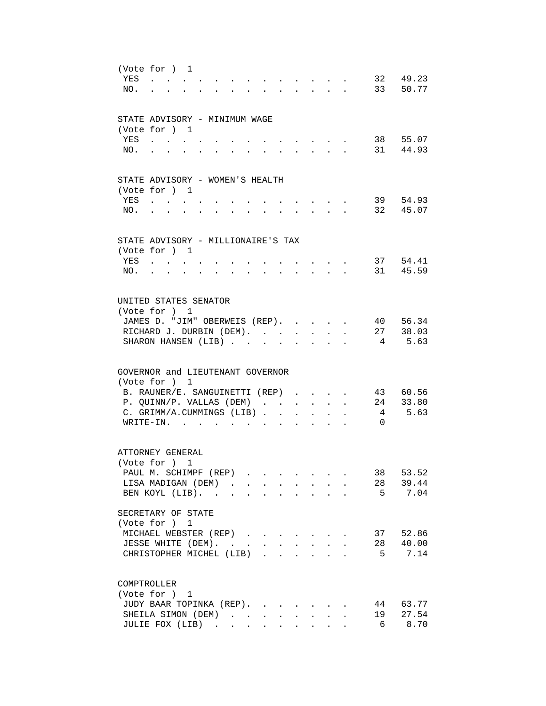| YES<br>NO. | (Vote for ) 1<br>$\mathbf{A}$                                                                                                                                |                                                       |                                                                                                                                                                                                                                                                                                                                                                                                                                                             | $\mathbf{r}$ , $\mathbf{r}$                                                                    | $\mathbf{r} = \mathbf{r}$                          |         | 32 49.23<br>33 50.77           |
|------------|--------------------------------------------------------------------------------------------------------------------------------------------------------------|-------------------------------------------------------|-------------------------------------------------------------------------------------------------------------------------------------------------------------------------------------------------------------------------------------------------------------------------------------------------------------------------------------------------------------------------------------------------------------------------------------------------------------|------------------------------------------------------------------------------------------------|----------------------------------------------------|---------|--------------------------------|
| YES<br>NO. | STATE ADVISORY - MINIMUM WAGE<br>(Vote for ) 1                                                                                                               |                                                       |                                                                                                                                                                                                                                                                                                                                                                                                                                                             | $\mathbf{r}$                                                                                   | $\mathbf{r}$                                       |         | 38 55.07<br>31 44.93           |
| YES<br>NO. | STATE ADVISORY - WOMEN'S HEALTH<br>(Vote for ) 1<br>and a strong control of the strong strong                                                                | $\bullet$ . The set of $\bullet$<br>$\sim$ 100 $\sim$ | $\sim$                                                                                                                                                                                                                                                                                                                                                                                                                                                      | the contract of the contract of the                                                            | $\mathbf{r}$ , and $\mathbf{r}$ , and $\mathbf{r}$ |         | 39 54.93<br>32 45.07           |
| YES<br>NO. | STATE ADVISORY - MILLIONAIRE'S TAX<br>(Vote for ) 1<br><b>Contract Contract Contract</b><br>$\mathbf{r}$<br>$\mathcal{L}^{\mathcal{A}}$                      | $\mathbf{L}$<br>$\sim$                                | $\sim$<br>$\mathcal{L}^{\mathcal{A}}$                                                                                                                                                                                                                                                                                                                                                                                                                       | $\mathbf{L}$<br>$\sim$ $\sim$                                                                  | $\mathbf{L}^{\text{max}}$<br>$\sim$                |         | 37 54.41<br>31 45.59           |
|            | UNITED STATES SENATOR<br>(Vote for ) 1<br>JAMES D. "JIM" OBERWEIS (REP).<br>RICHARD J. DURBIN (DEM).<br>SHARON HANSEN (LIB). .                               |                                                       |                                                                                                                                                                                                                                                                                                                                                                                                                                                             | $\mathbf{r}$<br>$\ddot{\phantom{0}}$                                                           | $\sim$                                             |         | 40 56.34<br>27 38.03<br>5.63   |
|            | GOVERNOR and LIEUTENANT GOVERNOR<br>(Vote for ) 1<br>B. RAUNER/E. SANGUINETTI (REP)<br>P. QUINN/P. VALLAS (DEM)<br>C. GRIMM/A.CUMMINGS (LIB).<br>$W$ RITE-IN |                                                       | $\sim$                                                                                                                                                                                                                                                                                                                                                                                                                                                      | $\ddot{\phantom{0}}$                                                                           | $\ddot{\phantom{a}}$                               | 4<br>0  | 43 60.56<br>24 33.80<br>5.63   |
|            | ATTORNEY GENERAL<br>(Vote for ) 1<br>PAUL M. SCHIMPF (REP)<br>LISA MADIGAN (DEM)<br>BEN KOYL (LIB).<br>SECRETARY OF STATE<br>(Vote for ) 1                   |                                                       |                                                                                                                                                                                                                                                                                                                                                                                                                                                             |                                                                                                |                                                    |         | 38 53.52<br>28 39.44<br>5 7.04 |
|            | MICHAEL WEBSTER (REP)<br>JESSE WHITE (DEM).<br>CHRISTOPHER MICHEL (LIB)                                                                                      |                                                       | $\mathcal{L}(\mathcal{L}(\mathcal{L}(\mathcal{L}(\mathcal{L}(\mathcal{L}(\mathcal{L}(\mathcal{L}(\mathcal{L}(\mathcal{L}(\mathcal{L}(\mathcal{L}(\mathcal{L}(\mathcal{L}(\mathcal{L}(\mathcal{L}(\mathcal{L}(\mathcal{L}(\mathcal{L}(\mathcal{L}(\mathcal{L}(\mathcal{L}(\mathcal{L}(\mathcal{L}(\mathcal{L}(\mathcal{L}(\mathcal{L}(\mathcal{L}(\mathcal{L}(\mathcal{L}(\mathcal{L}(\mathcal{L}(\mathcal{L}(\mathcal{L}(\mathcal{L}(\mathcal{L}(\mathcal{$ |                                                                                                | $\mathbf{r}$<br>$\ddot{\phantom{a}}$               | 28<br>5 | 37 52.86<br>40.00<br>7.14      |
|            | COMPTROLLER<br>(Vote for ) 1<br>JUDY BAAR TOPINKA (REP).<br>SHEILA SIMON (DEM).<br>JULIE FOX (LIB)                                                           |                                                       | $\sim$<br>$\sim$                                                                                                                                                                                                                                                                                                                                                                                                                                            | $\ddot{\phantom{0}}$<br>$\ddot{\phantom{0}}$<br>$\mathbf{L} = \mathbf{L} \mathbf{L}$<br>$\sim$ | $\mathbf{L}$<br>$\mathbf{L}$                       | 19<br>6 | 44 63.77<br>27.54<br>8.70      |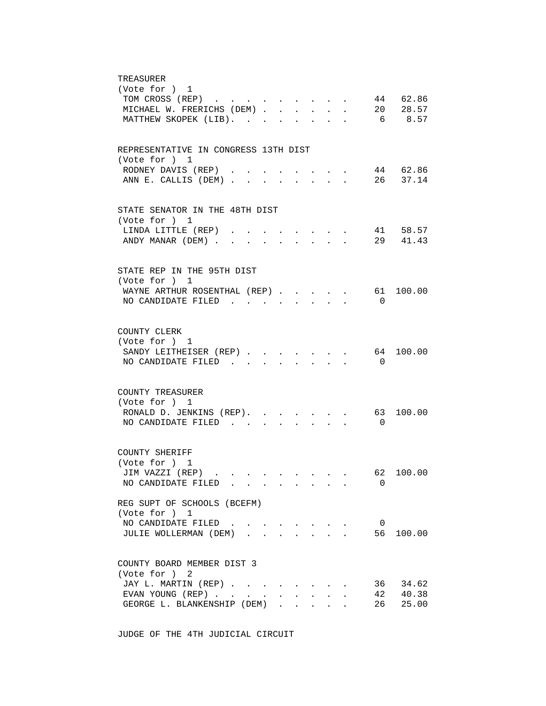| TREASURER<br>(Vote for ) 1                                                                                                   |
|------------------------------------------------------------------------------------------------------------------------------|
| 44 62.86<br>TOM CROSS (REP)<br>20 28.57                                                                                      |
| MICHAEL W. FRERICHS (DEM).<br>$\mathbf{L} = \mathbf{L} \mathbf{L}$<br>$\mathbf{L}$<br>$\mathbf{r}$<br>$\mathbf{L}$<br>6 8.57 |
| MATTHEW SKOPEK (LIB).                                                                                                        |
| REPRESENTATIVE IN CONGRESS 13TH DIST                                                                                         |
| (Vote for ) 1<br>44 62.86<br>RODNEY DAVIS (REP).                                                                             |
| 26 37.14<br>ANN E. CALLIS (DEM)                                                                                              |
|                                                                                                                              |
| STATE SENATOR IN THE 48TH DIST<br>(Vote for ) 1                                                                              |
| 41 58.57<br>LINDA LITTLE (REP)<br>$\sim$ $\sim$                                                                              |
| ANDY MANAR (DEM)<br>29 41.43<br>$\mathbf{r} = \mathbf{r} + \mathbf{r}$<br>$\ddot{\phantom{0}}$                               |
| STATE REP IN THE 95TH DIST                                                                                                   |
| (Vote for ) 1                                                                                                                |
| 61 100.00<br>WAYNE ARTHUR ROSENTHAL (REP)<br>$\sim$<br>$\sim$                                                                |
| NO CANDIDATE FILED<br>$\Omega$<br>$\mathbf{r}$ and $\mathbf{r}$<br>$\mathbf{r}$<br>$\mathbf{r}$                              |
| COUNTY CLERK                                                                                                                 |
| (Vote for ) 1                                                                                                                |
| 64 100.00<br>SANDY LEITHEISER (REP)<br>$\mathbf{r}$ , $\mathbf{r}$ , $\mathbf{r}$                                            |
| NO CANDIDATE FILED<br>$\Omega$                                                                                               |
| COUNTY TREASURER                                                                                                             |
| (Vote for ) 1                                                                                                                |
| RONALD D. JENKINS (REP). 63<br>100.00                                                                                        |
| NO CANDIDATE FILED<br>$\overline{0}$<br>$\sim$<br>$\sim$<br>$\sim$                                                           |
| COUNTY SHERIFF                                                                                                               |
| (Vote for ) 1                                                                                                                |
| JIM VAZZI (REP).<br>62 100.00                                                                                                |
| NO CANDIDATE FILED<br>$\Omega$                                                                                               |
| REG SUPT OF SCHOOLS (BCEFM)<br>(Vote for ) 1                                                                                 |
| NO CANDIDATE FILED<br>$\overline{\phantom{0}}$                                                                               |
| 56<br>100.00<br>JULIE WOLLERMAN (DEM).                                                                                       |
| COUNTY BOARD MEMBER DIST 3                                                                                                   |
| (Vote for ) 2                                                                                                                |
| JAY L. MARTIN (REP)<br>36 34.62                                                                                              |
| 42 40.38<br>EVAN YOUNG (REP)                                                                                                 |
| 25.00<br>GEORGE L. BLANKENSHIP (DEM)<br>26<br>$\mathbf{r} = \mathbf{r} \cdot \mathbf{r}$<br>$\mathbf{L}$                     |

JUDGE OF THE 4TH JUDICIAL CIRCUIT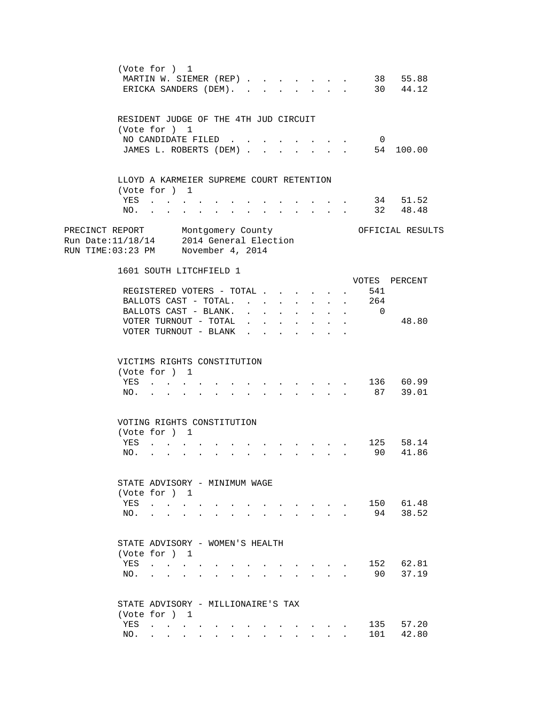|                                                                                                                    |            | (Vote for ) 1<br>MARTIN W. SIEMER (REP)<br>ERICKA SANDERS (DEM).                                                                                                                                                                                                                                                                                                                                                             |                      |                      |                                      |              |                                           |                                                                                                                                |                                      |              |                | 38 55.88<br>30 44.12      |  |
|--------------------------------------------------------------------------------------------------------------------|------------|------------------------------------------------------------------------------------------------------------------------------------------------------------------------------------------------------------------------------------------------------------------------------------------------------------------------------------------------------------------------------------------------------------------------------|----------------------|----------------------|--------------------------------------|--------------|-------------------------------------------|--------------------------------------------------------------------------------------------------------------------------------|--------------------------------------|--------------|----------------|---------------------------|--|
|                                                                                                                    |            | RESIDENT JUDGE OF THE 4TH JUD CIRCUIT<br>(Vote for ) 1                                                                                                                                                                                                                                                                                                                                                                       |                      |                      |                                      |              |                                           |                                                                                                                                |                                      |              |                |                           |  |
|                                                                                                                    |            | NO CANDIDATE FILED<br>JAMES L. ROBERTS (DEM)                                                                                                                                                                                                                                                                                                                                                                                 |                      |                      |                                      |              |                                           |                                                                                                                                |                                      |              | $\overline{0}$ | 54 100.00                 |  |
|                                                                                                                    |            | LLOYD A KARMEIER SUPREME COURT RETENTION<br>(Vote for ) 1                                                                                                                                                                                                                                                                                                                                                                    |                      |                      |                                      |              |                                           |                                                                                                                                |                                      |              |                |                           |  |
|                                                                                                                    | YES<br>NO. |                                                                                                                                                                                                                                                                                                                                                                                                                              |                      |                      |                                      |              | $\mathbf{r}$                              | $\ddot{\phantom{a}}$                                                                                                           |                                      |              |                | 34 51.52<br>32 48.48      |  |
| PRECINCT REPORT Montgomery County<br>Run Date:11/18/14 2014 General Election<br>RUN TIME:03:23 PM November 4, 2014 |            |                                                                                                                                                                                                                                                                                                                                                                                                                              |                      |                      |                                      |              |                                           |                                                                                                                                |                                      |              |                | OFFICIAL RESULTS          |  |
|                                                                                                                    |            | 1601 SOUTH LITCHFIELD 1                                                                                                                                                                                                                                                                                                                                                                                                      |                      |                      |                                      |              |                                           |                                                                                                                                |                                      |              |                | VOTES PERCENT             |  |
|                                                                                                                    |            | REGISTERED VOTERS - TOTAL .                                                                                                                                                                                                                                                                                                                                                                                                  |                      |                      |                                      |              |                                           |                                                                                                                                |                                      |              | 541            |                           |  |
|                                                                                                                    |            | BALLOTS CAST - TOTAL.                                                                                                                                                                                                                                                                                                                                                                                                        |                      | $\mathbf{L}$         | $\mathbf{r}$                         | $\mathbf{L}$ | $\mathbf{r}$                              |                                                                                                                                | $\ddot{\phantom{a}}$                 | $\mathbf{r}$ | 264            |                           |  |
|                                                                                                                    |            | BALLOTS CAST - BLANK.                                                                                                                                                                                                                                                                                                                                                                                                        |                      |                      | $\sim$                               |              |                                           |                                                                                                                                | $\mathbf{L}$                         |              | $\overline{0}$ |                           |  |
|                                                                                                                    |            | VOTER TURNOUT - TOTAL<br>VOTER TURNOUT - BLANK                                                                                                                                                                                                                                                                                                                                                                               |                      |                      | $\mathbf{L} = \mathbf{L} \mathbf{L}$ | $\mathbf{L}$ | $\mathbf{r}$<br>$\mathbf{r}$ $\mathbf{r}$ | $\mathbf{r}$<br>$\sim$                                                                                                         | $\mathbf{r}$<br>$\ddot{\phantom{a}}$ |              |                | 48.80                     |  |
|                                                                                                                    | YES<br>NO. | VICTIMS RIGHTS CONSTITUTION<br>(Vote for ) 1                                                                                                                                                                                                                                                                                                                                                                                 |                      |                      |                                      |              |                                           |                                                                                                                                |                                      |              |                | 136 60.99<br>87 39.01     |  |
|                                                                                                                    |            | VOTING RIGHTS CONSTITUTION                                                                                                                                                                                                                                                                                                                                                                                                   |                      |                      |                                      |              |                                           |                                                                                                                                |                                      |              |                |                           |  |
|                                                                                                                    |            | (Vote for ) 1                                                                                                                                                                                                                                                                                                                                                                                                                |                      |                      |                                      |              |                                           |                                                                                                                                |                                      |              |                |                           |  |
|                                                                                                                    | YES<br>NO. | and a series of the series of the series of                                                                                                                                                                                                                                                                                                                                                                                  |                      |                      |                                      |              |                                           |                                                                                                                                |                                      |              |                | . 125 58.14<br>. 90 41.86 |  |
|                                                                                                                    |            | STATE ADVISORY - MINIMUM WAGE<br>(Vote for ) 1                                                                                                                                                                                                                                                                                                                                                                               |                      |                      |                                      |              |                                           |                                                                                                                                |                                      |              |                |                           |  |
|                                                                                                                    | YES<br>NO. | $\cdot$<br>$\cdot$ $\cdot$ $\cdot$ $\cdot$ $\cdot$ $\cdot$                                                                                                                                                                                                                                                                                                                                                                   | $\ddot{\phantom{a}}$ | $\ddot{\phantom{a}}$ | $\sim$                               |              |                                           | $\mathbf{r}$ , and $\mathbf{r}$ , and $\mathbf{r}$<br>$\mathbf{r}$ , $\mathbf{r}$ , $\mathbf{r}$ , $\mathbf{r}$ , $\mathbf{r}$ |                                      |              | 94             | 150 61.48<br>38.52        |  |
|                                                                                                                    |            |                                                                                                                                                                                                                                                                                                                                                                                                                              |                      |                      |                                      |              |                                           |                                                                                                                                |                                      |              |                |                           |  |
|                                                                                                                    |            | STATE ADVISORY - WOMEN'S HEALTH<br>(Vote for ) 1                                                                                                                                                                                                                                                                                                                                                                             |                      |                      |                                      |              |                                           |                                                                                                                                |                                      |              |                |                           |  |
|                                                                                                                    | YES        | $\mathbf{L}$ and $\mathbf{L}$                                                                                                                                                                                                                                                                                                                                                                                                |                      |                      |                                      |              |                                           |                                                                                                                                |                                      |              | 152            | 62.81                     |  |
|                                                                                                                    | NO.        |                                                                                                                                                                                                                                                                                                                                                                                                                              |                      |                      |                                      |              |                                           |                                                                                                                                |                                      |              | 90             | 37.19                     |  |
|                                                                                                                    |            | STATE ADVISORY - MILLIONAIRE'S TAX<br>(Vote for ) 1                                                                                                                                                                                                                                                                                                                                                                          |                      |                      |                                      |              |                                           |                                                                                                                                |                                      |              |                |                           |  |
|                                                                                                                    | YES        | $\mathcal{A}^{\mathcal{A}}$ . The contribution of the contribution of the contribution of $\mathcal{A}^{\mathcal{A}}$                                                                                                                                                                                                                                                                                                        |                      |                      |                                      |              |                                           |                                                                                                                                |                                      |              | 135            | 57.20                     |  |
|                                                                                                                    | NO.        | $\mathbf{r} = \mathbf{r} + \mathbf{r} + \mathbf{r} + \mathbf{r} + \mathbf{r} + \mathbf{r} + \mathbf{r} + \mathbf{r} + \mathbf{r} + \mathbf{r} + \mathbf{r} + \mathbf{r} + \mathbf{r} + \mathbf{r} + \mathbf{r} + \mathbf{r} + \mathbf{r} + \mathbf{r} + \mathbf{r} + \mathbf{r} + \mathbf{r} + \mathbf{r} + \mathbf{r} + \mathbf{r} + \mathbf{r} + \mathbf{r} + \mathbf{r} + \mathbf{r} + \mathbf{r} + \mathbf{r} + \mathbf$ |                      |                      |                                      |              |                                           |                                                                                                                                |                                      |              | 101            | 42.80                     |  |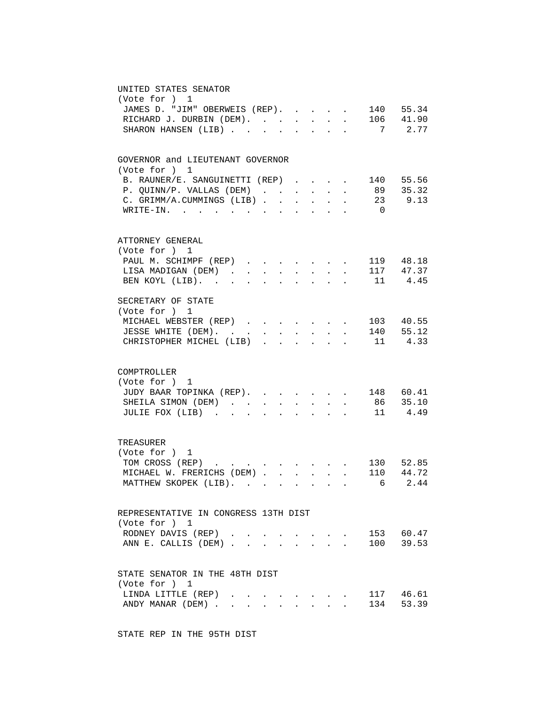| UNITED STATES SENATOR<br>(Vote for ) 1<br>140 55.34<br>JAMES D. "JIM" OBERWEIS (REP).<br>$\sim$<br>106 41.90<br>RICHARD J. DURBIN (DEM).<br>7 2.77<br>SHARON HANSEN (LIB)<br>$\sim$ $\sim$                                                                                                                                                                           |
|----------------------------------------------------------------------------------------------------------------------------------------------------------------------------------------------------------------------------------------------------------------------------------------------------------------------------------------------------------------------|
| GOVERNOR and LIEUTENANT GOVERNOR<br>(Vote for ) 1<br>B. RAUNER/E. SANGUINETTI (REP)<br>140 55.56<br>$\sim$<br>89 35.32<br>P. QUINN/P. VALLAS (DEM)<br>$\mathbf{L}$<br>$\ddot{\phantom{0}}$<br>$\mathbf{L}$<br>$\mathbf{L}$<br>23 9.13<br>C. GRIMM/A.CUMMINGS (LIB)<br>$\mathbf{L}$<br>$\texttt{WRTTE-IN.}$<br>$\overline{0}$<br>$\mathbf{r}$<br>$\ddot{\phantom{a}}$ |
| ATTORNEY GENERAL<br>(Vote for ) 1<br>PAUL M. SCHIMPF (REP)<br>. 119 48.18<br>LISA MADIGAN (DEM).<br>117 47.37<br>11 4.45<br>$\sim$<br>BEN KOYL (LIB).                                                                                                                                                                                                                |
| SECRETARY OF STATE<br>(Vote for ) 1<br>MICHAEL WEBSTER (REP)<br>$\cdot$ $\cdot$ $\cdot$ $\cdot$ $\cdot$ 103 40.55<br>$\cdot$ $\cdot$ 140 55.12<br>JESSE WHITE (DEM).<br>$\mathbf{L}$ and $\mathbf{L}$<br>CHRISTOPHER MICHEL (LIB).<br>$\cdot$ 11 4.33<br>$\sim$<br>$\ddot{\phantom{a}}$                                                                              |
| COMPTROLLER<br>(Vote for ) 1<br>JUDY BAAR TOPINKA (REP). 148 60.41<br>SHEILA SIMON (DEM) 86 35.10<br>JULIE FOX (LIB)<br>$\cdot$ 11 4.49                                                                                                                                                                                                                              |
| TREASURER<br>(Vote for ) 1<br>. 130 52.85<br>TOM CROSS (REP)<br>110 44.72<br>MICHAEL W. FRERICHS (DEM)<br>$\mathbf{L}$<br>MATTHEW SKOPEK (LIB).<br>6 2 4 4                                                                                                                                                                                                           |
| REPRESENTATIVE IN CONGRESS 13TH DIST<br>(Vote for ) 1<br>153 60.47<br>RODNEY DAVIS (REP).<br>100 39.53<br>ANN E. CALLIS (DEM)                                                                                                                                                                                                                                        |
| STATE SENATOR IN THE 48TH DIST<br>(Vote for ) 1<br>117 46.61<br>LINDA LITTLE (REP).<br>134 53.39<br>ANDY MANAR (DEM)<br>$\cdot$ $\cdot$ $\cdot$                                                                                                                                                                                                                      |

STATE REP IN THE 95TH DIST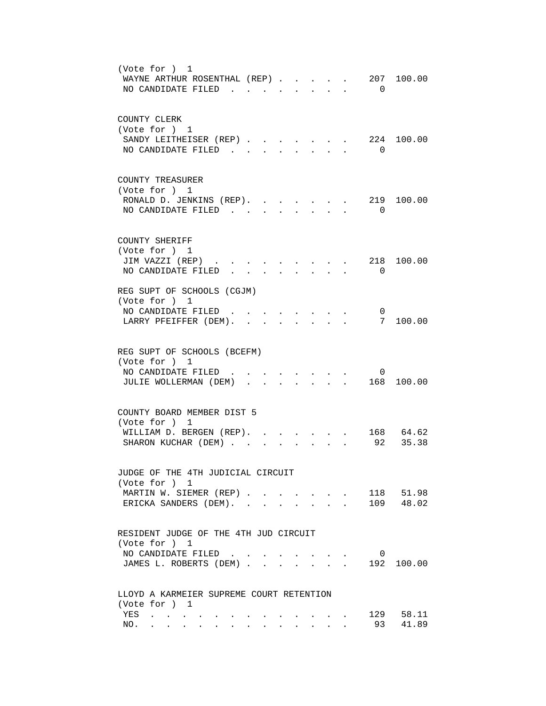| (Vote for ) 1<br>WAYNE ARTHUR ROSENTHAL (REP).<br>207 100.00<br>NO CANDIDATE FILED.<br>$\Omega$                                                          |
|----------------------------------------------------------------------------------------------------------------------------------------------------------|
| COUNTY CLERK<br>(Vote for ) 1<br>224 100.00<br>SANDY LEITHEISER (REP).<br>NO CANDIDATE FILED<br>$\Omega$<br>$\mathbf{r}$ , $\mathbf{r}$ , $\mathbf{r}$   |
| COUNTY TREASURER<br>(Vote for ) 1<br>RONALD D. JENKINS (REP).<br>219<br>100.00<br>NO CANDIDATE FILED<br>$\overline{\phantom{0}}$                         |
| COUNTY SHERIFF<br>(Vote for ) 1<br>JIM VAZZI (REP)<br>218<br>100.00<br>NO CANDIDATE FILED<br>$\Omega$                                                    |
| REG SUPT OF SCHOOLS (CGJM)<br>(Vote for ) 1<br>NO CANDIDATE FILED.<br>0<br>7<br>100.00<br>LARRY PFEIFFER (DEM).<br>$\ddot{\phantom{a}}$                  |
| REG SUPT OF SCHOOLS (BCEFM)<br>(Vote for ) 1<br>NO CANDIDATE FILED<br>$\overline{0}$<br>JULIE WOLLERMAN (DEM)<br>168 100.00<br>$\mathbf{r} = \mathbf{r}$ |
| COUNTY BOARD MEMBER DIST 5<br>(Vote for ) 1<br>168 64.62<br>WILLIAM D. BERGEN (REP). .<br>92 35.38<br>SHARON KUCHAR (DEM)                                |
| JUDGE OF THE 4TH JUDICIAL CIRCUIT<br>(Vote for ) 1<br>118 51.98<br>MARTIN W. SIEMER (REP)<br>109 48.02<br>ERICKA SANDERS (DEM).                          |
| RESIDENT JUDGE OF THE 4TH JUD CIRCUIT<br>(Vote for ) 1<br>NO CANDIDATE FILED<br>0<br>192 100.00<br>JAMES L. ROBERTS (DEM)                                |
| LLOYD A KARMEIER SUPREME COURT RETENTION<br>(Vote for ) 1<br>129 58.11<br>YES<br>41.89<br>93<br>NO.<br>$\ddot{\phantom{a}}$                              |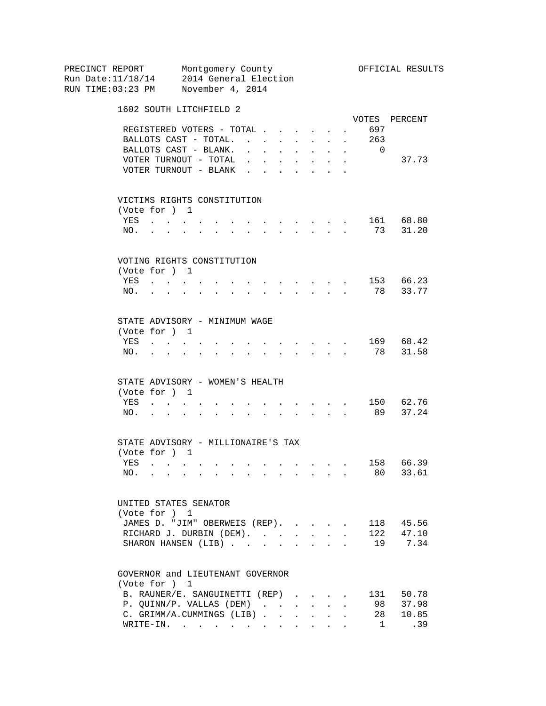PRECINCT REPORT Montgomery County Montgomery Montgomery Montgomery County Run Date:11/18/14 2014 General Election RUN TIME:03:23 PM November 4, 2014 1602 SOUTH LITCHFIELD 2 VOTES PERCENT REGISTERED VOTERS - TOTAL . . . . . . 697 BALLOTS CAST - TOTAL. . . . . . . . 263<br>BALLOTS CAST - BLANK. . . . . . . . 0 BALLOTS CAST - BLANK. . . . . . . . 0 VOTER TURNOUT - TOTAL . . . . . . . . 37.73 VOTER TURNOUT - BLANK  $\cdot \cdot \cdot \cdot \cdot \cdot$  VICTIMS RIGHTS CONSTITUTION (Vote for ) 1 YES . . . . . . . . . . . . . 161 68.80 NO. . . . . . . . . . . . . . 73 31.20 VOTING RIGHTS CONSTITUTION (Vote for ) 1 YES . . . . . . . . . . . . . 153 66.23 NO. . . . . . . . . . . . . . 78 33.77 STATE ADVISORY - MINIMUM WAGE (Vote for ) 1 YES . . . . . . . . . . . . . . 169 68.42<br>NO. . . . . . . . . . . . . . 78 31.58 NO. . . . . . . . . . . . . . 78 31.58 STATE ADVISORY - WOMEN'S HEALTH (Vote for ) 1 YES . . . . . . . . . . . . . 150 62.76 NO. . . . . . . . . . . . . . 89 37.24 STATE ADVISORY - MILLIONAIRE'S TAX (Vote for ) 1 YES . . . . . . . . . . . . . 158 66.39 NO. . . . . . . . . . . . . . 80 33.61 UNITED STATES SENATOR (Vote for ) 1 JAMES D. "JIM" OBERWEIS (REP). . . . . 118 45.56<br>RICHARD J. DURBIN (DEM). . . . . . . 122 47.10 RICHARD J. DURBIN (DEM). . . . . . . SHARON HANSEN (LIB) . . . . . . . . 19 7.34 GOVERNOR and LIEUTENANT GOVERNOR (Vote for ) 1 B. RAUNER/E. SANGUINETTI (REP) . . . . 131 50.78<br>P. QUINN/P. VALLAS (DEM) . . . . . . 98 37.98 P. QUINN/P. VALLAS (DEM) . . . . . . C. GRIMM/A.CUMMINGS (LIB) . . . . . . 28 10.85<br>WRITE-IN. . . . . . . . . . . . . . 1 .39 WRITE-IN. . . . . . . . . . . .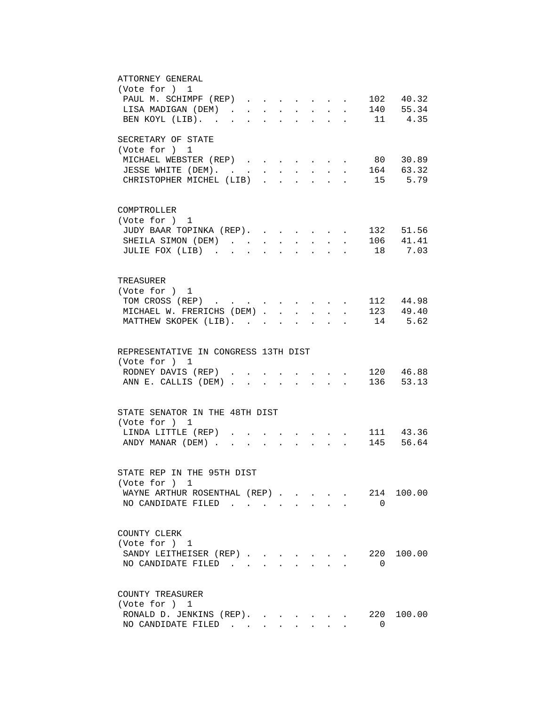| ATTORNEY GENERAL                                                                                |                        |
|-------------------------------------------------------------------------------------------------|------------------------|
| (Vote for ) 1                                                                                   |                        |
| PAUL M. SCHIMPF (REP)                                                                           | 102 40.32              |
| LISA MADIGAN (DEM)                                                                              | 140 55.34              |
| BEN KOYL (LIB).<br>$\cdot$ 11 4.35<br><b>Contract Contract Contract</b><br>$\ddot{\phantom{a}}$ |                        |
|                                                                                                 |                        |
| SECRETARY OF STATE                                                                              |                        |
| (Vote for ) 1                                                                                   |                        |
| MICHAEL WEBSTER (REP).                                                                          | 80 30.89               |
| JESSE WHITE (DEM).                                                                              | 164 63.32              |
| CHRISTOPHER MICHEL (LIB)<br>$\mathbf{L}^{\text{max}}$                                           | 15 5.79                |
|                                                                                                 |                        |
|                                                                                                 |                        |
| COMPTROLLER                                                                                     |                        |
| (Vote for ) 1                                                                                   |                        |
| JUDY BAAR TOPINKA (REP).                                                                        | 132 51.56              |
|                                                                                                 |                        |
| SHEILA SIMON (DEM)<br>$\ddot{\phantom{a}}$<br>$\ddot{\phantom{a}}$                              | 106 41.41              |
| JULIE FOX (LIB).                                                                                | 18 7.03                |
|                                                                                                 |                        |
|                                                                                                 |                        |
| TREASURER                                                                                       |                        |
| (Vote for ) 1                                                                                   |                        |
| TOM CROSS (REP) 112 44.98                                                                       |                        |
| MICHAEL W. FRERICHS (DEM) 123 49.40                                                             |                        |
| MATTHEW SKOPEK (LIB). 14 5.62                                                                   |                        |
|                                                                                                 |                        |
|                                                                                                 |                        |
| REPRESENTATIVE IN CONGRESS 13TH DIST                                                            |                        |
| (Vote for ) 1                                                                                   |                        |
| RODNEY DAVIS (REP) 120 46.88                                                                    |                        |
| ANN E. CALLIS (DEM) 136 53.13                                                                   |                        |
|                                                                                                 |                        |
|                                                                                                 |                        |
| STATE SENATOR IN THE 48TH DIST                                                                  |                        |
| (Vote for ) 1                                                                                   |                        |
| LINDA LITTLE (REP).                                                                             |                        |
| ANDY MANAR (DEM).<br>$\mathbf{r}$                                                               | 111 43.36<br>145 56.64 |
|                                                                                                 |                        |
|                                                                                                 |                        |
| STATE REP IN THE 95TH DIST                                                                      |                        |
|                                                                                                 |                        |
| (Vote for ) 1                                                                                   |                        |
| WAYNE ARTHUR ROSENTHAL (REP)                                                                    | 214<br>100.00          |
| NO CANDIDATE FILED                                                                              | $\Omega$               |
|                                                                                                 |                        |
|                                                                                                 |                        |
| COUNTY CLERK                                                                                    |                        |
| (Vote for ) 1                                                                                   |                        |
| SANDY LEITHEISER (REP)                                                                          | 220<br>100.00          |
| NO CANDIDATE FILED                                                                              | 0                      |
|                                                                                                 |                        |
|                                                                                                 |                        |
| COUNTY TREASURER                                                                                |                        |
| (Vote for ) 1                                                                                   |                        |
|                                                                                                 |                        |
| RONALD D. JENKINS (REP).                                                                        | 220 100.00             |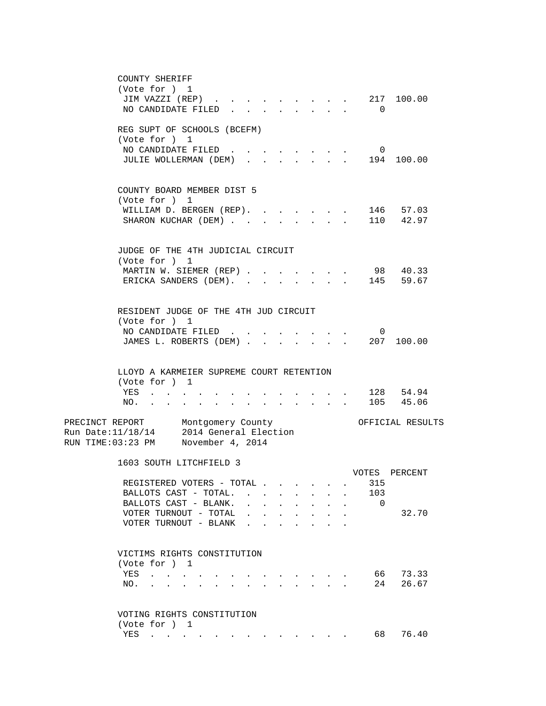| COUNTY SHERIFF                                                                                                                                |                                                                                                                           |                                    |                  |         |
|-----------------------------------------------------------------------------------------------------------------------------------------------|---------------------------------------------------------------------------------------------------------------------------|------------------------------------|------------------|---------|
| (Vote for ) 1                                                                                                                                 |                                                                                                                           |                                    |                  |         |
| JIM VAZZI (REP)                                                                                                                               |                                                                                                                           | $\sim$ $\sim$ $\sim$ $\sim$ $\sim$ | 217 100.00       |         |
| NO CANDIDATE FILED                                                                                                                            |                                                                                                                           |                                    | $\Omega$         |         |
|                                                                                                                                               |                                                                                                                           |                                    |                  |         |
| REG SUPT OF SCHOOLS (BCEFM)                                                                                                                   |                                                                                                                           |                                    |                  |         |
| (Vote for ) 1                                                                                                                                 |                                                                                                                           |                                    |                  |         |
| NO CANDIDATE FILED.                                                                                                                           |                                                                                                                           |                                    | $\mathbf{0}$     |         |
| JULIE WOLLERMAN (DEM)                                                                                                                         |                                                                                                                           |                                    | 194 100.00       |         |
|                                                                                                                                               |                                                                                                                           |                                    |                  |         |
|                                                                                                                                               |                                                                                                                           |                                    |                  |         |
| COUNTY BOARD MEMBER DIST 5                                                                                                                    |                                                                                                                           |                                    |                  |         |
| (Vote for ) 1                                                                                                                                 |                                                                                                                           |                                    |                  |         |
| WILLIAM D. BERGEN (REP).                                                                                                                      |                                                                                                                           |                                    | 146 57.03        |         |
| SHARON KUCHAR (DEM)                                                                                                                           | $\mathbf{r}$                                                                                                              | $\ddot{\phantom{0}}$               | 110 42.97        |         |
|                                                                                                                                               |                                                                                                                           |                                    |                  |         |
|                                                                                                                                               |                                                                                                                           |                                    |                  |         |
| JUDGE OF THE 4TH JUDICIAL CIRCUIT                                                                                                             |                                                                                                                           |                                    |                  |         |
| (Vote for ) 1                                                                                                                                 |                                                                                                                           |                                    |                  |         |
| MARTIN W. SIEMER (REP).                                                                                                                       |                                                                                                                           |                                    | 98 40.33         |         |
| ERICKA SANDERS (DEM).                                                                                                                         |                                                                                                                           |                                    | 145 59.67        |         |
|                                                                                                                                               |                                                                                                                           |                                    |                  |         |
|                                                                                                                                               |                                                                                                                           |                                    |                  |         |
| RESIDENT JUDGE OF THE 4TH JUD CIRCUIT                                                                                                         |                                                                                                                           |                                    |                  |         |
| (Vote for ) 1                                                                                                                                 |                                                                                                                           |                                    |                  |         |
| NO CANDIDATE FILED.                                                                                                                           |                                                                                                                           |                                    | $\overline{0}$   |         |
| JAMES L. ROBERTS (DEM) .                                                                                                                      |                                                                                                                           |                                    | 207 100.00       |         |
|                                                                                                                                               |                                                                                                                           |                                    |                  |         |
|                                                                                                                                               |                                                                                                                           |                                    |                  |         |
| LLOYD A KARMEIER SUPREME COURT RETENTION                                                                                                      |                                                                                                                           |                                    |                  |         |
| (Vote for ) 1                                                                                                                                 |                                                                                                                           |                                    |                  |         |
| YES                                                                                                                                           |                                                                                                                           |                                    | . 128 54.94      |         |
| NO.<br>and a series of the series of the series of the series of the series of the series of the series of the series<br>$\ddot{\phantom{0}}$ |                                                                                                                           |                                    | 105 45.06        |         |
|                                                                                                                                               |                                                                                                                           |                                    |                  |         |
| PRECINCT REPORT Montgomery County                                                                                                             |                                                                                                                           |                                    | OFFICIAL RESULTS |         |
| 2014 General Election<br>Run Date: 11/18/14                                                                                                   |                                                                                                                           |                                    |                  |         |
| RUN TIME:03:23 PM November 4, 2014                                                                                                            |                                                                                                                           |                                    |                  |         |
|                                                                                                                                               |                                                                                                                           |                                    |                  |         |
| 1603 SOUTH LITCHFIELD 3                                                                                                                       |                                                                                                                           |                                    |                  |         |
|                                                                                                                                               |                                                                                                                           |                                    | VOTES            | PERCENT |
| REGISTERED VOTERS - TOTAL                                                                                                                     |                                                                                                                           |                                    | 315              |         |
| BALLOTS CAST - TOTAL.                                                                                                                         | $\ddot{\phantom{a}}$<br>$\ddot{\phantom{0}}$                                                                              | $\sim$<br>$\ddot{\phantom{0}}$     | 103              |         |
| BALLOTS CAST - BLANK.<br>$\sim$<br>$\mathbf{L}$                                                                                               | $\ddot{\phantom{a}}$                                                                                                      |                                    | $\Omega$         |         |
| VOTER TURNOUT - TOTAL                                                                                                                         |                                                                                                                           |                                    |                  | 32.70   |
| VOTER TURNOUT - BLANK                                                                                                                         |                                                                                                                           |                                    |                  |         |
|                                                                                                                                               |                                                                                                                           |                                    |                  |         |
|                                                                                                                                               |                                                                                                                           |                                    |                  |         |
| VICTIMS RIGHTS CONSTITUTION                                                                                                                   |                                                                                                                           |                                    |                  |         |
| (Vote for ) 1                                                                                                                                 |                                                                                                                           |                                    |                  |         |
| YES<br>and the contract of the con-                                                                                                           |                                                                                                                           |                                    | 66 —             | 73.33   |
| NO.<br>the contract of the contract of the contract of the contract of the contract of the contract of the contract of                        | $\begin{array}{cccccccccccccc} \bullet & \bullet & \bullet & \bullet & \bullet & \bullet & \bullet & \bullet \end{array}$ |                                    | 24               | 26.67   |
|                                                                                                                                               |                                                                                                                           |                                    |                  |         |
|                                                                                                                                               |                                                                                                                           |                                    |                  |         |
| VOTING RIGHTS CONSTITUTION                                                                                                                    |                                                                                                                           |                                    |                  |         |
| (Vote for ) 1                                                                                                                                 |                                                                                                                           |                                    |                  |         |
| YES<br>$\mathbf{r}$ , $\mathbf{r}$ , $\mathbf{r}$ , $\mathbf{r}$ , $\mathbf{r}$ , $\mathbf{r}$                                                |                                                                                                                           |                                    | 68               | 76.40   |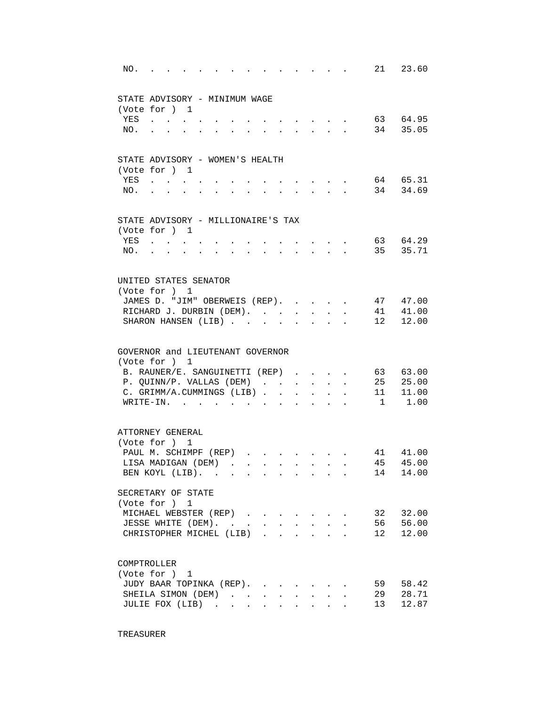| NO. | $\sim$ $\sim$ $\sim$ $\sim$                               |                                                                                               |                      |                  |              | and the state of the state of the                         |                |                      |    | 21 23.60    |
|-----|-----------------------------------------------------------|-----------------------------------------------------------------------------------------------|----------------------|------------------|--------------|-----------------------------------------------------------|----------------|----------------------|----|-------------|
|     | STATE ADVISORY - MINIMUM WAGE                             |                                                                                               |                      |                  |              |                                                           |                |                      |    |             |
|     | (Vote for ) 1                                             |                                                                                               |                      |                  |              |                                                           |                |                      |    |             |
| YES | $\mathbf{r}$ . The contract of $\mathbf{r}$               |                                                                                               |                      |                  |              | $\mathbf{r}$ , $\mathbf{r}$ , $\mathbf{r}$ , $\mathbf{r}$ |                |                      |    | 63 64.95    |
| NO. |                                                           |                                                                                               | $\ddot{\phantom{0}}$ |                  |              | $\mathbf{r}$ , $\mathbf{r}$ , $\mathbf{r}$ , $\mathbf{r}$ |                |                      |    | 34 35.05    |
|     |                                                           |                                                                                               |                      |                  |              |                                                           |                |                      |    |             |
|     | STATE ADVISORY - WOMEN'S HEALTH                           |                                                                                               |                      |                  |              |                                                           |                |                      |    |             |
|     | (Vote for ) 1                                             |                                                                                               |                      |                  |              |                                                           |                |                      |    |             |
| YES |                                                           |                                                                                               |                      |                  |              |                                                           |                |                      |    | 64 65.31    |
| NO. |                                                           |                                                                                               |                      |                  |              |                                                           |                |                      |    | 34 34.69    |
|     | STATE ADVISORY - MILLIONAIRE'S TAX                        |                                                                                               |                      |                  |              |                                                           |                |                      |    |             |
|     | (Vote for ) 1                                             |                                                                                               |                      |                  |              |                                                           |                |                      |    |             |
| YES | $\mathbf{r} = \mathbf{r}$ , and $\mathbf{r} = \mathbf{r}$ |                                                                                               |                      |                  |              |                                                           |                |                      |    | 63 64.29    |
| NO. | $\sim 100$                                                |                                                                                               |                      |                  |              |                                                           |                |                      |    | 35 35.71    |
|     | UNITED STATES SENATOR                                     |                                                                                               |                      |                  |              |                                                           |                |                      |    |             |
|     | (Vote for ) 1                                             |                                                                                               |                      |                  |              |                                                           |                |                      |    |             |
|     | JAMES D. "JIM" OBERWEIS (REP).                            |                                                                                               |                      |                  |              |                                                           |                |                      |    | 47 47.00    |
|     | RICHARD J. DURBIN (DEM).                                  |                                                                                               |                      |                  |              |                                                           |                |                      |    | 41 41.00    |
|     | SHARON HANSEN (LIB)                                       |                                                                                               |                      |                  |              |                                                           |                |                      | 12 | 12.00       |
|     | GOVERNOR and LIEUTENANT GOVERNOR                          |                                                                                               |                      |                  |              |                                                           |                |                      |    |             |
|     | (Vote for ) 1                                             |                                                                                               |                      |                  |              |                                                           |                |                      |    |             |
|     | B. RAUNER/E. SANGUINETTI (REP)                            |                                                                                               |                      |                  |              |                                                           |                |                      |    | 63 63.00    |
|     | P. QUINN/P. VALLAS (DEM)                                  |                                                                                               |                      |                  |              | $\mathbf{r} = \mathbf{r} \cdot \mathbf{r}$                |                | $\ddot{\phantom{a}}$ |    | 25 25.00    |
|     | C. GRIMM/A.CUMMINGS (LIB)                                 |                                                                                               |                      |                  |              |                                                           | $\mathbf{L}$   |                      |    | 11 11.00    |
|     | WRITE-IN.                                                 | $\mathbf{r} = \mathbf{r} \cdot \mathbf{r}$ , where $\mathbf{r} = \mathbf{r} \cdot \mathbf{r}$ |                      | $\sim$ 100 $\mu$ | $\mathbf{r}$ | $\mathbf{L}$                                              | $\overline{a}$ |                      |    | $1 \t 1.00$ |
|     | ATTORNEY GENERAL                                          |                                                                                               |                      |                  |              |                                                           |                |                      |    |             |
|     | (Vote for ) 1                                             |                                                                                               |                      |                  |              |                                                           |                |                      |    |             |
|     | PAUL M. SCHIMPF (REP)                                     |                                                                                               |                      |                  |              | $\mathbf{r} = \mathbf{r} + \mathbf{r}$                    |                |                      |    | 41 41.00    |
|     | LISA MADIGAN (DEM).                                       |                                                                                               |                      |                  |              |                                                           |                |                      |    | 45 45.00    |
|     | BEN KOYL (LIB).                                           |                                                                                               |                      |                  |              |                                                           |                |                      | 14 | 14.00       |
|     | SECRETARY OF STATE                                        |                                                                                               |                      |                  |              |                                                           |                |                      |    |             |
|     | (Vote for ) 1                                             |                                                                                               |                      |                  |              |                                                           |                |                      |    |             |
|     | MICHAEL WEBSTER (REP)                                     |                                                                                               |                      |                  |              |                                                           |                |                      | 32 | 32.00       |
|     | JESSE WHITE (DEM).                                        |                                                                                               |                      |                  |              |                                                           |                |                      | 56 | 56.00       |
|     | CHRISTOPHER MICHEL (LIB).                                 |                                                                                               |                      |                  |              |                                                           |                |                      | 12 | 12.00       |
|     | COMPTROLLER                                               |                                                                                               |                      |                  |              |                                                           |                |                      |    |             |
|     | (Vote for $)$ 1                                           |                                                                                               |                      |                  |              |                                                           |                |                      |    |             |
|     | JUDY BAAR TOPINKA (REP).                                  |                                                                                               |                      |                  |              |                                                           |                |                      | 59 | 58.42       |
|     | SHEILA SIMON (DEM)                                        |                                                                                               |                      |                  |              | $\mathbf{L} = \mathbf{L} \mathbf{L}$                      | $\bullet$ .    |                      | 29 | 28.71       |
|     | JULIE FOX (LIB)                                           |                                                                                               |                      |                  |              |                                                           |                |                      | 13 | 12.87       |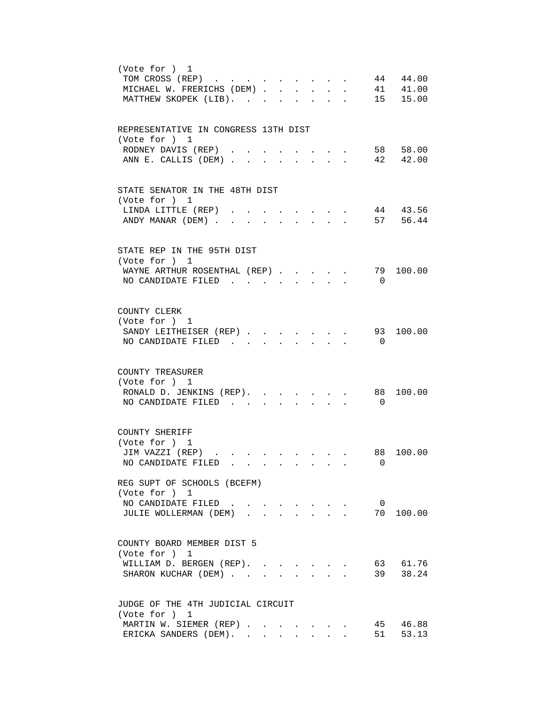| (Vote for ) 1<br>44 44.00<br>TOM CROSS (REP)<br>41 41.00<br>MICHAEL W. FRERICHS (DEM)<br>15 15.00<br>MATTHEW SKOPEK (LIB).                     |
|------------------------------------------------------------------------------------------------------------------------------------------------|
| REPRESENTATIVE IN CONGRESS 13TH DIST<br>(Vote for ) 1<br>RODNEY DAVIS (REP).<br>58 58.00<br>$\sim$<br>ANN E. CALLIS (DEM).<br>42 42.00         |
| STATE SENATOR IN THE 48TH DIST<br>(Vote for ) 1<br>44 43.56<br>LINDA LITTLE (REP)<br>57 56.44<br>ANDY MANAR (DEM)                              |
| STATE REP IN THE 95TH DIST<br>(Vote for ) 1<br>79<br>100.00<br>WAYNE ARTHUR ROSENTHAL (REP)<br>NO CANDIDATE FILED<br>$\overline{0}$            |
| COUNTY CLERK<br>(Vote for ) 1<br>100.00<br>SANDY LEITHEISER (REP).<br>93<br>NO CANDIDATE FILED.<br>$\overline{0}$                              |
| COUNTY TREASURER<br>(Vote for ) 1<br>100.00<br>RONALD D. JENKINS (REP).<br>88<br>NO CANDIDATE FILED<br>$\overline{0}$                          |
| COUNTY SHERIFF<br>(Vote for ) 1<br>JIM VAZZI (REP)<br>88<br>100.00<br>NO CANDIDATE FILED<br>$\overline{0}$                                     |
| REG SUPT OF SCHOOLS (BCEFM)<br>(Vote for ) 1<br>$\overline{0}$<br>NO CANDIDATE FILED<br>70 100.00<br>JULIE WOLLERMAN (DEM)<br>$\Delta \sim 10$ |
| COUNTY BOARD MEMBER DIST 5<br>(Vote for ) 1<br>63 61.76<br>WILLIAM D. BERGEN (REP).<br>39 38.24<br>SHARON KUCHAR (DEM)<br>$\ddot{\phantom{a}}$ |
| JUDGE OF THE 4TH JUDICIAL CIRCUIT<br>(Vote for ) 1<br>45 46.88<br>MARTIN W. SIEMER (REP)<br>ERICKA SANDERS (DEM).<br>53.13<br>51               |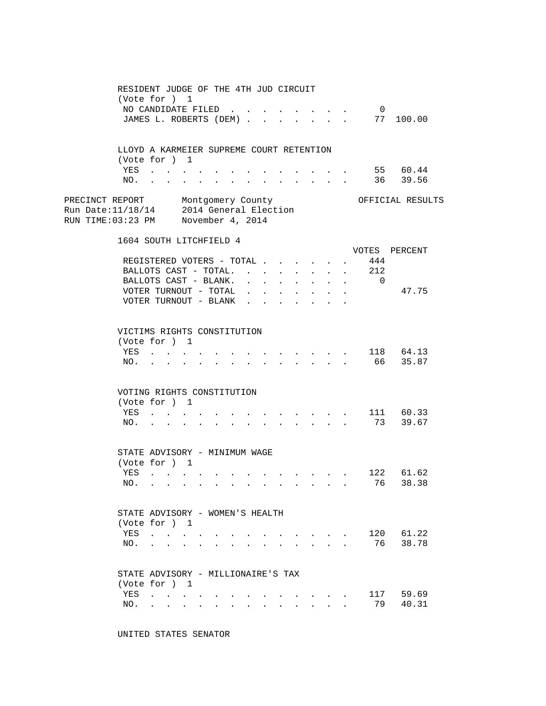|                                                                                                                    | RESIDENT JUDGE OF THE 4TH JUD CIRCUIT<br>(Vote for ) 1            | NO CANDIDATE FILED.<br>JAMES L. ROBERTS (DEM)                                                 |                                          |  |                            |                                                           |                                                             |                                                           | $\mathbf{L} = \mathbf{L} \mathbf{L}$                     | $\overline{0}$                                | 77 100.00            |  |
|--------------------------------------------------------------------------------------------------------------------|-------------------------------------------------------------------|-----------------------------------------------------------------------------------------------|------------------------------------------|--|----------------------------|-----------------------------------------------------------|-------------------------------------------------------------|-----------------------------------------------------------|----------------------------------------------------------|-----------------------------------------------|----------------------|--|
|                                                                                                                    | LLOYD A KARMEIER SUPREME COURT RETENTION<br>(Vote for ) 1<br>YES  | $\mathbf{r}$ . The set of $\mathbf{r}$                                                        |                                          |  |                            |                                                           |                                                             |                                                           |                                                          |                                               | 55 60.44<br>36 39.56 |  |
| PRECINCT REPORT Montgomery County<br>Run Date:11/18/14 2014 General Election<br>RUN TIME:03:23 PM November 4, 2014 | NO.                                                               |                                                                                               |                                          |  |                            |                                                           |                                                             | $\mathbf{r}$ , $\mathbf{r}$ , $\mathbf{r}$ , $\mathbf{r}$ | $\sim$                                                   |                                               | OFFICIAL RESULTS     |  |
|                                                                                                                    | 1604 SOUTH LITCHFIELD 4                                           | REGISTERED VOTERS - TOTAL.<br>BALLOTS CAST - TOTAL.<br>BALLOTS CAST - BLANK.                  |                                          |  |                            | $\mathbf{r}$                                              |                                                             |                                                           | $\ddot{\phantom{a}}$                                     | VOTES PERCENT<br>444<br>212<br>$\overline{0}$ |                      |  |
|                                                                                                                    |                                                                   | VOTER TURNOUT - TOTAL<br>VOTER TURNOUT - BLANK                                                |                                          |  | $\ddot{\phantom{a}}$       | <b>Contractor</b><br>$\mathbf{L} = \mathbf{L} \mathbf{L}$ |                                                             | $\mathcal{L}^{\mathcal{A}}$                               | $\mathbf{r}$                                             |                                               | 47.75                |  |
|                                                                                                                    | VICTIMS RIGHTS CONSTITUTION<br>(Vote for ) 1<br>YES<br>NO.        | <b>Contract Contract Contract</b>                                                             |                                          |  |                            |                                                           |                                                             |                                                           |                                                          |                                               |                      |  |
|                                                                                                                    | VOTING RIGHTS CONSTITUTION<br>(Vote for ) 1                       | YES<br>NO.                                                                                    |                                          |  | and a strategic control of |                                                           | $\bullet$ .<br><br><br><br><br><br><br><br><br><br><br><br> |                                                           | $\cdot$ $\cdot$ $\cdot$ $\cdot$<br><b>All Carl Adams</b> | . 73 39.67                                    | 111 60.33            |  |
|                                                                                                                    | STATE ADVISORY - MINIMUM WAGE<br>(Vote for ) 1<br>YES<br>NO.      | $\mathbf{r} = \mathbf{r}$                                                                     |                                          |  |                            |                                                           |                                                             | $\sim$ $\sim$ $\sim$ $\sim$ $\sim$ $\sim$                 |                                                          | $122$ $61.62$<br>76                           | 38.38                |  |
|                                                                                                                    | STATE ADVISORY - WOMEN'S HEALTH<br>(Vote for ) 1<br>YES<br>NO.    | $\mathbf{L} = \mathbf{L}$<br>$\sim$ $\sim$<br>$\ddot{\phantom{a}}$                            |                                          |  |                            |                                                           |                                                             |                                                           |                                                          | 120<br>76                                     | 61.22<br>38.78       |  |
|                                                                                                                    | STATE ADVISORY - MILLIONAIRE'S TAX<br>(Vote for ) 1<br>YES<br>NO. | $\mathbf{r} = \mathbf{r} \cdot \mathbf{r}$ , where $\mathbf{r} = \mathbf{r} \cdot \mathbf{r}$ | $\mathbf{a} = \mathbf{a} + \mathbf{a}$ . |  |                            |                                                           |                                                             |                                                           |                                                          | 117<br>79                                     | 59.69<br>40.31       |  |

UNITED STATES SENATOR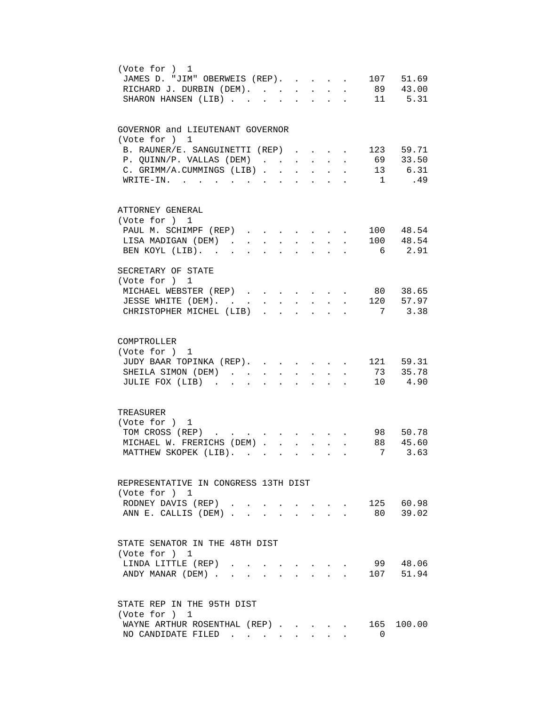| (Vote for ) 1<br>107 51.69<br>JAMES D. "JIM" OBERWEIS (REP).<br>$\mathbf{r}$<br>89 43.00<br>RICHARD J. DURBIN (DEM).<br>$\mathbf{r}$<br>$\ddot{\phantom{0}}$<br>$\mathbf{L}$<br>$\mathbf{r}$<br>11 5.31<br>SHARON HANSEN (LIB)<br>$\overline{a}$                                                                                              |
|-----------------------------------------------------------------------------------------------------------------------------------------------------------------------------------------------------------------------------------------------------------------------------------------------------------------------------------------------|
| GOVERNOR and LIEUTENANT GOVERNOR<br>(Vote for ) 1<br>B. RAUNER/E. SANGUINETTI (REP).<br>123 59.71<br>69 33.50<br>P. QUINN/P. VALLAS (DEM)<br>$\mathbf{L}^{\text{max}}$<br>13 6.31<br>C. GRIMM/A.CUMMINGS (LIB).<br>$\ddot{\phantom{a}}$<br>.49<br>WRITE-IN.<br>$\overline{1}$                                                                 |
| ATTORNEY GENERAL<br>(Vote for ) 1<br>100 48.54<br>PAUL M. SCHIMPF (REP)<br>$\sim$ 100 $\pm$<br>100 48.54<br>LISA MADIGAN (DEM).<br>$\sim$<br>6 2.91<br>BEN KOYL (LIB).                                                                                                                                                                        |
| SECRETARY OF STATE<br>(Vote for ) 1<br>MICHAEL WEBSTER (REP)<br>. 80 38.65<br>JESSE WHITE (DEM).<br>. 120 57.97<br>$\mathbf{L}$<br>$\ddot{\phantom{a}}$<br>$\ddot{\phantom{a}}$<br>CHRISTOPHER MICHEL (LIB)<br>7 3.38<br>$\mathbf{r}$ , $\mathbf{r}$ , $\mathbf{r}$ , $\mathbf{r}$ , $\mathbf{r}$<br>$\sim$ 100 $\mu$<br>$\ddot{\phantom{a}}$ |
| COMPTROLLER<br>(Vote for ) 1<br>121 59.31<br>JUDY BAAR TOPINKA (REP).<br>73 35.78<br>SHEILA SIMON (DEM)<br>$\mathbf{L}$<br>$\mathbf{L}$<br>$\mathbf{r}$<br>$\mathbf{r}$<br>$\sim$<br>10 4.90<br>JULIE FOX (LIB)<br>$\ddot{\phantom{a}}$<br>$\ddot{\phantom{a}}$<br>$\ddot{\phantom{a}}$                                                       |
| TREASURER<br>(Vote for ) 1<br>TOM CROSS (REP)<br>98 50.78<br>88 45.60<br>MICHAEL W. FRERICHS (DEM).<br>$\mathbf{r}$<br>3.63<br>MATTHEW SKOPEK (LIB).<br>7                                                                                                                                                                                     |
| REPRESENTATIVE IN CONGRESS 13TH DIST<br>(Vote for ) 1<br>125 60.98<br>RODNEY DAVIS (REP).<br>80 39.02<br>ANN E. CALLIS (DEM)                                                                                                                                                                                                                  |
| STATE SENATOR IN THE 48TH DIST<br>(Vote for ) 1<br>99 48.06<br>LINDA LITTLE (REP)<br>107 51.94<br>ANDY MANAR (DEM)<br>$\sim$ $\sim$ $\sim$                                                                                                                                                                                                    |
| STATE REP IN THE 95TH DIST<br>(Vote for ) 1<br>165 100.00<br>WAYNE ARTHUR ROSENTHAL (REP).<br>$\cdot$ $\cdot$ $\cdot$ $\cdot$<br>NO CANDIDATE FILED<br>$\Omega$                                                                                                                                                                               |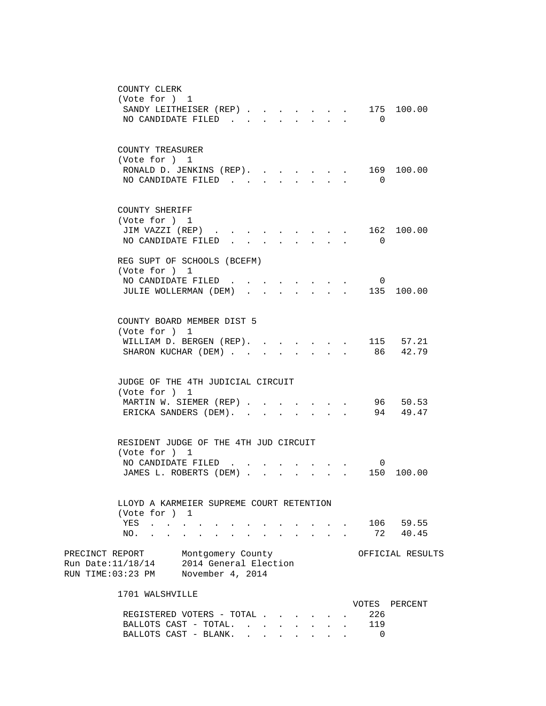| COUNTY CLERK                                                                                                                       |                                               |
|------------------------------------------------------------------------------------------------------------------------------------|-----------------------------------------------|
| (Vote for ) 1                                                                                                                      |                                               |
| SANDY LEITHEISER (REP).<br>$\mathbf{r} = \mathbf{r} + \mathbf{r}$                                                                  | 175 100.00                                    |
| NO CANDIDATE FILED<br><b>Contract Contract Contract</b><br>$\mathbf{L} = \mathbf{L}$<br>$\sim$<br>$\bullet$ . The set of $\bullet$ | $\Omega$                                      |
|                                                                                                                                    |                                               |
| COUNTY TREASURER                                                                                                                   |                                               |
| (Vote for ) 1                                                                                                                      |                                               |
| RONALD D. JENKINS (REP).<br>$\cdot$ $\cdot$ $\cdot$                                                                                | 169 100.00<br>$\ddot{\phantom{a}}$            |
| NO CANDIDATE FILED.                                                                                                                | $\overline{0}$                                |
|                                                                                                                                    |                                               |
|                                                                                                                                    |                                               |
| COUNTY SHERIFF                                                                                                                     |                                               |
| (Vote for ) 1                                                                                                                      |                                               |
| JIM VAZZI (REP).                                                                                                                   | 162 100.00                                    |
| NO CANDIDATE FILED                                                                                                                 | $\overline{0}$                                |
| REG SUPT OF SCHOOLS (BCEFM)                                                                                                        |                                               |
| (Vote for ) 1                                                                                                                      |                                               |
| NO CANDIDATE FILED<br>$\cdot$ $\cdot$ $\cdot$ $\cdot$ $\cdot$                                                                      | $\overline{0}$                                |
| JULIE WOLLERMAN (DEM)                                                                                                              | 135 100.00                                    |
|                                                                                                                                    |                                               |
|                                                                                                                                    |                                               |
| COUNTY BOARD MEMBER DIST 5                                                                                                         |                                               |
| (Vote for ) 1                                                                                                                      |                                               |
| WILLIAM D. BERGEN (REP). .<br><b>College</b>                                                                                       | 115 57.21<br>$\ddot{\phantom{a}}$<br>86 42.79 |
| SHARON KUCHAR (DEM).                                                                                                               |                                               |
|                                                                                                                                    |                                               |
| JUDGE OF THE 4TH JUDICIAL CIRCUIT                                                                                                  |                                               |
| (Vote for ) 1                                                                                                                      |                                               |
| MARTIN W. SIEMER (REP)                                                                                                             | 96 50.53                                      |
| ERICKA SANDERS (DEM).<br>$\ddot{\phantom{0}}$                                                                                      | 94 49.47                                      |
|                                                                                                                                    |                                               |
|                                                                                                                                    |                                               |
| RESIDENT JUDGE OF THE 4TH JUD CIRCUIT                                                                                              |                                               |
| (Vote for ) 1                                                                                                                      |                                               |
| NO CANDIDATE FILED<br>JAMES L. ROBERTS (DEM)                                                                                       | $\overline{0}$<br>150 100.00                  |
|                                                                                                                                    |                                               |
|                                                                                                                                    |                                               |
| LLOYD A KARMEIER SUPREME COURT RETENTION                                                                                           |                                               |
| (Vote for ) 1                                                                                                                      |                                               |
| YES                                                                                                                                | 106 59.55                                     |
| NO.                                                                                                                                | 72 40.45                                      |
|                                                                                                                                    |                                               |
| PRECINCT REPORT<br>Montgomery County                                                                                               | OFFICIAL RESULTS                              |
| Run Date: 11/18/14 2014 General Election                                                                                           |                                               |
| RUN TIME:03:23 PM<br>November 4, 2014                                                                                              |                                               |
| 1701 WALSHVILLE                                                                                                                    |                                               |
|                                                                                                                                    | VOTES PERCENT                                 |
| REGISTERED VOTERS - TOTAL                                                                                                          | 226                                           |

BALLOTS CAST - TOTAL. . . . . . . . 119 BALLOTS CAST - BLANK. . . . . . . . 0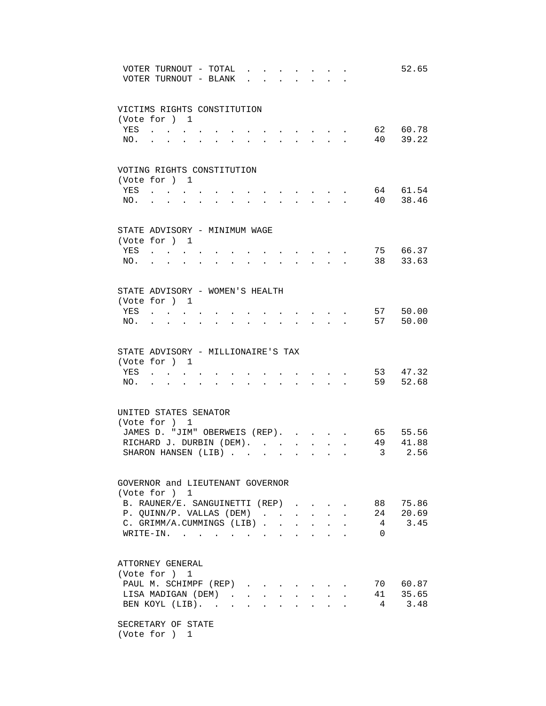|            | VOTER TURNOUT - TOTAL<br>VOTER TURNOUT - BLANK                                    |                                              |        |                         |                      |                      |                                            |                                                                          |              |                         | 52.65                |
|------------|-----------------------------------------------------------------------------------|----------------------------------------------|--------|-------------------------|----------------------|----------------------|--------------------------------------------|--------------------------------------------------------------------------|--------------|-------------------------|----------------------|
|            | VICTIMS RIGHTS CONSTITUTION                                                       |                                              |        |                         |                      |                      |                                            |                                                                          |              |                         |                      |
|            | (Vote for ) 1                                                                     |                                              |        |                         |                      |                      |                                            |                                                                          |              |                         |                      |
| YES        | $\mathbf{r} = \mathbf{r} \cdot \mathbf{r} = \mathbf{r} \cdot \mathbf{r}$          |                                              |        |                         |                      |                      |                                            |                                                                          |              |                         | 62 60.78             |
| NO.        | $\ddot{\phantom{a}}$<br>$\ddot{\phantom{0}}$<br>$\sim$ 100 $\mu$                  | $\ddot{\phantom{0}}$<br>$\ddot{\phantom{0}}$ |        |                         |                      |                      |                                            |                                                                          |              |                         | 40 39.22             |
|            | VOTING RIGHTS CONSTITUTION                                                        |                                              |        |                         |                      |                      |                                            |                                                                          |              |                         |                      |
|            | (Vote for ) 1                                                                     |                                              |        |                         |                      |                      |                                            |                                                                          |              |                         |                      |
| YES        | $\mathbf{r}$ , $\mathbf{r}$ , $\mathbf{r}$                                        |                                              |        |                         |                      |                      |                                            |                                                                          |              |                         | 64 61.54             |
| NO.        |                                                                                   |                                              | $\sim$ | $\ddot{\phantom{0}}$    |                      |                      | $\mathbf{r} = \mathbf{r} \cdot \mathbf{r}$ | $\ddot{\phantom{a}}$                                                     |              |                         | 40 38.46             |
|            | STATE ADVISORY - MINIMUM WAGE                                                     |                                              |        |                         |                      |                      |                                            |                                                                          |              |                         |                      |
|            | (Vote for ) 1                                                                     |                                              |        |                         |                      |                      |                                            |                                                                          |              |                         |                      |
| YES .      |                                                                                   |                                              |        |                         |                      |                      |                                            |                                                                          |              |                         | 75 66.37             |
| NO.        |                                                                                   |                                              |        |                         |                      |                      |                                            |                                                                          |              |                         | 38 33.63             |
|            | STATE ADVISORY - WOMEN'S HEALTH                                                   |                                              |        |                         |                      |                      |                                            |                                                                          |              |                         |                      |
|            | (Vote for ) 1                                                                     |                                              |        |                         |                      |                      |                                            |                                                                          |              |                         |                      |
| YES        | $\mathbf{r} = \mathbf{r} \mathbf{r}$ , where $\mathbf{r} = \mathbf{r} \mathbf{r}$ |                                              |        |                         |                      |                      |                                            |                                                                          |              |                         | 57 50.00<br>57 50.00 |
| NO.        | $\bullet$                                                                         |                                              |        |                         |                      |                      |                                            |                                                                          |              |                         |                      |
|            | STATE ADVISORY - MILLIONAIRE'S TAX                                                |                                              |        |                         |                      |                      |                                            |                                                                          |              |                         |                      |
|            | (Vote for ) 1                                                                     |                                              |        |                         |                      |                      |                                            |                                                                          |              |                         |                      |
| YES<br>NO. |                                                                                   |                                              |        | $\cdot$ $\cdot$ $\cdot$ | $\ddot{\phantom{a}}$ |                      |                                            | $\mathbf{r}$ , $\mathbf{r}$ , $\mathbf{r}$ , $\mathbf{r}$ , $\mathbf{r}$ |              |                         | 53 47.32<br>59 52.68 |
|            |                                                                                   |                                              |        |                         |                      |                      |                                            |                                                                          |              |                         |                      |
|            | UNITED STATES SENATOR<br>(Vote for ) 1                                            |                                              |        |                         |                      |                      |                                            |                                                                          |              |                         |                      |
|            | JAMES D. "JIM" OBERWEIS (REP). .                                                  |                                              |        |                         |                      |                      | $\sim$                                     |                                                                          | $\mathbf{L}$ |                         | 65 55.56             |
|            | RICHARD J. DURBIN (DEM).                                                          |                                              |        |                         |                      | $\mathbf{L}$         | $\mathbf{r}$                               |                                                                          |              |                         | 49 41.88             |
|            | SHARON HANSEN (LIB)                                                               |                                              |        |                         | $\ddot{\phantom{a}}$ | $\ddot{\phantom{a}}$ | $\ddot{\phantom{a}}$                       |                                                                          |              | $\overline{\mathbf{3}}$ | 2.56                 |
|            |                                                                                   |                                              |        |                         |                      |                      |                                            |                                                                          |              |                         |                      |
|            | GOVERNOR and LIEUTENANT GOVERNOR<br>(Vote for ) 1                                 |                                              |        |                         |                      |                      |                                            |                                                                          |              |                         |                      |
|            | B. RAUNER/E. SANGUINETTI (REP)                                                    |                                              |        |                         |                      |                      |                                            |                                                                          |              | 88                      | 75.86                |
|            | P. QUINN/P. VALLAS (DEM)                                                          |                                              |        |                         |                      |                      |                                            |                                                                          |              | 24                      | 20.69                |
|            | C. GRIMM/A.CUMMINGS (LIB).                                                        |                                              |        |                         | $\mathbf{r}$         |                      |                                            |                                                                          |              | $4\overline{4}$         | 3.45                 |
|            | WRITE-IN.                                                                         | $\mathbf{L} = \mathbf{L} \mathbf{L}$         |        |                         |                      |                      |                                            |                                                                          |              | $\Omega$                |                      |
|            | ATTORNEY GENERAL                                                                  |                                              |        |                         |                      |                      |                                            |                                                                          |              |                         |                      |
|            | (Vote for ) 1                                                                     |                                              |        |                         |                      |                      |                                            |                                                                          |              |                         |                      |
|            | PAUL M. SCHIMPF (REP)                                                             |                                              |        |                         |                      |                      |                                            |                                                                          |              |                         | 70 60.87             |
|            | LISA MADIGAN (DEM).                                                               |                                              |        | <b>Allen Artists</b>    | $\ddot{\phantom{0}}$ | $\ddot{\phantom{0}}$ |                                            |                                                                          |              |                         | 41 35.65             |
|            | BEN KOYL (LIB).                                                                   |                                              |        |                         |                      |                      |                                            |                                                                          |              |                         | 3.48                 |
|            | SECRETARY OF STATE<br>(Vote for ) 1                                               |                                              |        |                         |                      |                      |                                            |                                                                          |              |                         |                      |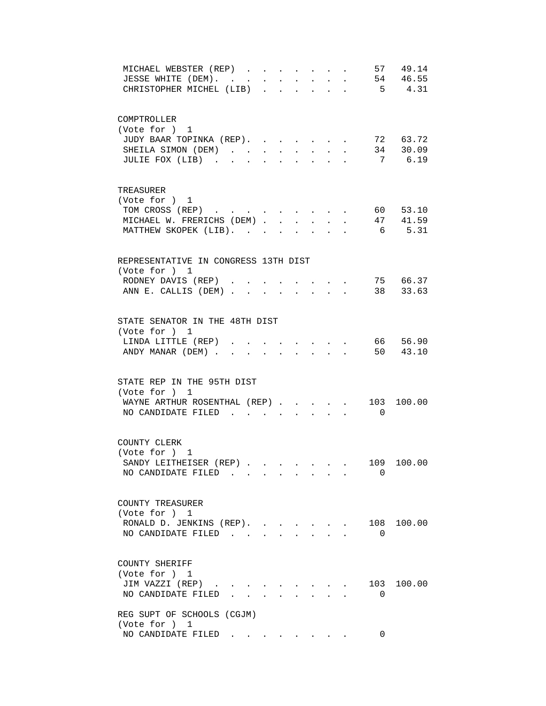| 57 49.14<br>MICHAEL WEBSTER (REP)<br>54 46.55                                                                                                       |
|-----------------------------------------------------------------------------------------------------------------------------------------------------|
| JESSE WHITE (DEM). .<br>$\mathbf{A}^{(1)}$ and $\mathbf{A}^{(2)}$ and<br>$\sim$<br>$\sim$<br>$\ddot{\phantom{0}}$<br>$\ddot{\phantom{0}}$<br>$\sim$ |
| $5 \t 4.31$<br>CHRISTOPHER MICHEL (LIB)<br>$\mathbf{L}$<br>$\mathbf{L}$<br>$\mathbf{r}$                                                             |
|                                                                                                                                                     |
|                                                                                                                                                     |
| COMPTROLLER                                                                                                                                         |
| (Vote for ) 1                                                                                                                                       |
| JUDY BAAR TOPINKA (REP).<br>72 63.72                                                                                                                |
| 34 30.09<br>SHEILA SIMON (DEM)<br>$\sim$ $-$                                                                                                        |
| 7 6.19<br>JULIE FOX (LIB).<br>$\mathbf{r}$ $\mathbf{r}$                                                                                             |
|                                                                                                                                                     |
|                                                                                                                                                     |
| TREASURER                                                                                                                                           |
| (Vote for ) 1                                                                                                                                       |
| TOM CROSS (REP) 60 53.10                                                                                                                            |
| 47 41.59<br>MICHAEL W. FRERICHS (DEM)                                                                                                               |
| 6 5.31<br>MATTHEW SKOPEK (LIB).                                                                                                                     |
|                                                                                                                                                     |
| REPRESENTATIVE IN CONGRESS 13TH DIST                                                                                                                |
| (Vote for ) 1                                                                                                                                       |
| $\cdot$ , , , 75 66.37<br>RODNEY DAVIS (REP)                                                                                                        |
| ANN E. CALLIS (DEM) 38 33.63                                                                                                                        |
|                                                                                                                                                     |
|                                                                                                                                                     |
| STATE SENATOR IN THE 48TH DIST                                                                                                                      |
| (Vote for ) 1                                                                                                                                       |
| 66 56.90<br>LINDA LITTLE (REP)                                                                                                                      |
| 50 43.10<br>ANDY MANAR (DEM).                                                                                                                       |
|                                                                                                                                                     |
|                                                                                                                                                     |
| STATE REP IN THE 95TH DIST                                                                                                                          |
| (Vote for ) 1                                                                                                                                       |
| WAYNE ARTHUR ROSENTHAL (REP)<br>103<br>100.00                                                                                                       |
| NO CANDIDATE FILED<br>$\overline{0}$                                                                                                                |
|                                                                                                                                                     |
|                                                                                                                                                     |
| COUNTY CLERK                                                                                                                                        |
| (Vote for ) 1                                                                                                                                       |
| SANDY LEITHEISER (REP).<br>109 100.00                                                                                                               |
| NO CANDIDATE FILED<br>$\Omega$                                                                                                                      |
|                                                                                                                                                     |
|                                                                                                                                                     |
| COUNTY TREASURER                                                                                                                                    |
| (Vote for ) 1                                                                                                                                       |
| RONALD D. JENKINS (REP).<br>108 100.00<br>$\mathbf{r} = \mathbf{r}$                                                                                 |
| NO CANDIDATE FILED<br>$\Omega$<br>$\sim$                                                                                                            |
|                                                                                                                                                     |
|                                                                                                                                                     |
| COUNTY SHERIFF                                                                                                                                      |
| (Vote for ) 1                                                                                                                                       |
| 103 100.00<br>JIM VAZZI (REP)<br>$\sim$ $\sim$                                                                                                      |
| NO CANDIDATE FILED.<br>$\Omega$<br>$\Delta \sim 10^{-11}$                                                                                           |
|                                                                                                                                                     |
| REG SUPT OF SCHOOLS (CGJM)                                                                                                                          |
| (Vote for ) 1                                                                                                                                       |
| NO CANDIDATE FILED<br>0                                                                                                                             |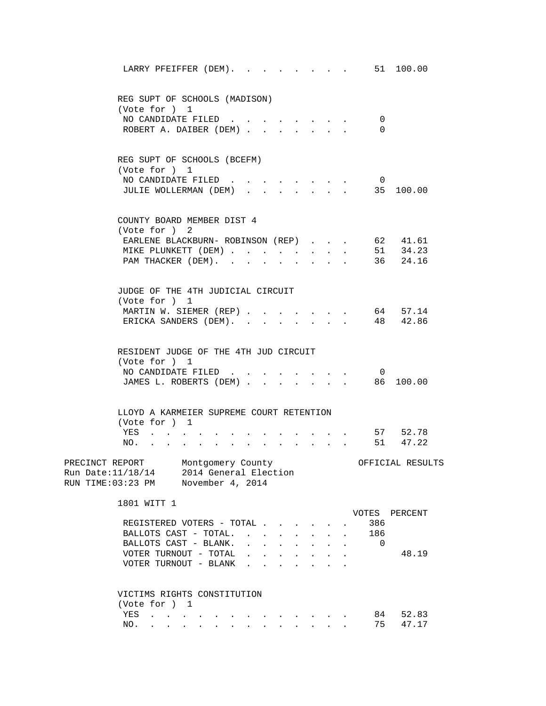| LARRY PFEIFFER (DEM).                                                                                                                                                                                                                | $\cdot$ 51 100.00                                 |
|--------------------------------------------------------------------------------------------------------------------------------------------------------------------------------------------------------------------------------------|---------------------------------------------------|
| REG SUPT OF SCHOOLS (MADISON)<br>(Vote for ) 1                                                                                                                                                                                       |                                                   |
| NO CANDIDATE FILED<br>ROBERT A. DAIBER (DEM)                                                                                                                                                                                         | 0<br>$\Omega$                                     |
| REG SUPT OF SCHOOLS (BCEFM)<br>(Vote for ) 1<br>NO CANDIDATE FILED                                                                                                                                                                   | $\overline{\mathbf{0}}$                           |
| JULIE WOLLERMAN (DEM)                                                                                                                                                                                                                | 35 100.00                                         |
| COUNTY BOARD MEMBER DIST 4<br>(Vote for ) 2                                                                                                                                                                                          |                                                   |
| EARLENE BLACKBURN- ROBINSON (REP)<br>MIKE PLUNKETT (DEM)                                                                                                                                                                             | 62 41.61<br>$\mathbf{L}^{\text{max}}$<br>51 34.23 |
| PAM THACKER (DEM).<br>$\mathbf{L}$<br>$\mathbf{r}$                                                                                                                                                                                   | 36 24.16                                          |
| JUDGE OF THE 4TH JUDICIAL CIRCUIT<br>(Vote for ) 1                                                                                                                                                                                   |                                                   |
| MARTIN W. SIEMER (REP)                                                                                                                                                                                                               | 64 57.14                                          |
| ERICKA SANDERS (DEM).                                                                                                                                                                                                                | 48 42.86                                          |
| RESIDENT JUDGE OF THE 4TH JUD CIRCUIT<br>(Vote for ) 1                                                                                                                                                                               |                                                   |
| NO CANDIDATE FILED                                                                                                                                                                                                                   | $\overline{0}$                                    |
| JAMES L. ROBERTS (DEM)                                                                                                                                                                                                               | $\cdot$ , , , 86 100.00                           |
| LLOYD A KARMEIER SUPREME COURT RETENTION<br>(Vote for ) 1                                                                                                                                                                            |                                                   |
| YES<br>$\sim$                                                                                                                                                                                                                        | 57 52.78<br>51 47.22                              |
| NO.<br>$\mathbf{r} = \mathbf{r} \cdot \mathbf{r}$<br>$\sim$<br>$\sim$<br>$\bullet$ .<br><br><br><br><br><br><br><br><br><br><br>                                                                                                     |                                                   |
| PRECINCT REPORT Montgomery County<br>Run Date: 11/18/14 2014 General Election<br>RUN TIME:03:23 PM November 4, 2014                                                                                                                  | OFFICIAL RESULTS                                  |
| 1801 WITT 1                                                                                                                                                                                                                          | VOTES PERCENT                                     |
| REGISTERED VOTERS - TOTAL<br>BALLOTS CAST - TOTAL.                                                                                                                                                                                   | 386                                               |
| BALLOTS CAST - BLANK.                                                                                                                                                                                                                | 186<br>$\sim$<br>$\Omega$                         |
| VOTER TURNOUT - TOTAL                                                                                                                                                                                                                | 48.19                                             |
| VOTER TURNOUT - BLANK                                                                                                                                                                                                                |                                                   |
| VICTIMS RIGHTS CONSTITUTION<br>(Vote for ) 1                                                                                                                                                                                         |                                                   |
| YES<br>. The contribution of the contribution of the contribution of $\mathcal{A}$                                                                                                                                                   | 84<br>52.83                                       |
| a construction of the construction of the construction of the construction of the construction of the construction of the construction of the construction of the construction of the construction of the construction of the<br>NO. | 75<br>47.17                                       |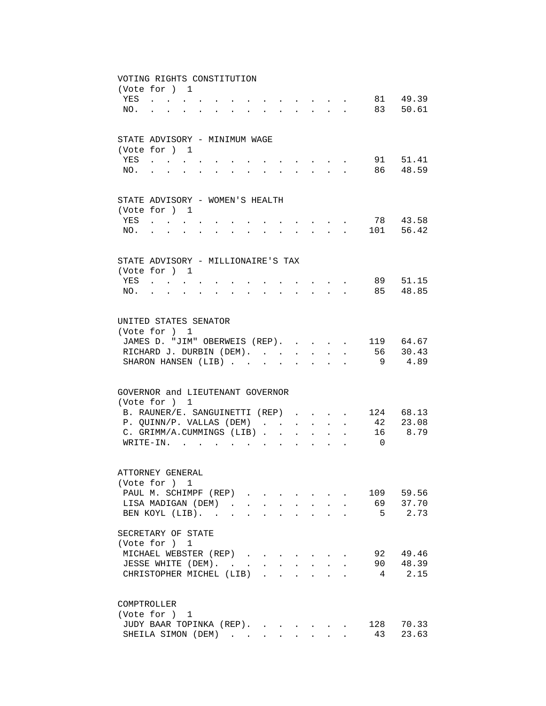|     | VOTING RIGHTS CONSTITUTION                                                                                                                                                                                                     |                                  |                                                                                                                                                                                                                                |                      |              |                      |                                                                    |                            |                           |                                           |          |           |
|-----|--------------------------------------------------------------------------------------------------------------------------------------------------------------------------------------------------------------------------------|----------------------------------|--------------------------------------------------------------------------------------------------------------------------------------------------------------------------------------------------------------------------------|----------------------|--------------|----------------------|--------------------------------------------------------------------|----------------------------|---------------------------|-------------------------------------------|----------|-----------|
|     | (Vote for ) 1                                                                                                                                                                                                                  |                                  |                                                                                                                                                                                                                                |                      |              |                      |                                                                    |                            |                           |                                           |          |           |
|     | YES                                                                                                                                                                                                                            |                                  |                                                                                                                                                                                                                                |                      |              |                      | .                                                                  |                            |                           |                                           |          | 81 49.39  |
| NO. | $\mathbf{r}$ , $\mathbf{r}$ , $\mathbf{r}$ , $\mathbf{r}$                                                                                                                                                                      | $\mathbf{r}$                     | $\mathbf{r} = \mathbf{r} - \mathbf{r}$ , $\mathbf{r} = \mathbf{r} - \mathbf{r}$ , $\mathbf{r} = \mathbf{r} - \mathbf{r}$ , $\mathbf{r} = \mathbf{r} - \mathbf{r}$                                                              |                      |              |                      |                                                                    |                            |                           |                                           |          | 83 50.61  |
|     |                                                                                                                                                                                                                                |                                  |                                                                                                                                                                                                                                |                      |              |                      |                                                                    |                            |                           |                                           |          |           |
|     |                                                                                                                                                                                                                                |                                  |                                                                                                                                                                                                                                |                      |              |                      |                                                                    |                            |                           |                                           |          |           |
|     | STATE ADVISORY - MINIMUM WAGE                                                                                                                                                                                                  |                                  |                                                                                                                                                                                                                                |                      |              |                      |                                                                    |                            |                           |                                           |          |           |
|     | (Vote for ) 1                                                                                                                                                                                                                  |                                  |                                                                                                                                                                                                                                |                      |              |                      |                                                                    |                            |                           |                                           |          |           |
| YES | $\sim$                                                                                                                                                                                                                         |                                  |                                                                                                                                                                                                                                |                      |              |                      | $\sim$                                                             |                            |                           |                                           |          | 91 51.41  |
| NO. |                                                                                                                                                                                                                                |                                  |                                                                                                                                                                                                                                |                      |              |                      |                                                                    | $\mathcal{L}^{\text{max}}$ |                           | $\sim$                                    |          | 86 48.59  |
|     |                                                                                                                                                                                                                                |                                  |                                                                                                                                                                                                                                |                      |              |                      |                                                                    |                            |                           |                                           |          |           |
|     | STATE ADVISORY - WOMEN'S HEALTH                                                                                                                                                                                                |                                  |                                                                                                                                                                                                                                |                      |              |                      |                                                                    |                            |                           |                                           |          |           |
|     | (Vote for ) 1                                                                                                                                                                                                                  |                                  |                                                                                                                                                                                                                                |                      |              |                      |                                                                    |                            |                           |                                           |          |           |
| YES | $\mathbf{r}$ , and $\mathbf{r}$ , and $\mathbf{r}$                                                                                                                                                                             |                                  |                                                                                                                                                                                                                                |                      |              |                      |                                                                    |                            |                           |                                           |          | 78 43.58  |
| NO. | and a series of the contract of the series of the series of the series of the series of the series of the series of the series of the series of the series of the series of the series of the series of the series of the seri |                                  |                                                                                                                                                                                                                                |                      |              |                      | $\mathbf{r} = \mathbf{r} + \mathbf{r} + \mathbf{r} + \mathbf{r}$ . |                            |                           |                                           |          | 101 56.42 |
|     |                                                                                                                                                                                                                                |                                  |                                                                                                                                                                                                                                |                      |              |                      |                                                                    |                            |                           |                                           |          |           |
|     |                                                                                                                                                                                                                                |                                  |                                                                                                                                                                                                                                |                      |              |                      |                                                                    |                            |                           |                                           |          |           |
|     | STATE ADVISORY - MILLIONAIRE'S TAX                                                                                                                                                                                             |                                  |                                                                                                                                                                                                                                |                      |              |                      |                                                                    |                            |                           |                                           |          |           |
|     | (Vote for ) 1                                                                                                                                                                                                                  |                                  |                                                                                                                                                                                                                                |                      |              |                      |                                                                    |                            |                           |                                           |          | 89 51.15  |
|     | YES                                                                                                                                                                                                                            |                                  |                                                                                                                                                                                                                                |                      |              |                      |                                                                    |                            |                           | $\sim$ $\sim$ $\sim$ $\sim$ $\sim$ $\sim$ |          | 85 48.85  |
| NO. | $\mathbf{r}$ , $\mathbf{r}$ , $\mathbf{r}$ , $\mathbf{r}$                                                                                                                                                                      | $\bullet$ . The set of $\bullet$ | and a strong control of the state of the state of the state of the state of the state of the state of the state of the state of the state of the state of the state of the state of the state of the state of the state of the |                      |              |                      |                                                                    |                            |                           |                                           |          |           |
|     |                                                                                                                                                                                                                                |                                  |                                                                                                                                                                                                                                |                      |              |                      |                                                                    |                            |                           |                                           |          |           |
|     | UNITED STATES SENATOR                                                                                                                                                                                                          |                                  |                                                                                                                                                                                                                                |                      |              |                      |                                                                    |                            |                           |                                           |          |           |
|     | (Vote for ) 1                                                                                                                                                                                                                  |                                  |                                                                                                                                                                                                                                |                      |              |                      |                                                                    |                            |                           |                                           |          |           |
|     | JAMES D. "JIM" OBERWEIS (REP).                                                                                                                                                                                                 |                                  |                                                                                                                                                                                                                                |                      |              |                      |                                                                    |                            |                           | $\sim$                                    |          | 119 64.67 |
|     | RICHARD J. DURBIN (DEM).                                                                                                                                                                                                       |                                  |                                                                                                                                                                                                                                |                      |              |                      | $\sim$                                                             |                            | $\mathbf{L} = \mathbf{L}$ | $\ddot{\phantom{a}}$                      |          | 56 30.43  |
|     | SHARON HANSEN (LIB)                                                                                                                                                                                                            |                                  |                                                                                                                                                                                                                                |                      |              |                      | $\ddot{\phantom{a}}$                                               | $\sim$                     | $\sim$                    |                                           | - 9      | 4.89      |
|     |                                                                                                                                                                                                                                |                                  |                                                                                                                                                                                                                                |                      |              |                      |                                                                    |                            |                           |                                           |          |           |
|     | GOVERNOR and LIEUTENANT GOVERNOR                                                                                                                                                                                               |                                  |                                                                                                                                                                                                                                |                      |              |                      |                                                                    |                            |                           |                                           |          |           |
|     | (Vote for ) 1                                                                                                                                                                                                                  |                                  |                                                                                                                                                                                                                                |                      |              |                      |                                                                    |                            |                           |                                           |          |           |
|     | B. RAUNER/E. SANGUINETTI (REP)                                                                                                                                                                                                 |                                  |                                                                                                                                                                                                                                |                      |              |                      |                                                                    |                            |                           |                                           |          | 124 68.13 |
|     | P. QUINN/P. VALLAS (DEM)                                                                                                                                                                                                       |                                  |                                                                                                                                                                                                                                |                      |              |                      | $\ddot{\phantom{0}}$                                               | $\mathbf{L}$               | $\ddot{\phantom{a}}$      |                                           | 42       | 23.08     |
|     | C. GRIMM/A.CUMMINGS (LIB).                                                                                                                                                                                                     |                                  |                                                                                                                                                                                                                                |                      |              | $\sim$               | $\ddot{\phantom{0}}$                                               | $\mathbf{r}$               |                           |                                           | 16       | 8.79      |
|     | WRITE-IN.                                                                                                                                                                                                                      |                                  |                                                                                                                                                                                                                                |                      | $\mathbf{r}$ | $\mathbf{r}$         | $\sim$                                                             | $\sim$                     |                           |                                           | $\Omega$ |           |
|     |                                                                                                                                                                                                                                |                                  |                                                                                                                                                                                                                                |                      |              |                      |                                                                    |                            |                           |                                           |          |           |
|     |                                                                                                                                                                                                                                |                                  |                                                                                                                                                                                                                                |                      |              |                      |                                                                    |                            |                           |                                           |          |           |
|     | ATTORNEY GENERAL<br>(Vote for ) 1                                                                                                                                                                                              |                                  |                                                                                                                                                                                                                                |                      |              |                      |                                                                    |                            |                           |                                           |          |           |
|     |                                                                                                                                                                                                                                |                                  |                                                                                                                                                                                                                                |                      |              |                      |                                                                    |                            |                           |                                           |          | 59.56     |
|     | PAUL M. SCHIMPF (REP)                                                                                                                                                                                                          |                                  |                                                                                                                                                                                                                                |                      |              |                      |                                                                    |                            |                           |                                           | 109      |           |
|     | LISA MADIGAN (DEM).                                                                                                                                                                                                            |                                  |                                                                                                                                                                                                                                | $\ddot{\phantom{a}}$ |              |                      |                                                                    |                            |                           |                                           | 69       | 37.70     |
|     | BEN KOYL (LIB). .                                                                                                                                                                                                              |                                  | $\ddot{\phantom{a}}$                                                                                                                                                                                                           |                      |              |                      |                                                                    |                            |                           |                                           | 5        | 2.73      |
|     | SECRETARY OF STATE                                                                                                                                                                                                             |                                  |                                                                                                                                                                                                                                |                      |              |                      |                                                                    |                            |                           |                                           |          |           |
|     | (Vote for ) 1                                                                                                                                                                                                                  |                                  |                                                                                                                                                                                                                                |                      |              |                      |                                                                    |                            |                           |                                           |          |           |
|     | MICHAEL WEBSTER (REP)                                                                                                                                                                                                          |                                  |                                                                                                                                                                                                                                |                      |              |                      |                                                                    |                            |                           |                                           | 92       | 49.46     |
|     | JESSE WHITE (DEM).                                                                                                                                                                                                             |                                  | $\mathcal{L}(\mathcal{A})$ . The contribution of $\mathcal{L}(\mathcal{A})$                                                                                                                                                    |                      |              |                      | $\ddot{\phantom{a}}$                                               | $\ddot{\phantom{0}}$       | $\ddot{\phantom{a}}$      |                                           | 90       | 48.39     |
|     | CHRISTOPHER MICHEL (LIB).                                                                                                                                                                                                      |                                  |                                                                                                                                                                                                                                |                      |              | $\ddot{\phantom{a}}$ | $\ddot{\phantom{a}}$                                               |                            |                           |                                           | 4        | 2.15      |
|     |                                                                                                                                                                                                                                |                                  |                                                                                                                                                                                                                                |                      |              |                      |                                                                    |                            |                           |                                           |          |           |
|     | COMPTROLLER                                                                                                                                                                                                                    |                                  |                                                                                                                                                                                                                                |                      |              |                      |                                                                    |                            |                           |                                           |          |           |
|     | (Vote for ) 1                                                                                                                                                                                                                  |                                  |                                                                                                                                                                                                                                |                      |              |                      |                                                                    |                            |                           |                                           |          |           |
|     | JUDY BAAR TOPINKA (REP).                                                                                                                                                                                                       |                                  |                                                                                                                                                                                                                                |                      |              |                      |                                                                    |                            |                           |                                           | 128      | 70.33     |
|     | SHEILA SIMON (DEM)                                                                                                                                                                                                             |                                  |                                                                                                                                                                                                                                |                      |              |                      |                                                                    |                            |                           |                                           | 43       | 23.63     |
|     |                                                                                                                                                                                                                                |                                  |                                                                                                                                                                                                                                |                      |              |                      |                                                                    |                            |                           |                                           |          |           |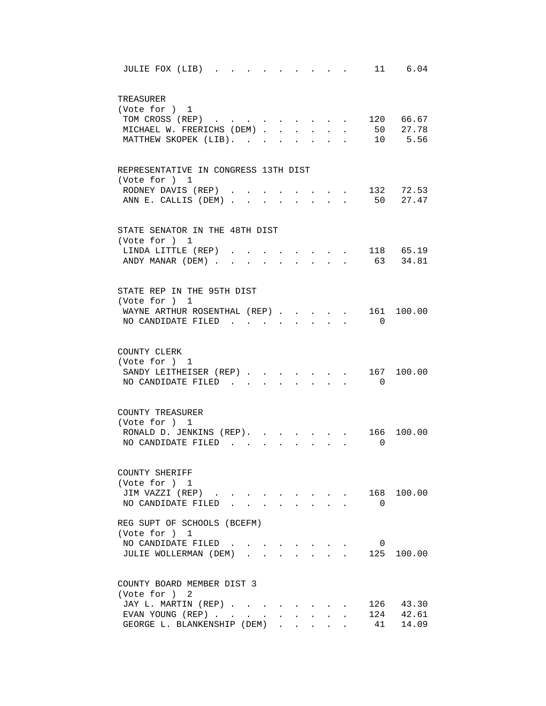| 11 6.04<br>JULIE FOX (LIB).                                                                  |
|----------------------------------------------------------------------------------------------|
| TREASURER<br>(Vote for ) 1                                                                   |
| . 120 66.67<br>TOM CROSS (REP)                                                               |
| 50 27.78<br>MICHAEL W. FRERICHS (DEM)<br>$\mathbf{L}$<br>$\ddot{\phantom{0}}$                |
| MATTHEW SKOPEK (LIB).<br>10 5.56<br>$\ddot{\phantom{a}}$<br>$\ddot{\phantom{a}}$             |
| REPRESENTATIVE IN CONGRESS 13TH DIST                                                         |
| (Vote for ) 1                                                                                |
| 132 72.53<br>RODNEY DAVIS (REP)<br>$\mathbf{r} = \mathbf{r}$ , and $\mathbf{r} = \mathbf{r}$ |
| 50 27.47<br>ANN E. CALLIS (DEM)<br>$\mathbf{r}$ and $\mathbf{r}$ and $\mathbf{r}$            |
| STATE SENATOR IN THE 48TH DIST                                                               |
| (Vote for ) 1                                                                                |
| 118 65.19<br>LINDA LITTLE (REP)                                                              |
| 63 34.81<br>ANDY MANAR (DEM).                                                                |
| STATE REP IN THE 95TH DIST                                                                   |
| (Vote for ) 1                                                                                |
| WAYNE ARTHUR ROSENTHAL (REP).<br>161 100.00                                                  |
| NO CANDIDATE FILED<br>$\overline{0}$                                                         |
|                                                                                              |
| COUNTY CLERK                                                                                 |
| (Vote for ) 1                                                                                |
| SANDY LEITHEISER (REP) 167 100.00<br>$\overline{0}$<br>NO CANDIDATE FILED.                   |
|                                                                                              |
| COUNTY TREASURER                                                                             |
| (Vote for ) 1                                                                                |
| RONALD D. JENKINS (REP). .<br>166 100.00<br>NO CANDIDATE FILED<br>$\Omega$                   |
|                                                                                              |
| COUNTY SHERIFF                                                                               |
| (Vote for ) 1                                                                                |
| JIM VAZZI (REP)<br>168 100.00                                                                |
| NO CANDIDATE FILED<br>$\overline{0}$<br>$\cdot$ $\cdot$ $\cdot$                              |
| REG SUPT OF SCHOOLS (BCEFM)<br>(Vote for ) 1                                                 |
| NO CANDIDATE FILED.<br>$\overline{0}$<br>$\sim$<br>$\sim$<br>$\sim$ $\sim$                   |
| 125 100.00<br>JULIE WOLLERMAN (DEM)                                                          |
| COUNTY BOARD MEMBER DIST 3                                                                   |
| (Vote for ) 2                                                                                |
| JAY L. MARTIN (REP).<br>126 43.30<br><b>Contract Contract Contract</b>                       |
| 42.61<br>EVAN YOUNG (REP)<br>124                                                             |
| 14.09<br>GEORGE L. BLANKENSHIP (DEM)<br>41                                                   |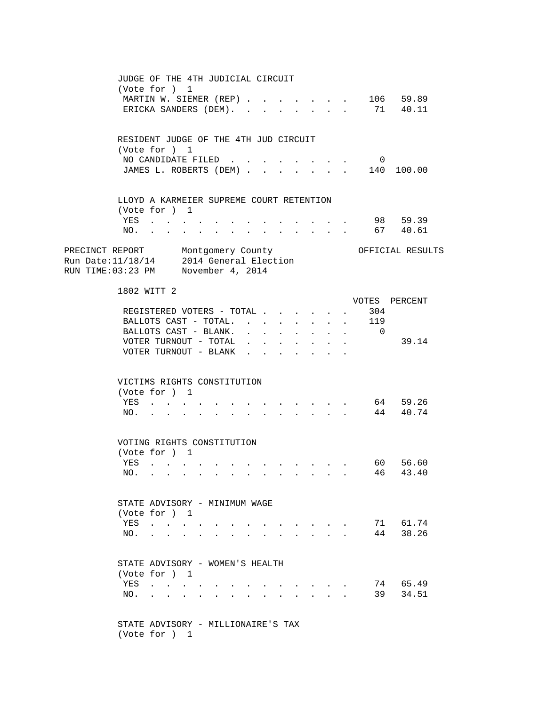JUDGE OF THE 4TH JUDICIAL CIRCUIT (Vote for ) 1 MARTIN W. SIEMER (REP) . . . . . . . 106 59.89 ERICKA SANDERS (DEM). . . . . . . . 71 40.11 RESIDENT JUDGE OF THE 4TH JUD CIRCUIT (Vote for ) 1 NO CANDIDATE FILED . . . . . . . . 0 JAMES L. ROBERTS (DEM) . . . . . . . 140 100.00 LLOYD A KARMEIER SUPREME COURT RETENTION (Vote for ) 1 YES . . . . . . . . . . . . . 98 59.39 NO. . . . . . . . . . . . . . 67 40.61 PRECINCT REPORT Montgomery County Ores OFFICIAL RESULTS Run Date:11/18/14 2014 General Election RUN TIME:03:23 PM November 4, 2014 1802 WITT 2 VOTES PERCENT REGISTERED VOTERS - TOTAL . . . . . . 304 BALLOTS CAST - TOTAL. . . . . . . . 119 BALLOTS CAST - BLANK. . . . . . . . 0 VOTER TURNOUT - TOTAL . . . . . . . . 39.14 VOTER TURNOUT - BLANK . . . . . VICTIMS RIGHTS CONSTITUTION (Vote for ) 1 YES . . . . . . . . . . . . . . 64 59.26 NO. . . . . . . . . . . . . . 44 40.74 VOTING RIGHTS CONSTITUTION (Vote for ) 1 YES . . . . . . . . . . . . . . 60 56.60 NO. . . . . . . . . . . . . . 46 43.40 STATE ADVISORY - MINIMUM WAGE (Vote for ) 1 YES . . . . . . . . . . . . . 71 61.74 NO. . . . . . . . . . . . . . 44 38.26 STATE ADVISORY - WOMEN'S HEALTH (Vote for ) 1 YES . . . . . . . . . . . . . 74 65.49 NO. . . . . . . . . . . . . . 39 34.51 STATE ADVISORY - MILLIONAIRE'S TAX (Vote for ) 1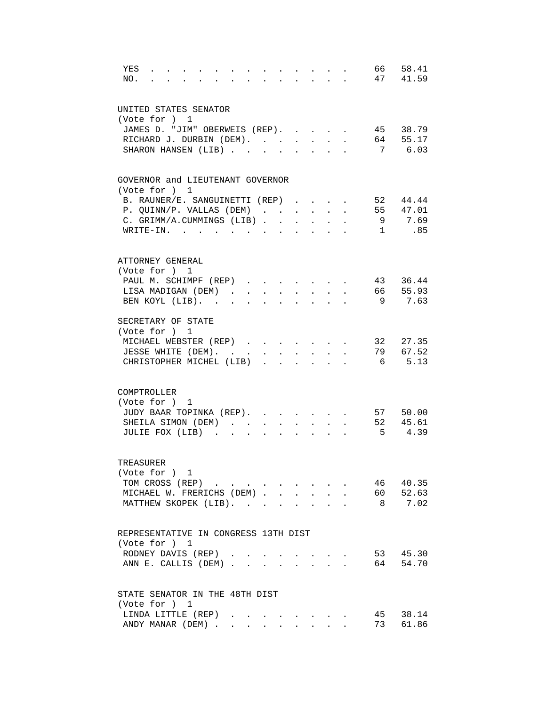| YES<br>NO.                                                                                                                           | $\sim$ $\sim$ $\sim$ |               |                                      |                                              |              |              | 66             | 58.41<br>47 41.59  |
|--------------------------------------------------------------------------------------------------------------------------------------|----------------------|---------------|--------------------------------------|----------------------------------------------|--------------|--------------|----------------|--------------------|
| UNITED STATES SENATOR<br>(Vote for ) 1<br>JAMES D. "JIM" OBERWEIS (REP). 45 38.79<br>RICHARD J. DURBIN (DEM).<br>SHARON HANSEN (LIB) |                      |               |                                      |                                              |              |              |                | 64 55.17<br>7 6.03 |
| GOVERNOR and LIEUTENANT GOVERNOR                                                                                                     |                      |               |                                      |                                              |              |              |                |                    |
| (Vote for ) 1                                                                                                                        |                      |               |                                      |                                              |              |              |                |                    |
| B. RAUNER/E. SANGUINETTI (REP)                                                                                                       |                      |               |                                      |                                              |              |              |                | 52 44.44           |
| P. QUINN/P. VALLAS (DEM)                                                                                                             |                      |               |                                      |                                              |              |              |                | 55 47.01           |
| C. GRIMM/A.CUMMINGS (LIB)                                                                                                            |                      |               |                                      |                                              |              |              |                | 9 7.69             |
| WRITE-IN.                                                                                                                            |                      |               |                                      |                                              |              |              |                | $1 \qquad .85$     |
| ATTORNEY GENERAL                                                                                                                     |                      |               |                                      |                                              |              |              |                |                    |
| (Vote for ) 1                                                                                                                        |                      |               |                                      |                                              |              |              |                |                    |
| PAUL M. SCHIMPF (REP)                                                                                                                |                      |               |                                      |                                              |              |              |                | 43 36.44           |
| LISA MADIGAN (DEM)                                                                                                                   |                      |               | $\mathbf{L} = \mathbf{L} \mathbf{L}$ | $\mathbf{L}$                                 | $\mathbf{L}$ | $\mathbf{r}$ |                | 66 55.93           |
| BEN KOYL (LIB).                                                                                                                      |                      |               | $\ddot{\phantom{a}}$                 | $\sim$                                       |              |              | - 9            | 7.63               |
| SECRETARY OF STATE                                                                                                                   |                      |               |                                      |                                              |              |              |                |                    |
| (Vote for ) 1                                                                                                                        |                      |               |                                      |                                              |              |              |                |                    |
| MICHAEL WEBSTER (REP)                                                                                                                |                      |               |                                      |                                              |              |              |                | 32 27.35           |
| JESSE WHITE (DEM).                                                                                                                   |                      |               |                                      |                                              |              |              |                | 79 67.52           |
| CHRISTOPHER MICHEL (LIB)                                                                                                             |                      | $\mathbf{L}$  |                                      |                                              |              |              | 6              | 5.13               |
| COMPTROLLER                                                                                                                          |                      |               |                                      |                                              |              |              |                |                    |
| (Vote for ) 1                                                                                                                        |                      |               |                                      |                                              |              |              |                |                    |
| JUDY BAAR TOPINKA (REP).                                                                                                             |                      |               |                                      |                                              |              |              |                | 57 50.00           |
| SHEILA SIMON (DEM)                                                                                                                   |                      |               | $\ddot{\phantom{a}}$                 | $\ddot{\phantom{0}}$<br>$\ddot{\phantom{0}}$ |              |              |                | 52 45.61           |
| JULIE FOX (LIB)                                                                                                                      |                      |               |                                      |                                              |              |              | 5 <sup>5</sup> | 4.39               |
| TREASURER                                                                                                                            |                      |               |                                      |                                              |              |              |                |                    |
| (Vote for ) 1                                                                                                                        |                      |               |                                      |                                              |              |              |                |                    |
| TOM CROSS (REP)                                                                                                                      |                      |               |                                      |                                              |              |              | 46 40.35       |                    |
| MICHAEL W. FRERICHS (DEM)                                                                                                            |                      |               |                                      |                                              |              |              |                | 60 52.63           |
| MATTHEW SKOPEK (LIB).                                                                                                                |                      |               |                                      |                                              |              |              |                | 8 7.02             |
|                                                                                                                                      |                      |               |                                      |                                              |              |              |                |                    |
| REPRESENTATIVE IN CONGRESS 13TH DIST                                                                                                 |                      |               |                                      |                                              |              |              |                |                    |
| (Vote for ) 1                                                                                                                        |                      |               |                                      |                                              |              |              |                |                    |
| RODNEY DAVIS (REP).                                                                                                                  |                      | $\sim$ $\sim$ |                                      | $\cdot$ $\cdot$ $\cdot$ $\cdot$              |              |              |                | 53 45.30           |
| ANN E. CALLIS (DEM)                                                                                                                  |                      |               |                                      |                                              |              |              |                | 64 54.70           |
| STATE SENATOR IN THE 48TH DIST                                                                                                       |                      |               |                                      |                                              |              |              |                |                    |
| (Vote for ) 1                                                                                                                        |                      |               |                                      |                                              |              |              |                |                    |
| LINDA LITTLE (REP)                                                                                                                   |                      |               |                                      |                                              |              |              |                | 45 38.14           |
| ANDY MANAR (DEM)                                                                                                                     |                      |               |                                      | $\mathbf{L}^{\text{max}}$                    |              |              | 73             | 61.86              |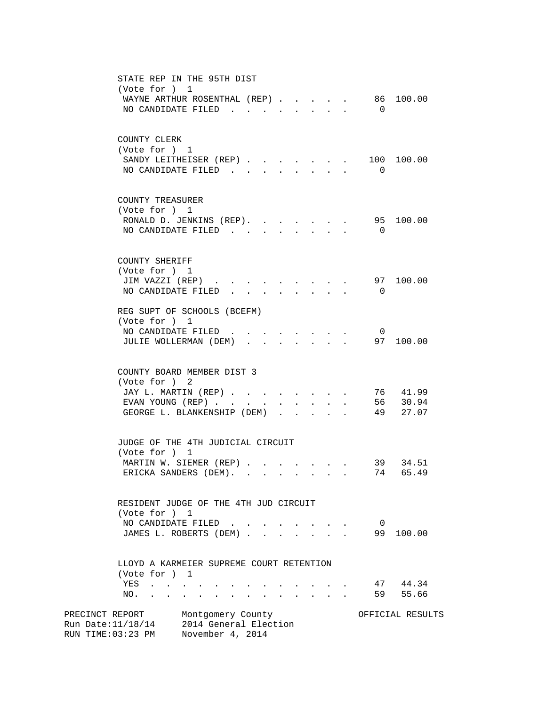| STATE REP IN THE 95TH DIST                                                                                                                             |                  |
|--------------------------------------------------------------------------------------------------------------------------------------------------------|------------------|
| (Vote for ) 1                                                                                                                                          |                  |
| WAYNE ARTHUR ROSENTHAL (REP)                                                                                                                           | 86 100.00        |
| NO CANDIDATE FILED                                                                                                                                     | $\overline{0}$   |
|                                                                                                                                                        |                  |
| COUNTY CLERK<br>(Vote for ) 1                                                                                                                          |                  |
| SANDY LEITHEISER (REP).                                                                                                                                | 100 100.00       |
| NO CANDIDATE FILED.                                                                                                                                    | $\Box$           |
|                                                                                                                                                        |                  |
| COUNTY TREASURER                                                                                                                                       |                  |
| (Vote for ) 1                                                                                                                                          |                  |
| RONALD D. JENKINS (REP).                                                                                                                               | 95 100.00        |
| NO CANDIDATE FILED                                                                                                                                     | $\overline{0}$   |
|                                                                                                                                                        |                  |
| COUNTY SHERIFF<br>(Vote for ) 1                                                                                                                        |                  |
| JIM VAZZI (REP)<br>$\begin{array}{cccccccccccccc} \bullet & \bullet & \bullet & \bullet & \bullet & \bullet & \bullet & \bullet & \bullet \end{array}$ | 97 100.00        |
| NO CANDIDATE FILED<br>$\mathbf{r} = \mathbf{r}$ , $\mathbf{r} = \mathbf{r}$                                                                            | $\overline{0}$   |
|                                                                                                                                                        |                  |
| REG SUPT OF SCHOOLS (BCEFM)                                                                                                                            |                  |
| (Vote for ) 1                                                                                                                                          |                  |
| NO CANDIDATE FILED                                                                                                                                     | $\overline{0}$   |
| JULIE WOLLERMAN (DEM)<br>$\mathbf{r} = \mathbf{r}$<br>$\mathbf{A}$<br>$\sim$<br>$\mathbf{r}$                                                           | 97 100.00        |
| COUNTY BOARD MEMBER DIST 3                                                                                                                             |                  |
| (Vote for ) 2                                                                                                                                          |                  |
| JAY L. MARTIN (REP)                                                                                                                                    | 76 41.99         |
| EVAN YOUNG (REP)<br>$\sim$<br>$\sim$ 100 $\mu$                                                                                                         | 56<br>30.94      |
| GEORGE L. BLANKENSHIP (DEM)                                                                                                                            | 49<br>27.07      |
|                                                                                                                                                        |                  |
| JUDGE OF THE 4TH JUDICIAL CIRCUIT                                                                                                                      |                  |
| (Vote for ) 1                                                                                                                                          |                  |
| MARTIN W. SIEMER (REP) 39 34.51                                                                                                                        |                  |
| ERICKA SANDERS (DEM).                                                                                                                                  | 74<br>65.49      |
| RESIDENT JUDGE OF THE 4TH JUD CIRCUIT                                                                                                                  |                  |
| (Vote for ) 1                                                                                                                                          |                  |
| NO CANDIDATE FILED.<br>$\ddot{\phantom{0}}$<br>$\mathbf{r} = \mathbf{r}$                                                                               | $\overline{0}$   |
| JAMES L. ROBERTS (DEM)<br>$\mathbf{r} = \mathbf{r}$                                                                                                    | 99 100.00        |
|                                                                                                                                                        |                  |
| LLOYD A KARMEIER SUPREME COURT RETENTION                                                                                                               |                  |
| (Vote for ) 1                                                                                                                                          |                  |
| YES<br>$\mathbf{z} = \mathbf{z} + \mathbf{z}$ , where $\mathbf{z} = \mathbf{z} + \mathbf{z}$ , where $\mathbf{z}$                                      | 47 44.34         |
| NO.<br>$\bullet$ .                                                                                                                                     | 59<br>55.66      |
| PRECINCT REPORT<br>Montgomery County                                                                                                                   | OFFICIAL RESULTS |
| Run Date: 11/18/14 2014 General Election                                                                                                               |                  |
| RUN TIME:03:23 PM<br>November 4, 2014                                                                                                                  |                  |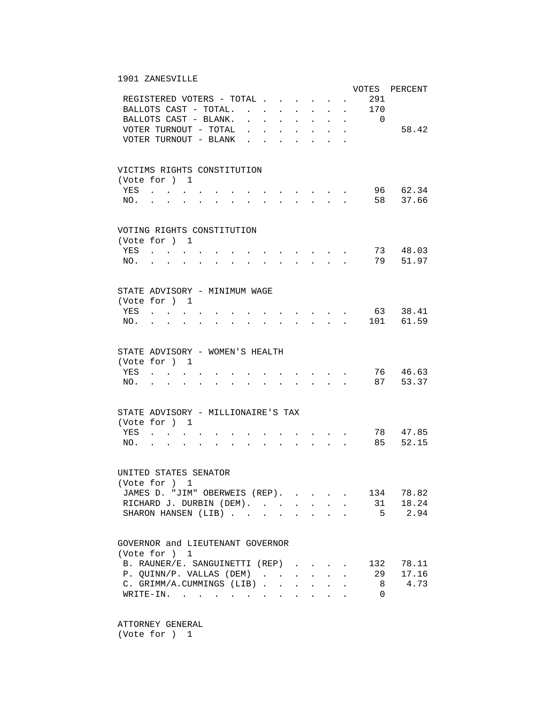## 1901 ZANESVILLE

|     |                                                                                                                                                                                  |                                                                                          |                           |                      |                                                                                                                                                                                                                                                                                                                                                                                                                                                             |                                                             |                                                |                      |                          | VOTES PERCENT |
|-----|----------------------------------------------------------------------------------------------------------------------------------------------------------------------------------|------------------------------------------------------------------------------------------|---------------------------|----------------------|-------------------------------------------------------------------------------------------------------------------------------------------------------------------------------------------------------------------------------------------------------------------------------------------------------------------------------------------------------------------------------------------------------------------------------------------------------------|-------------------------------------------------------------|------------------------------------------------|----------------------|--------------------------|---------------|
|     | REGISTERED VOTERS - TOTAL                                                                                                                                                        |                                                                                          |                           |                      |                                                                                                                                                                                                                                                                                                                                                                                                                                                             |                                                             |                                                |                      | 291                      |               |
|     | BALLOTS CAST - TOTAL.                                                                                                                                                            | $\mathbf{r}$ , and $\mathbf{r}$ , and $\mathbf{r}$ , and $\mathbf{r}$                    |                           |                      |                                                                                                                                                                                                                                                                                                                                                                                                                                                             |                                                             |                                                |                      | 170                      |               |
|     | BALLOTS CAST - BLANK.                                                                                                                                                            | $\ddot{\phantom{a}}$                                                                     | <b>Contractor</b>         |                      | <b>All Cards</b>                                                                                                                                                                                                                                                                                                                                                                                                                                            |                                                             | <b>All Contracts</b>                           |                      | $\overline{\phantom{0}}$ |               |
|     | VOTER TURNOUT - TOTAL                                                                                                                                                            | $\bullet$                                                                                |                           | $\ddot{\phantom{0}}$ | $\ddot{\phantom{0}}$                                                                                                                                                                                                                                                                                                                                                                                                                                        | $\bullet$ .<br><br><br><br><br><br><br><br><br><br><br><br> | $\ddot{\phantom{0}}$                           | $\bullet$ .          |                          | 58.42         |
|     | VOTER TURNOUT - BLANK.                                                                                                                                                           |                                                                                          |                           |                      | $\ddot{\phantom{a}}$                                                                                                                                                                                                                                                                                                                                                                                                                                        | $\ddot{\phantom{a}}$                                        |                                                |                      |                          |               |
|     |                                                                                                                                                                                  |                                                                                          |                           |                      |                                                                                                                                                                                                                                                                                                                                                                                                                                                             |                                                             |                                                |                      |                          |               |
|     |                                                                                                                                                                                  |                                                                                          |                           |                      |                                                                                                                                                                                                                                                                                                                                                                                                                                                             |                                                             |                                                |                      |                          |               |
|     | VICTIMS RIGHTS CONSTITUTION                                                                                                                                                      |                                                                                          |                           |                      |                                                                                                                                                                                                                                                                                                                                                                                                                                                             |                                                             |                                                |                      |                          |               |
|     | (Vote for ) 1                                                                                                                                                                    |                                                                                          |                           |                      |                                                                                                                                                                                                                                                                                                                                                                                                                                                             |                                                             |                                                |                      |                          |               |
| YES | and the state of the state of                                                                                                                                                    | $\mathbf{r}$ , and $\mathbf{r}$ , and $\mathbf{r}$ , and $\mathbf{r}$                    |                           |                      |                                                                                                                                                                                                                                                                                                                                                                                                                                                             |                                                             |                                                |                      |                          | 96 62.34      |
|     |                                                                                                                                                                                  |                                                                                          |                           |                      |                                                                                                                                                                                                                                                                                                                                                                                                                                                             |                                                             |                                                |                      |                          | 58 37.66      |
| NO. | $\mathbf{L} = \mathbf{L} \mathbf{L} + \mathbf{L} \mathbf{L}$<br>$\mathbf{r}$ , and $\mathbf{r}$ , and $\mathbf{r}$ , and $\mathbf{r}$ , and $\mathbf{r}$<br>$\ddot{\phantom{a}}$ |                                                                                          |                           |                      |                                                                                                                                                                                                                                                                                                                                                                                                                                                             |                                                             |                                                |                      |                          |               |
|     |                                                                                                                                                                                  |                                                                                          |                           |                      |                                                                                                                                                                                                                                                                                                                                                                                                                                                             |                                                             |                                                |                      |                          |               |
|     | VOTING RIGHTS CONSTITUTION                                                                                                                                                       |                                                                                          |                           |                      |                                                                                                                                                                                                                                                                                                                                                                                                                                                             |                                                             |                                                |                      |                          |               |
|     | (Vote for ) 1                                                                                                                                                                    |                                                                                          |                           |                      |                                                                                                                                                                                                                                                                                                                                                                                                                                                             |                                                             |                                                |                      |                          |               |
| YES |                                                                                                                                                                                  |                                                                                          |                           |                      |                                                                                                                                                                                                                                                                                                                                                                                                                                                             |                                                             |                                                |                      |                          | 73 48.03      |
|     | $\sim$ $\sim$<br>$\sim$ $\sim$                                                                                                                                                   |                                                                                          |                           |                      | $\sim$                                                                                                                                                                                                                                                                                                                                                                                                                                                      |                                                             |                                                |                      |                          |               |
| NO. |                                                                                                                                                                                  |                                                                                          |                           |                      |                                                                                                                                                                                                                                                                                                                                                                                                                                                             |                                                             |                                                |                      | 79                       | 51.97         |
|     |                                                                                                                                                                                  |                                                                                          |                           |                      |                                                                                                                                                                                                                                                                                                                                                                                                                                                             |                                                             |                                                |                      |                          |               |
|     |                                                                                                                                                                                  |                                                                                          |                           |                      |                                                                                                                                                                                                                                                                                                                                                                                                                                                             |                                                             |                                                |                      |                          |               |
|     | STATE ADVISORY - MINIMUM WAGE                                                                                                                                                    |                                                                                          |                           |                      |                                                                                                                                                                                                                                                                                                                                                                                                                                                             |                                                             |                                                |                      |                          |               |
|     | (Vote for ) 1                                                                                                                                                                    |                                                                                          |                           |                      |                                                                                                                                                                                                                                                                                                                                                                                                                                                             |                                                             |                                                |                      |                          |               |
| YES | $\mathbf{r} = \left\{ \mathbf{r}_1, \ldots, \mathbf{r}_n \right\}$ , where $\mathbf{r}_1$                                                                                        |                                                                                          |                           |                      |                                                                                                                                                                                                                                                                                                                                                                                                                                                             |                                                             |                                                |                      |                          | 63 38.41      |
| NO. | $\mathbf{r} = \mathbf{r} + \mathbf{r}$<br>$\bullet$ .<br><br><br><br><br><br><br><br><br><br><br><br><br>$\bullet$<br>$\sim 100$                                                 |                                                                                          | $\mathbf{r} = \mathbf{r}$ |                      |                                                                                                                                                                                                                                                                                                                                                                                                                                                             | $\sim$ $\sim$ $\sim$                                        | $\sim$                                         |                      |                          | 101 61.59     |
|     |                                                                                                                                                                                  |                                                                                          |                           |                      |                                                                                                                                                                                                                                                                                                                                                                                                                                                             |                                                             |                                                |                      |                          |               |
|     |                                                                                                                                                                                  |                                                                                          |                           |                      |                                                                                                                                                                                                                                                                                                                                                                                                                                                             |                                                             |                                                |                      |                          |               |
|     | STATE ADVISORY - WOMEN'S HEALTH                                                                                                                                                  |                                                                                          |                           |                      |                                                                                                                                                                                                                                                                                                                                                                                                                                                             |                                                             |                                                |                      |                          |               |
|     | (Vote for ) 1                                                                                                                                                                    |                                                                                          |                           |                      |                                                                                                                                                                                                                                                                                                                                                                                                                                                             |                                                             |                                                |                      |                          |               |
| YES | $\mathbf{r}$ . The contract of the contract of $\mathbf{r}$                                                                                                                      |                                                                                          |                           |                      | $\mathbf{r} = \mathbf{r} - \mathbf{r}$ , and $\mathbf{r} = \mathbf{r} - \mathbf{r}$                                                                                                                                                                                                                                                                                                                                                                         |                                                             |                                                |                      |                          | 76 46.63      |
| NO. | $\mathbf{L} = \mathbf{L} \mathbf{L} + \mathbf{L} \mathbf{L}$<br>$\cdot$ $\cdot$                                                                                                  | $\mathbf{r}$ , and $\mathbf{r}$ , and $\mathbf{r}$ , and $\mathbf{r}$ , and $\mathbf{r}$ |                           |                      |                                                                                                                                                                                                                                                                                                                                                                                                                                                             |                                                             |                                                |                      |                          | 87 53.37      |
|     |                                                                                                                                                                                  |                                                                                          |                           |                      |                                                                                                                                                                                                                                                                                                                                                                                                                                                             |                                                             |                                                |                      |                          |               |
|     |                                                                                                                                                                                  |                                                                                          |                           |                      |                                                                                                                                                                                                                                                                                                                                                                                                                                                             |                                                             |                                                |                      |                          |               |
|     | STATE ADVISORY - MILLIONAIRE'S TAX                                                                                                                                               |                                                                                          |                           |                      |                                                                                                                                                                                                                                                                                                                                                                                                                                                             |                                                             |                                                |                      |                          |               |
|     | (Vote for ) 1                                                                                                                                                                    |                                                                                          |                           |                      |                                                                                                                                                                                                                                                                                                                                                                                                                                                             |                                                             |                                                |                      |                          |               |
| YES | $\sim$                                                                                                                                                                           |                                                                                          |                           |                      |                                                                                                                                                                                                                                                                                                                                                                                                                                                             |                                                             |                                                |                      |                          | 78 47.85      |
| NO. |                                                                                                                                                                                  |                                                                                          |                           |                      |                                                                                                                                                                                                                                                                                                                                                                                                                                                             |                                                             |                                                |                      | 85                       | 52.15         |
|     |                                                                                                                                                                                  |                                                                                          |                           |                      |                                                                                                                                                                                                                                                                                                                                                                                                                                                             |                                                             |                                                |                      |                          |               |
|     |                                                                                                                                                                                  |                                                                                          |                           |                      |                                                                                                                                                                                                                                                                                                                                                                                                                                                             |                                                             |                                                |                      |                          |               |
|     | UNITED STATES SENATOR                                                                                                                                                            |                                                                                          |                           |                      |                                                                                                                                                                                                                                                                                                                                                                                                                                                             |                                                             |                                                |                      |                          |               |
|     | (Vote for ) 1                                                                                                                                                                    |                                                                                          |                           |                      |                                                                                                                                                                                                                                                                                                                                                                                                                                                             |                                                             |                                                |                      |                          |               |
|     | JAMES D. "JIM" OBERWEIS (REP).                                                                                                                                                   |                                                                                          |                           |                      |                                                                                                                                                                                                                                                                                                                                                                                                                                                             |                                                             |                                                |                      | 134                      | 78.82         |
|     |                                                                                                                                                                                  |                                                                                          |                           |                      | $\mathcal{L}(\mathcal{L}(\mathcal{L}(\mathcal{L}(\mathcal{L}(\mathcal{L}(\mathcal{L}(\mathcal{L}(\mathcal{L}(\mathcal{L}(\mathcal{L}(\mathcal{L}(\mathcal{L}(\mathcal{L}(\mathcal{L}(\mathcal{L}(\mathcal{L}(\mathcal{L}(\mathcal{L}(\mathcal{L}(\mathcal{L}(\mathcal{L}(\mathcal{L}(\mathcal{L}(\mathcal{L}(\mathcal{L}(\mathcal{L}(\mathcal{L}(\mathcal{L}(\mathcal{L}(\mathcal{L}(\mathcal{L}(\mathcal{L}(\mathcal{L}(\mathcal{L}(\mathcal{L}(\mathcal{$ |                                                             |                                                |                      |                          |               |
|     | RICHARD J. DURBIN (DEM).                                                                                                                                                         |                                                                                          |                           |                      |                                                                                                                                                                                                                                                                                                                                                                                                                                                             |                                                             | $\mathbf{A}$ and $\mathbf{A}$ and $\mathbf{A}$ | $\ddot{\phantom{a}}$ | 31                       | 18.24         |
|     | SHARON HANSEN (LIB)                                                                                                                                                              |                                                                                          |                           |                      |                                                                                                                                                                                                                                                                                                                                                                                                                                                             | <b>Contract Contract</b>                                    |                                                |                      | $5 -$                    | 2.94          |
|     |                                                                                                                                                                                  |                                                                                          |                           |                      |                                                                                                                                                                                                                                                                                                                                                                                                                                                             |                                                             |                                                |                      |                          |               |
|     |                                                                                                                                                                                  |                                                                                          |                           |                      |                                                                                                                                                                                                                                                                                                                                                                                                                                                             |                                                             |                                                |                      |                          |               |
|     | GOVERNOR and LIEUTENANT GOVERNOR                                                                                                                                                 |                                                                                          |                           |                      |                                                                                                                                                                                                                                                                                                                                                                                                                                                             |                                                             |                                                |                      |                          |               |
|     | (Vote for ) 1                                                                                                                                                                    |                                                                                          |                           |                      |                                                                                                                                                                                                                                                                                                                                                                                                                                                             |                                                             |                                                |                      |                          |               |
|     | B. RAUNER/E. SANGUINETTI (REP)                                                                                                                                                   |                                                                                          |                           |                      |                                                                                                                                                                                                                                                                                                                                                                                                                                                             |                                                             |                                                |                      | 132                      | 78.11         |
|     | P. QUINN/P. VALLAS (DEM)                                                                                                                                                         |                                                                                          |                           |                      |                                                                                                                                                                                                                                                                                                                                                                                                                                                             |                                                             |                                                |                      | 29                       | 17.16         |
|     | C. GRIMM/A.CUMMINGS (LIB)                                                                                                                                                        |                                                                                          |                           |                      |                                                                                                                                                                                                                                                                                                                                                                                                                                                             |                                                             |                                                |                      | 8                        | 4.73          |
|     | WRITE-IN.                                                                                                                                                                        |                                                                                          |                           |                      |                                                                                                                                                                                                                                                                                                                                                                                                                                                             |                                                             |                                                |                      | 0                        |               |
|     |                                                                                                                                                                                  |                                                                                          |                           |                      |                                                                                                                                                                                                                                                                                                                                                                                                                                                             |                                                             |                                                |                      |                          |               |

 ATTORNEY GENERAL (Vote for ) 1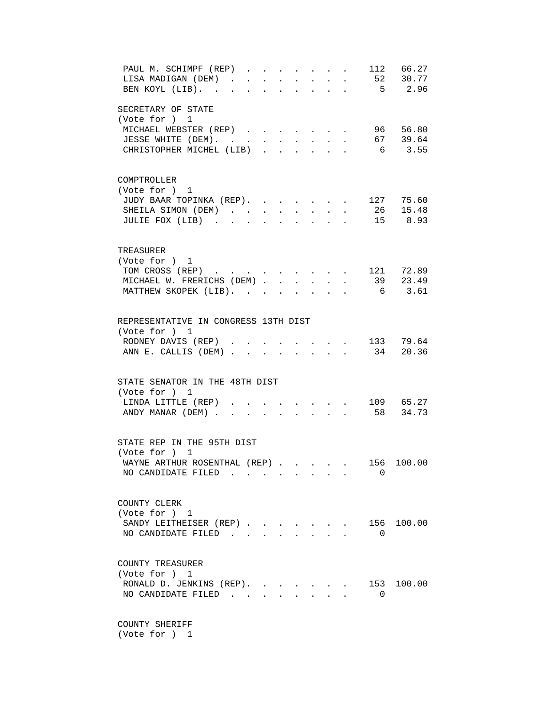| PAUL M. SCHIMPF (REP)<br>112 66.27<br>$\mathbf{r}$ , $\mathbf{r}$ , $\mathbf{r}$ , $\mathbf{r}$ , $\mathbf{r}$<br>$52$ $30.77$<br>LISA MADIGAN (DEM).<br>$\sim$ $-$<br>$\sim$<br>$\bullet$ .<br>$\mathbf{L}$<br>5 2.96<br>BEN KOYL (LIB).<br>$\sim$ |  |
|-----------------------------------------------------------------------------------------------------------------------------------------------------------------------------------------------------------------------------------------------------|--|
| SECRETARY OF STATE<br>(Vote for ) 1<br>MICHAEL WEBSTER (REP) 96 56.80<br>$\cdot$ 67 39.64<br>JESSE WHITE (DEM).<br>CHRISTOPHER MICHEL (LIB).<br>6 3.55<br>$\cdot$ $\cdot$<br>$\sim$ $\sim$ $\sim$ $\sim$ $\sim$                                     |  |
| COMPTROLLER<br>(Vote for ) 1<br>JUDY BAAR TOPINKA (REP). 127 75.60<br>SHEILA SIMON (DEM) 26 15.48<br>JULIE FOX (LIB) 15 8.93                                                                                                                        |  |
| TREASURER<br>(Vote for ) 1<br>. 121 72.89<br>TOM CROSS (REP)<br>39 23.49<br>MICHAEL W. FRERICHS (DEM)<br>6 3.61<br>MATTHEW SKOPEK (LIB).                                                                                                            |  |
| REPRESENTATIVE IN CONGRESS 13TH DIST<br>(Vote for ) 1<br>133 79.64<br>34 20.36<br>RODNEY DAVIS (REP)<br>$\mathbf{r} = \mathbf{r} \cdot \mathbf{r}$<br>ANN E. CALLIS (DEM)<br>$\mathbf{L}$<br>$\mathbf{L}$<br>$\sim$<br>$\sim$                       |  |
| STATE SENATOR IN THE 48TH DIST<br>(Vote for ) 1<br>LINDA LITTLE (REP)<br>109 65.27<br>ANDY MANAR (DEM) 58 34.73                                                                                                                                     |  |
| STATE REP IN THE 95TH DIST<br>(Vote for ) 1<br>WAYNE ARTHUR ROSENTHAL (REP)<br>156 100.00<br>NO CANDIDATE FILED<br>$\Omega$                                                                                                                         |  |
| COUNTY CLERK<br>(Vote for ) 1<br>100.00<br>SANDY LEITHEISER (REP)<br>156<br>$\mathbf{r} = \mathbf{r}$<br>NO CANDIDATE FILED.<br>$\Omega$                                                                                                            |  |
| COUNTY TREASURER<br>(Vote for ) 1<br>RONALD D. JENKINS (REP).<br>153<br>100.00<br>NO CANDIDATE FILED<br>$\Omega$                                                                                                                                    |  |
| COUNTY SHERIFF                                                                                                                                                                                                                                      |  |

(Vote for ) 1